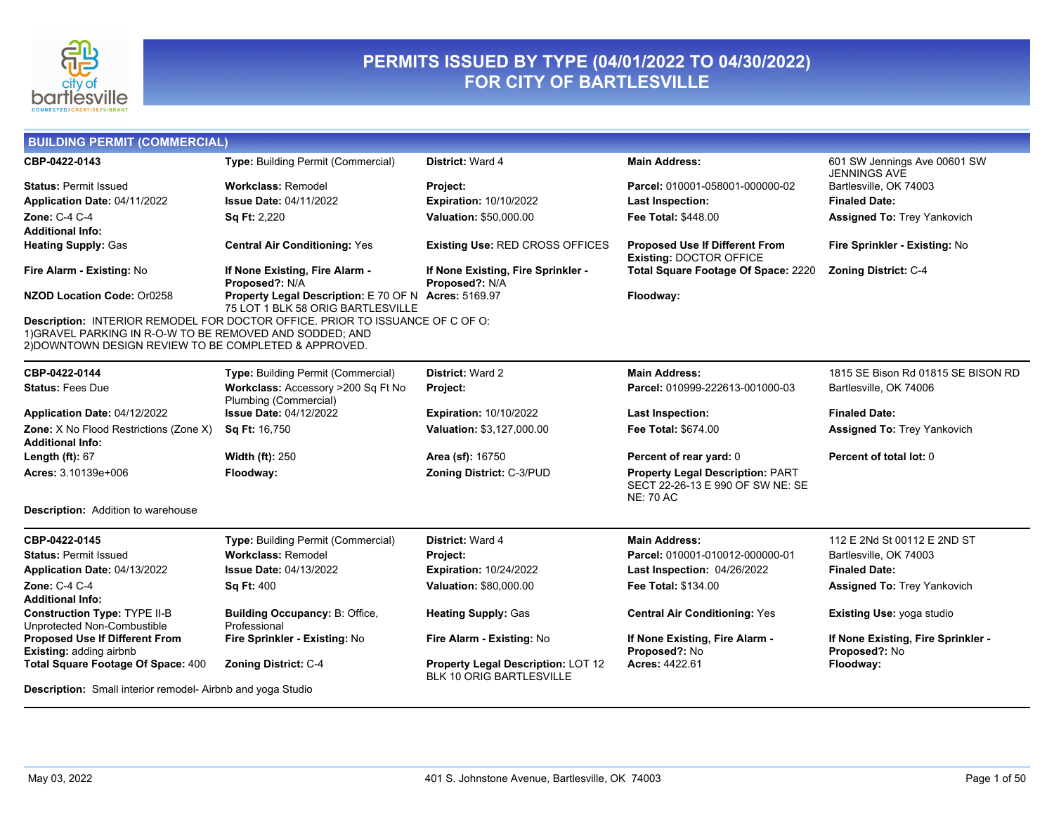

## **PERMITS ISSUED BY TYPE (04/01/2022 TO 04/30/2022) FOR CITY OF BARTLESVILLE**

| <b>BUILDING PERMIT (COMMERCIAL)</b>                                                                               |                                                                                           |                                                                              |                                                                                                 |                                                     |
|-------------------------------------------------------------------------------------------------------------------|-------------------------------------------------------------------------------------------|------------------------------------------------------------------------------|-------------------------------------------------------------------------------------------------|-----------------------------------------------------|
| CBP-0422-0143                                                                                                     | <b>Type: Building Permit (Commercial)</b>                                                 | District: Ward 4                                                             | <b>Main Address:</b>                                                                            | 601 SW Jennings Ave 00601 SW<br><b>JENNINGS AVE</b> |
| <b>Status: Permit Issued</b>                                                                                      | <b>Workclass: Remodel</b>                                                                 | <b>Project:</b>                                                              | Parcel: 010001-058001-000000-02                                                                 | Bartlesville, OK 74003                              |
| Application Date: 04/11/2022                                                                                      | <b>Issue Date: 04/11/2022</b>                                                             | <b>Expiration: 10/10/2022</b>                                                | <b>Last Inspection:</b>                                                                         | <b>Finaled Date:</b>                                |
| Zone: C-4 C-4                                                                                                     | Sq Ft: 2,220                                                                              | Valuation: \$50,000.00                                                       | Fee Total: \$448.00                                                                             | <b>Assigned To: Trey Yankovich</b>                  |
| Additional Info:                                                                                                  |                                                                                           |                                                                              |                                                                                                 |                                                     |
| <b>Heating Supply: Gas</b>                                                                                        | <b>Central Air Conditioning: Yes</b>                                                      | <b>Existing Use: RED CROSS OFFICES</b>                                       | <b>Proposed Use If Different From</b><br><b>Existing: DOCTOR OFFICE</b>                         | Fire Sprinkler - Existing: No                       |
| Fire Alarm - Existing: No                                                                                         | If None Existing, Fire Alarm -<br>Proposed?: N/A                                          | If None Existing, Fire Sprinkler -<br>Proposed?: N/A                         | Total Square Footage Of Space: 2220                                                             | <b>Zoning District: C-4</b>                         |
| NZOD Location Code: Or0258                                                                                        | Property Legal Description: E 70 OF N Acres: 5169.97<br>75 LOT 1 BLK 58 ORIG BARTLESVILLE |                                                                              | Floodway:                                                                                       |                                                     |
| 1) GRAVEL PARKING IN R-O-W TO BE REMOVED AND SODDED; AND<br>2) DOWNTOWN DESIGN REVIEW TO BE COMPLETED & APPROVED. | Description: INTERIOR REMODEL FOR DOCTOR OFFICE. PRIOR TO ISSUANCE OF C OF O:             |                                                                              |                                                                                                 |                                                     |
| CBP-0422-0144                                                                                                     | Type: Building Permit (Commercial)                                                        | <b>District: Ward 2</b>                                                      | <b>Main Address:</b>                                                                            | 1815 SE Bison Rd 01815 SE BISON RD                  |
| <b>Status: Fees Due</b>                                                                                           | Workclass: Accessory >200 Sq Ft No<br>Plumbing (Commercial)                               | Project:                                                                     | Parcel: 010999-222613-001000-03                                                                 | Bartlesville, OK 74006                              |
| Application Date: 04/12/2022                                                                                      | <b>Issue Date: 04/12/2022</b>                                                             | <b>Expiration: 10/10/2022</b>                                                | <b>Last Inspection:</b>                                                                         | <b>Finaled Date:</b>                                |
| Zone: X No Flood Restrictions (Zone X)<br><b>Additional Info:</b>                                                 | Sq Ft: 16,750                                                                             | Valuation: \$3,127,000.00                                                    | Fee Total: \$674.00                                                                             | <b>Assigned To: Trey Yankovich</b>                  |
| Length $(ft)$ : 67                                                                                                | <b>Width (ft): 250</b>                                                                    | Area (sf): 16750                                                             | Percent of rear yard: 0                                                                         | Percent of total lot: 0                             |
| Acres: 3.10139e+006                                                                                               | Floodway:                                                                                 | Zoning District: C-3/PUD                                                     | <b>Property Legal Description: PART</b><br>SECT 22-26-13 E 990 OF SW NE: SE<br><b>NE: 70 AC</b> |                                                     |
| <b>Description:</b> Addition to warehouse                                                                         |                                                                                           |                                                                              |                                                                                                 |                                                     |
| CBP-0422-0145                                                                                                     | <b>Type: Building Permit (Commercial)</b>                                                 | <b>District: Ward 4</b>                                                      | <b>Main Address:</b>                                                                            | 112 E 2Nd St 00112 E 2ND ST                         |
| <b>Status: Permit Issued</b>                                                                                      | <b>Workclass: Remodel</b>                                                                 | Project:                                                                     | Parcel: 010001-010012-000000-01                                                                 | Bartlesville, OK 74003                              |
| Application Date: 04/13/2022                                                                                      | <b>Issue Date: 04/13/2022</b>                                                             | Expiration: 10/24/2022                                                       | Last Inspection: 04/26/2022                                                                     | <b>Finaled Date:</b>                                |
| <b>Zone: C-4 C-4</b>                                                                                              | <b>Sq Ft: 400</b>                                                                         | Valuation: \$80,000.00                                                       | Fee Total: \$134.00                                                                             | <b>Assigned To: Trey Yankovich</b>                  |
| Additional Info:                                                                                                  |                                                                                           |                                                                              |                                                                                                 |                                                     |
| <b>Construction Type: TYPE II-B</b><br>Unprotected Non-Combustible                                                | <b>Building Occupancy: B: Office,</b><br>Professional                                     | <b>Heating Supply: Gas</b>                                                   | <b>Central Air Conditioning: Yes</b>                                                            | Existing Use: yoga studio                           |
| <b>Proposed Use If Different From</b><br><b>Existing: adding airbnb</b>                                           | Fire Sprinkler - Existing: No                                                             | Fire Alarm - Existing: No                                                    | If None Existing, Fire Alarm -<br>Proposed?: No                                                 | If None Existing, Fire Sprinkler -<br>Proposed?: No |
| Total Square Footage Of Space: 400                                                                                | <b>Zoning District: C-4</b>                                                               | <b>Property Legal Description: LOT 12</b><br><b>BLK 10 ORIG BARTLESVILLE</b> | <b>Acres: 4422.61</b>                                                                           | Floodway:                                           |
| <b>Description:</b> Small interior remodel- Airbnb and yoga Studio                                                |                                                                                           |                                                                              |                                                                                                 |                                                     |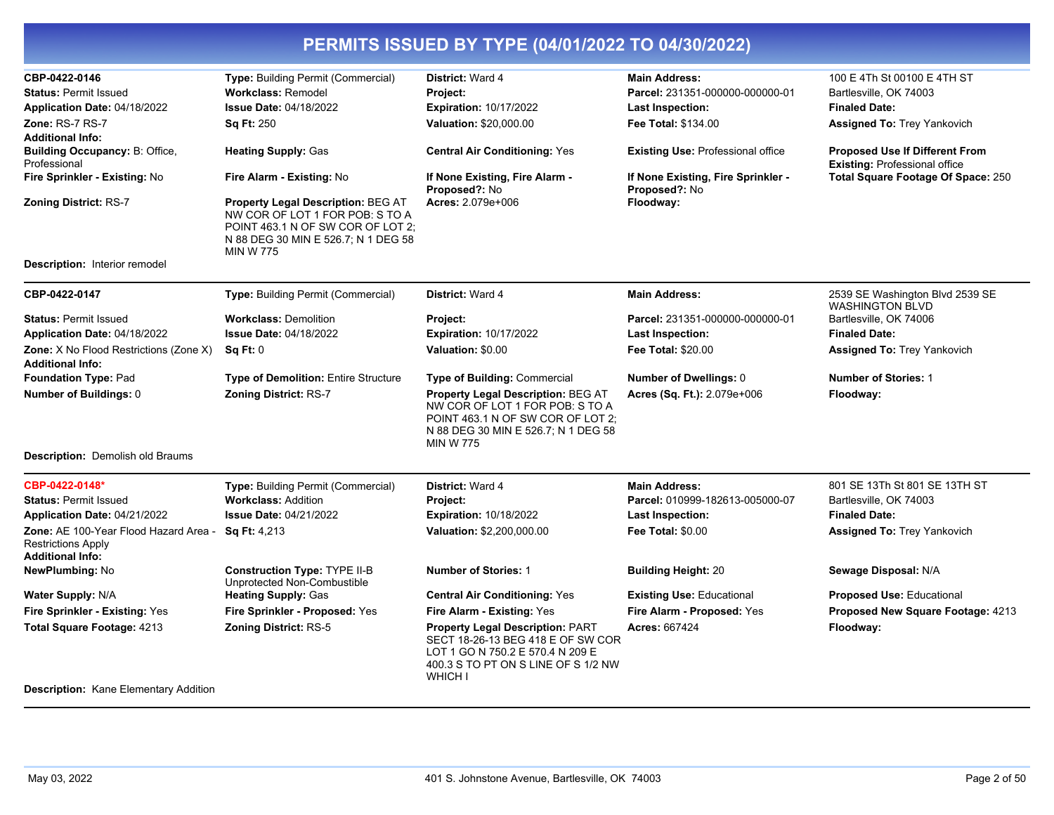| CBP-0422-0146                                                                                 | Type: Building Permit (Commercial)                                                                                                                                           | District: Ward 4                                                                                                                                                      | <b>Main Address:</b>                                | 100 E 4Th St 00100 E 4TH ST                                                   |
|-----------------------------------------------------------------------------------------------|------------------------------------------------------------------------------------------------------------------------------------------------------------------------------|-----------------------------------------------------------------------------------------------------------------------------------------------------------------------|-----------------------------------------------------|-------------------------------------------------------------------------------|
| <b>Status: Permit Issued</b>                                                                  | <b>Workclass: Remodel</b>                                                                                                                                                    | Project:                                                                                                                                                              | Parcel: 231351-000000-000000-01                     | Bartlesville, OK 74003                                                        |
| Application Date: 04/18/2022                                                                  | <b>Issue Date: 04/18/2022</b>                                                                                                                                                | <b>Expiration: 10/17/2022</b>                                                                                                                                         | <b>Last Inspection:</b>                             | <b>Finaled Date:</b>                                                          |
| Zone: RS-7 RS-7                                                                               | Sq Ft: 250                                                                                                                                                                   | Valuation: \$20,000.00                                                                                                                                                | Fee Total: \$134.00                                 | Assigned To: Trey Yankovich                                                   |
| <b>Additional Info:</b>                                                                       |                                                                                                                                                                              |                                                                                                                                                                       |                                                     |                                                                               |
| Building Occupancy: B: Office,<br>Professional                                                | <b>Heating Supply: Gas</b>                                                                                                                                                   | <b>Central Air Conditioning: Yes</b>                                                                                                                                  | <b>Existing Use: Professional office</b>            | <b>Proposed Use If Different From</b><br><b>Existing: Professional office</b> |
| Fire Sprinkler - Existing: No                                                                 | Fire Alarm - Existing: No                                                                                                                                                    | If None Existing, Fire Alarm -<br>Proposed?: No                                                                                                                       | If None Existing, Fire Sprinkler -<br>Proposed?: No | Total Square Footage Of Space: 250                                            |
| <b>Zoning District: RS-7</b>                                                                  | <b>Property Legal Description: BEG AT</b><br>NW COR OF LOT 1 FOR POB: S TO A<br>POINT 463.1 N OF SW COR OF LOT 2;<br>N 88 DEG 30 MIN E 526.7; N 1 DEG 58<br><b>MIN W 775</b> | Acres: 2.079e+006                                                                                                                                                     | Floodway:                                           |                                                                               |
| <b>Description:</b> Interior remodel                                                          |                                                                                                                                                                              |                                                                                                                                                                       |                                                     |                                                                               |
| CBP-0422-0147                                                                                 | Type: Building Permit (Commercial)                                                                                                                                           | District: Ward 4                                                                                                                                                      | <b>Main Address:</b>                                | 2539 SE Washington Blvd 2539 SE<br><b>WASHINGTON BLVD</b>                     |
| <b>Status: Permit Issued</b>                                                                  | <b>Workclass: Demolition</b>                                                                                                                                                 | Project:                                                                                                                                                              | Parcel: 231351-000000-000000-01                     | Bartlesville, OK 74006                                                        |
| Application Date: 04/18/2022                                                                  | <b>Issue Date: 04/18/2022</b>                                                                                                                                                | <b>Expiration: 10/17/2022</b>                                                                                                                                         | <b>Last Inspection:</b>                             | <b>Finaled Date:</b>                                                          |
| Zone: X No Flood Restrictions (Zone X)<br><b>Additional Info:</b>                             | Sq Ft: 0                                                                                                                                                                     | Valuation: \$0.00                                                                                                                                                     | <b>Fee Total: \$20.00</b>                           | <b>Assigned To: Trey Yankovich</b>                                            |
| <b>Foundation Type: Pad</b>                                                                   | <b>Type of Demolition: Entire Structure</b>                                                                                                                                  | <b>Type of Building: Commercial</b>                                                                                                                                   | <b>Number of Dwellings: 0</b>                       | <b>Number of Stories: 1</b>                                                   |
| Number of Buildings: 0                                                                        | <b>Zoning District: RS-7</b>                                                                                                                                                 | Property Legal Description: BEG AT<br>NW COR OF LOT 1 FOR POB: S TO A<br>POINT 463.1 N OF SW COR OF LOT 2:<br>N 88 DEG 30 MIN E 526.7; N 1 DEG 58<br><b>MIN W 775</b> | Acres (Sq. Ft.): 2.079e+006                         | Floodway:                                                                     |
| <b>Description:</b> Demolish old Braums                                                       |                                                                                                                                                                              |                                                                                                                                                                       |                                                     |                                                                               |
| CBP-0422-0148*                                                                                | Type: Building Permit (Commercial)                                                                                                                                           | District: Ward 4                                                                                                                                                      | <b>Main Address:</b>                                | 801 SE 13Th St 801 SE 13TH ST                                                 |
| <b>Status: Permit Issued</b>                                                                  | <b>Workclass: Addition</b>                                                                                                                                                   | Project:                                                                                                                                                              | Parcel: 010999-182613-005000-07                     | Bartlesville, OK 74003                                                        |
| Application Date: 04/21/2022                                                                  | <b>Issue Date: 04/21/2022</b>                                                                                                                                                | <b>Expiration: 10/18/2022</b>                                                                                                                                         | <b>Last Inspection:</b>                             | <b>Finaled Date:</b>                                                          |
| Zone: AE 100-Year Flood Hazard Area -<br><b>Restrictions Apply</b><br><b>Additional Info:</b> | <b>Sq Ft: 4,213</b>                                                                                                                                                          | Valuation: \$2,200,000.00                                                                                                                                             | <b>Fee Total: \$0.00</b>                            | <b>Assigned To: Trey Yankovich</b>                                            |
| <b>NewPlumbing: No</b>                                                                        | <b>Construction Type: TYPE II-B</b><br>Unprotected Non-Combustible                                                                                                           | <b>Number of Stories: 1</b>                                                                                                                                           | <b>Building Height: 20</b>                          | Sewage Disposal: N/A                                                          |
| <b>Water Supply: N/A</b>                                                                      | <b>Heating Supply: Gas</b>                                                                                                                                                   | <b>Central Air Conditioning: Yes</b>                                                                                                                                  | <b>Existing Use: Educational</b>                    | <b>Proposed Use: Educational</b>                                              |
| Fire Sprinkler - Existing: Yes                                                                | Fire Sprinkler - Proposed: Yes                                                                                                                                               | Fire Alarm - Existing: Yes                                                                                                                                            | Fire Alarm - Proposed: Yes                          | Proposed New Square Footage: 4213                                             |
| Total Square Footage: 4213                                                                    | Zoning District: RS-5                                                                                                                                                        | Property Legal Description: PART<br>SECT 18-26-13 BEG 418 E OF SW COR<br>LOT 1 GO N 750.2 E 570.4 N 209 E<br>400.3 S TO PT ON S LINE OF S 1/2 NW<br><b>WHICH I</b>    | <b>Acres: 667424</b>                                | Floodway:                                                                     |
| <b>Description: Kane Elementary Addition</b>                                                  |                                                                                                                                                                              |                                                                                                                                                                       |                                                     |                                                                               |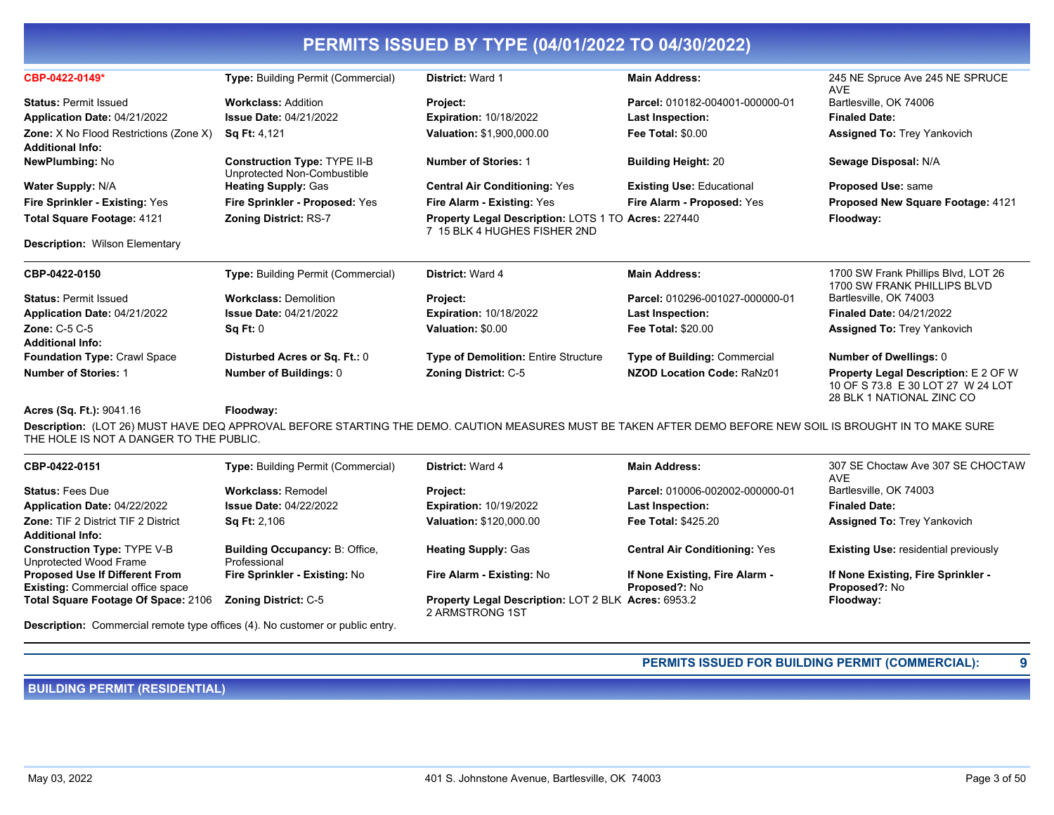| CBP-0422-0149*                         | <b>Type: Building Permit (Commercial)</b>                          | <b>District: Ward 1</b>                                                             | <b>Main Address:</b>                | 245 NE Spruce Ave 245 NE SPRUCE<br><b>AVE</b>                                                                 |
|----------------------------------------|--------------------------------------------------------------------|-------------------------------------------------------------------------------------|-------------------------------------|---------------------------------------------------------------------------------------------------------------|
| <b>Status: Permit Issued</b>           | <b>Workclass: Addition</b>                                         | Project:                                                                            | Parcel: 010182-004001-000000-01     | Bartlesville, OK 74006                                                                                        |
| Application Date: 04/21/2022           | <b>Issue Date: 04/21/2022</b>                                      | <b>Expiration: 10/18/2022</b>                                                       | <b>Last Inspection:</b>             | <b>Finaled Date:</b>                                                                                          |
| Zone: X No Flood Restrictions (Zone X) | <b>Sq Ft: 4,121</b>                                                | Valuation: \$1,900,000.00                                                           | <b>Fee Total: \$0.00</b>            | <b>Assigned To: Trey Yankovich</b>                                                                            |
| <b>Additional Info:</b>                |                                                                    |                                                                                     |                                     |                                                                                                               |
| <b>NewPlumbing: No</b>                 | <b>Construction Type: TYPE II-B</b><br>Unprotected Non-Combustible | <b>Number of Stories: 1</b>                                                         | <b>Building Height: 20</b>          | Sewage Disposal: N/A                                                                                          |
| Water Supply: N/A                      | <b>Heating Supply: Gas</b>                                         | <b>Central Air Conditioning: Yes</b>                                                | <b>Existing Use: Educational</b>    | Proposed Use: same                                                                                            |
| Fire Sprinkler - Existing: Yes         | Fire Sprinkler - Proposed: Yes                                     | Fire Alarm - Existing: Yes                                                          | Fire Alarm - Proposed: Yes          | Proposed New Square Footage: 4121                                                                             |
| Total Square Footage: 4121             | <b>Zoning District: RS-7</b>                                       | Property Legal Description: LOTS 1 TO Acres: 227440<br>7 15 BLK 4 HUGHES FISHER 2ND |                                     | Floodway:                                                                                                     |
| <b>Description: Wilson Elementary</b>  |                                                                    |                                                                                     |                                     |                                                                                                               |
| CBP-0422-0150                          | <b>Type: Building Permit (Commercial)</b>                          | District: Ward 4                                                                    | <b>Main Address:</b>                | 1700 SW Frank Phillips Blvd, LOT 26<br>1700 SW FRANK PHILLIPS BLVD                                            |
| <b>Status: Permit Issued</b>           | <b>Workclass: Demolition</b>                                       | Project:                                                                            | Parcel: 010296-001027-000000-01     | Bartlesville, OK 74003                                                                                        |
| Application Date: 04/21/2022           | <b>Issue Date: 04/21/2022</b>                                      | <b>Expiration: 10/18/2022</b>                                                       | Last Inspection:                    | <b>Finaled Date: 04/21/2022</b>                                                                               |
| <b>Zone: C-5 C-5</b>                   | Sq Ft: 0                                                           | Valuation: \$0.00                                                                   | <b>Fee Total: \$20.00</b>           | <b>Assigned To: Trey Yankovich</b>                                                                            |
| <b>Additional Info:</b>                |                                                                    |                                                                                     |                                     |                                                                                                               |
| <b>Foundation Type: Crawl Space</b>    | Disturbed Acres or Sq. Ft.: 0                                      | <b>Type of Demolition: Entire Structure</b>                                         | <b>Type of Building: Commercial</b> | <b>Number of Dwellings: 0</b>                                                                                 |
| <b>Number of Stories: 1</b>            | Number of Buildings: 0                                             | <b>Zoning District: C-5</b>                                                         | NZOD Location Code: RaNz01          | <b>Property Legal Description: E 2 OF W</b><br>10 OF S 73.8 E 30 LOT 27 W 24 LOT<br>28 BLK 1 NATIONAL ZINC CO |
| Acres (Sq. Ft.): 9041.16               | Floodway:                                                          |                                                                                     |                                     |                                                                                                               |

**Description:** (LOT 26) MUST HAVE DEQ APPROVAL BEFORE STARTING THE DEMO. CAUTION MEASURES MUST BE TAKEN AFTER DEMO BEFORE NEW SOIL IS BROUGHT IN TO MAKE SURE THE HOLE IS NOT A DANGER TO THE PUBLIC.

| CBP-0422-0151                                                                     | <b>Type: Building Permit (Commercial)</b>             | <b>District: Ward 4</b>                                                       | <b>Main Address:</b>                                   | 307 SE Choctaw Ave 307 SE CHOCTAW<br><b>AVE</b>     |
|-----------------------------------------------------------------------------------|-------------------------------------------------------|-------------------------------------------------------------------------------|--------------------------------------------------------|-----------------------------------------------------|
| <b>Status: Fees Due</b>                                                           | <b>Workclass: Remodel</b>                             | Project:                                                                      | Parcel: 010006-002002-000000-01                        | Bartlesville, OK 74003                              |
| Application Date: 04/22/2022                                                      | <b>Issue Date: 04/22/2022</b>                         | <b>Expiration: 10/19/2022</b>                                                 | <b>Last Inspection:</b>                                | <b>Finaled Date:</b>                                |
| <b>Zone: TIF 2 District TIF 2 District</b><br><b>Additional Info:</b>             | <b>Sq Ft: 2,106</b>                                   | <b>Valuation: \$120,000.00</b>                                                | <b>Fee Total: \$425.20</b>                             | <b>Assigned To: Trey Yankovich</b>                  |
| <b>Construction Type: TYPE V-B</b><br>Unprotected Wood Frame                      | <b>Building Occupancy: B: Office,</b><br>Professional | <b>Heating Supply: Gas</b>                                                    | <b>Central Air Conditioning: Yes</b>                   | <b>Existing Use: residential previously</b>         |
| <b>Proposed Use If Different From</b><br><b>Existing: Commercial office space</b> | Fire Sprinkler - Existing: No                         | Fire Alarm - Existing: No                                                     | If None Existing, Fire Alarm -<br><b>Proposed?: No</b> | If None Existing, Fire Sprinkler -<br>Proposed?: No |
| Total Square Footage Of Space: 2106                                               | <b>Zoning District: C-5</b>                           | <b>Property Legal Description: LOT 2 BLK Acres: 6953.2</b><br>2 ARMSTRONG 1ST |                                                        | Floodway:                                           |

**Description:** Commercial remote type offices (4). No customer or public entry.

## **PERMITS ISSUED FOR BUILDING PERMIT (COMMERCIAL): 9**

**BUILDING PERMIT (RESIDENTIAL)**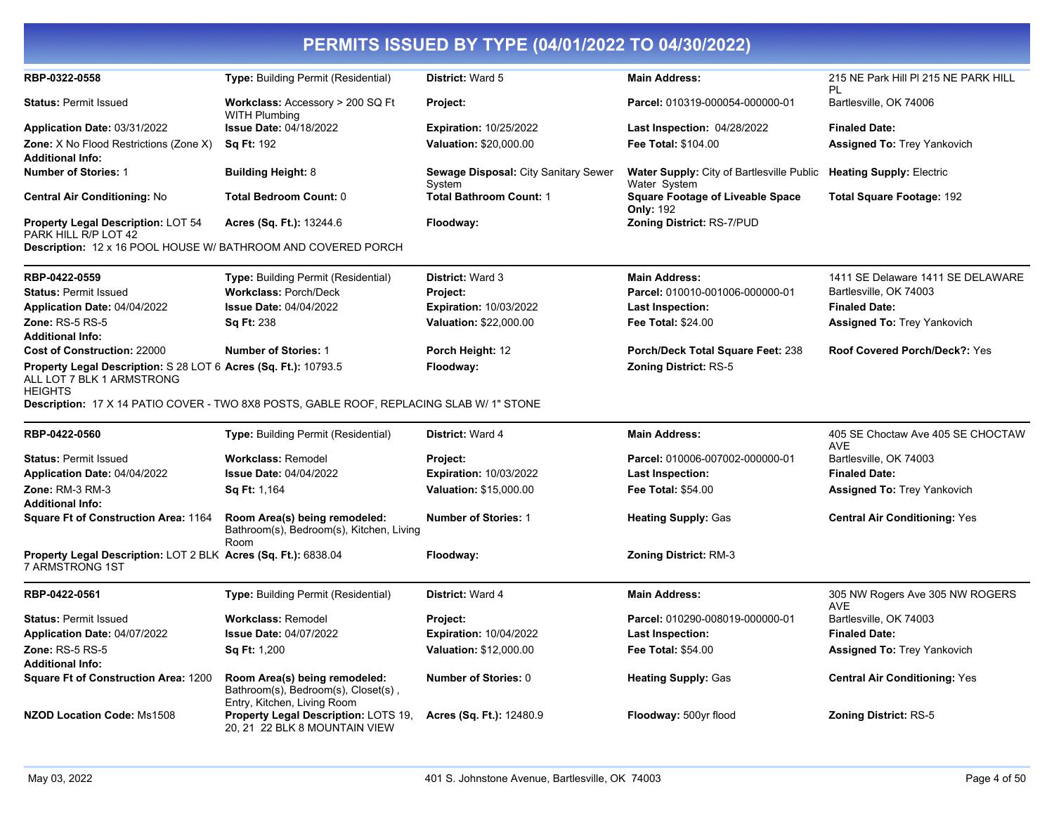| RBP-0322-0558                                                                                                  | Type: Building Permit (Residential)                                                                 | District: Ward 5                               | <b>Main Address:</b>                                             | 215 NE Park Hill PI 215 NE PARK HILL<br>PL      |
|----------------------------------------------------------------------------------------------------------------|-----------------------------------------------------------------------------------------------------|------------------------------------------------|------------------------------------------------------------------|-------------------------------------------------|
| <b>Status: Permit Issued</b>                                                                                   | <b>Workclass: Accessory &gt; 200 SQ Ft</b><br><b>WITH Plumbing</b>                                  | Project:                                       | Parcel: 010319-000054-000000-01                                  | Bartlesville, OK 74006                          |
| Application Date: 03/31/2022                                                                                   | <b>Issue Date: 04/18/2022</b>                                                                       | <b>Expiration: 10/25/2022</b>                  | Last Inspection: 04/28/2022                                      | <b>Finaled Date:</b>                            |
| <b>Zone:</b> X No Flood Restrictions (Zone X)                                                                  | <b>Sq Ft: 192</b>                                                                                   | Valuation: \$20,000.00                         | Fee Total: \$104.00                                              | <b>Assigned To: Trey Yankovich</b>              |
| <b>Additional Info:</b>                                                                                        |                                                                                                     |                                                |                                                                  |                                                 |
| <b>Number of Stories: 1</b>                                                                                    | <b>Building Height: 8</b>                                                                           | Sewage Disposal: City Sanitary Sewer<br>System | <b>Water Supply: City of Bartlesville Public</b><br>Water System | <b>Heating Supply: Electric</b>                 |
| <b>Central Air Conditioning: No</b>                                                                            | <b>Total Bedroom Count: 0</b>                                                                       | <b>Total Bathroom Count: 1</b>                 | <b>Square Footage of Liveable Space</b><br><b>Only: 192</b>      | <b>Total Square Footage: 192</b>                |
| Property Legal Description: LOT 54<br>PARK HILL R/P LOT 42                                                     | <b>Acres (Sq. Ft.): 13244.6</b>                                                                     | Floodway:                                      | Zoning District: RS-7/PUD                                        |                                                 |
| Description: 12 x 16 POOL HOUSE W/ BATHROOM AND COVERED PORCH                                                  |                                                                                                     |                                                |                                                                  |                                                 |
| RBP-0422-0559                                                                                                  | Type: Building Permit (Residential)                                                                 | District: Ward 3                               | <b>Main Address:</b>                                             | 1411 SE Delaware 1411 SE DELAWARE               |
| <b>Status: Permit Issued</b>                                                                                   | <b>Workclass: Porch/Deck</b>                                                                        | Project:                                       | Parcel: 010010-001006-000000-01                                  | Bartlesville, OK 74003                          |
| Application Date: 04/04/2022                                                                                   | <b>Issue Date: 04/04/2022</b>                                                                       | <b>Expiration: 10/03/2022</b>                  | Last Inspection:                                                 | <b>Finaled Date:</b>                            |
| <b>Zone: RS-5 RS-5</b>                                                                                         | <b>Sq Ft: 238</b>                                                                                   | Valuation: \$22,000.00                         | <b>Fee Total: \$24.00</b>                                        | <b>Assigned To: Trey Yankovich</b>              |
| <b>Additional Info:</b>                                                                                        |                                                                                                     |                                                |                                                                  |                                                 |
| <b>Cost of Construction: 22000</b>                                                                             | <b>Number of Stories: 1</b>                                                                         | Porch Height: 12                               | Porch/Deck Total Square Feet: 238                                | <b>Roof Covered Porch/Deck?: Yes</b>            |
| Property Legal Description: S 28 LOT 6 Acres (Sq. Ft.): 10793.5<br>ALL LOT 7 BLK 1 ARMSTRONG<br><b>HEIGHTS</b> | Description: 17 X 14 PATIO COVER - TWO 8X8 POSTS, GABLE ROOF, REPLACING SLAB W/ 1" STONE            | Floodway:                                      | <b>Zoning District: RS-5</b>                                     |                                                 |
| RBP-0422-0560                                                                                                  | Type: Building Permit (Residential)                                                                 | District: Ward 4                               | <b>Main Address:</b>                                             | 405 SE Choctaw Ave 405 SE CHOCTAW<br><b>AVE</b> |
| <b>Status: Permit Issued</b>                                                                                   | <b>Workclass: Remodel</b>                                                                           | Project:                                       | Parcel: 010006-007002-000000-01                                  | Bartlesville, OK 74003                          |
| Application Date: 04/04/2022                                                                                   | <b>Issue Date: 04/04/2022</b>                                                                       | <b>Expiration: 10/03/2022</b>                  | Last Inspection:                                                 | <b>Finaled Date:</b>                            |
| <b>Zone: RM-3 RM-3</b>                                                                                         | Sq Ft: 1,164                                                                                        | Valuation: \$15,000.00                         | <b>Fee Total: \$54.00</b>                                        | <b>Assigned To: Trey Yankovich</b>              |
| <b>Additional Info:</b>                                                                                        |                                                                                                     |                                                |                                                                  |                                                 |
| <b>Square Ft of Construction Area: 1164</b>                                                                    | Room Area(s) being remodeled:<br>Bathroom(s), Bedroom(s), Kitchen, Living<br>Room                   | <b>Number of Stories: 1</b>                    | <b>Heating Supply: Gas</b>                                       | <b>Central Air Conditioning: Yes</b>            |
| Property Legal Description: LOT 2 BLK Acres (Sq. Ft.): 6838.04<br>7 ARMSTRONG 1ST                              |                                                                                                     | Floodway:                                      | <b>Zoning District: RM-3</b>                                     |                                                 |
| RBP-0422-0561                                                                                                  | <b>Type: Building Permit (Residential)</b>                                                          | District: Ward 4                               | <b>Main Address:</b>                                             | 305 NW Rogers Ave 305 NW ROGERS<br><b>AVE</b>   |
| <b>Status: Permit Issued</b>                                                                                   | <b>Workclass: Remodel</b>                                                                           | Project:                                       | Parcel: 010290-008019-000000-01                                  | Bartlesville, OK 74003                          |
| Application Date: 04/07/2022                                                                                   | <b>Issue Date: 04/07/2022</b>                                                                       | <b>Expiration: 10/04/2022</b>                  | Last Inspection:                                                 | <b>Finaled Date:</b>                            |
| <b>Zone: RS-5 RS-5</b><br><b>Additional Info:</b>                                                              | <b>Sq Ft: 1,200</b>                                                                                 | <b>Valuation: \$12,000.00</b>                  | <b>Fee Total: \$54.00</b>                                        | <b>Assigned To: Trey Yankovich</b>              |
| <b>Square Ft of Construction Area: 1200</b>                                                                    | Room Area(s) being remodeled:<br>Bathroom(s), Bedroom(s), Closet(s),<br>Entry, Kitchen, Living Room | <b>Number of Stories: 0</b>                    | <b>Heating Supply: Gas</b>                                       | <b>Central Air Conditioning: Yes</b>            |
| <b>NZOD Location Code: Ms1508</b>                                                                              | Property Legal Description: LOTS 19,<br>20, 21 22 BLK 8 MOUNTAIN VIEW                               | Acres (Sq. Ft.): 12480.9                       | Floodway: 500yr flood                                            | <b>Zoning District: RS-5</b>                    |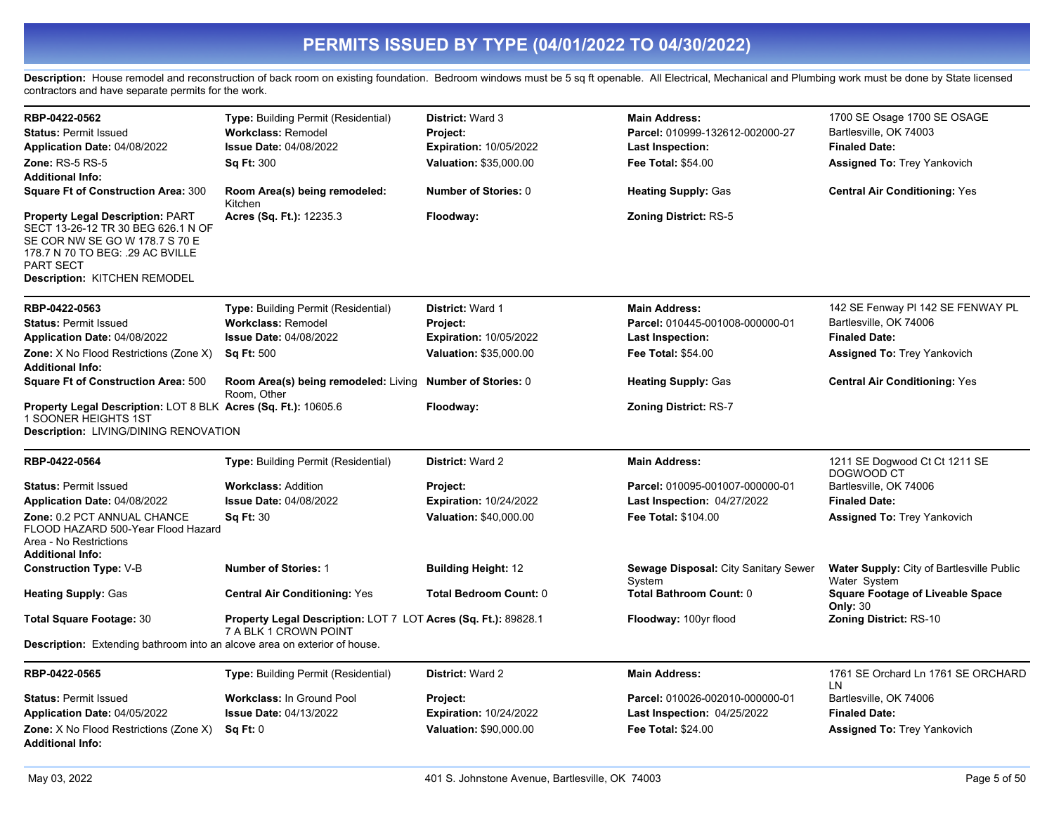Description: House remodel and reconstruction of back room on existing foundation. Bedroom windows must be 5 sq ft openable. All Electrical, Mechanical and Plumbing work must be done by State licensed contractors and have separate permits for the work.

| RBP-0422-0562                                                                                                                                                                                           | Type: Building Permit (Residential)                                                     | <b>District: Ward 3</b>       | <b>Main Address:</b>                           | 1700 SE Osage 1700 SE OSAGE                                      |
|---------------------------------------------------------------------------------------------------------------------------------------------------------------------------------------------------------|-----------------------------------------------------------------------------------------|-------------------------------|------------------------------------------------|------------------------------------------------------------------|
| <b>Status: Permit Issued</b>                                                                                                                                                                            | <b>Workclass: Remodel</b>                                                               | Project:                      | Parcel: 010999-132612-002000-27                | Bartlesville, OK 74003                                           |
| Application Date: 04/08/2022                                                                                                                                                                            | <b>Issue Date: 04/08/2022</b>                                                           | <b>Expiration: 10/05/2022</b> | Last Inspection:                               | <b>Finaled Date:</b>                                             |
| <b>Zone: RS-5 RS-5</b>                                                                                                                                                                                  | <b>Sq Ft: 300</b>                                                                       | <b>Valuation: \$35,000.00</b> | <b>Fee Total: \$54.00</b>                      | <b>Assigned To: Trey Yankovich</b>                               |
| <b>Additional Info:</b>                                                                                                                                                                                 |                                                                                         |                               |                                                |                                                                  |
| <b>Square Ft of Construction Area: 300</b>                                                                                                                                                              | Room Area(s) being remodeled:<br>Kitchen                                                | <b>Number of Stories: 0</b>   | <b>Heating Supply: Gas</b>                     | <b>Central Air Conditioning: Yes</b>                             |
| <b>Property Legal Description: PART</b><br>SECT 13-26-12 TR 30 BEG 626.1 N OF<br>SE COR NW SE GO W 178.7 S 70 E<br>178.7 N 70 TO BEG: .29 AC BVILLE<br>PART SECT<br><b>Description: KITCHEN REMODEL</b> | Acres (Sq. Ft.): 12235.3                                                                | Floodway:                     | <b>Zoning District: RS-5</b>                   |                                                                  |
| RBP-0422-0563                                                                                                                                                                                           | Type: Building Permit (Residential)                                                     | <b>District: Ward 1</b>       | <b>Main Address:</b>                           | 142 SE Fenway PI 142 SE FENWAY PL                                |
| <b>Status: Permit Issued</b>                                                                                                                                                                            | <b>Workclass: Remodel</b>                                                               | Project:                      | Parcel: 010445-001008-000000-01                | Bartlesville, OK 74006                                           |
| Application Date: 04/08/2022                                                                                                                                                                            | <b>Issue Date: 04/08/2022</b>                                                           | <b>Expiration: 10/05/2022</b> | Last Inspection:                               | <b>Finaled Date:</b>                                             |
| Zone: X No Flood Restrictions (Zone X)<br><b>Additional Info:</b>                                                                                                                                       | <b>Sq Ft: 500</b>                                                                       | Valuation: \$35,000.00        | <b>Fee Total: \$54.00</b>                      | <b>Assigned To: Trey Yankovich</b>                               |
| <b>Square Ft of Construction Area: 500</b>                                                                                                                                                              | Room Area(s) being remodeled: Living<br>Room. Other                                     | <b>Number of Stories: 0</b>   | <b>Heating Supply: Gas</b>                     | <b>Central Air Conditioning: Yes</b>                             |
| Property Legal Description: LOT 8 BLK Acres (Sq. Ft.): 10605.6<br>1 SOONER HEIGHTS 1ST<br>Description: LIVING/DINING RENOVATION                                                                         |                                                                                         | Floodway:                     | <b>Zoning District: RS-7</b>                   |                                                                  |
| RBP-0422-0564                                                                                                                                                                                           | <b>Type: Building Permit (Residential)</b>                                              | District: Ward 2              | <b>Main Address:</b>                           | 1211 SE Dogwood Ct Ct 1211 SE                                    |
| <b>Status: Permit Issued</b>                                                                                                                                                                            | <b>Workclass: Addition</b>                                                              | Project:                      | Parcel: 010095-001007-000000-01                | DOGWOOD CT<br>Bartlesville, OK 74006                             |
| Application Date: 04/08/2022                                                                                                                                                                            | <b>Issue Date: 04/08/2022</b>                                                           | <b>Expiration: 10/24/2022</b> | Last Inspection: 04/27/2022                    | <b>Finaled Date:</b>                                             |
| Zone: 0.2 PCT ANNUAL CHANCE                                                                                                                                                                             | <b>Sq Ft: 30</b>                                                                        | <b>Valuation: \$40,000.00</b> | Fee Total: \$104.00                            | <b>Assigned To: Trey Yankovich</b>                               |
| FLOOD HAZARD 500-Year Flood Hazard<br>Area - No Restrictions<br><b>Additional Info:</b>                                                                                                                 |                                                                                         |                               |                                                |                                                                  |
| <b>Construction Type: V-B</b>                                                                                                                                                                           | <b>Number of Stories: 1</b>                                                             | <b>Building Height: 12</b>    | Sewage Disposal: City Sanitary Sewer<br>System | <b>Water Supply:</b> City of Bartlesville Public<br>Water System |
| <b>Heating Supply: Gas</b>                                                                                                                                                                              | <b>Central Air Conditioning: Yes</b>                                                    | <b>Total Bedroom Count: 0</b> | <b>Total Bathroom Count: 0</b>                 | <b>Square Footage of Liveable Space</b><br><b>Only: 30</b>       |
| <b>Total Square Footage: 30</b>                                                                                                                                                                         | Property Legal Description: LOT 7 LOT Acres (Sq. Ft.): 89828.1<br>7 A BLK 1 CROWN POINT |                               | Floodway: 100yr flood                          | <b>Zoning District: RS-10</b>                                    |
| <b>Description:</b> Extending bathroom into an alcove area on exterior of house.                                                                                                                        |                                                                                         |                               |                                                |                                                                  |
| RBP-0422-0565                                                                                                                                                                                           | Type: Building Permit (Residential)                                                     | District: Ward 2              | <b>Main Address:</b>                           | 1761 SE Orchard Ln 1761 SE ORCHARD<br>LN                         |
| <b>Status: Permit Issued</b>                                                                                                                                                                            | <b>Workclass: In Ground Pool</b>                                                        | Project:                      | Parcel: 010026-002010-000000-01                | Bartlesville, OK 74006                                           |
| Application Date: 04/05/2022                                                                                                                                                                            | <b>Issue Date: 04/13/2022</b>                                                           | <b>Expiration: 10/24/2022</b> | Last Inspection: 04/25/2022                    | <b>Finaled Date:</b>                                             |
| Zone: X No Flood Restrictions (Zone X)<br><b>Additional Info:</b>                                                                                                                                       | Sq Ft: 0                                                                                | Valuation: \$90,000.00        | Fee Total: \$24.00                             | <b>Assigned To: Trey Yankovich</b>                               |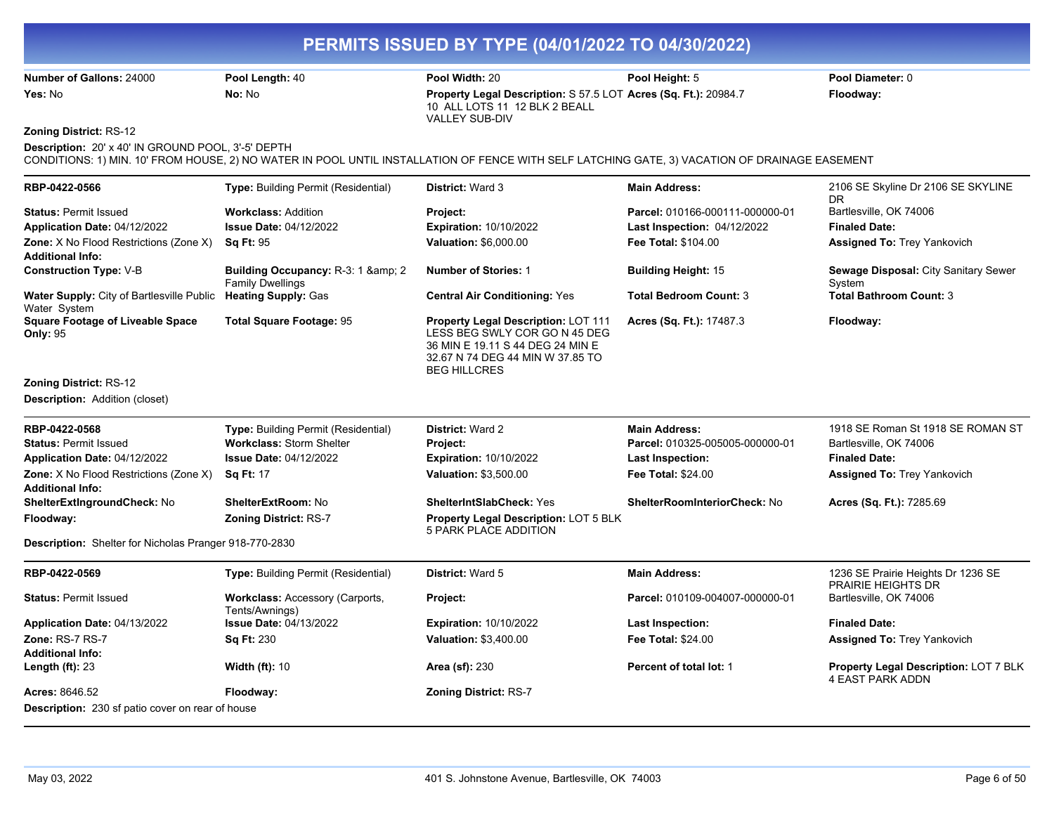**Number of Gallons:** 24000 **Pool Length:** 40 **Pool Width:** 20 **Pool Height:** 5 **Pool Diameter:** 0 **Yes:** No **No:** No **Property Legal Description:** S 57.5 LOT **Acres (Sq. Ft.):** 20984.7 **Floodway:**  10 ALL LOTS 11 12 BLK 2 BEALL VALLEY SUB-DIV

**Zoning District:** RS-12

**Description:** 20' x 40' IN GROUND POOL, 3'-5' DEPTH

CONDITIONS: 1) MIN. 10' FROM HOUSE, 2) NO WATER IN POOL UNTIL INSTALLATION OF FENCE WITH SELF LATCHING GATE, 3) VACATION OF DRAINAGE EASEMENT

| RBP-0422-0566                                                     | Type: Building Permit (Residential)                            | District: Ward 3                                                                                                                                                           | <b>Main Address:</b>            | 2106 SE Skyline Dr 2106 SE SKYLINE<br>DR                         |
|-------------------------------------------------------------------|----------------------------------------------------------------|----------------------------------------------------------------------------------------------------------------------------------------------------------------------------|---------------------------------|------------------------------------------------------------------|
| <b>Status: Permit Issued</b>                                      | <b>Workclass: Addition</b>                                     | Project:                                                                                                                                                                   | Parcel: 010166-000111-000000-01 | Bartlesville, OK 74006                                           |
| Application Date: 04/12/2022                                      | <b>Issue Date: 04/12/2022</b>                                  | <b>Expiration: 10/10/2022</b>                                                                                                                                              | Last Inspection: 04/12/2022     | <b>Finaled Date:</b>                                             |
| Zone: X No Flood Restrictions (Zone X)                            | <b>Sq Ft: 95</b>                                               | Valuation: \$6,000.00                                                                                                                                                      | Fee Total: \$104.00             | <b>Assigned To: Trey Yankovich</b>                               |
| <b>Additional Info:</b>                                           |                                                                |                                                                                                                                                                            |                                 |                                                                  |
| <b>Construction Type: V-B</b>                                     | Building Occupancy: R-3: 1 & amp; 2<br><b>Family Dwellings</b> | <b>Number of Stories: 1</b>                                                                                                                                                | <b>Building Height: 15</b>      | Sewage Disposal: City Sanitary Sewer<br>System                   |
| Water Supply: City of Bartlesville Public<br>Water System         | <b>Heating Supply: Gas</b>                                     | <b>Central Air Conditioning: Yes</b>                                                                                                                                       | <b>Total Bedroom Count: 3</b>   | <b>Total Bathroom Count: 3</b>                                   |
| <b>Square Footage of Liveable Space</b><br><b>Only: 95</b>        | <b>Total Square Footage: 95</b>                                | <b>Property Legal Description: LOT 111</b><br>LESS BEG SWLY COR GO N 45 DEG<br>36 MIN E 19.11 S 44 DEG 24 MIN E<br>32.67 N 74 DEG 44 MIN W 37.85 TO<br><b>BEG HILLCRES</b> | Acres (Sq. Ft.): 17487.3        | Floodway:                                                        |
| <b>Zoning District: RS-12</b>                                     |                                                                |                                                                                                                                                                            |                                 |                                                                  |
| <b>Description: Addition (closet)</b>                             |                                                                |                                                                                                                                                                            |                                 |                                                                  |
| RBP-0422-0568                                                     | <b>Type: Building Permit (Residential)</b>                     | <b>District: Ward 2</b>                                                                                                                                                    | <b>Main Address:</b>            | 1918 SE Roman St 1918 SE ROMAN ST                                |
| <b>Status: Permit Issued</b>                                      | <b>Workclass: Storm Shelter</b>                                | Project:                                                                                                                                                                   | Parcel: 010325-005005-000000-01 | Bartlesville, OK 74006                                           |
| Application Date: 04/12/2022                                      | <b>Issue Date: 04/12/2022</b>                                  | <b>Expiration: 10/10/2022</b>                                                                                                                                              | <b>Last Inspection:</b>         | <b>Finaled Date:</b>                                             |
| Zone: X No Flood Restrictions (Zone X)<br><b>Additional Info:</b> | <b>Sq Ft: 17</b>                                               | Valuation: \$3,500.00                                                                                                                                                      | <b>Fee Total: \$24.00</b>       | <b>Assigned To: Trey Yankovich</b>                               |
| ShelterExtIngroundCheck: No                                       | ShelterExtRoom: No                                             | <b>ShelterIntSlabCheck: Yes</b>                                                                                                                                            | ShelterRoomInteriorCheck: No    | Acres (Sq. Ft.): 7285.69                                         |
| Floodway:                                                         | <b>Zoning District: RS-7</b>                                   | <b>Property Legal Description: LOT 5 BLK</b><br>5 PARK PLACE ADDITION                                                                                                      |                                 |                                                                  |
| Description: Shelter for Nicholas Pranger 918-770-2830            |                                                                |                                                                                                                                                                            |                                 |                                                                  |
| RBP-0422-0569                                                     | <b>Type: Building Permit (Residential)</b>                     | District: Ward 5                                                                                                                                                           | <b>Main Address:</b>            | 1236 SE Prairie Heights Dr 1236 SE<br><b>PRAIRIE HEIGHTS DR</b>  |
| <b>Status: Permit Issued</b>                                      | Workclass: Accessory (Carports,<br>Tents/Awnings)              | Project:                                                                                                                                                                   | Parcel: 010109-004007-000000-01 | Bartlesville, OK 74006                                           |
| Application Date: 04/13/2022                                      | <b>Issue Date: 04/13/2022</b>                                  | <b>Expiration: 10/10/2022</b>                                                                                                                                              | Last Inspection:                | <b>Finaled Date:</b>                                             |
| Zone: RS-7 RS-7                                                   | Sq Ft: 230                                                     | <b>Valuation: \$3,400.00</b>                                                                                                                                               | <b>Fee Total: \$24.00</b>       | <b>Assigned To: Trey Yankovich</b>                               |
| Additional Info:                                                  |                                                                |                                                                                                                                                                            |                                 |                                                                  |
| Length $(ft)$ : 23                                                | <b>Width (ft): 10</b>                                          | <b>Area (sf): 230</b>                                                                                                                                                      | Percent of total lot: 1         | Property Legal Description: LOT 7 BLK<br><b>4 EAST PARK ADDN</b> |
| Acres: 8646.52                                                    | Floodway:                                                      | <b>Zoning District: RS-7</b>                                                                                                                                               |                                 |                                                                  |
| <b>Description:</b> 230 sf patio cover on rear of house           |                                                                |                                                                                                                                                                            |                                 |                                                                  |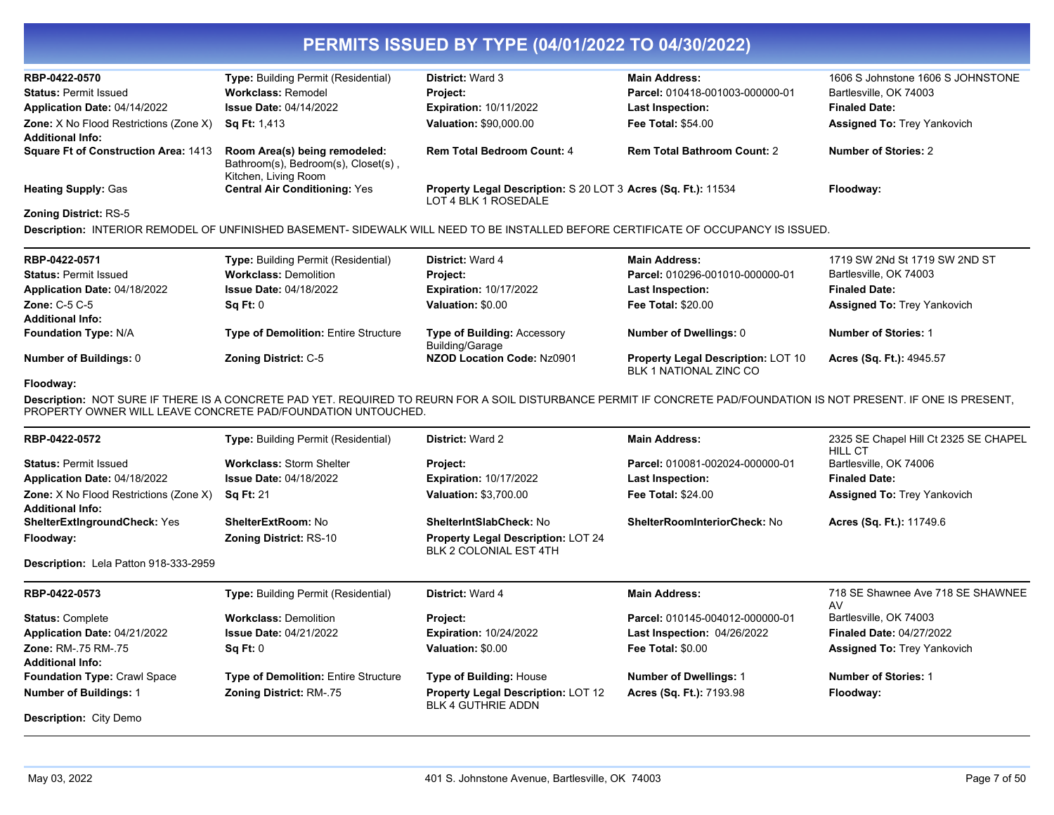| RBP-0422-0570                                                            | <b>Type: Building Permit (Residential)</b>                                                   | <b>District: Ward 3</b>                                                               | <b>Main Address:</b>               | 1606 S Johnstone 1606 S JOHNSTONE  |
|--------------------------------------------------------------------------|----------------------------------------------------------------------------------------------|---------------------------------------------------------------------------------------|------------------------------------|------------------------------------|
| <b>Status: Permit Issued</b>                                             | <b>Workclass: Remodel</b>                                                                    | <b>Project:</b>                                                                       | Parcel: 010418-001003-000000-01    | Bartlesville, OK 74003             |
| Application Date: 04/14/2022                                             | <b>Issue Date: 04/14/2022</b>                                                                | <b>Expiration: 10/11/2022</b>                                                         | <b>Last Inspection:</b>            | <b>Finaled Date:</b>               |
| <b>Zone:</b> X No Flood Restrictions (Zone X)<br><b>Additional Info:</b> | <b>Sq Ft:</b> 1,413                                                                          | <b>Valuation: \$90,000.00</b>                                                         | <b>Fee Total: \$54.00</b>          | <b>Assigned To: Trey Yankovich</b> |
| <b>Square Ft of Construction Area: 1413</b>                              | Room Area(s) being remodeled:<br>Bathroom(s), Bedroom(s), Closet(s),<br>Kitchen, Living Room | <b>Rem Total Bedroom Count: 4</b>                                                     | <b>Rem Total Bathroom Count: 2</b> | <b>Number of Stories: 2</b>        |
| <b>Heating Supply: Gas</b>                                               | <b>Central Air Conditioning: Yes</b>                                                         | Property Legal Description: S 20 LOT 3 Acres (Sq. Ft.): 11534<br>LOT 4 BLK 1 ROSEDALE |                                    | Floodway:                          |
| <b>Zoning District: RS-5</b>                                             |                                                                                              |                                                                                       |                                    |                                    |
|                                                                          |                                                                                              |                                                                                       |                                    |                                    |

**Description:** INTERIOR REMODEL OF UNFINISHED BASEMENT- SIDEWALK WILL NEED TO BE INSTALLED BEFORE CERTIFICATE OF OCCUPANCY IS ISSUED.

| RBP-0422-0571<br><b>Status: Permit Issued</b> | <b>Type: Building Permit (Residential)</b><br><b>Workclass: Demolition</b> | <b>District:</b> Ward 4<br><b>Project:</b>            | <b>Main Address:</b><br>Parcel: 010296-001010-000000-01             | 1719 SW 2Nd St 1719 SW 2ND ST<br>Bartlesville, OK 74003 |
|-----------------------------------------------|----------------------------------------------------------------------------|-------------------------------------------------------|---------------------------------------------------------------------|---------------------------------------------------------|
| Application Date: 04/18/2022                  | <b>Issue Date: 04/18/2022</b>                                              | <b>Expiration: 10/17/2022</b>                         | <b>Last Inspection:</b>                                             | <b>Finaled Date:</b>                                    |
| Zone: $C-5$ $C-5$                             | $\textsf{Sa} \, \textsf{Ft}$ : 0                                           | Valuation: \$0.00                                     | <b>Fee Total: \$20.00</b>                                           | <b>Assigned To: Trey Yankovich</b>                      |
| <b>Additional Info:</b>                       |                                                                            |                                                       |                                                                     |                                                         |
| <b>Foundation Type: N/A</b>                   | <b>Type of Demolition: Entire Structure</b>                                | <b>Type of Building: Accessory</b><br>Building/Garage | Number of Dwellings: 0                                              | Number of Stories: 1                                    |
| Number of Buildings: 0                        | <b>Zoning District: C-5</b>                                                | NZOD Location Code: Nz0901                            | <b>Property Legal Description: LOT 10</b><br>BLK 1 NATIONAL ZINC CO | Acres (Sq. Ft.): 4945.57                                |

### **Floodway:**

**Description:** NOT SURE IF THERE IS A CONCRETE PAD YET. REQUIRED TO REURN FOR A SOIL DISTURBANCE PERMIT IF CONCRETE PAD/FOUNDATION IS NOT PRESENT. IF ONE IS PRESENT, PROPERTY OWNER WILL LEAVE CONCRETE PAD/FOUNDATION UNTOUCHED.

| RBP-0422-0572                                 | <b>Type:</b> Building Permit (Residential) | <b>District: Ward 2</b>                                                | <b>Main Address:</b>                | 2325 SE Chapel Hill Ct 2325 SE CHAPEL   |
|-----------------------------------------------|--------------------------------------------|------------------------------------------------------------------------|-------------------------------------|-----------------------------------------|
| <b>Status: Permit Issued</b>                  | <b>Workclass: Storm Shelter</b>            | <b>Project:</b>                                                        | Parcel: 010081-002024-000000-01     | HILL CT<br>Bartlesville, OK 74006       |
|                                               |                                            |                                                                        |                                     |                                         |
| Application Date: 04/18/2022                  | <b>Issue Date: 04/18/2022</b>              | <b>Expiration: 10/17/2022</b>                                          | Last Inspection:                    | <b>Finaled Date:</b>                    |
| <b>Zone:</b> X No Flood Restrictions (Zone X) | <b>Sq Ft: 21</b>                           | <b>Valuation: \$3,700.00</b>                                           | <b>Fee Total: \$24.00</b>           | <b>Assigned To: Trey Yankovich</b>      |
| <b>Additional Info:</b>                       |                                            |                                                                        |                                     |                                         |
| <b>ShelterExtIngroundCheck: Yes</b>           | <b>ShelterExtRoom: No</b>                  | <b>ShelterIntSlabCheck: No</b>                                         | <b>ShelterRoomInteriorCheck: No</b> | Acres (Sq. Ft.): 11749.6                |
| Floodway:                                     | <b>Zoning District: RS-10</b>              | Property Legal Description: LOT 24<br>BLK 2 COLONIAL EST 4TH           |                                     |                                         |
| Description: Lela Patton 918-333-2959         |                                            |                                                                        |                                     |                                         |
| RBP-0422-0573                                 | <b>Type:</b> Building Permit (Residential) | <b>District: Ward 4</b>                                                | <b>Main Address:</b>                | 718 SE Shawnee Ave 718 SE SHAWNEE<br>AV |
| <b>Status: Complete</b>                       | <b>Workclass: Demolition</b>               | <b>Project:</b>                                                        | Parcel: 010145-004012-000000-01     | Bartlesville, OK 74003                  |
| Application Date: 04/21/2022                  | <b>Issue Date: 04/21/2022</b>              | <b>Expiration: 10/24/2022</b>                                          | Last Inspection: 04/26/2022         | <b>Finaled Date: 04/27/2022</b>         |
| Zone: RM-.75 RM-.75                           | Sq Ft: 0                                   | Valuation: \$0.00                                                      | <b>Fee Total: \$0.00</b>            | <b>Assigned To: Trey Yankovich</b>      |
| <b>Additional Info:</b>                       |                                            |                                                                        |                                     |                                         |
| <b>Foundation Type: Crawl Space</b>           | Type of Demolition: Entire Structure       | <b>Type of Building: House</b>                                         | <b>Number of Dwellings: 1</b>       | <b>Number of Stories: 1</b>             |
|                                               |                                            |                                                                        |                                     |                                         |
| <b>Number of Buildings: 1</b>                 | <b>Zoning District: RM-.75</b>             | <b>Property Legal Description: LOT 12</b><br><b>BLK 4 GUTHRIE ADDN</b> | Acres (Sq. Ft.): 7193.98            | Floodway:                               |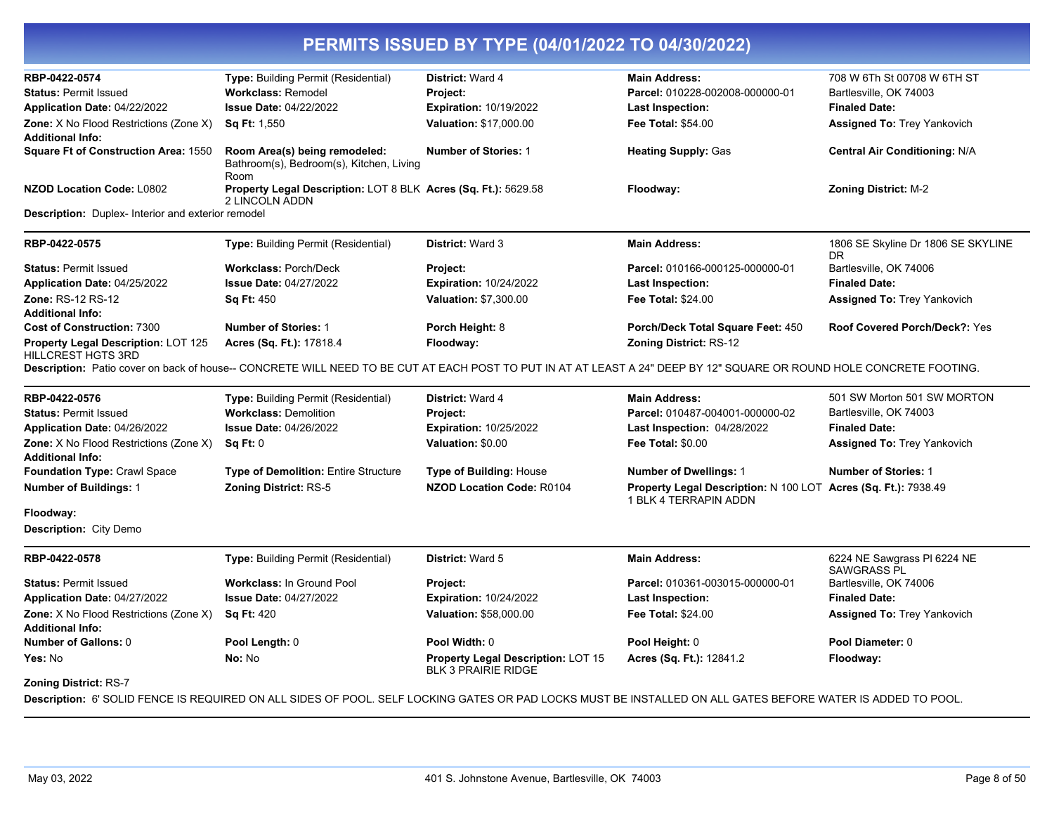| RBP-0422-0574                                                           | Type: Building Permit (Residential)                                               | District: Ward 4                                                        | <b>Main Address:</b>                                                                                                                                                 | 708 W 6Th St 00708 W 6TH ST                       |
|-------------------------------------------------------------------------|-----------------------------------------------------------------------------------|-------------------------------------------------------------------------|----------------------------------------------------------------------------------------------------------------------------------------------------------------------|---------------------------------------------------|
| <b>Status: Permit Issued</b>                                            | <b>Workclass: Remodel</b>                                                         | Project:                                                                | Parcel: 010228-002008-000000-01                                                                                                                                      | Bartlesville, OK 74003                            |
| Application Date: 04/22/2022                                            | <b>Issue Date: 04/22/2022</b>                                                     | <b>Expiration: 10/19/2022</b>                                           | <b>Last Inspection:</b>                                                                                                                                              | <b>Finaled Date:</b>                              |
| Zone: X No Flood Restrictions (Zone X)                                  | <b>Sq Ft: 1,550</b>                                                               | Valuation: \$17,000.00                                                  | <b>Fee Total: \$54.00</b>                                                                                                                                            | <b>Assigned To: Trey Yankovich</b>                |
| <b>Additional Info:</b>                                                 |                                                                                   |                                                                         |                                                                                                                                                                      |                                                   |
| <b>Square Ft of Construction Area: 1550</b>                             | Room Area(s) being remodeled:<br>Bathroom(s), Bedroom(s), Kitchen, Living<br>Room | <b>Number of Stories: 1</b>                                             | <b>Heating Supply: Gas</b>                                                                                                                                           | <b>Central Air Conditioning: N/A</b>              |
| <b>NZOD Location Code: L0802</b>                                        | Property Legal Description: LOT 8 BLK Acres (Sq. Ft.): 5629.58<br>2 LINCOLN ADDN  |                                                                         | Floodway:                                                                                                                                                            | <b>Zoning District: M-2</b>                       |
| Description: Duplex- Interior and exterior remodel                      |                                                                                   |                                                                         |                                                                                                                                                                      |                                                   |
| RBP-0422-0575                                                           | Type: Building Permit (Residential)                                               | <b>District: Ward 3</b>                                                 | <b>Main Address:</b>                                                                                                                                                 | 1806 SE Skyline Dr 1806 SE SKYLINE<br>DR          |
| <b>Status: Permit Issued</b>                                            | <b>Workclass: Porch/Deck</b>                                                      | Project:                                                                | Parcel: 010166-000125-000000-01                                                                                                                                      | Bartlesville, OK 74006                            |
| Application Date: 04/25/2022                                            | <b>Issue Date: 04/27/2022</b>                                                     | <b>Expiration: 10/24/2022</b>                                           | <b>Last Inspection:</b>                                                                                                                                              | <b>Finaled Date:</b>                              |
| Zone: RS-12 RS-12<br><b>Additional Info:</b>                            | <b>Sq Ft: 450</b>                                                                 | <b>Valuation: \$7,300.00</b>                                            | <b>Fee Total: \$24.00</b>                                                                                                                                            | <b>Assigned To: Trey Yankovich</b>                |
| <b>Cost of Construction: 7300</b>                                       | <b>Number of Stories: 1</b>                                                       | Porch Height: 8                                                         | Porch/Deck Total Square Feet: 450                                                                                                                                    | Roof Covered Porch/Deck?: Yes                     |
| <b>Property Legal Description: LOT 125</b><br><b>HILLCREST HGTS 3RD</b> | Acres (Sq. Ft.): 17818.4                                                          | Floodway:                                                               | <b>Zoning District: RS-12</b>                                                                                                                                        |                                                   |
|                                                                         |                                                                                   |                                                                         | Description: Patio cover on back of house-- CONCRETE WILL NEED TO BE CUT AT EACH POST TO PUT IN AT AT LEAST A 24" DEEP BY 12" SQUARE OR ROUND HOLE CONCRETE FOOTING. |                                                   |
| RBP-0422-0576                                                           | <b>Type:</b> Building Permit (Residential)                                        | District: Ward 4                                                        | <b>Main Address:</b>                                                                                                                                                 | 501 SW Morton 501 SW MORTON                       |
| <b>Status: Permit Issued</b>                                            | <b>Workclass: Demolition</b>                                                      | Project:                                                                | Parcel: 010487-004001-000000-02                                                                                                                                      | Bartlesville, OK 74003                            |
| Application Date: 04/26/2022                                            | <b>Issue Date: 04/26/2022</b>                                                     | <b>Expiration: 10/25/2022</b>                                           | <b>Last Inspection: 04/28/2022</b>                                                                                                                                   | <b>Finaled Date:</b>                              |
| Zone: X No Flood Restrictions (Zone X)<br><b>Additional Info:</b>       | Sq Ft: 0                                                                          | Valuation: \$0.00                                                       | <b>Fee Total: \$0.00</b>                                                                                                                                             | <b>Assigned To: Trey Yankovich</b>                |
| Foundation Type: Crawl Space                                            | <b>Type of Demolition: Entire Structure</b>                                       | Type of Building: House                                                 | <b>Number of Dwellings: 1</b>                                                                                                                                        | <b>Number of Stories: 1</b>                       |
| <b>Number of Buildings: 1</b>                                           | <b>Zoning District: RS-5</b>                                                      | <b>NZOD Location Code: R0104</b>                                        | Property Legal Description: N 100 LOT Acres (Sq. Ft.): 7938.49<br>1 BLK 4 TERRAPIN ADDN                                                                              |                                                   |
| Floodway:                                                               |                                                                                   |                                                                         |                                                                                                                                                                      |                                                   |
| Description: City Demo                                                  |                                                                                   |                                                                         |                                                                                                                                                                      |                                                   |
| RBP-0422-0578                                                           | Type: Building Permit (Residential)                                               | <b>District: Ward 5</b>                                                 | <b>Main Address:</b>                                                                                                                                                 | 6224 NE Sawgrass PI 6224 NE<br><b>SAWGRASS PL</b> |
| <b>Status: Permit Issued</b>                                            | <b>Workclass: In Ground Pool</b>                                                  | Project:                                                                | Parcel: 010361-003015-000000-01                                                                                                                                      | Bartlesville, OK 74006                            |
| Application Date: 04/27/2022                                            | <b>Issue Date: 04/27/2022</b>                                                     | <b>Expiration: 10/24/2022</b>                                           | <b>Last Inspection:</b>                                                                                                                                              | <b>Finaled Date:</b>                              |
| Zone: X No Flood Restrictions (Zone X)<br><b>Additional Info:</b>       | <b>Sq Ft: 420</b>                                                                 | Valuation: \$58,000.00                                                  | <b>Fee Total: \$24.00</b>                                                                                                                                            | <b>Assigned To: Trey Yankovich</b>                |
| <b>Number of Gallons: 0</b>                                             | Pool Length: 0                                                                    | Pool Width: 0                                                           | Pool Height: 0                                                                                                                                                       | Pool Diameter: 0                                  |
| Yes: No                                                                 | No: No                                                                            | <b>Property Legal Description: LOT 15</b><br><b>BLK 3 PRAIRIE RIDGE</b> | Acres (Sq. Ft.): 12841.2                                                                                                                                             | Floodway:                                         |
| <b>Zoning District: RS-7</b>                                            |                                                                                   |                                                                         |                                                                                                                                                                      |                                                   |
|                                                                         |                                                                                   |                                                                         | Description: 6' SOLID FENCE IS REQUIRED ON ALL SIDES OF POOL. SELF LOCKING GATES OR PAD LOCKS MUST BE INSTALLED ON ALL GATES BEFORE WATER IS ADDED TO POOL.          |                                                   |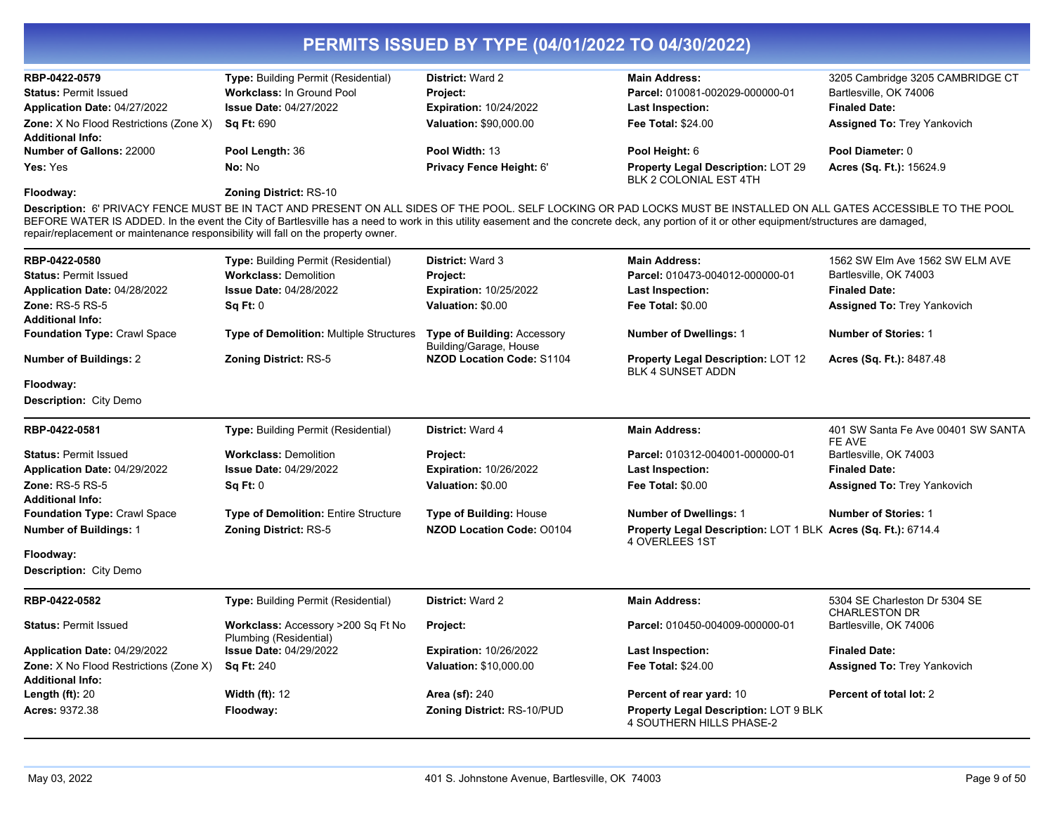| RBP-0422-0579                                                                     | Type: Building Permit (Residential)                          | <b>District: Ward 2</b>                                      | <b>Main Address:</b>                                                                                                                                                                                                                                                                                                                                                | 3205 Cambridge 3205 CAMBRIDGE CT                      |
|-----------------------------------------------------------------------------------|--------------------------------------------------------------|--------------------------------------------------------------|---------------------------------------------------------------------------------------------------------------------------------------------------------------------------------------------------------------------------------------------------------------------------------------------------------------------------------------------------------------------|-------------------------------------------------------|
| <b>Status: Permit Issued</b>                                                      | Workclass: In Ground Pool                                    | Project:                                                     | Parcel: 010081-002029-000000-01                                                                                                                                                                                                                                                                                                                                     | Bartlesville, OK 74006                                |
| Application Date: 04/27/2022                                                      | <b>Issue Date: 04/27/2022</b>                                | <b>Expiration: 10/24/2022</b>                                | Last Inspection:                                                                                                                                                                                                                                                                                                                                                    | <b>Finaled Date:</b>                                  |
| <b>Zone:</b> X No Flood Restrictions (Zone X)                                     | <b>Sq Ft: 690</b>                                            | <b>Valuation: \$90,000.00</b>                                | <b>Fee Total: \$24.00</b>                                                                                                                                                                                                                                                                                                                                           | <b>Assigned To: Trey Yankovich</b>                    |
| <b>Additional Info:</b>                                                           |                                                              |                                                              |                                                                                                                                                                                                                                                                                                                                                                     |                                                       |
| <b>Number of Gallons: 22000</b>                                                   | Pool Length: 36                                              | Pool Width: 13                                               | Pool Height: 6                                                                                                                                                                                                                                                                                                                                                      | Pool Diameter: 0                                      |
| Yes: Yes                                                                          | No: No                                                       | Privacy Fence Height: 6'                                     | Property Legal Description: LOT 29<br>BLK 2 COLONIAL EST 4TH                                                                                                                                                                                                                                                                                                        | Acres (Sq. Ft.): 15624.9                              |
| Floodway:                                                                         | Zoning District: RS-10                                       |                                                              |                                                                                                                                                                                                                                                                                                                                                                     |                                                       |
| repair/replacement or maintenance responsibility will fall on the property owner. |                                                              |                                                              | Description: 6' PRIVACY FENCE MUST BE IN TACT AND PRESENT ON ALL SIDES OF THE POOL. SELF LOCKING OR PAD LOCKS MUST BE INSTALLED ON ALL GATES ACCESSIBLE TO THE POOL<br>BEFORE WATER IS ADDED. In the event the City of Bartlesville has a need to work in this utility easement and the concrete deck, any portion of it or other equipment/structures are damaged, |                                                       |
| RBP-0422-0580                                                                     | Type: Building Permit (Residential)                          | District: Ward 3                                             | <b>Main Address:</b>                                                                                                                                                                                                                                                                                                                                                | 1562 SW Elm Ave 1562 SW ELM AVE                       |
| <b>Status: Permit Issued</b>                                                      | <b>Workclass: Demolition</b>                                 | Project:                                                     | Parcel: 010473-004012-000000-01                                                                                                                                                                                                                                                                                                                                     | Bartlesville, OK 74003                                |
| Application Date: 04/28/2022                                                      | <b>Issue Date: 04/28/2022</b>                                | <b>Expiration: 10/25/2022</b>                                | Last Inspection:                                                                                                                                                                                                                                                                                                                                                    | <b>Finaled Date:</b>                                  |
| Zone: RS-5 RS-5<br><b>Additional Info:</b>                                        | Sq Ft: 0                                                     | Valuation: \$0.00                                            | <b>Fee Total: \$0.00</b>                                                                                                                                                                                                                                                                                                                                            | <b>Assigned To: Trey Yankovich</b>                    |
| <b>Foundation Type: Crawl Space</b>                                               | <b>Type of Demolition: Multiple Structures</b>               | <b>Type of Building: Accessory</b><br>Building/Garage, House | <b>Number of Dwellings: 1</b>                                                                                                                                                                                                                                                                                                                                       | <b>Number of Stories: 1</b>                           |
| <b>Number of Buildings: 2</b>                                                     | <b>Zoning District: RS-5</b>                                 | <b>NZOD Location Code: S1104</b>                             | Property Legal Description: LOT 12<br><b>BLK 4 SUNSET ADDN</b>                                                                                                                                                                                                                                                                                                      | <b>Acres (Sq. Ft.): 8487.48</b>                       |
| Floodway:                                                                         |                                                              |                                                              |                                                                                                                                                                                                                                                                                                                                                                     |                                                       |
| Description: City Demo                                                            |                                                              |                                                              |                                                                                                                                                                                                                                                                                                                                                                     |                                                       |
| RBP-0422-0581                                                                     | Type: Building Permit (Residential)                          | District: Ward 4                                             | <b>Main Address:</b>                                                                                                                                                                                                                                                                                                                                                | 401 SW Santa Fe Ave 00401 SW SANTA<br>FE AVE          |
| <b>Status: Permit Issued</b>                                                      | <b>Workclass: Demolition</b>                                 | Project:                                                     | Parcel: 010312-004001-000000-01                                                                                                                                                                                                                                                                                                                                     | Bartlesville, OK 74003                                |
| Application Date: 04/29/2022                                                      | <b>Issue Date: 04/29/2022</b>                                | <b>Expiration: 10/26/2022</b>                                | Last Inspection:                                                                                                                                                                                                                                                                                                                                                    | <b>Finaled Date:</b>                                  |
| <b>Zone: RS-5 RS-5</b>                                                            | <b>Sq Ft: 0</b>                                              | Valuation: \$0.00                                            | Fee Total: \$0.00                                                                                                                                                                                                                                                                                                                                                   | <b>Assigned To: Trey Yankovich</b>                    |
| <b>Additional Info:</b>                                                           |                                                              |                                                              |                                                                                                                                                                                                                                                                                                                                                                     |                                                       |
| <b>Foundation Type: Crawl Space</b>                                               | <b>Type of Demolition: Entire Structure</b>                  | <b>Type of Building: House</b>                               | <b>Number of Dwellings: 1</b>                                                                                                                                                                                                                                                                                                                                       | <b>Number of Stories: 1</b>                           |
| <b>Number of Buildings: 1</b>                                                     | <b>Zoning District: RS-5</b>                                 | <b>NZOD Location Code: 00104</b>                             | Property Legal Description: LOT 1 BLK Acres (Sq. Ft.): 6714.4<br>4 OVERLEES 1ST                                                                                                                                                                                                                                                                                     |                                                       |
| Floodway:<br>Description: City Demo                                               |                                                              |                                                              |                                                                                                                                                                                                                                                                                                                                                                     |                                                       |
| RBP-0422-0582                                                                     | <b>Type: Building Permit (Residential)</b>                   | <b>District: Ward 2</b>                                      | <b>Main Address:</b>                                                                                                                                                                                                                                                                                                                                                | 5304 SE Charleston Dr 5304 SE<br><b>CHARLESTON DR</b> |
| <b>Status: Permit Issued</b>                                                      | Workclass: Accessory >200 Sq Ft No<br>Plumbing (Residential) | Project:                                                     | Parcel: 010450-004009-000000-01                                                                                                                                                                                                                                                                                                                                     | Bartlesville, OK 74006                                |
| Application Date: 04/29/2022                                                      | <b>Issue Date: 04/29/2022</b>                                | <b>Expiration: 10/26/2022</b>                                | Last Inspection:                                                                                                                                                                                                                                                                                                                                                    | <b>Finaled Date:</b>                                  |
| <b>Zone:</b> X No Flood Restrictions (Zone X)<br><b>Additional Info:</b>          | <b>Sq Ft: 240</b>                                            | Valuation: \$10,000.00                                       | <b>Fee Total: \$24.00</b>                                                                                                                                                                                                                                                                                                                                           | <b>Assigned To: Trey Yankovich</b>                    |
| Length $(ft)$ : 20                                                                | <b>Width (ft): 12</b>                                        | <b>Area (sf): 240</b>                                        | Percent of rear yard: 10                                                                                                                                                                                                                                                                                                                                            | Percent of total lot: 2                               |
| Acres: 9372.38                                                                    | Floodway:                                                    | Zoning District: RS-10/PUD                                   | <b>Property Legal Description: LOT 9 BLK</b><br>4 SOUTHERN HILLS PHASE-2                                                                                                                                                                                                                                                                                            |                                                       |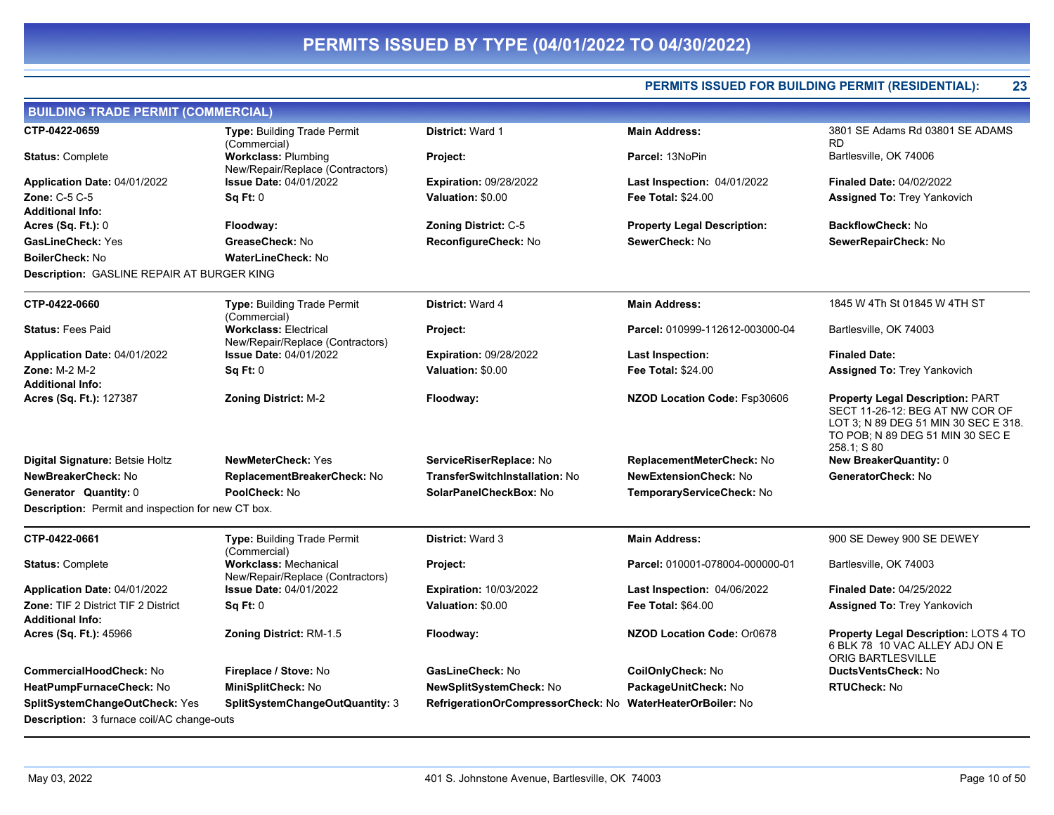**PERMITS ISSUED FOR BUILDING PERMIT (RESIDENTIAL): 23**

| <b>BUILDING TRADE PERMIT (COMMERCIAL)</b>          |                                                                  |                                    |                                    |                                                                                                                                                                       |
|----------------------------------------------------|------------------------------------------------------------------|------------------------------------|------------------------------------|-----------------------------------------------------------------------------------------------------------------------------------------------------------------------|
| CTP-0422-0659                                      | <b>Type: Building Trade Permit</b><br>(Commercial)               | District: Ward 1                   | <b>Main Address:</b>               | 3801 SE Adams Rd 03801 SE ADAMS<br><b>RD</b>                                                                                                                          |
| <b>Status: Complete</b>                            | <b>Workclass: Plumbing</b><br>New/Repair/Replace (Contractors)   | Project:                           | Parcel: 13NoPin                    | Bartlesville, OK 74006                                                                                                                                                |
| <b>Application Date: 04/01/2022</b>                | <b>Issue Date: 04/01/2022</b>                                    | Expiration: 09/28/2022             | <b>Last Inspection: 04/01/2022</b> | <b>Finaled Date: 04/02/2022</b>                                                                                                                                       |
| Zone: C-5 C-5                                      | Sq Ft: 0                                                         | Valuation: \$0.00                  | Fee Total: \$24.00                 | <b>Assigned To: Trey Yankovich</b>                                                                                                                                    |
| Additional Info:                                   |                                                                  |                                    |                                    |                                                                                                                                                                       |
| <b>Acres (Sq. Ft.):</b> 0                          | Floodway:                                                        | <b>Zoning District: C-5</b>        | <b>Property Legal Description:</b> | <b>BackflowCheck: No</b>                                                                                                                                              |
| GasLineCheck: Yes                                  | GreaseCheck: No                                                  | ReconfigureCheck: No               | SewerCheck: No                     | SewerRepairCheck: No                                                                                                                                                  |
| BoilerCheck: No                                    | <b>WaterLineCheck: No</b>                                        |                                    |                                    |                                                                                                                                                                       |
| Description: GASLINE REPAIR AT BURGER KING         |                                                                  |                                    |                                    |                                                                                                                                                                       |
| CTP-0422-0660                                      | Type: Building Trade Permit<br>(Commercial)                      | District: Ward 4                   | <b>Main Address:</b>               | 1845 W 4Th St 01845 W 4TH ST                                                                                                                                          |
| <b>Status: Fees Paid</b>                           | <b>Workclass: Electrical</b><br>New/Repair/Replace (Contractors) | Project:                           | Parcel: 010999-112612-003000-04    | Bartlesville, OK 74003                                                                                                                                                |
| <b>Application Date: 04/01/2022</b>                | <b>Issue Date: 04/01/2022</b>                                    | Expiration: 09/28/2022             | <b>Last Inspection:</b>            | <b>Finaled Date:</b>                                                                                                                                                  |
| <b>Zone: M-2 M-2</b>                               | Sq Ft: 0                                                         | Valuation: \$0.00                  | <b>Fee Total: \$24.00</b>          | <b>Assigned To: Trey Yankovich</b>                                                                                                                                    |
| <b>Additional Info:</b>                            |                                                                  |                                    |                                    |                                                                                                                                                                       |
| Acres (Sq. Ft.): 127387                            | <b>Zoning District: M-2</b>                                      | Floodway:                          | NZOD Location Code: Fsp30606       | <b>Property Legal Description: PART</b><br>SECT 11-26-12: BEG AT NW COR OF<br>LOT 3; N 89 DEG 51 MIN 30 SEC E 318.<br>TO POB; N 89 DEG 51 MIN 30 SEC E<br>258.1; S 80 |
| Digital Signature: Betsie Holtz                    | <b>NewMeterCheck: Yes</b>                                        | ServiceRiserReplace: No            | ReplacementMeterCheck: No          | New BreakerQuantity: 0                                                                                                                                                |
| NewBreakerCheck: No                                | ReplacementBreakerCheck: No                                      | TransferSwitchInstallation: No     | <b>NewExtensionCheck: No</b>       | GeneratorCheck: No                                                                                                                                                    |
| Generator Quantity: 0                              | PoolCheck: No                                                    | SolarPanelCheckBox: No             | TemporaryServiceCheck: No          |                                                                                                                                                                       |
| Description: Permit and inspection for new CT box. |                                                                  |                                    |                                    |                                                                                                                                                                       |
| CTP-0422-0661                                      | Type: Building Trade Permit<br>(Commercial)                      | District: Ward 3                   | <b>Main Address:</b>               | 900 SE Dewey 900 SE DEWEY                                                                                                                                             |
| <b>Status: Complete</b>                            | <b>Workclass: Mechanical</b><br>New/Repair/Replace (Contractors) | Project:                           | Parcel: 010001-078004-000000-01    | Bartlesville, OK 74003                                                                                                                                                |
| <b>Application Date: 04/01/2022</b>                | <b>Issue Date: 04/01/2022</b>                                    | <b>Expiration: 10/03/2022</b>      | Last Inspection: 04/06/2022        | <b>Finaled Date: 04/25/2022</b>                                                                                                                                       |
| Zone: TIF 2 District TIF 2 District                | Sq Ft: 0                                                         | Valuation: \$0.00                  | <b>Fee Total: \$64.00</b>          | <b>Assigned To: Trey Yankovich</b>                                                                                                                                    |
| <b>Additional Info:</b>                            |                                                                  |                                    |                                    |                                                                                                                                                                       |
| <b>Acres (Sq. Ft.):</b> 45966                      | <b>Zoning District: RM-1.5</b>                                   | Floodway:                          | NZOD Location Code: Or0678         | Property Legal Description: LOTS 4 TO<br>6 BLK 78 10 VAC ALLEY ADJ ON E<br>ORIG BARTLESVILLE                                                                          |
| CommercialHoodCheck: No                            | Fireplace / Stove: No                                            | <b>GasLineCheck: No</b>            | CoilOnlyCheck: No                  | DuctsVentsCheck: No                                                                                                                                                   |
| HeatPumpFurnaceCheck: No                           | MiniSplitCheck: No                                               | <b>NewSplitSystemCheck: No</b>     | PackageUnitCheck: No               | <b>RTUCheck: No</b>                                                                                                                                                   |
| SplitSystemChangeOutCheck: Yes                     | SplitSystemChangeOutQuantity: 3                                  | RefrigerationOrCompressorCheck: No | <b>WaterHeaterOrBoiler: No</b>     |                                                                                                                                                                       |
| <b>Description:</b> 3 furnace coil/AC change-outs  |                                                                  |                                    |                                    |                                                                                                                                                                       |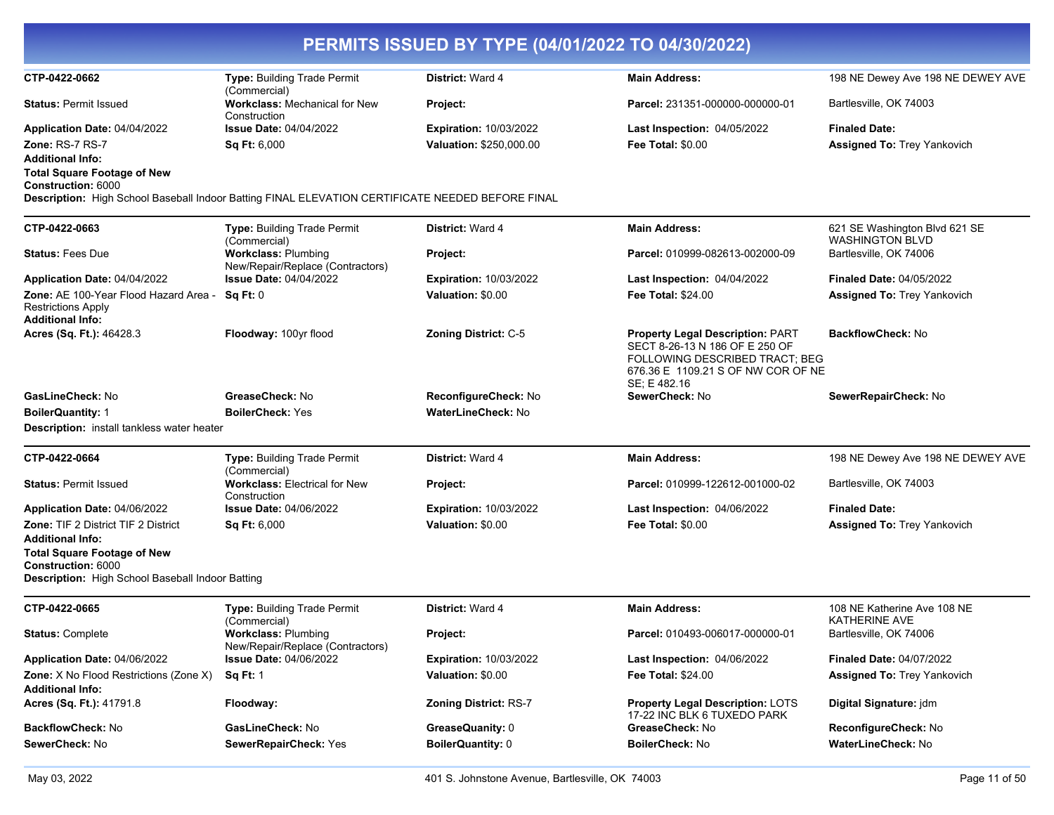| PERMITS ISSUED BY TYPE (04/01/2022 TO 04/30/2022)                                                            |                                                                      |                               |                                                                                                                                                            |                                                         |
|--------------------------------------------------------------------------------------------------------------|----------------------------------------------------------------------|-------------------------------|------------------------------------------------------------------------------------------------------------------------------------------------------------|---------------------------------------------------------|
| CTP-0422-0662                                                                                                | Type: Building Trade Permit                                          | <b>District: Ward 4</b>       | <b>Main Address:</b>                                                                                                                                       | 198 NE Dewey Ave 198 NE DEWEY AVE                       |
| <b>Status: Permit Issued</b>                                                                                 | (Commercial)<br><b>Workclass: Mechanical for New</b><br>Construction | Project:                      | Parcel: 231351-000000-000000-01                                                                                                                            | Bartlesville, OK 74003                                  |
| Application Date: 04/04/2022                                                                                 | <b>Issue Date: 04/04/2022</b>                                        | <b>Expiration: 10/03/2022</b> | Last Inspection: 04/05/2022                                                                                                                                | <b>Finaled Date:</b>                                    |
| <b>Zone: RS-7 RS-7</b>                                                                                       | Sq Ft: 6,000                                                         | Valuation: \$250,000.00       | <b>Fee Total: \$0.00</b>                                                                                                                                   | <b>Assigned To: Trey Yankovich</b>                      |
| <b>Additional Info:</b>                                                                                      |                                                                      |                               |                                                                                                                                                            |                                                         |
| <b>Total Square Footage of New</b><br>Construction: 6000                                                     |                                                                      |                               |                                                                                                                                                            |                                                         |
| Description: High School Baseball Indoor Batting FINAL ELEVATION CERTIFICATE NEEDED BEFORE FINAL             |                                                                      |                               |                                                                                                                                                            |                                                         |
| CTP-0422-0663                                                                                                | <b>Type: Building Trade Permit</b><br>(Commercial)                   | <b>District: Ward 4</b>       | <b>Main Address:</b>                                                                                                                                       | 621 SE Washington Blvd 621 SE<br><b>WASHINGTON BLVD</b> |
| <b>Status:</b> Fees Due                                                                                      | <b>Workclass: Plumbing</b><br>New/Repair/Replace (Contractors)       | Project:                      | Parcel: 010999-082613-002000-09                                                                                                                            | Bartlesville, OK 74006                                  |
| <b>Application Date: 04/04/2022</b>                                                                          | <b>Issue Date: 04/04/2022</b>                                        | <b>Expiration: 10/03/2022</b> | <b>Last Inspection: 04/04/2022</b>                                                                                                                         | <b>Finaled Date: 04/05/2022</b>                         |
| Zone: AE 100-Year Flood Hazard Area -<br><b>Restrictions Apply</b><br><b>Additional Info:</b>                | Sq Ft: 0                                                             | Valuation: \$0.00             | <b>Fee Total: \$24.00</b>                                                                                                                                  | <b>Assigned To: Trey Yankovich</b>                      |
| <b>Acres (Sq. Ft.):</b> 46428.3                                                                              | Floodway: 100yr flood                                                | <b>Zoning District: C-5</b>   | Property Legal Description: PART<br>SECT 8-26-13 N 186 OF E 250 OF<br>FOLLOWING DESCRIBED TRACT: BEG<br>676.36 E 1109.21 S OF NW COR OF NE<br>SE: E 482.16 | <b>BackflowCheck: No</b>                                |
| GasLineCheck: No                                                                                             | GreaseCheck: No                                                      | ReconfigureCheck: No          | SewerCheck: No                                                                                                                                             | SewerRepairCheck: No                                    |
| <b>BoilerQuantity: 1</b>                                                                                     | <b>BoilerCheck: Yes</b>                                              | <b>WaterLineCheck: No</b>     |                                                                                                                                                            |                                                         |
| <b>Description:</b> install tankless water heater                                                            |                                                                      |                               |                                                                                                                                                            |                                                         |
| CTP-0422-0664                                                                                                | Type: Building Trade Permit<br>(Commercial)                          | District: Ward 4              | <b>Main Address:</b>                                                                                                                                       | 198 NE Dewey Ave 198 NE DEWEY AVE                       |
| <b>Status: Permit Issued</b>                                                                                 | <b>Workclass: Electrical for New</b><br>Construction                 | Project:                      | Parcel: 010999-122612-001000-02                                                                                                                            | Bartlesville, OK 74003                                  |
| Application Date: 04/06/2022                                                                                 | <b>Issue Date: 04/06/2022</b>                                        | <b>Expiration: 10/03/2022</b> | Last Inspection: 04/06/2022                                                                                                                                | <b>Finaled Date:</b>                                    |
| Zone: TIF 2 District TIF 2 District<br><b>Additional Info:</b>                                               | Sq Ft: 6,000                                                         | Valuation: \$0.00             | <b>Fee Total: \$0.00</b>                                                                                                                                   | Assigned To: Trey Yankovich                             |
| <b>Total Square Footage of New</b><br>Construction: 6000<br>Description: High School Baseball Indoor Batting |                                                                      |                               |                                                                                                                                                            |                                                         |
| CTP-0422-0665                                                                                                | <b>Type: Building Trade Permit</b>                                   | <b>District: Ward 4</b>       | <b>Main Address:</b>                                                                                                                                       | 108 NE Katherine Ave 108 NE                             |
|                                                                                                              | (Commercial)                                                         |                               |                                                                                                                                                            | <b>KATHERINE AVE</b>                                    |
| Status: Complete                                                                                             | <b>Workclass: Plumbing</b><br>New/Repair/Replace (Contractors)       | <b>Project:</b>               | Parcel: 010493-006017-000000-01                                                                                                                            | Bartlesville, OK 74006                                  |
| <b>Application Date: 04/06/2022</b>                                                                          | <b>Issue Date: 04/06/2022</b>                                        | <b>Expiration: 10/03/2022</b> | Last Inspection: 04/06/2022                                                                                                                                | <b>Finaled Date: 04/07/2022</b>                         |
| Zone: X No Flood Restrictions (Zone X)<br>Additional Info:                                                   | <b>Sq Ft: 1</b>                                                      | Valuation: \$0.00             | <b>Fee Total: \$24.00</b>                                                                                                                                  | <b>Assigned To: Trey Yankovich</b>                      |
| Acres (Sq. Ft.): 41791.8                                                                                     | Floodway:                                                            | <b>Zoning District: RS-7</b>  | <b>Property Legal Description: LOTS</b><br>17-22 INC BLK 6 TUXEDO PARK                                                                                     | Digital Signature: jdm                                  |
| BackflowCheck: No                                                                                            | GasLineCheck: No                                                     | GreaseQuanity: 0              | GreaseCheck: No                                                                                                                                            | ReconfigureCheck: No                                    |
| <b>SewerCheck: No</b>                                                                                        | SewerRepairCheck: Yes                                                | BoilerQuantity: 0             | <b>BoilerCheck: No</b>                                                                                                                                     | WaterLineCheck: No                                      |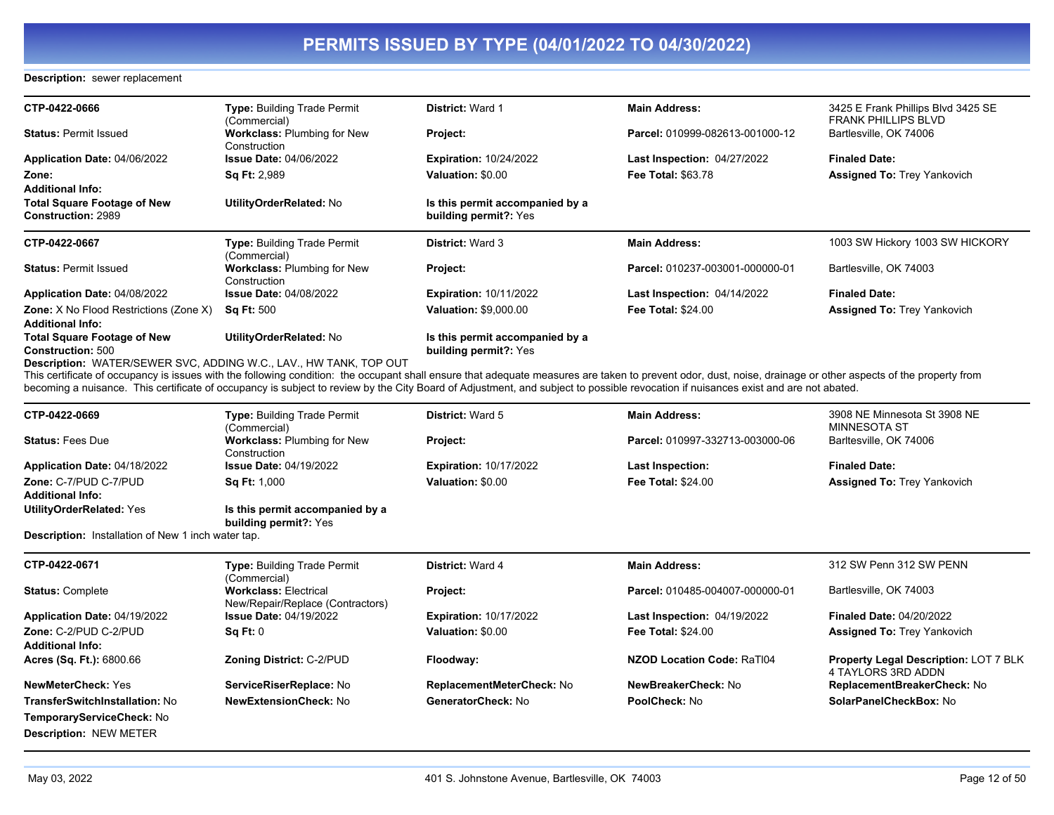### **Description:** sewer replacement

| CTP-0422-0666                                                            | Type: Building Trade Permit<br>(Commercial)        | <b>District: Ward 1</b>                                         | <b>Main Address:</b>               | 3425 E Frank Phillips Blvd 3425 SE<br>FRANK PHILLIPS BLVD |
|--------------------------------------------------------------------------|----------------------------------------------------|-----------------------------------------------------------------|------------------------------------|-----------------------------------------------------------|
| <b>Status: Permit Issued</b>                                             | <b>Workclass: Plumbing for New</b><br>Construction | Project:                                                        | Parcel: 010999-082613-001000-12    | Bartlesville, OK 74006                                    |
| Application Date: 04/06/2022                                             | <b>Issue Date: 04/06/2022</b>                      | <b>Expiration: 10/24/2022</b>                                   | <b>Last Inspection: 04/27/2022</b> | <b>Finaled Date:</b>                                      |
| Zone:<br><b>Additional Info:</b>                                         | <b>Sq Ft: 2,989</b>                                | Valuation: \$0.00                                               | <b>Fee Total: \$63.78</b>          | <b>Assigned To: Trey Yankovich</b>                        |
| <b>Total Square Footage of New</b><br><b>Construction: 2989</b>          | UtilityOrderRelated: No                            | Is this permit accompanied by a<br>building permit?: Yes        |                                    |                                                           |
| CTP-0422-0667                                                            | Type: Building Trade Permit<br>(Commercial)        | <b>District: Ward 3</b>                                         | <b>Main Address:</b>               | 1003 SW Hickory 1003 SW HICKORY                           |
| <b>Status: Permit Issued</b>                                             | <b>Workclass: Plumbing for New</b><br>Construction | Project:                                                        | Parcel: 010237-003001-000000-01    | Bartlesville, OK 74003                                    |
| Application Date: 04/08/2022                                             | <b>Issue Date: 04/08/2022</b>                      | <b>Expiration: 10/11/2022</b>                                   | Last Inspection: 04/14/2022        | <b>Finaled Date:</b>                                      |
| <b>Zone:</b> X No Flood Restrictions (Zone X)<br><b>Additional Info:</b> | <b>Sq Ft: 500</b>                                  | <b>Valuation: \$9,000.00</b>                                    | <b>Fee Total: \$24.00</b>          | <b>Assigned To: Trey Yankovich</b>                        |
| <b>Total Square Footage of New</b><br><b>Construction: 500</b>           | UtilityOrderRelated: No                            | Is this permit accompanied by a<br><b>building permit?:</b> Yes |                                    |                                                           |
| <b>Description: WATER/SEWER SVC, ADDING W.C., LAV., HW TANK, TOP OUT</b> |                                                    |                                                                 |                                    |                                                           |

This certificate of occupancy is issues with the following condition: the occupant shall ensure that adequate measures are taken to prevent odor, dust, noise, drainage or other aspects of the property from becoming a nuisance. This certificate of occupancy is subject to review by the City Board of Adjustment, and subject to possible revocation if nuisances exist and are not abated.

| CTP-0422-0669                                    | Type: Building Trade Permit<br>(Commercial)        | <b>District: Ward 5</b>       | <b>Main Address:</b>            | 3908 NE Minnesota St 3908 NE<br>MINNESOTA ST |
|--------------------------------------------------|----------------------------------------------------|-------------------------------|---------------------------------|----------------------------------------------|
| <b>Status: Fees Due</b>                          | <b>Workclass: Plumbing for New</b><br>Construction | <b>Project:</b>               | Parcel: 010997-332713-003000-06 | Barltesville, OK 74006                       |
| Application Date: 04/18/2022                     | <b>Issue Date: 04/19/2022</b>                      | <b>Expiration: 10/17/2022</b> | <b>Last Inspection:</b>         | <b>Finaled Date:</b>                         |
| Zone: C-7/PUD C-7/PUD<br><b>Additional Info:</b> | <b>Sa Ft: 1.000</b>                                | Valuation: \$0.00             | <b>Fee Total: \$24.00</b>       | <b>Assigned To: Trey Yankovich</b>           |
| UtilityOrderRelated: Yes                         | Is this permit accompanied by a                    |                               |                                 |                                              |

**building permit?:** Yes

**Description:** Installation of New 1 inch water tap.

| CTP-0422-0671                                           | <b>Type: Building Trade Permit</b><br>(Commercial)               | <b>District: Ward 4</b>       | <b>Main Address:</b>            | 312 SW Penn 312 SW PENN                                            |
|---------------------------------------------------------|------------------------------------------------------------------|-------------------------------|---------------------------------|--------------------------------------------------------------------|
| <b>Status: Complete</b>                                 | <b>Workclass: Electrical</b><br>New/Repair/Replace (Contractors) | <b>Project:</b>               | Parcel: 010485-004007-000000-01 | Bartlesville, OK 74003                                             |
| Application Date: 04/19/2022                            | <b>Issue Date: 04/19/2022</b>                                    | <b>Expiration: 10/17/2022</b> | Last Inspection: 04/19/2022     | <b>Finaled Date: 04/20/2022</b>                                    |
| <b>Zone: C-2/PUD C-2/PUD</b><br><b>Additional Info:</b> | Sq Ft: 0                                                         | Valuation: \$0.00             | <b>Fee Total: \$24.00</b>       | <b>Assigned To: Trey Yankovich</b>                                 |
| <b>Acres (Sq. Ft.): 6800.66</b>                         | <b>Zoning District: C-2/PUD</b>                                  | Floodway:                     | NZOD Location Code: RaTI04      | <b>Property Legal Description: LOT 7 BLK</b><br>4 TAYLORS 3RD ADDN |
| <b>NewMeterCheck: Yes</b>                               | ServiceRiserReplace: No                                          | ReplacementMeterCheck: No     | NewBreakerCheck: No             | ReplacementBreakerCheck: No                                        |
| TransferSwitchInstallation: No                          | NewExtensionCheck: No                                            | GeneratorCheck: No            | <b>PoolCheck: No</b>            | SolarPanelCheckBox: No                                             |
| TemporaryServiceCheck: No                               |                                                                  |                               |                                 |                                                                    |
| <b>Description: NEW METER</b>                           |                                                                  |                               |                                 |                                                                    |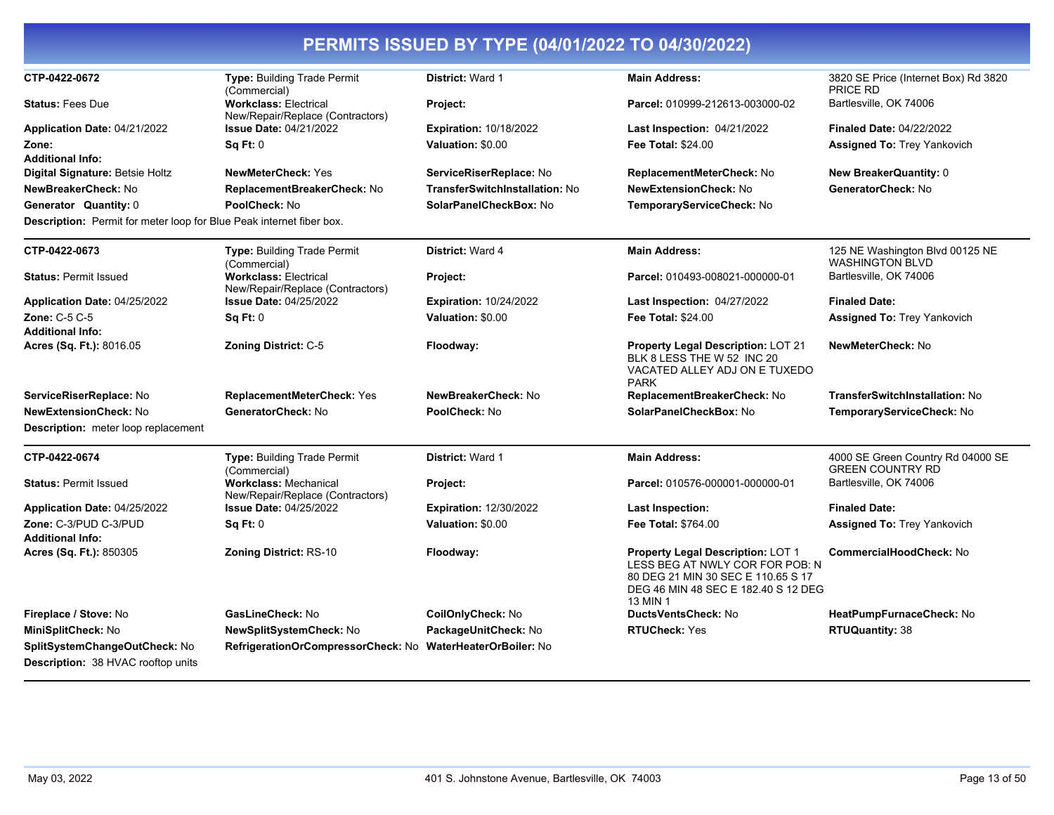| CTP-0422-0672                                                               | Type: Building Trade Permit<br>(Commercial)                      | District: Ward 1               | <b>Main Address:</b>                                                                                                                                          | 3820 SE Price (Internet Box) Rd 3820<br><b>PRICE RD</b>      |
|-----------------------------------------------------------------------------|------------------------------------------------------------------|--------------------------------|---------------------------------------------------------------------------------------------------------------------------------------------------------------|--------------------------------------------------------------|
| <b>Status: Fees Due</b>                                                     | <b>Workclass: Electrical</b><br>New/Repair/Replace (Contractors) | Project:                       | Parcel: 010999-212613-003000-02                                                                                                                               | Bartlesville, OK 74006                                       |
| Application Date: 04/21/2022                                                | <b>Issue Date: 04/21/2022</b>                                    | <b>Expiration: 10/18/2022</b>  | Last Inspection: 04/21/2022                                                                                                                                   | <b>Finaled Date: 04/22/2022</b>                              |
| Zone:                                                                       | Sq Ft: 0                                                         | Valuation: \$0.00              | <b>Fee Total: \$24.00</b>                                                                                                                                     | <b>Assigned To: Trey Yankovich</b>                           |
| <b>Additional Info:</b>                                                     |                                                                  |                                |                                                                                                                                                               |                                                              |
| Digital Signature: Betsie Holtz                                             | <b>NewMeterCheck: Yes</b>                                        | ServiceRiserReplace: No        | ReplacementMeterCheck: No                                                                                                                                     | <b>New BreakerQuantity: 0</b>                                |
| NewBreakerCheck: No                                                         | ReplacementBreakerCheck: No                                      | TransferSwitchInstallation: No | <b>NewExtensionCheck: No</b>                                                                                                                                  | GeneratorCheck: No                                           |
| Generator Quantity: 0                                                       | PoolCheck: No                                                    | SolarPanelCheckBox: No         | TemporaryServiceCheck: No                                                                                                                                     |                                                              |
| <b>Description:</b> Permit for meter loop for Blue Peak internet fiber box. |                                                                  |                                |                                                                                                                                                               |                                                              |
| CTP-0422-0673                                                               | Type: Building Trade Permit<br>(Commercial)                      | District: Ward 4               | <b>Main Address:</b>                                                                                                                                          | 125 NE Washington Blvd 00125 NE<br><b>WASHINGTON BLVD</b>    |
| <b>Status: Permit Issued</b>                                                | <b>Workclass: Electrical</b><br>New/Repair/Replace (Contractors) | Project:                       | Parcel: 010493-008021-000000-01                                                                                                                               | Bartlesville, OK 74006                                       |
| Application Date: 04/25/2022                                                | <b>Issue Date: 04/25/2022</b>                                    | <b>Expiration: 10/24/2022</b>  | Last Inspection: 04/27/2022                                                                                                                                   | <b>Finaled Date:</b>                                         |
| <b>Zone: C-5 C-5</b>                                                        | Sq Ft: 0                                                         | Valuation: \$0.00              | <b>Fee Total: \$24.00</b>                                                                                                                                     | <b>Assigned To: Trey Yankovich</b>                           |
| <b>Additional Info:</b>                                                     |                                                                  |                                |                                                                                                                                                               |                                                              |
| Acres (Sq. Ft.): 8016.05                                                    | <b>Zoning District: C-5</b>                                      | Floodway:                      | <b>Property Legal Description: LOT 21</b><br>BLK 8 LESS THE W 52 INC 20<br>VACATED ALLEY ADJ ON E TUXEDO<br><b>PARK</b>                                       | <b>NewMeterCheck: No</b>                                     |
| ServiceRiserReplace: No                                                     | <b>ReplacementMeterCheck: Yes</b>                                | NewBreakerCheck: No            | ReplacementBreakerCheck: No                                                                                                                                   | TransferSwitchInstallation: No                               |
| <b>NewExtensionCheck: No</b>                                                | GeneratorCheck: No                                               | PoolCheck: No                  | SolarPanelCheckBox: No                                                                                                                                        | TemporaryServiceCheck: No                                    |
| Description: meter loop replacement                                         |                                                                  |                                |                                                                                                                                                               |                                                              |
| CTP-0422-0674                                                               | Type: Building Trade Permit<br>(Commercial)                      | District: Ward 1               | <b>Main Address:</b>                                                                                                                                          | 4000 SE Green Country Rd 04000 SE<br><b>GREEN COUNTRY RD</b> |
| <b>Status: Permit Issued</b>                                                | <b>Workclass: Mechanical</b><br>New/Repair/Replace (Contractors) | Project:                       | Parcel: 010576-000001-000000-01                                                                                                                               | Bartlesville, OK 74006                                       |
| Application Date: 04/25/2022                                                | <b>Issue Date: 04/25/2022</b>                                    | <b>Expiration: 12/30/2022</b>  | <b>Last Inspection:</b>                                                                                                                                       | <b>Finaled Date:</b>                                         |
| Zone: C-3/PUD C-3/PUD<br><b>Additional Info:</b>                            | Sq Ft: 0                                                         | Valuation: \$0.00              | <b>Fee Total: \$764.00</b>                                                                                                                                    | <b>Assigned To: Trey Yankovich</b>                           |
| Acres (Sq. Ft.): 850305                                                     | <b>Zoning District: RS-10</b>                                    | Floodway:                      | Property Legal Description: LOT 1<br>LESS BEG AT NWLY COR FOR POB: N<br>80 DEG 21 MIN 30 SEC E 110.65 S 17<br>DEG 46 MIN 48 SEC E 182.40 S 12 DEG<br>13 MIN 1 | <b>CommercialHoodCheck: No</b>                               |
| Fireplace / Stove: No                                                       | GasLineCheck: No                                                 | CoilOnlyCheck: No              | <b>DuctsVentsCheck: No</b>                                                                                                                                    | HeatPumpFurnaceCheck: No                                     |
| MiniSplitCheck: No                                                          | NewSplitSystemCheck: No                                          | PackageUnitCheck: No           | <b>RTUCheck: Yes</b>                                                                                                                                          | <b>RTUQuantity: 38</b>                                       |
| SplitSystemChangeOutCheck: No<br><b>Description: 38 HVAC rooftop units</b>  | RefrigerationOrCompressorCheck: No                               | <b>WaterHeaterOrBoiler: No</b> |                                                                                                                                                               |                                                              |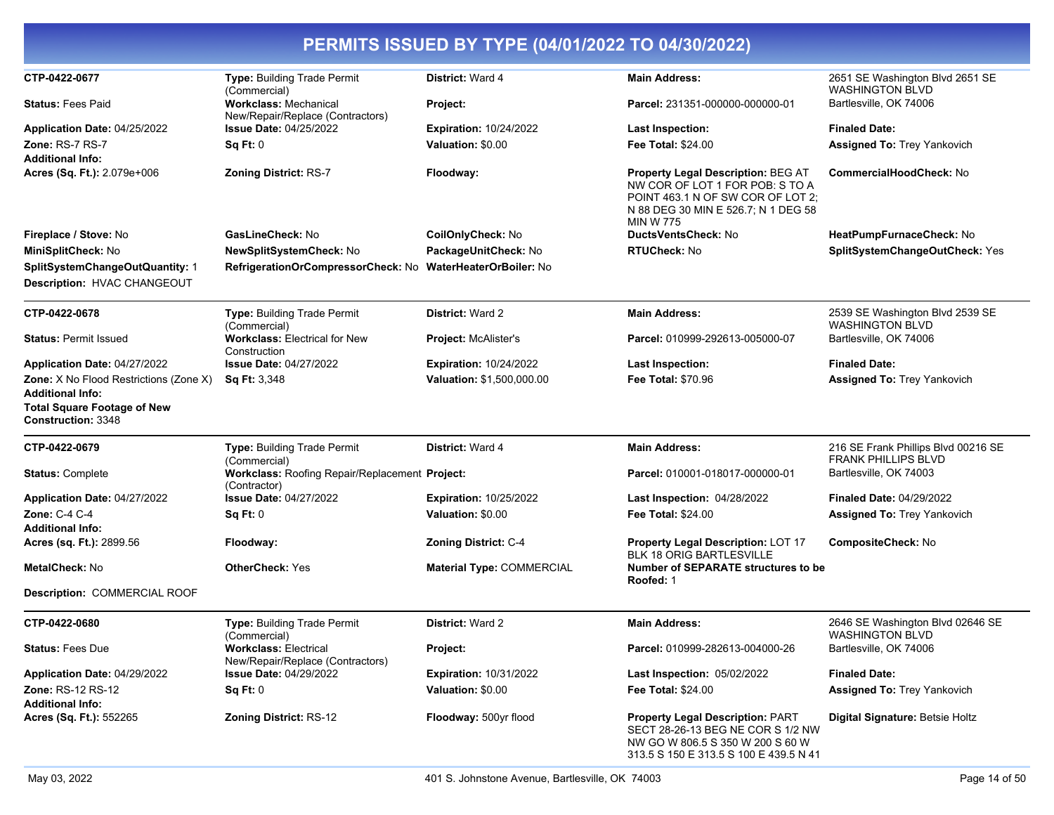| PERMITS ISSUED BY TYPE (04/01/2022 TO 04/30/2022)                                                                                    |                                                                  |                                  |                                                                                                                                                                              |                                                                   |  |
|--------------------------------------------------------------------------------------------------------------------------------------|------------------------------------------------------------------|----------------------------------|------------------------------------------------------------------------------------------------------------------------------------------------------------------------------|-------------------------------------------------------------------|--|
| CTP-0422-0677                                                                                                                        | Type: Building Trade Permit<br>(Commercial)                      | District: Ward 4                 | <b>Main Address:</b>                                                                                                                                                         | 2651 SE Washington Blvd 2651 SE<br><b>WASHINGTON BLVD</b>         |  |
| <b>Status: Fees Paid</b>                                                                                                             | <b>Workclass: Mechanical</b><br>New/Repair/Replace (Contractors) | Project:                         | Parcel: 231351-000000-000000-01                                                                                                                                              | Bartlesville, OK 74006                                            |  |
| Application Date: 04/25/2022                                                                                                         | <b>Issue Date: 04/25/2022</b>                                    | <b>Expiration: 10/24/2022</b>    | <b>Last Inspection:</b>                                                                                                                                                      | <b>Finaled Date:</b>                                              |  |
| Zone: RS-7 RS-7<br><b>Additional Info:</b>                                                                                           | Sq Ft: 0                                                         | Valuation: \$0.00                | <b>Fee Total: \$24.00</b>                                                                                                                                                    | <b>Assigned To: Trey Yankovich</b>                                |  |
| Acres (Sq. Ft.): 2.079e+006                                                                                                          | <b>Zoning District: RS-7</b>                                     | Floodway:                        | <b>Property Legal Description: BEG AT</b><br>NW COR OF LOT 1 FOR POB: S TO A<br>POINT 463.1 N OF SW COR OF LOT 2:<br>N 88 DEG 30 MIN E 526.7; N 1 DEG 58<br><b>MIN W 775</b> | <b>CommercialHoodCheck: No</b>                                    |  |
| Fireplace / Stove: No                                                                                                                | GasLineCheck: No                                                 | CoilOnlyCheck: No                | DuctsVentsCheck: No                                                                                                                                                          | HeatPumpFurnaceCheck: No                                          |  |
| MiniSplitCheck: No                                                                                                                   | NewSplitSystemCheck: No                                          | PackageUnitCheck: No             | <b>RTUCheck: No</b>                                                                                                                                                          | SplitSystemChangeOutCheck: Yes                                    |  |
| SplitSystemChangeOutQuantity: 1<br>Description: HVAC CHANGEOUT                                                                       | RefrigerationOrCompressorCheck: No                               | <b>WaterHeaterOrBoiler: No</b>   |                                                                                                                                                                              |                                                                   |  |
| CTP-0422-0678                                                                                                                        | Type: Building Trade Permit<br>(Commercial)                      | <b>District: Ward 2</b>          | <b>Main Address:</b>                                                                                                                                                         | 2539 SE Washington Blvd 2539 SE<br><b>WASHINGTON BLVD</b>         |  |
| <b>Status: Permit Issued</b>                                                                                                         | <b>Workclass: Electrical for New</b><br>Construction             | Project: McAlister's             | Parcel: 010999-292613-005000-07                                                                                                                                              | Bartlesville, OK 74006                                            |  |
| Application Date: 04/27/2022                                                                                                         | <b>Issue Date: 04/27/2022</b>                                    | <b>Expiration: 10/24/2022</b>    | <b>Last Inspection:</b>                                                                                                                                                      | <b>Finaled Date:</b>                                              |  |
| <b>Zone:</b> X No Flood Restrictions (Zone X)<br><b>Additional Info:</b><br><b>Total Square Footage of New</b><br>Construction: 3348 | <b>Sq Ft: 3.348</b>                                              | <b>Valuation: \$1,500,000.00</b> | <b>Fee Total: \$70.96</b>                                                                                                                                                    | <b>Assigned To: Trey Yankovich</b>                                |  |
| CTP-0422-0679                                                                                                                        | <b>Type: Building Trade Permit</b><br>(Commercial)               | <b>District: Ward 4</b>          | <b>Main Address:</b>                                                                                                                                                         | 216 SE Frank Phillips Blvd 00216 SE<br><b>FRANK PHILLIPS BLVD</b> |  |
| <b>Status: Complete</b>                                                                                                              | Workclass: Roofing Repair/Replacement Project:<br>(Contractor)   |                                  | Parcel: 010001-018017-000000-01                                                                                                                                              | Bartlesville, OK 74003                                            |  |
| Application Date: 04/27/2022                                                                                                         | <b>Issue Date: 04/27/2022</b>                                    | <b>Expiration: 10/25/2022</b>    | Last Inspection: 04/28/2022                                                                                                                                                  | <b>Finaled Date: 04/29/2022</b>                                   |  |
| <b>Zone: C-4 C-4</b><br><b>Additional Info:</b>                                                                                      | Sq Ft: 0                                                         | Valuation: \$0.00                | <b>Fee Total: \$24.00</b>                                                                                                                                                    | <b>Assigned To: Trey Yankovich</b>                                |  |
| Acres (sq. Ft.): 2899.56                                                                                                             | Floodway:                                                        | <b>Zoning District: C-4</b>      | <b>Property Legal Description: LOT 17</b><br><b>BLK 18 ORIG BARTLESVILLE</b>                                                                                                 | CompositeCheck: No                                                |  |
| <b>MetalCheck: No</b>                                                                                                                | <b>OtherCheck: Yes</b>                                           | Material Type: COMMERCIAL        | Number of SEPARATE structures to be<br>Roofed: 1                                                                                                                             |                                                                   |  |
| Description: COMMERCIAL ROOF                                                                                                         |                                                                  |                                  |                                                                                                                                                                              |                                                                   |  |
| CTP-0422-0680                                                                                                                        | Type: Building Trade Permit<br>(Commercial)                      | District: Ward 2                 | <b>Main Address:</b>                                                                                                                                                         | 2646 SE Washington Blvd 02646 SE<br><b>WASHINGTON BLVD</b>        |  |
| <b>Status: Fees Due</b>                                                                                                              | <b>Workclass: Electrical</b><br>New/Repair/Replace (Contractors) | Project:                         | Parcel: 010999-282613-004000-26                                                                                                                                              | Bartlesville, OK 74006                                            |  |
| Application Date: 04/29/2022                                                                                                         | <b>Issue Date: 04/29/2022</b>                                    | <b>Expiration: 10/31/2022</b>    | Last Inspection: 05/02/2022                                                                                                                                                  | <b>Finaled Date:</b>                                              |  |
| <b>Zone: RS-12 RS-12</b><br><b>Additional Info:</b>                                                                                  | Sq Ft: 0                                                         | Valuation: \$0.00                | <b>Fee Total: \$24.00</b>                                                                                                                                                    | <b>Assigned To: Trey Yankovich</b>                                |  |
| Acres (Sq. Ft.): 552265                                                                                                              | <b>Zoning District: RS-12</b>                                    | Floodway: 500yr flood            | <b>Property Legal Description: PART</b><br>SECT 28-26-13 BEG NE COR S 1/2 NW                                                                                                 | Digital Signature: Betsie Holtz                                   |  |

NW GO W 806.5 S 350 W 200 S 60 W 313.5 S 150 E 313.5 S 100 E 439.5 N 41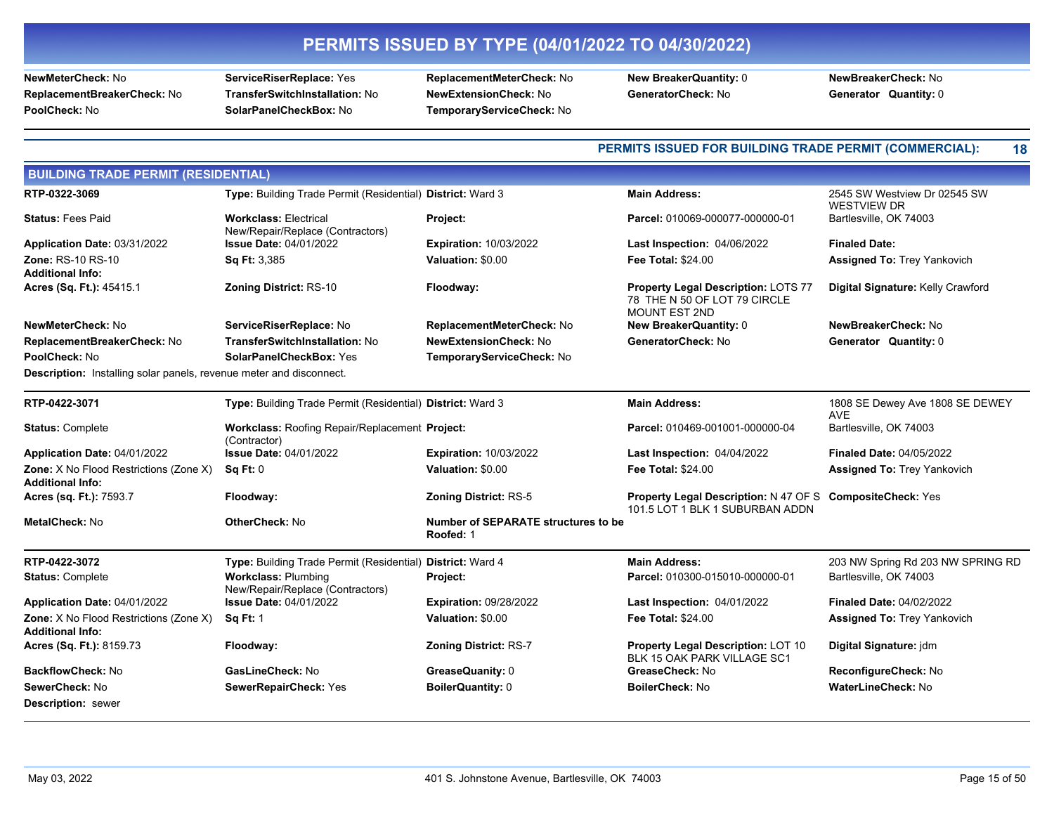**ReplacementBreakerCheck:** No **TransferSwitchInstallation:** No **NewExtensionCheck:** No **GeneratorCheck:** No **Generator Quantity:** 0

**NewMeterCheck:** No **ServiceRiserReplace:** Yes **ReplacementMeterCheck:** No **New BreakerQuantity:** 0 **NewBreakerCheck:** No **PoolCheck:** No **SolarPanelCheckBox:** No **TemporaryServiceCheck:** No

### **PERMITS ISSUED FOR BUILDING TRADE PERMIT (COMMERCIAL): 18**

| <b>BUILDING TRADE PERMIT (RESIDENTIAL)</b>                                 |                                                                  |                                                         |                                                                                                     |                                                    |  |
|----------------------------------------------------------------------------|------------------------------------------------------------------|---------------------------------------------------------|-----------------------------------------------------------------------------------------------------|----------------------------------------------------|--|
| RTP-0322-3069                                                              | Type: Building Trade Permit (Residential) District: Ward 3       |                                                         | <b>Main Address:</b>                                                                                | 2545 SW Westview Dr 02545 SW<br><b>WESTVIEW DR</b> |  |
| <b>Status: Fees Paid</b>                                                   | <b>Workclass: Electrical</b><br>New/Repair/Replace (Contractors) | Project:                                                | Parcel: 010069-000077-000000-01                                                                     | Bartlesville, OK 74003                             |  |
| Application Date: 03/31/2022                                               | <b>Issue Date: 04/01/2022</b>                                    | <b>Expiration: 10/03/2022</b>                           | Last Inspection: 04/06/2022                                                                         | <b>Finaled Date:</b>                               |  |
| Zone: RS-10 RS-10<br><b>Additional Info:</b>                               | Sq Ft: 3,385                                                     | Valuation: \$0.00                                       | <b>Fee Total: \$24.00</b>                                                                           | <b>Assigned To: Trey Yankovich</b>                 |  |
| Acres (Sq. Ft.): 45415.1                                                   | <b>Zoning District: RS-10</b>                                    | Floodway:                                               | <b>Property Legal Description: LOTS 77</b><br>78 THE N 50 OF LOT 79 CIRCLE<br><b>MOUNT EST 2ND</b>  | Digital Signature: Kelly Crawford                  |  |
| NewMeterCheck: No                                                          | ServiceRiserReplace: No                                          | ReplacementMeterCheck: No                               | <b>New BreakerQuantity: 0</b>                                                                       | NewBreakerCheck: No                                |  |
| ReplacementBreakerCheck: No                                                | TransferSwitchInstallation: No                                   | <b>NewExtensionCheck: No</b>                            | GeneratorCheck: No                                                                                  | Generator Quantity: 0                              |  |
| PoolCheck: No                                                              | SolarPanelCheckBox: Yes                                          | TemporaryServiceCheck: No                               |                                                                                                     |                                                    |  |
| <b>Description:</b> Installing solar panels, revenue meter and disconnect. |                                                                  |                                                         |                                                                                                     |                                                    |  |
| RTP-0422-3071                                                              | Type: Building Trade Permit (Residential) District: Ward 3       |                                                         | <b>Main Address:</b>                                                                                | 1808 SE Dewey Ave 1808 SE DEWEY<br><b>AVE</b>      |  |
| <b>Status: Complete</b>                                                    | Workclass: Roofing Repair/Replacement Project:<br>(Contractor)   |                                                         | Parcel: 010469-001001-000000-04                                                                     | Bartlesville, OK 74003                             |  |
| Application Date: 04/01/2022                                               | <b>Issue Date: 04/01/2022</b>                                    | <b>Expiration: 10/03/2022</b>                           | Last Inspection: 04/04/2022                                                                         | <b>Finaled Date: 04/05/2022</b>                    |  |
| Zone: X No Flood Restrictions (Zone X)<br><b>Additional Info:</b>          | Sq Ft: 0                                                         | Valuation: \$0.00                                       | Fee Total: \$24.00                                                                                  | <b>Assigned To: Trey Yankovich</b>                 |  |
| Acres (sq. Ft.): 7593.7                                                    | Floodway:                                                        | <b>Zoning District: RS-5</b>                            | <b>Property Legal Description: N 47 OF S CompositeCheck: Yes</b><br>101.5 LOT 1 BLK 1 SUBURBAN ADDN |                                                    |  |
| <b>MetalCheck: No</b>                                                      | <b>OtherCheck: No</b>                                            | <b>Number of SEPARATE structures to be</b><br>Roofed: 1 |                                                                                                     |                                                    |  |
| RTP-0422-3072                                                              | Type: Building Trade Permit (Residential) District: Ward 4       |                                                         | <b>Main Address:</b>                                                                                | 203 NW Spring Rd 203 NW SPRING RD                  |  |
| <b>Status: Complete</b>                                                    | <b>Workclass: Plumbing</b><br>New/Repair/Replace (Contractors)   | Project:                                                | Parcel: 010300-015010-000000-01                                                                     | Bartlesville, OK 74003                             |  |
| Application Date: 04/01/2022                                               | <b>Issue Date: 04/01/2022</b>                                    | <b>Expiration: 09/28/2022</b>                           | Last Inspection: 04/01/2022                                                                         | <b>Finaled Date: 04/02/2022</b>                    |  |
| <b>Zone:</b> X No Flood Restrictions (Zone X)<br><b>Additional Info:</b>   | <b>Sq Ft: 1</b>                                                  | Valuation: \$0.00                                       | Fee Total: \$24.00                                                                                  | <b>Assigned To: Trey Yankovich</b>                 |  |
| Acres (Sq. Ft.): 8159.73                                                   | Floodway:                                                        | <b>Zoning District: RS-7</b>                            | <b>Property Legal Description: LOT 10</b><br>BLK 15 OAK PARK VILLAGE SC1                            | Digital Signature: jdm                             |  |
| <b>BackflowCheck: No</b>                                                   | GasLineCheck: No                                                 | GreaseQuanity: 0                                        | GreaseCheck: No                                                                                     | ReconfigureCheck: No                               |  |
| SewerCheck: No                                                             | SewerRepairCheck: Yes                                            | <b>BoilerQuantity: 0</b>                                | <b>BoilerCheck: No</b>                                                                              | <b>WaterLineCheck: No</b>                          |  |
| <b>Description: sewer</b>                                                  |                                                                  |                                                         |                                                                                                     |                                                    |  |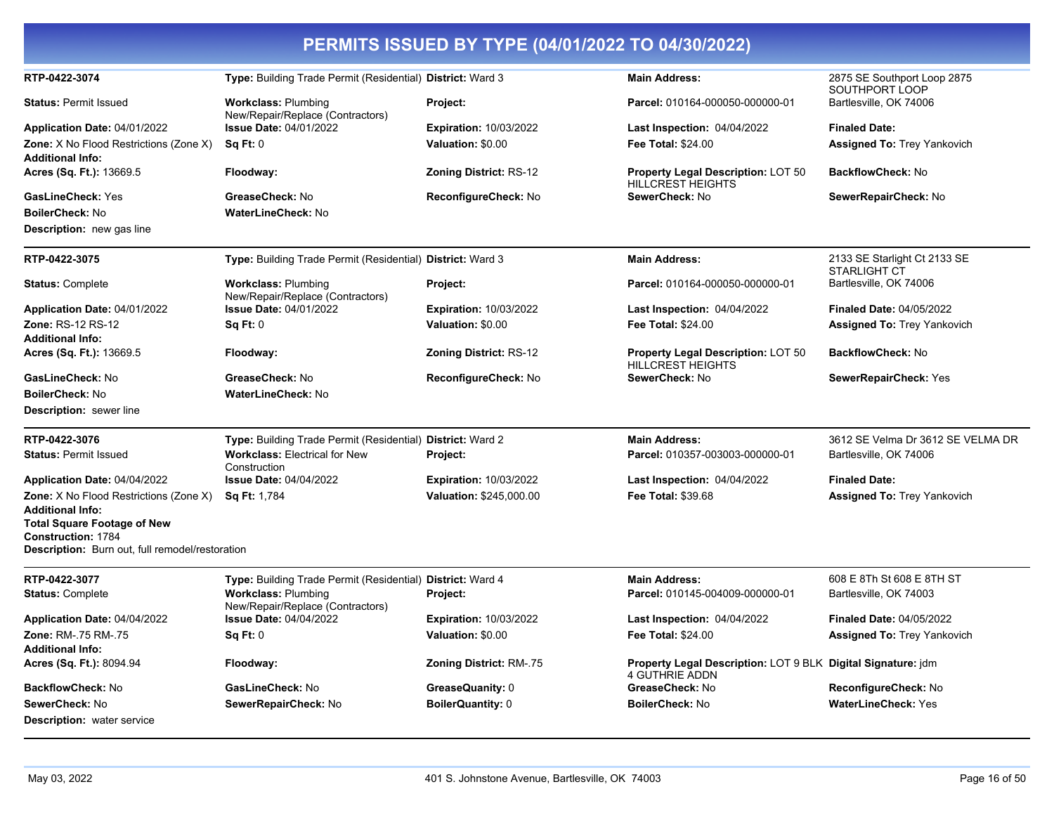| PERMITS ISSUED BY TYPE (04/01/2022 TO 04/30/2022)                                                                                                    |                                                                |                               |                                                                                       |                                                     |  |
|------------------------------------------------------------------------------------------------------------------------------------------------------|----------------------------------------------------------------|-------------------------------|---------------------------------------------------------------------------------------|-----------------------------------------------------|--|
| RTP-0422-3074                                                                                                                                        | Type: Building Trade Permit (Residential) District: Ward 3     |                               | <b>Main Address:</b>                                                                  | 2875 SE Southport Loop 2875<br>SOUTHPORT LOOP       |  |
| <b>Status: Permit Issued</b>                                                                                                                         | <b>Workclass: Plumbing</b><br>New/Repair/Replace (Contractors) | Project:                      | Parcel: 010164-000050-000000-01                                                       | Bartlesville, OK 74006                              |  |
| Application Date: 04/01/2022                                                                                                                         | <b>Issue Date: 04/01/2022</b>                                  | <b>Expiration: 10/03/2022</b> | <b>Last Inspection: 04/04/2022</b>                                                    | <b>Finaled Date:</b>                                |  |
| Zone: X No Flood Restrictions (Zone X)<br><b>Additional Info:</b>                                                                                    | Sq Ft: 0                                                       | Valuation: \$0.00             | <b>Fee Total: \$24.00</b>                                                             | <b>Assigned To: Trey Yankovich</b>                  |  |
| Acres (Sq. Ft.): 13669.5                                                                                                                             | Floodway:                                                      | <b>Zoning District: RS-12</b> | <b>Property Legal Description: LOT 50</b><br><b>HILLCREST HEIGHTS</b>                 | <b>BackflowCheck: No</b>                            |  |
| GasLineCheck: Yes                                                                                                                                    | GreaseCheck: No                                                | ReconfigureCheck: No          | SewerCheck: No                                                                        | SewerRepairCheck: No                                |  |
| <b>BoilerCheck: No</b>                                                                                                                               | <b>WaterLineCheck: No</b>                                      |                               |                                                                                       |                                                     |  |
| <b>Description:</b> new gas line                                                                                                                     |                                                                |                               |                                                                                       |                                                     |  |
| RTP-0422-3075                                                                                                                                        | Type: Building Trade Permit (Residential) District: Ward 3     |                               | <b>Main Address:</b>                                                                  | 2133 SE Starlight Ct 2133 SE<br><b>STARLIGHT CT</b> |  |
| <b>Status: Complete</b>                                                                                                                              | <b>Workclass: Plumbing</b><br>New/Repair/Replace (Contractors) | Project:                      | Parcel: 010164-000050-000000-01                                                       | Bartlesville, OK 74006                              |  |
| Application Date: 04/01/2022                                                                                                                         | <b>Issue Date: 04/01/2022</b>                                  | <b>Expiration: 10/03/2022</b> | Last Inspection: 04/04/2022                                                           | Finaled Date: 04/05/2022                            |  |
| <b>Zone: RS-12 RS-12</b><br><b>Additional Info:</b>                                                                                                  | Sq Ft: 0                                                       | Valuation: \$0.00             | <b>Fee Total: \$24.00</b>                                                             | <b>Assigned To: Trey Yankovich</b>                  |  |
| Acres (Sq. Ft.): 13669.5                                                                                                                             | Floodway:                                                      | <b>Zoning District: RS-12</b> | <b>Property Legal Description: LOT 50</b><br><b>HILLCREST HEIGHTS</b>                 | <b>BackflowCheck: No</b>                            |  |
| GasLineCheck: No                                                                                                                                     | GreaseCheck: No                                                | ReconfigureCheck: No          | SewerCheck: No                                                                        | <b>SewerRepairCheck: Yes</b>                        |  |
| <b>BoilerCheck: No</b>                                                                                                                               | WaterLineCheck: No                                             |                               |                                                                                       |                                                     |  |
| <b>Description:</b> sewer line                                                                                                                       |                                                                |                               |                                                                                       |                                                     |  |
| RTP-0422-3076                                                                                                                                        | Type: Building Trade Permit (Residential) District: Ward 2     |                               | <b>Main Address:</b>                                                                  | 3612 SE Velma Dr 3612 SE VELMA DR                   |  |
| <b>Status: Permit Issued</b>                                                                                                                         | <b>Workclass: Electrical for New</b><br>Construction           | Project:                      | Parcel: 010357-003003-000000-01                                                       | Bartlesville, OK 74006                              |  |
| Application Date: 04/04/2022                                                                                                                         | <b>Issue Date: 04/04/2022</b>                                  | <b>Expiration: 10/03/2022</b> | Last Inspection: 04/04/2022                                                           | <b>Finaled Date:</b>                                |  |
| <b>Zone:</b> X No Flood Restrictions (Zone X)                                                                                                        | <b>Sq Ft: 1,784</b>                                            | Valuation: \$245,000.00       | <b>Fee Total: \$39.68</b>                                                             | <b>Assigned To: Trey Yankovich</b>                  |  |
| <b>Additional Info:</b><br><b>Total Square Footage of New</b><br><b>Construction: 1784</b><br><b>Description:</b> Burn out, full remodel/restoration |                                                                |                               |                                                                                       |                                                     |  |
| RTP-0422-3077                                                                                                                                        | Type: Building Trade Permit (Residential) District: Ward 4     |                               | <b>Main Address:</b>                                                                  | 608 E 8Th St 608 E 8TH ST                           |  |
| <b>Status: Complete</b>                                                                                                                              | <b>Workclass: Plumbing</b><br>New/Repair/Replace (Contractors) | Project:                      | Parcel: 010145-004009-000000-01                                                       | Bartlesville, OK 74003                              |  |
| <b>Application Date: 04/04/2022</b>                                                                                                                  | <b>Issue Date: 04/04/2022</b>                                  | <b>Expiration: 10/03/2022</b> | <b>Last Inspection: 04/04/2022</b>                                                    | <b>Finaled Date: 04/05/2022</b>                     |  |
| Zone: RM-.75 RM-.75                                                                                                                                  | Sq Ft: 0                                                       | Valuation: \$0.00             | <b>Fee Total: \$24.00</b>                                                             | <b>Assigned To: Trey Yankovich</b>                  |  |
| <b>Additional Info:</b><br>Acres (Sq. Ft.): 8094.94                                                                                                  | Floodway:                                                      | Zoning District: RM-.75       | Property Legal Description: LOT 9 BLK Digital Signature: jdm<br><b>4 GUTHRIE ADDN</b> |                                                     |  |
| <b>BackflowCheck: No</b>                                                                                                                             | GasLineCheck: No                                               | GreaseQuanity: 0              | GreaseCheck: No                                                                       | ReconfigureCheck: No                                |  |
| SewerCheck: No                                                                                                                                       | SewerRepairCheck: No                                           | BoilerQuantity: 0             | <b>BoilerCheck: No</b>                                                                | <b>WaterLineCheck: Yes</b>                          |  |
| <b>Description:</b> water service                                                                                                                    |                                                                |                               |                                                                                       |                                                     |  |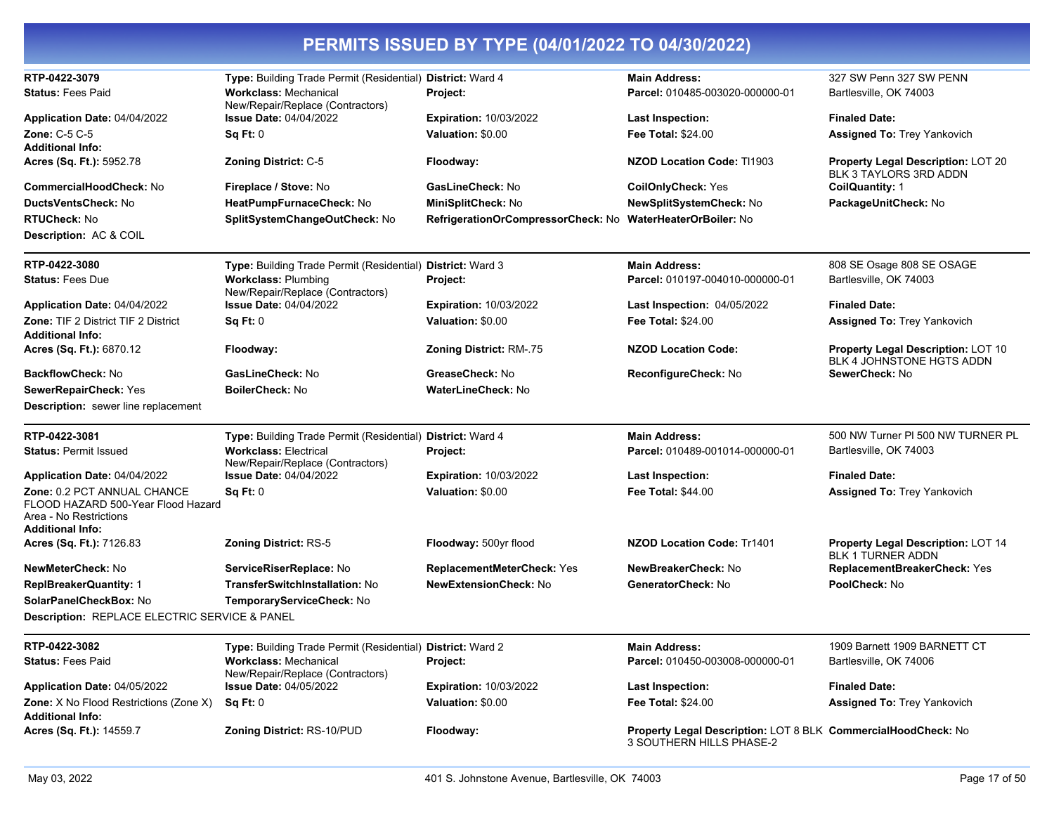| RTP-0422-3079<br><b>Status: Fees Paid</b>                                                                                | Type: Building Trade Permit (Residential) District: Ward 4<br><b>Workclass: Mechanical</b>                                     | Project:                                                                                             | <b>Main Address:</b><br>Parcel: 010485-003020-000000-01                                   | 327 SW Penn 327 SW PENN<br>Bartlesville, OK 74003                      |
|--------------------------------------------------------------------------------------------------------------------------|--------------------------------------------------------------------------------------------------------------------------------|------------------------------------------------------------------------------------------------------|-------------------------------------------------------------------------------------------|------------------------------------------------------------------------|
| Application Date: 04/04/2022<br>Zone: C-5 C-5                                                                            | New/Repair/Replace (Contractors)<br><b>Issue Date: 04/04/2022</b><br>Sq Ft: 0                                                  | <b>Expiration: 10/03/2022</b><br>Valuation: \$0.00                                                   | Last Inspection:<br>Fee Total: \$24.00                                                    | <b>Finaled Date:</b><br><b>Assigned To: Trey Yankovich</b>             |
| <b>Additional Info:</b><br>Acres (Sq. Ft.): 5952.78                                                                      | <b>Zoning District: C-5</b>                                                                                                    | Floodway:                                                                                            | <b>NZOD Location Code: T11903</b>                                                         | <b>Property Legal Description: LOT 20</b>                              |
| <b>CommercialHoodCheck: No</b><br><b>DuctsVentsCheck: No</b><br><b>RTUCheck: No</b><br><b>Description: AC &amp; COIL</b> | Fireplace / Stove: No<br>HeatPumpFurnaceCheck: No<br>SplitSystemChangeOutCheck: No                                             | GasLineCheck: No<br>MiniSplitCheck: No<br>RefrigerationOrCompressorCheck: No WaterHeaterOrBoiler: No | <b>CoilOnlyCheck: Yes</b><br>NewSplitSystemCheck: No                                      | BLK 3 TAYLORS 3RD ADDN<br>CoilQuantity: 1<br>PackageUnitCheck: No      |
| RTP-0422-3080<br><b>Status: Fees Due</b>                                                                                 | Type: Building Trade Permit (Residential) District: Ward 3<br><b>Workclass: Plumbing</b><br>New/Repair/Replace (Contractors)   | Project:                                                                                             | <b>Main Address:</b><br>Parcel: 010197-004010-000000-01                                   | 808 SE Osage 808 SE OSAGE<br>Bartlesville, OK 74003                    |
| Application Date: 04/04/2022                                                                                             | <b>Issue Date: 04/04/2022</b>                                                                                                  | Expiration: 10/03/2022                                                                               | Last Inspection: 04/05/2022                                                               | <b>Finaled Date:</b>                                                   |
| Zone: TIF 2 District TIF 2 District<br><b>Additional Info:</b>                                                           | Sq Ft: 0                                                                                                                       | Valuation: \$0.00                                                                                    | Fee Total: \$24.00                                                                        | <b>Assigned To: Trey Yankovich</b>                                     |
| Acres (Sq. Ft.): 6870.12                                                                                                 | Floodway:                                                                                                                      | Zoning District: RM-.75                                                                              | <b>NZOD Location Code:</b>                                                                | <b>Property Legal Description: LOT 10</b><br>BLK 4 JOHNSTONE HGTS ADDN |
| <b>BackflowCheck: No</b>                                                                                                 | GasLineCheck: No                                                                                                               | GreaseCheck: No                                                                                      | ReconfigureCheck: No                                                                      | SewerCheck: No                                                         |
| SewerRepairCheck: Yes<br><b>Description:</b> sewer line replacement                                                      | BoilerCheck: No                                                                                                                | WaterLineCheck: No                                                                                   |                                                                                           |                                                                        |
| RTP-0422-3081<br><b>Status: Permit Issued</b>                                                                            | Type: Building Trade Permit (Residential) District: Ward 4<br><b>Workclass: Electrical</b><br>New/Repair/Replace (Contractors) | Project:                                                                                             | <b>Main Address:</b><br>Parcel: 010489-001014-000000-01                                   | 500 NW Turner PI 500 NW TURNER PL<br>Bartlesville, OK 74003            |
| Application Date: 04/04/2022                                                                                             | <b>Issue Date: 04/04/2022</b>                                                                                                  | <b>Expiration: 10/03/2022</b>                                                                        | <b>Last Inspection:</b>                                                                   | <b>Finaled Date:</b>                                                   |
| Zone: 0.2 PCT ANNUAL CHANCE<br>FLOOD HAZARD 500-Year Flood Hazard<br>Area - No Restrictions<br><b>Additional Info:</b>   | Sa Ft: 0                                                                                                                       | Valuation: \$0.00                                                                                    | <b>Fee Total: \$44.00</b>                                                                 | <b>Assigned To: Trey Yankovich</b>                                     |
| Acres (Sq. Ft.): 7126.83                                                                                                 | <b>Zoning District: RS-5</b>                                                                                                   | Floodway: 500yr flood                                                                                | <b>NZOD Location Code: Tr1401</b>                                                         | <b>Property Legal Description: LOT 14</b><br><b>BLK 1 TURNER ADDN</b>  |
| NewMeterCheck: No                                                                                                        | ServiceRiserReplace: No                                                                                                        | <b>ReplacementMeterCheck: Yes</b>                                                                    | NewBreakerCheck: No                                                                       | <b>ReplacementBreakerCheck: Yes</b>                                    |
| <b>ReplBreakerQuantity: 1</b><br>SolarPanelCheckBox: No<br>Description: REPLACE ELECTRIC SERVICE & PANEL                 | TransferSwitchInstallation: No<br>TemporaryServiceCheck: No                                                                    | <b>NewExtensionCheck: No</b>                                                                         | GeneratorCheck: No                                                                        | PoolCheck: No                                                          |
|                                                                                                                          |                                                                                                                                |                                                                                                      |                                                                                           |                                                                        |
| RTP-0422-3082<br><b>Status: Fees Paid</b>                                                                                | Type: Building Trade Permit (Residential) District: Ward 2<br><b>Workclass: Mechanical</b><br>New/Repair/Replace (Contractors) | Project:                                                                                             | <b>Main Address:</b><br>Parcel: 010450-003008-000000-01                                   | 1909 Barnett 1909 BARNETT CT<br>Bartlesville, OK 74006                 |
| Application Date: 04/05/2022                                                                                             | <b>Issue Date: 04/05/2022</b>                                                                                                  | <b>Expiration: 10/03/2022</b>                                                                        | <b>Last Inspection:</b>                                                                   | <b>Finaled Date:</b>                                                   |
| Zone: X No Flood Restrictions (Zone X)<br><b>Additional Info:</b>                                                        | Sq Ft: 0                                                                                                                       | Valuation: \$0.00                                                                                    | Fee Total: \$24.00                                                                        | <b>Assigned To: Trey Yankovich</b>                                     |
| Acres (Sq. Ft.): 14559.7                                                                                                 | <b>Zoning District: RS-10/PUD</b>                                                                                              | Floodway:                                                                                            | Property Legal Description: LOT 8 BLK CommercialHoodCheck: No<br>3 SOUTHERN HILLS PHASE-2 |                                                                        |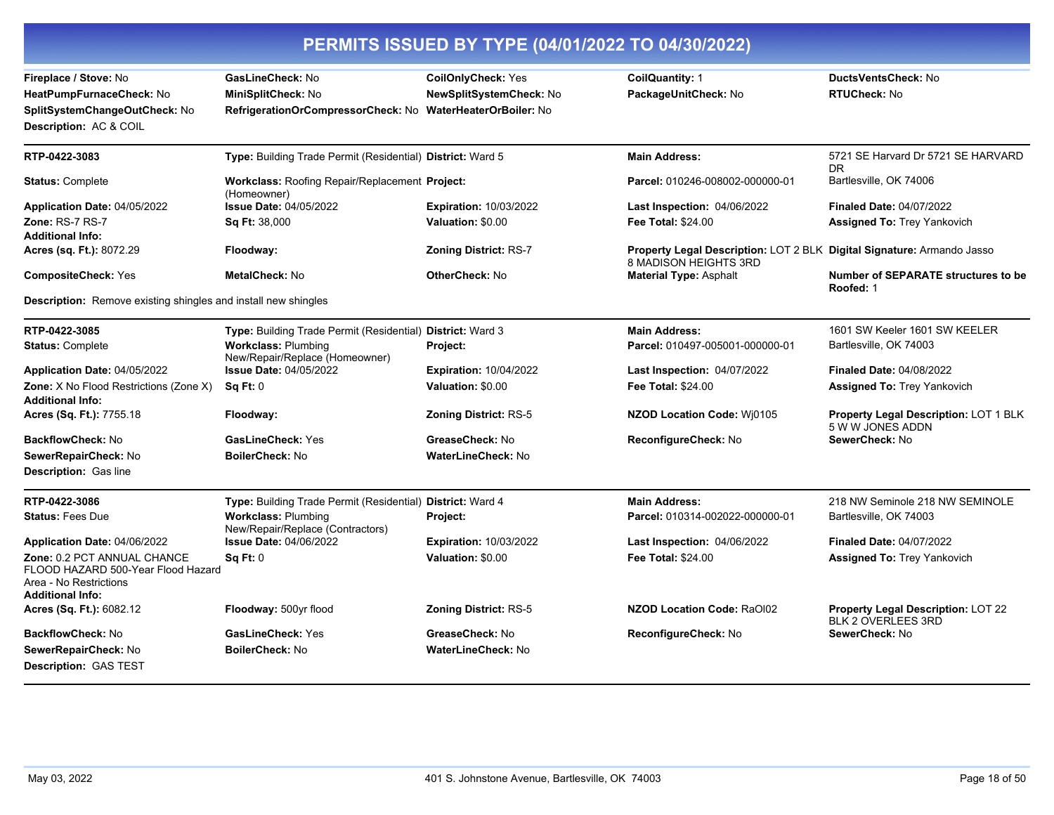| PERMITS ISSUED BY TYPE (04/01/2022 TO 04/30/2022)                                                               |                                                                                                      |                                                             |                                                                                                 |                                                                  |
|-----------------------------------------------------------------------------------------------------------------|------------------------------------------------------------------------------------------------------|-------------------------------------------------------------|-------------------------------------------------------------------------------------------------|------------------------------------------------------------------|
| Fireplace / Stove: No<br>HeatPumpFurnaceCheck: No<br>SplitSystemChangeOutCheck: No<br>Description: AC & COIL    | GasLineCheck: No<br>MiniSplitCheck: No<br>RefrigerationOrCompressorCheck: No WaterHeaterOrBoiler: No | <b>CoilOnlyCheck: Yes</b><br><b>NewSplitSystemCheck: No</b> | CoilQuantity: 1<br>PackageUnitCheck: No                                                         | <b>DuctsVentsCheck: No</b><br>RTUCheck: No                       |
| RTP-0422-3083                                                                                                   | Type: Building Trade Permit (Residential) District: Ward 5                                           |                                                             | <b>Main Address:</b>                                                                            | 5721 SE Harvard Dr 5721 SE HARVARD<br>DR.                        |
| <b>Status: Complete</b>                                                                                         | <b>Workclass: Roofing Repair/Replacement Project:</b><br>(Homeowner)                                 |                                                             | Parcel: 010246-008002-000000-01                                                                 | Bartlesville, OK 74006                                           |
| <b>Application Date: 04/05/2022</b>                                                                             | <b>Issue Date: 04/05/2022</b>                                                                        | <b>Expiration: 10/03/2022</b>                               | Last Inspection: 04/06/2022                                                                     | <b>Finaled Date: 04/07/2022</b>                                  |
| Zone: RS-7 RS-7<br><b>Additional Info:</b>                                                                      | Sq Ft: 38,000                                                                                        | Valuation: \$0.00                                           | <b>Fee Total: \$24.00</b>                                                                       | <b>Assigned To: Trey Yankovich</b>                               |
| <b>Acres (sq. Ft.):</b> 8072.29                                                                                 | Floodway:                                                                                            | <b>Zoning District: RS-7</b>                                | Property Legal Description: LOT 2 BLK Digital Signature: Armando Jasso<br>8 MADISON HEIGHTS 3RD |                                                                  |
| <b>CompositeCheck: Yes</b>                                                                                      | <b>MetalCheck: No</b>                                                                                | <b>OtherCheck: No</b>                                       | <b>Material Type: Asphalt</b>                                                                   | <b>Number of SEPARATE structures to be</b><br>Roofed: 1          |
| Description: Remove existing shingles and install new shingles                                                  |                                                                                                      |                                                             |                                                                                                 |                                                                  |
| RTP-0422-3085                                                                                                   | Type: Building Trade Permit (Residential) District: Ward 3                                           |                                                             | <b>Main Address:</b>                                                                            | 1601 SW Keeler 1601 SW KEELER                                    |
| <b>Status: Complete</b>                                                                                         | <b>Workclass: Plumbing</b><br>New/Repair/Replace (Homeowner)                                         | Project:                                                    | Parcel: 010497-005001-000000-01                                                                 | Bartlesville, OK 74003                                           |
| Application Date: 04/05/2022                                                                                    | <b>Issue Date: 04/05/2022</b>                                                                        | <b>Expiration: 10/04/2022</b>                               | <b>Last Inspection: 04/07/2022</b>                                                              | <b>Finaled Date: 04/08/2022</b>                                  |
| <b>Zone:</b> X No Flood Restrictions (Zone X)<br><b>Additional Info:</b>                                        | <b>Sq Ft: 0</b>                                                                                      | Valuation: \$0.00                                           | Fee Total: \$24.00                                                                              | <b>Assigned To: Trey Yankovich</b>                               |
| <b>Acres (Sq. Ft.):</b> 7755.18                                                                                 | Floodway:                                                                                            | <b>Zoning District: RS-5</b>                                | NZOD Location Code: Wj0105                                                                      | <b>Property Legal Description: LOT 1 BLK</b><br>5 W W JONES ADDN |
| <b>BackflowCheck: No</b>                                                                                        | <b>GasLineCheck: Yes</b>                                                                             | GreaseCheck: No                                             | ReconfigureCheck: No                                                                            | SewerCheck: No                                                   |
| SewerRepairCheck: No                                                                                            | <b>BoilerCheck: No</b>                                                                               | <b>WaterLineCheck: No</b>                                   |                                                                                                 |                                                                  |
| <b>Description: Gas line</b>                                                                                    |                                                                                                      |                                                             |                                                                                                 |                                                                  |
| RTP-0422-3086                                                                                                   | Type: Building Trade Permit (Residential) District: Ward 4                                           |                                                             | <b>Main Address:</b>                                                                            | 218 NW Seminole 218 NW SEMINOLE                                  |
| <b>Status: Fees Due</b>                                                                                         | <b>Workclass: Plumbing</b><br>New/Repair/Replace (Contractors)                                       | Project:                                                    | Parcel: 010314-002022-000000-01                                                                 | Bartlesville, OK 74003                                           |
| Application Date: 04/06/2022                                                                                    | <b>Issue Date: 04/06/2022</b>                                                                        | <b>Expiration: 10/03/2022</b>                               | <b>Last Inspection: 04/06/2022</b>                                                              | <b>Finaled Date: 04/07/2022</b>                                  |
| Zone: 0.2 PCT ANNUAL CHANCE<br>FLOOD HAZARD 500-Year Flood Hazard<br>Area - No Restrictions<br>Additional Info: | Sq Ft: 0                                                                                             | Valuation: \$0.00                                           | <b>Fee Total: \$24.00</b>                                                                       | <b>Assigned To: Trey Yankovich</b>                               |
| Acres (Sq. Ft.): 6082.12                                                                                        | Floodway: 500yr flood                                                                                | <b>Zoning District: RS-5</b>                                | <b>NZOD Location Code: RaOI02</b>                                                               | Property Legal Description: LOT 22<br><b>BLK 2 OVERLEES 3RD</b>  |
| BackflowCheck: No                                                                                               | <b>GasLineCheck: Yes</b>                                                                             | GreaseCheck: No                                             | ReconfigureCheck: No                                                                            | SewerCheck: No                                                   |
| SewerRepairCheck: No                                                                                            | BoilerCheck: No                                                                                      | <b>WaterLineCheck: No</b>                                   |                                                                                                 |                                                                  |
| Description: GAS TEST                                                                                           |                                                                                                      |                                                             |                                                                                                 |                                                                  |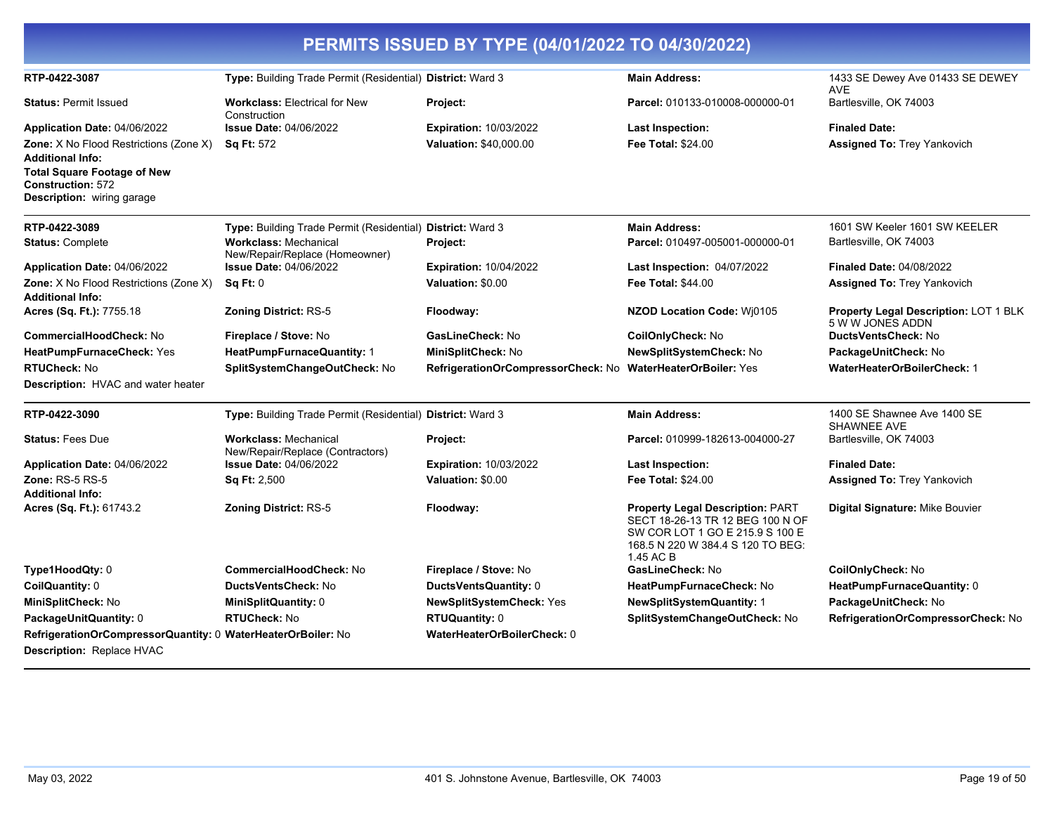| PERMITS ISSUED BY TYPE (04/01/2022 TO 04/30/2022)                                                                                                                        |                                                                  |                                    |                                                                                                                                                                  |                                                           |  |
|--------------------------------------------------------------------------------------------------------------------------------------------------------------------------|------------------------------------------------------------------|------------------------------------|------------------------------------------------------------------------------------------------------------------------------------------------------------------|-----------------------------------------------------------|--|
| RTP-0422-3087                                                                                                                                                            | Type: Building Trade Permit (Residential) District: Ward 3       |                                    | <b>Main Address:</b>                                                                                                                                             | 1433 SE Dewey Ave 01433 SE DEWEY<br><b>AVE</b>            |  |
| <b>Status: Permit Issued</b>                                                                                                                                             | <b>Workclass: Electrical for New</b><br>Construction             | Project:                           | Parcel: 010133-010008-000000-01                                                                                                                                  | Bartlesville, OK 74003                                    |  |
| Application Date: 04/06/2022                                                                                                                                             | <b>Issue Date: 04/06/2022</b>                                    | <b>Expiration: 10/03/2022</b>      | Last Inspection:                                                                                                                                                 | <b>Finaled Date:</b>                                      |  |
| Zone: X No Flood Restrictions (Zone X)<br><b>Additional Info:</b><br><b>Total Square Footage of New</b><br><b>Construction: 572</b><br><b>Description:</b> wiring garage | <b>Sq Ft: 572</b>                                                | <b>Valuation: \$40,000.00</b>      | <b>Fee Total: \$24.00</b>                                                                                                                                        | <b>Assigned To: Trey Yankovich</b>                        |  |
| RTP-0422-3089                                                                                                                                                            | Type: Building Trade Permit (Residential) District: Ward 3       |                                    | <b>Main Address:</b>                                                                                                                                             | 1601 SW Keeler 1601 SW KEELER                             |  |
| <b>Status: Complete</b>                                                                                                                                                  | <b>Workclass: Mechanical</b><br>New/Repair/Replace (Homeowner)   | Project:                           | Parcel: 010497-005001-000000-01                                                                                                                                  | Bartlesville, OK 74003                                    |  |
| Application Date: 04/06/2022                                                                                                                                             | <b>Issue Date: 04/06/2022</b>                                    | <b>Expiration: 10/04/2022</b>      | Last Inspection: 04/07/2022                                                                                                                                      | <b>Finaled Date: 04/08/2022</b>                           |  |
| Zone: X No Flood Restrictions (Zone X)<br><b>Additional Info:</b>                                                                                                        | Sq Ft: 0                                                         | Valuation: \$0.00                  | Fee Total: \$44.00                                                                                                                                               | <b>Assigned To: Trey Yankovich</b>                        |  |
| Acres (Sq. Ft.): 7755.18                                                                                                                                                 | <b>Zoning District: RS-5</b>                                     | Floodway:                          | NZOD Location Code: Wj0105                                                                                                                                       | Property Legal Description: LOT 1 BLK<br>5 W W JONES ADDN |  |
| CommercialHoodCheck: No                                                                                                                                                  | Fireplace / Stove: No                                            | GasLineCheck: No                   | CoilOnlyCheck: No                                                                                                                                                | DuctsVentsCheck: No                                       |  |
| HeatPumpFurnaceCheck: Yes                                                                                                                                                | HeatPumpFurnaceQuantity: 1                                       | MiniSplitCheck: No                 | NewSplitSystemCheck: No                                                                                                                                          | PackageUnitCheck: No                                      |  |
| <b>RTUCheck: No</b>                                                                                                                                                      | SplitSystemChangeOutCheck: No                                    | RefrigerationOrCompressorCheck: No | <b>WaterHeaterOrBoiler: Yes</b>                                                                                                                                  | <b>WaterHeaterOrBoilerCheck: 1</b>                        |  |
| <b>Description:</b> HVAC and water heater                                                                                                                                |                                                                  |                                    |                                                                                                                                                                  |                                                           |  |
| RTP-0422-3090                                                                                                                                                            | Type: Building Trade Permit (Residential) District: Ward 3       |                                    | <b>Main Address:</b>                                                                                                                                             | 1400 SE Shawnee Ave 1400 SE<br>SHAWNEE AVE                |  |
| <b>Status: Fees Due</b>                                                                                                                                                  | <b>Workclass: Mechanical</b><br>New/Repair/Replace (Contractors) | Project:                           | Parcel: 010999-182613-004000-27                                                                                                                                  | Bartlesville, OK 74003                                    |  |
| Application Date: 04/06/2022                                                                                                                                             | <b>Issue Date: 04/06/2022</b>                                    | <b>Expiration: 10/03/2022</b>      | <b>Last Inspection:</b>                                                                                                                                          | <b>Finaled Date:</b>                                      |  |
| <b>Zone: RS-5 RS-5</b>                                                                                                                                                   | <b>Sq Ft: 2,500</b>                                              | Valuation: \$0.00                  | <b>Fee Total: \$24.00</b>                                                                                                                                        | <b>Assigned To: Trey Yankovich</b>                        |  |
| <b>Additional Info:</b><br>Acres (Sq. Ft.): 61743.2                                                                                                                      | <b>Zoning District: RS-5</b>                                     | Floodway:                          | <b>Property Legal Description: PART</b><br>SECT 18-26-13 TR 12 BEG 100 N OF<br>SW COR LOT 1 GO E 215.9 S 100 E<br>168.5 N 220 W 384.4 S 120 TO BEG:<br>1.45 AC B | <b>Digital Signature: Mike Bouvier</b>                    |  |
| Type1HoodQty: 0                                                                                                                                                          | <b>CommercialHoodCheck: No</b>                                   | Fireplace / Stove: No              | GasLineCheck: No                                                                                                                                                 | CoilOnlyCheck: No                                         |  |
| CoilQuantity: 0                                                                                                                                                          | DuctsVentsCheck: No                                              | DuctsVentsQuantity: 0              | HeatPumpFurnaceCheck: No                                                                                                                                         | HeatPumpFurnaceQuantity: 0                                |  |
| MiniSplitCheck: No                                                                                                                                                       | MiniSplitQuantity: 0                                             | NewSplitSystemCheck: Yes           | <b>NewSplitSystemQuantity: 1</b>                                                                                                                                 | PackageUnitCheck: No                                      |  |
| PackageUnitQuantity: 0                                                                                                                                                   | <b>RTUCheck: No</b>                                              | <b>RTUQuantity: 0</b>              | SplitSystemChangeOutCheck: No                                                                                                                                    | RefrigerationOrCompressorCheck: No                        |  |
| RefrigerationOrCompressorQuantity: 0 WaterHeaterOrBoiler: No<br>Description: Replace HVAC                                                                                |                                                                  | WaterHeaterOrBoilerCheck: 0        |                                                                                                                                                                  |                                                           |  |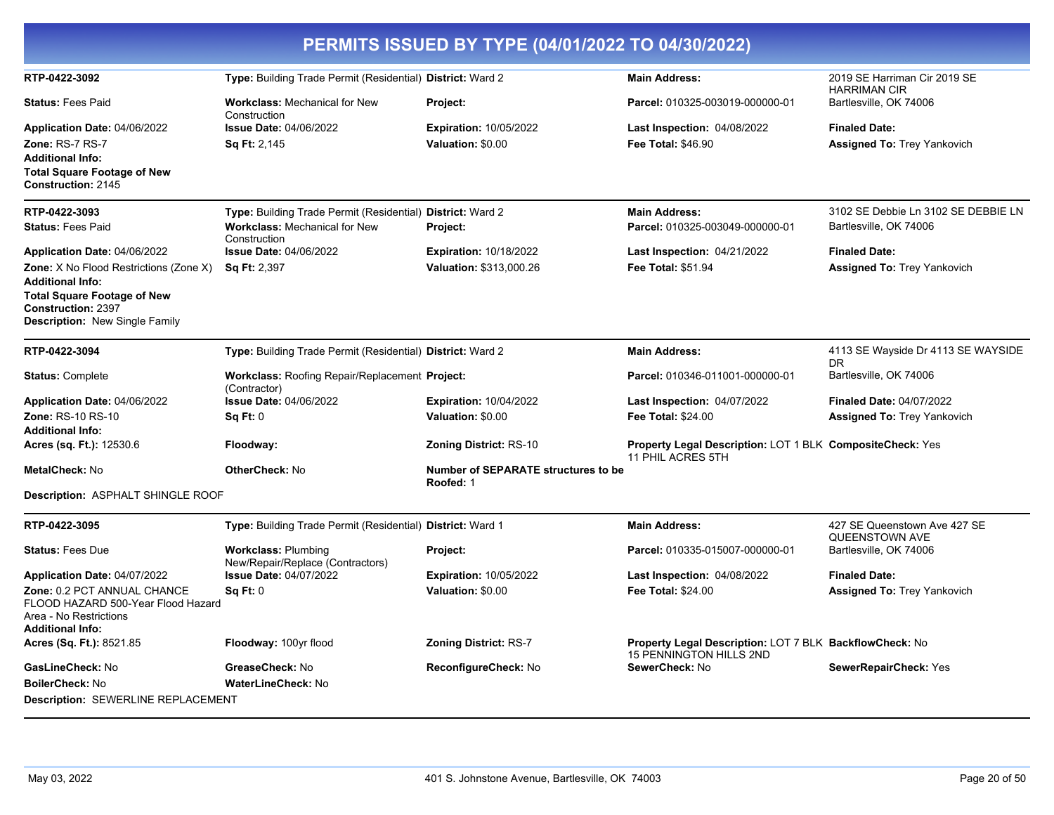|                                                                                                                                                                                                                      |                                                                                                                    | PERMITS ISSUED BY TYPE (04/01/2022 TO 04/30/2022)        |                                                                                                  |                                                                       |
|----------------------------------------------------------------------------------------------------------------------------------------------------------------------------------------------------------------------|--------------------------------------------------------------------------------------------------------------------|----------------------------------------------------------|--------------------------------------------------------------------------------------------------|-----------------------------------------------------------------------|
| RTP-0422-3092                                                                                                                                                                                                        | Type: Building Trade Permit (Residential) District: Ward 2                                                         |                                                          | <b>Main Address:</b>                                                                             | 2019 SE Harriman Cir 2019 SE<br><b>HARRIMAN CIR</b>                   |
| <b>Status: Fees Paid</b>                                                                                                                                                                                             | <b>Workclass: Mechanical for New</b><br>Construction                                                               | Project:                                                 | Parcel: 010325-003019-000000-01                                                                  | Bartlesville, OK 74006                                                |
| Application Date: 04/06/2022<br>Zone: RS-7 RS-7                                                                                                                                                                      | <b>Issue Date: 04/06/2022</b><br>Sq Ft: 2,145                                                                      | <b>Expiration: 10/05/2022</b><br>Valuation: \$0.00       | <b>Last Inspection: 04/08/2022</b><br>Fee Total: \$46.90                                         | <b>Finaled Date:</b><br><b>Assigned To: Trey Yankovich</b>            |
| <b>Additional Info:</b><br><b>Total Square Footage of New</b><br>Construction: 2145                                                                                                                                  |                                                                                                                    |                                                          |                                                                                                  |                                                                       |
| RTP-0422-3093<br><b>Status: Fees Paid</b>                                                                                                                                                                            | Type: Building Trade Permit (Residential) District: Ward 2<br><b>Workclass: Mechanical for New</b><br>Construction | Project:                                                 | <b>Main Address:</b><br>Parcel: 010325-003049-000000-01                                          | 3102 SE Debbie Ln 3102 SE DEBBIE LN<br>Bartlesville, OK 74006         |
| Application Date: 04/06/2022<br><b>Zone:</b> X No Flood Restrictions (Zone X)<br><b>Additional Info:</b><br><b>Total Square Footage of New</b><br><b>Construction: 2397</b><br><b>Description:</b> New Single Family | <b>Issue Date: 04/06/2022</b><br><b>Sq Ft: 2,397</b>                                                               | <b>Expiration: 10/18/2022</b><br>Valuation: \$313,000.26 | <b>Last Inspection: 04/21/2022</b><br>Fee Total: \$51.94                                         | <b>Finaled Date:</b><br><b>Assigned To: Trey Yankovich</b>            |
| RTP-0422-3094                                                                                                                                                                                                        | Type: Building Trade Permit (Residential) District: Ward 2                                                         |                                                          | <b>Main Address:</b>                                                                             | 4113 SE Wayside Dr 4113 SE WAYSIDE<br>DR.                             |
| <b>Status: Complete</b>                                                                                                                                                                                              | <b>Workclass: Roofing Repair/Replacement Project:</b><br>(Contractor)                                              |                                                          | Parcel: 010346-011001-000000-01                                                                  | Bartlesville, OK 74006                                                |
| Application Date: 04/06/2022<br><b>Zone: RS-10 RS-10</b>                                                                                                                                                             | <b>Issue Date: 04/06/2022</b><br>Sq Ft: 0                                                                          | <b>Expiration: 10/04/2022</b><br>Valuation: \$0.00       | <b>Last Inspection: 04/07/2022</b><br>Fee Total: \$24.00                                         | <b>Finaled Date: 04/07/2022</b><br><b>Assigned To: Trey Yankovich</b> |
| <b>Additional Info:</b><br>Acres (sq. Ft.): 12530.6                                                                                                                                                                  | Floodway:                                                                                                          | <b>Zoning District: RS-10</b>                            | Property Legal Description: LOT 1 BLK CompositeCheck: Yes                                        |                                                                       |
| MetalCheck: No                                                                                                                                                                                                       | <b>OtherCheck: No</b>                                                                                              | <b>Number of SEPARATE structures to be</b><br>Roofed: 1  | 11 PHIL ACRES 5TH                                                                                |                                                                       |
| Description: ASPHALT SHINGLE ROOF                                                                                                                                                                                    |                                                                                                                    |                                                          |                                                                                                  |                                                                       |
| RTP-0422-3095                                                                                                                                                                                                        | Type: Building Trade Permit (Residential) District: Ward 1                                                         |                                                          | <b>Main Address:</b>                                                                             | 427 SE Queenstown Ave 427 SE<br>QUEENSTOWN AVE                        |
| <b>Status: Fees Due</b>                                                                                                                                                                                              | <b>Workclass: Plumbing</b><br>New/Repair/Replace (Contractors)                                                     | Project:                                                 | Parcel: 010335-015007-000000-01                                                                  | Bartlesville, OK 74006                                                |
| Application Date: 04/07/2022                                                                                                                                                                                         | <b>Issue Date: 04/07/2022</b>                                                                                      | <b>Expiration: 10/05/2022</b>                            | Last Inspection: 04/08/2022                                                                      | <b>Finaled Date:</b>                                                  |
| Zone: 0.2 PCT ANNUAL CHANCE<br>FLOOD HAZARD 500-Year Flood Hazard<br>Area - No Restrictions<br><b>Additional Info:</b>                                                                                               | Sq Ft: 0                                                                                                           | Valuation: \$0.00                                        | <b>Fee Total: \$24.00</b>                                                                        | <b>Assigned To: Trey Yankovich</b>                                    |
| Acres (Sq. Ft.): 8521.85                                                                                                                                                                                             | Floodway: 100yr flood                                                                                              | <b>Zoning District: RS-7</b>                             | <b>Property Legal Description: LOT 7 BLK BackflowCheck: No</b><br><b>15 PENNINGTON HILLS 2ND</b> |                                                                       |
| GasLineCheck: No                                                                                                                                                                                                     | GreaseCheck: No                                                                                                    | ReconfigureCheck: No                                     | SewerCheck: No                                                                                   | SewerRepairCheck: Yes                                                 |
| <b>BoilerCheck: No</b>                                                                                                                                                                                               | WaterLineCheck: No                                                                                                 |                                                          |                                                                                                  |                                                                       |
| <b>Description: SEWERLINE REPLACEMENT</b>                                                                                                                                                                            |                                                                                                                    |                                                          |                                                                                                  |                                                                       |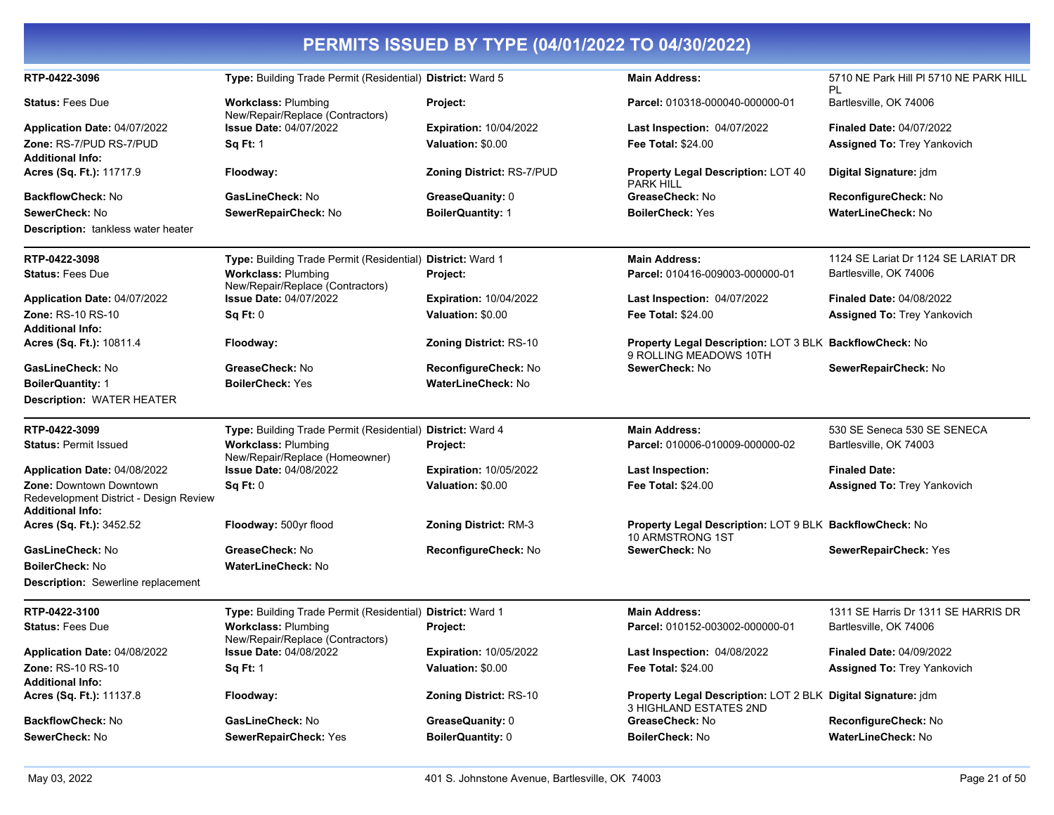| PERMITS ISSUED BY TYPE (04/01/2022 TO 04/30/2022)                                                   |                                                                |                                  |                                                                                        |                                              |
|-----------------------------------------------------------------------------------------------------|----------------------------------------------------------------|----------------------------------|----------------------------------------------------------------------------------------|----------------------------------------------|
| RTP-0422-3096                                                                                       | Type: Building Trade Permit (Residential) District: Ward 5     |                                  | <b>Main Address:</b>                                                                   | 5710 NE Park Hill PI 5710 NE PARK HILL<br>PL |
| <b>Status: Fees Due</b>                                                                             | <b>Workclass: Plumbing</b><br>New/Repair/Replace (Contractors) | Project:                         | Parcel: 010318-000040-000000-01                                                        | Bartlesville, OK 74006                       |
| Application Date: 04/07/2022                                                                        | <b>Issue Date: 04/07/2022</b>                                  | <b>Expiration: 10/04/2022</b>    | Last Inspection: 04/07/2022                                                            | <b>Finaled Date: 04/07/2022</b>              |
| <b>Zone: RS-7/PUD RS-7/PUD</b><br><b>Additional Info:</b>                                           | <b>Sq Ft: 1</b>                                                | Valuation: \$0.00                | <b>Fee Total: \$24.00</b>                                                              | Assigned To: Trey Yankovich                  |
| Acres (Sq. Ft.): 11717.9                                                                            | Floodway:                                                      | <b>Zoning District: RS-7/PUD</b> | <b>Property Legal Description: LOT 40</b><br><b>PARK HILL</b>                          | Digital Signature: jdm                       |
| <b>BackflowCheck: No</b>                                                                            | GasLineCheck: No                                               | GreaseQuanity: 0                 | GreaseCheck: No                                                                        | ReconfigureCheck: No                         |
| SewerCheck: No                                                                                      | SewerRepairCheck: No                                           | <b>BoilerQuantity: 1</b>         | <b>BoilerCheck: Yes</b>                                                                | <b>WaterLineCheck: No</b>                    |
| <b>Description:</b> tankless water heater                                                           |                                                                |                                  |                                                                                        |                                              |
| RTP-0422-3098                                                                                       | Type: Building Trade Permit (Residential)                      | <b>District: Ward 1</b>          | <b>Main Address:</b>                                                                   | 1124 SE Lariat Dr 1124 SE LARIAT DR          |
| <b>Status: Fees Due</b>                                                                             | <b>Workclass: Plumbing</b><br>New/Repair/Replace (Contractors) | Project:                         | Parcel: 010416-009003-000000-01                                                        | Bartlesville, OK 74006                       |
| Application Date: 04/07/2022                                                                        | <b>Issue Date: 04/07/2022</b>                                  | <b>Expiration: 10/04/2022</b>    | Last Inspection: 04/07/2022                                                            | <b>Finaled Date: 04/08/2022</b>              |
| <b>Zone: RS-10 RS-10</b>                                                                            | Sq Ft: 0                                                       | Valuation: \$0.00                | <b>Fee Total: \$24.00</b>                                                              | <b>Assigned To: Trey Yankovich</b>           |
| <b>Additional Info:</b>                                                                             |                                                                |                                  |                                                                                        |                                              |
| Acres (Sq. Ft.): 10811.4                                                                            | Floodway:                                                      | <b>Zoning District: RS-10</b>    | Property Legal Description: LOT 3 BLK BackflowCheck: No<br>9 ROLLING MEADOWS 10TH      |                                              |
| GasLineCheck: No                                                                                    | GreaseCheck: No                                                | ReconfigureCheck: No             | SewerCheck: No                                                                         | SewerRepairCheck: No                         |
| <b>BoilerQuantity: 1</b><br><b>Description: WATER HEATER</b>                                        | <b>BoilerCheck: Yes</b>                                        | <b>WaterLineCheck: No</b>        |                                                                                        |                                              |
| RTP-0422-3099                                                                                       | Type: Building Trade Permit (Residential) District: Ward 4     |                                  | <b>Main Address:</b>                                                                   | 530 SE Seneca 530 SE SENECA                  |
| <b>Status: Permit Issued</b>                                                                        | <b>Workclass: Plumbing</b><br>New/Repair/Replace (Homeowner)   | Project:                         | Parcel: 010006-010009-000000-02                                                        | Bartlesville, OK 74003                       |
| Application Date: 04/08/2022                                                                        | <b>Issue Date: 04/08/2022</b>                                  | <b>Expiration: 10/05/2022</b>    | <b>Last Inspection:</b>                                                                | <b>Finaled Date:</b>                         |
| <b>Zone: Downtown Downtown</b><br>Redevelopment District - Design Review<br><b>Additional Info:</b> | Sq Ft: 0                                                       | Valuation: \$0.00                | <b>Fee Total: \$24.00</b>                                                              | Assigned To: Trey Yankovich                  |
| Acres (Sq. Ft.): 3452.52                                                                            | Floodway: 500yr flood                                          | <b>Zoning District: RM-3</b>     | Property Legal Description: LOT 9 BLK BackflowCheck: No<br>10 ARMSTRONG 1ST            |                                              |
| GasLineCheck: No                                                                                    | GreaseCheck: No                                                | ReconfigureCheck: No             | SewerCheck: No                                                                         | SewerRepairCheck: Yes                        |
| <b>BoilerCheck: No</b>                                                                              | <b>WaterLineCheck: No</b>                                      |                                  |                                                                                        |                                              |
| Description: Sewerline replacement                                                                  |                                                                |                                  |                                                                                        |                                              |
| RTP-0422-3100                                                                                       | Type: Building Trade Permit (Residential) District: Ward 1     |                                  | <b>Main Address:</b>                                                                   | 1311 SE Harris Dr 1311 SE HARRIS DR          |
| <b>Status: Fees Due</b>                                                                             | <b>Workclass: Plumbing</b><br>New/Repair/Replace (Contractors) | Project:                         | Parcel: 010152-003002-000000-01                                                        | Bartlesville, OK 74006                       |
| Application Date: 04/08/2022                                                                        | <b>Issue Date: 04/08/2022</b>                                  | <b>Expiration: 10/05/2022</b>    | Last Inspection: 04/08/2022                                                            | <b>Finaled Date: 04/09/2022</b>              |
| Zone: RS-10 RS-10<br><b>Additional Info:</b>                                                        | <b>Sq Ft: 1</b>                                                | Valuation: \$0.00                | Fee Total: \$24.00                                                                     | <b>Assigned To: Trey Yankovich</b>           |
| Acres (Sq. Ft.): 11137.8                                                                            | Floodway:                                                      | <b>Zoning District: RS-10</b>    | Property Legal Description: LOT 2 BLK Digital Signature: jdm<br>3 HIGHLAND ESTATES 2ND |                                              |
| <b>BackflowCheck: No</b>                                                                            | GasLineCheck: No                                               | GreaseQuanity: 0                 | GreaseCheck: No                                                                        | ReconfigureCheck: No                         |
| SewerCheck: No                                                                                      | SewerRepairCheck: Yes                                          | <b>BoilerQuantity: 0</b>         | <b>BoilerCheck: No</b>                                                                 | <b>WaterLineCheck: No</b>                    |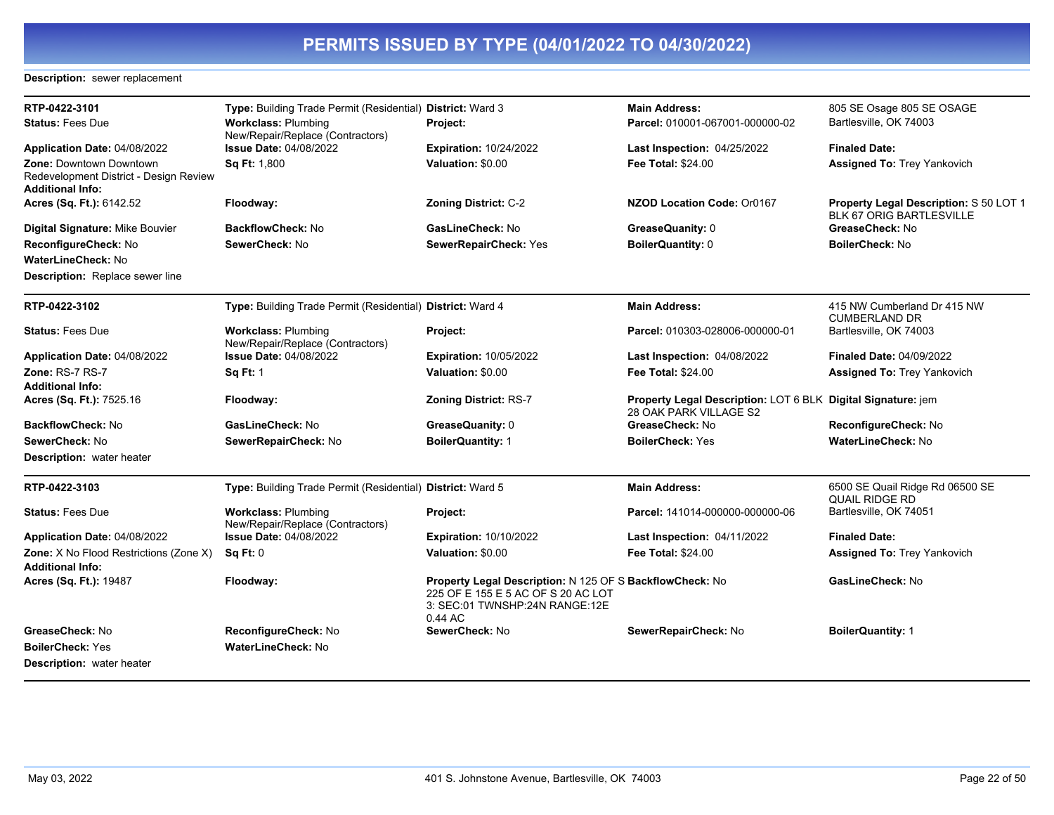### **Description:** sewer replacement

| RTP-0422-3101<br><b>Status: Fees Due</b>                                                     | Type: Building Trade Permit (Residential) District: Ward 3<br><b>Workclass: Plumbing</b><br>New/Repair/Replace (Contractors) | Project:                                                                                                                                    | <b>Main Address:</b><br>Parcel: 010001-067001-000000-02                                | 805 SE Osage 805 SE OSAGE<br>Bartlesville, OK 74003                |
|----------------------------------------------------------------------------------------------|------------------------------------------------------------------------------------------------------------------------------|---------------------------------------------------------------------------------------------------------------------------------------------|----------------------------------------------------------------------------------------|--------------------------------------------------------------------|
| Application Date: 04/08/2022                                                                 | <b>Issue Date: 04/08/2022</b>                                                                                                | <b>Expiration: 10/24/2022</b>                                                                                                               | <b>Last Inspection: 04/25/2022</b>                                                     | <b>Finaled Date:</b>                                               |
| <b>Zone: Downtown Downtown</b><br>Redevelopment District - Design Review<br>Additional Info: | Sa Ft: 1.800                                                                                                                 | Valuation: \$0.00                                                                                                                           | Fee Total: \$24.00                                                                     | <b>Assigned To: Trey Yankovich</b>                                 |
| Acres (Sq. Ft.): 6142.52                                                                     | Floodway:                                                                                                                    | <b>Zoning District: C-2</b>                                                                                                                 | <b>NZOD Location Code: Or0167</b>                                                      | Property Legal Description: S 50 LOT 1<br>BLK 67 ORIG BARTLESVILLE |
| Digital Signature: Mike Bouvier                                                              | <b>BackflowCheck: No</b>                                                                                                     | GasLineCheck: No                                                                                                                            | GreaseQuanity: 0                                                                       | GreaseCheck: No                                                    |
| ReconfigureCheck: No                                                                         | SewerCheck: No                                                                                                               | SewerRepairCheck: Yes                                                                                                                       | <b>BoilerQuantity: 0</b>                                                               | <b>BoilerCheck: No</b>                                             |
| <b>WaterLineCheck: No</b>                                                                    |                                                                                                                              |                                                                                                                                             |                                                                                        |                                                                    |
| Description: Replace sewer line                                                              |                                                                                                                              |                                                                                                                                             |                                                                                        |                                                                    |
| RTP-0422-3102                                                                                | Type: Building Trade Permit (Residential) District: Ward 4                                                                   |                                                                                                                                             | <b>Main Address:</b>                                                                   | 415 NW Cumberland Dr 415 NW<br><b>CUMBERLAND DR</b>                |
| <b>Status: Fees Due</b>                                                                      | <b>Workclass: Plumbing</b><br>New/Repair/Replace (Contractors)                                                               | Project:                                                                                                                                    | Parcel: 010303-028006-000000-01                                                        | Bartlesville, OK 74003                                             |
| Application Date: 04/08/2022                                                                 | <b>Issue Date: 04/08/2022</b>                                                                                                | <b>Expiration: 10/05/2022</b>                                                                                                               | <b>Last Inspection: 04/08/2022</b>                                                     | <b>Finaled Date: 04/09/2022</b>                                    |
| <b>Zone: RS-7 RS-7</b>                                                                       | <b>Sq Ft: 1</b>                                                                                                              | Valuation: \$0.00                                                                                                                           | <b>Fee Total: \$24.00</b>                                                              | <b>Assigned To: Trey Yankovich</b>                                 |
| Additional Info:                                                                             |                                                                                                                              |                                                                                                                                             |                                                                                        |                                                                    |
| Acres (Sq. Ft.): 7525.16                                                                     | Floodway:                                                                                                                    | <b>Zoning District: RS-7</b>                                                                                                                | Property Legal Description: LOT 6 BLK Digital Signature: jem<br>28 OAK PARK VILLAGE S2 |                                                                    |
| <b>BackflowCheck: No</b>                                                                     | GasLineCheck: No                                                                                                             | GreaseQuanity: 0                                                                                                                            | GreaseCheck: No                                                                        | ReconfigureCheck: No                                               |
| SewerCheck: No                                                                               | SewerRepairCheck: No                                                                                                         | <b>BoilerQuantity: 1</b>                                                                                                                    | <b>BoilerCheck: Yes</b>                                                                | <b>WaterLineCheck: No</b>                                          |
| <b>Description:</b> water heater                                                             |                                                                                                                              |                                                                                                                                             |                                                                                        |                                                                    |
| RTP-0422-3103                                                                                | Type: Building Trade Permit (Residential) District: Ward 5                                                                   |                                                                                                                                             | <b>Main Address:</b>                                                                   | 6500 SE Quail Ridge Rd 06500 SE<br><b>QUAIL RIDGE RD</b>           |
| <b>Status: Fees Due</b>                                                                      | <b>Workclass: Plumbing</b><br>New/Repair/Replace (Contractors)                                                               | Project:                                                                                                                                    | Parcel: 141014-000000-000000-06                                                        | Bartlesville, OK 74051                                             |
| Application Date: 04/08/2022                                                                 | <b>Issue Date: 04/08/2022</b>                                                                                                | <b>Expiration: 10/10/2022</b>                                                                                                               | Last Inspection: 04/11/2022                                                            | <b>Finaled Date:</b>                                               |
| <b>Zone:</b> X No Flood Restrictions (Zone X)<br>Additional Info:                            | Sq Ft: 0                                                                                                                     | Valuation: \$0.00                                                                                                                           | <b>Fee Total: \$24.00</b>                                                              | <b>Assigned To: Trey Yankovich</b>                                 |
| Acres (Sq. Ft.): 19487                                                                       | Floodway:                                                                                                                    | Property Legal Description: N 125 OF S BackflowCheck: No<br>225 OF E 155 E 5 AC OF S 20 AC LOT<br>3: SEC:01 TWNSHP:24N RANGE:12E<br>0.44 AC |                                                                                        | GasLineCheck: No                                                   |
| GreaseCheck: No                                                                              | ReconfigureCheck: No                                                                                                         | SewerCheck: No                                                                                                                              | SewerRepairCheck: No                                                                   | <b>BoilerQuantity: 1</b>                                           |
| <b>BoilerCheck: Yes</b>                                                                      | <b>WaterLineCheck: No</b>                                                                                                    |                                                                                                                                             |                                                                                        |                                                                    |
| <b>Description:</b> water heater                                                             |                                                                                                                              |                                                                                                                                             |                                                                                        |                                                                    |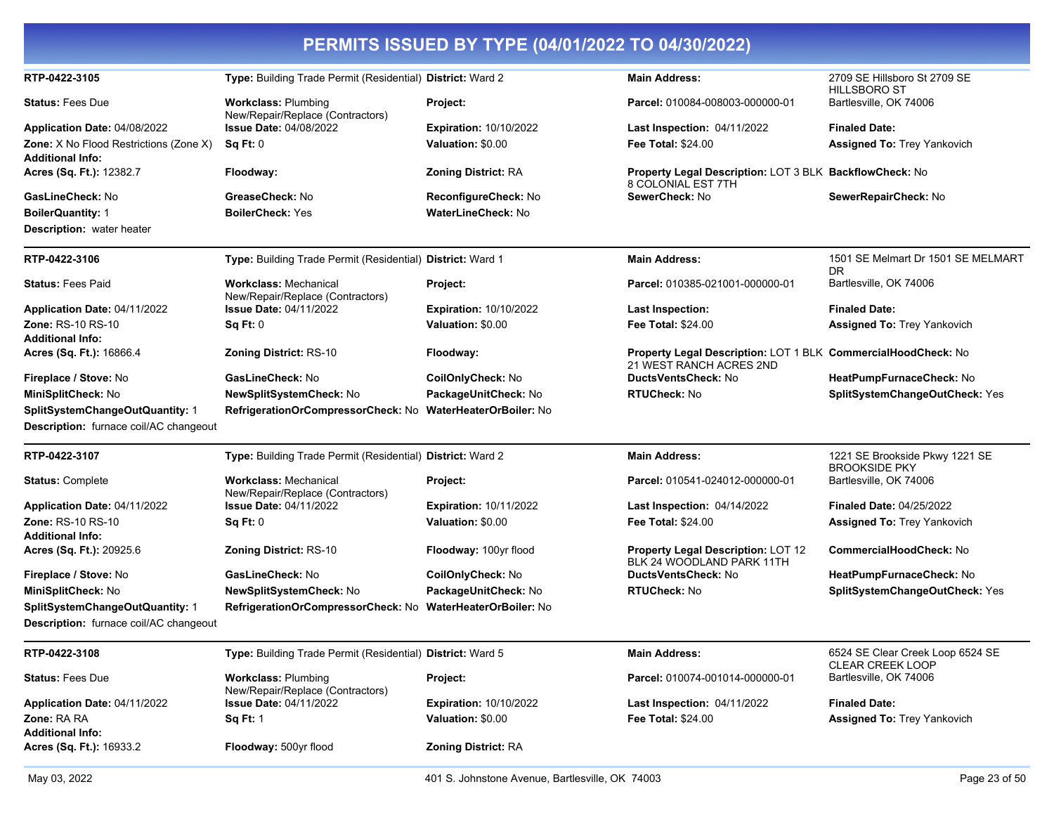| Acres (Sq. Ft.): 16933.2                                                         | Floodway: 500yr flood                                            | <b>Zoning District: RA</b>                         |                                                                                          |                                                        |
|----------------------------------------------------------------------------------|------------------------------------------------------------------|----------------------------------------------------|------------------------------------------------------------------------------------------|--------------------------------------------------------|
| <b>Zone: RA RA</b><br><b>Additional Info:</b>                                    | <b>Sq Ft: 1</b>                                                  | Valuation: \$0.00                                  | <b>Fee Total: \$24.00</b>                                                                | <b>Assigned To: Trey Yankovich</b>                     |
| Application Date: 04/11/2022                                                     | <b>Issue Date: 04/11/2022</b>                                    | <b>Expiration: 10/10/2022</b>                      | Last Inspection: 04/11/2022                                                              | <b>Finaled Date:</b>                                   |
| <b>Status: Fees Due</b>                                                          | <b>Workclass: Plumbing</b><br>New/Repair/Replace (Contractors)   | Project:                                           | Parcel: 010074-001014-000000-01                                                          | Bartlesville, OK 74006                                 |
| RTP-0422-3108                                                                    | Type: Building Trade Permit (Residential) District: Ward 5       |                                                    | <b>Main Address:</b>                                                                     | 6524 SE Clear Creek Loop 6524 SE<br>CLEAR CREEK LOOP   |
| Description: furnace coil/AC changeout                                           |                                                                  |                                                    |                                                                                          |                                                        |
| SplitSystemChangeOutQuantity: 1                                                  | RefrigerationOrCompressorCheck: No                               | WaterHeaterOrBoiler: No                            |                                                                                          |                                                        |
| MiniSplitCheck: No                                                               | NewSplitSystemCheck: No                                          | PackageUnitCheck: No                               | <b>RTUCheck: No</b>                                                                      | SplitSystemChangeOutCheck: Yes                         |
| Fireplace / Stove: No                                                            | GasLineCheck: No                                                 | CoilOnlyCheck: No                                  | DuctsVentsCheck: No                                                                      | HeatPumpFurnaceCheck: No                               |
| Acres (Sq. Ft.): 20925.6                                                         | <b>Zoning District: RS-10</b>                                    | Floodway: 100yr flood                              | Property Legal Description: LOT 12<br>BLK 24 WOODLAND PARK 11TH                          | <b>CommercialHoodCheck: No</b>                         |
| <b>Additional Info:</b>                                                          | Sq Ft: 0                                                         | Valuation: \$0.00                                  |                                                                                          | Assigned To: Trey Yankovich                            |
| Application Date: 04/11/2022<br><b>Zone: RS-10 RS-10</b>                         | <b>Issue Date: 04/11/2022</b>                                    | <b>Expiration: 10/11/2022</b>                      | Last Inspection: 04/14/2022<br><b>Fee Total: \$24.00</b>                                 | <b>Finaled Date: 04/25/2022</b>                        |
| <b>Status: Complete</b>                                                          | <b>Workclass: Mechanical</b><br>New/Repair/Replace (Contractors) | Project:                                           | Parcel: 010541-024012-000000-01                                                          | Bartlesville, OK 74006                                 |
| RTP-0422-3107                                                                    | Type: Building Trade Permit (Residential) District: Ward 2       |                                                    | <b>Main Address:</b>                                                                     | 1221 SE Brookside Pkwy 1221 SE<br><b>BROOKSIDE PKY</b> |
| SplitSystemChangeOutQuantity: 1<br><b>Description:</b> furnace coil/AC changeout | RefrigerationOrCompressorCheck: No                               | WaterHeaterOrBoiler: No                            |                                                                                          |                                                        |
| MiniSplitCheck: No                                                               | NewSplitSystemCheck: No                                          | PackageUnitCheck: No                               | <b>RTUCheck: No</b>                                                                      | SplitSystemChangeOutCheck: Yes                         |
| Fireplace / Stove: No                                                            | GasLineCheck: No                                                 | CoilOnlyCheck: No                                  | DuctsVentsCheck: No                                                                      | HeatPumpFurnaceCheck: No                               |
| Acres (Sq. Ft.): 16866.4                                                         | <b>Zoning District: RS-10</b>                                    | Floodway:                                          | Property Legal Description: LOT 1 BLK CommercialHoodCheck: No<br>21 WEST RANCH ACRES 2ND |                                                        |
| <b>Additional Info:</b>                                                          |                                                                  |                                                    |                                                                                          |                                                        |
| Application Date: 04/11/2022<br>Zone: RS-10 RS-10                                | <b>Issue Date: 04/11/2022</b><br><b>Sq Ft: 0</b>                 | <b>Expiration: 10/10/2022</b><br>Valuation: \$0.00 | Last Inspection:<br><b>Fee Total: \$24.00</b>                                            | <b>Finaled Date:</b><br>Assigned To: Trey Yankovich    |
| <b>Status: Fees Paid</b>                                                         | <b>Workclass: Mechanical</b><br>New/Repair/Replace (Contractors) | Project:                                           | Parcel: 010385-021001-000000-01                                                          | Bartlesville, OK 74006                                 |
| RTP-0422-3106                                                                    | Type: Building Trade Permit (Residential) District: Ward 1       |                                                    | <b>Main Address:</b>                                                                     | 1501 SE Melmart Dr 1501 SE MELMART<br>DR               |
| Description: water heater                                                        |                                                                  |                                                    |                                                                                          |                                                        |
| <b>BoilerQuantity: 1</b>                                                         | <b>BoilerCheck: Yes</b>                                          | WaterLineCheck: No                                 |                                                                                          |                                                        |
| GasLineCheck: No                                                                 | GreaseCheck: No                                                  | <b>ReconfigureCheck: No</b>                        | 8 COLONIAL EST 7TH<br>SewerCheck: No                                                     | SewerRepairCheck: No                                   |
| <b>Additional Info:</b><br>Acres (Sq. Ft.): 12382.7                              | Floodway:                                                        | <b>Zoning District: RA</b>                         | Property Legal Description: LOT 3 BLK BackflowCheck: No                                  |                                                        |
| <b>Zone:</b> X No Flood Restrictions (Zone X)                                    | Sq Ft: 0                                                         | Valuation: \$0.00                                  | <b>Fee Total: \$24.00</b>                                                                | <b>Assigned To: Trey Yankovich</b>                     |
| Application Date: 04/08/2022                                                     | <b>Issue Date: 04/08/2022</b>                                    | <b>Expiration: 10/10/2022</b>                      | Last Inspection: 04/11/2022                                                              | <b>Finaled Date:</b>                                   |
| <b>Status: Fees Due</b>                                                          | <b>Workclass: Plumbing</b><br>New/Repair/Replace (Contractors)   | Project:                                           | Parcel: 010084-008003-000000-01                                                          | Bartlesville, OK 74006                                 |
| RTP-0422-3105                                                                    | Type: Building Trade Permit (Residential) District: Ward 2       |                                                    | <b>Main Address:</b>                                                                     | 2709 SE Hillsboro St 2709 SE<br><b>HILLSBORO ST</b>    |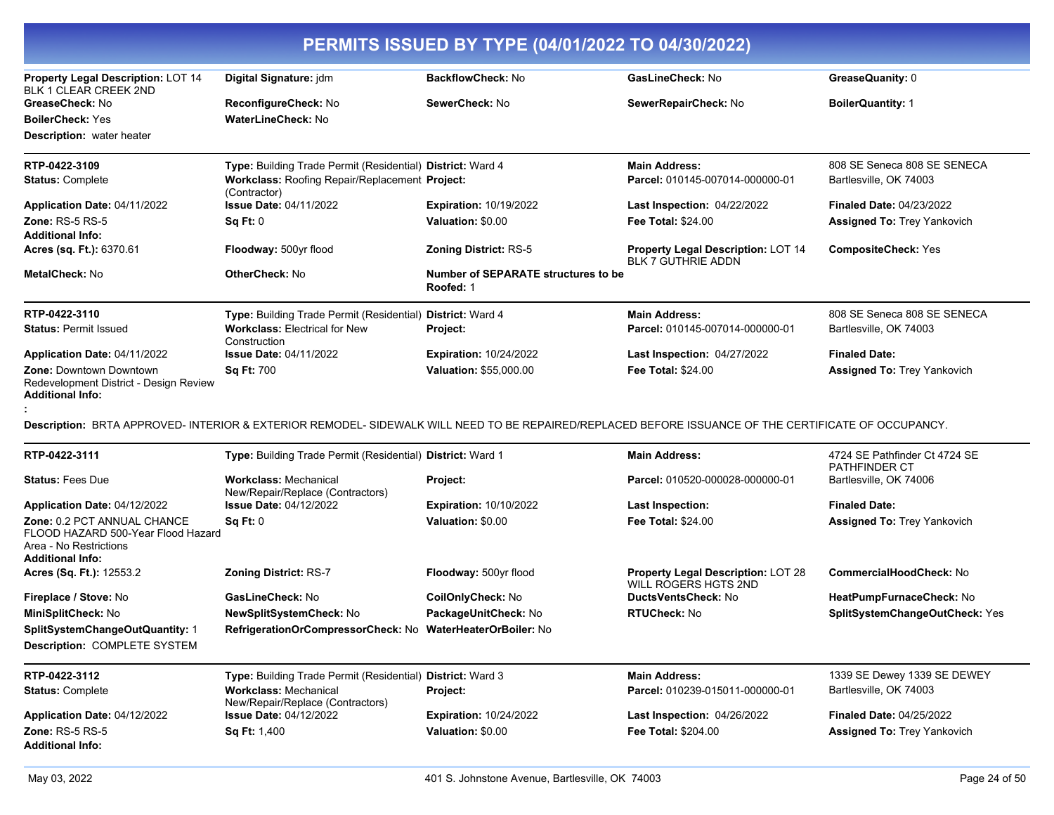| PERMITS ISSUED BY TYPE (04/01/2022 TO 04/30/2022)                                                                             |                                                                                                                                                      |                                                         |                                                                 |                                                       |
|-------------------------------------------------------------------------------------------------------------------------------|------------------------------------------------------------------------------------------------------------------------------------------------------|---------------------------------------------------------|-----------------------------------------------------------------|-------------------------------------------------------|
| Property Legal Description: LOT 14<br>BLK 1 CLEAR CREEK 2ND                                                                   | Digital Signature: jdm                                                                                                                               | <b>BackflowCheck: No</b>                                | GasLineCheck: No                                                | GreaseQuanity: 0                                      |
| GreaseCheck: No                                                                                                               | ReconfigureCheck: No                                                                                                                                 | SewerCheck: No                                          | SewerRepairCheck: No                                            | <b>BoilerQuantity: 1</b>                              |
| <b>BoilerCheck: Yes</b>                                                                                                       | WaterLineCheck: No                                                                                                                                   |                                                         |                                                                 |                                                       |
| <b>Description:</b> water heater                                                                                              |                                                                                                                                                      |                                                         |                                                                 |                                                       |
| RTP-0422-3109                                                                                                                 | Type: Building Trade Permit (Residential) District: Ward 4                                                                                           |                                                         | <b>Main Address:</b>                                            | 808 SE Seneca 808 SE SENECA                           |
| <b>Status: Complete</b>                                                                                                       | Workclass: Roofing Repair/Replacement Project:<br>(Contractor)                                                                                       |                                                         | Parcel: 010145-007014-000000-01                                 | Bartlesville, OK 74003                                |
| Application Date: 04/11/2022                                                                                                  | <b>Issue Date: 04/11/2022</b>                                                                                                                        | <b>Expiration: 10/19/2022</b>                           | Last Inspection: 04/22/2022                                     | <b>Finaled Date: 04/23/2022</b>                       |
| Zone: $RS-5RS-5$<br><b>Additional Info:</b>                                                                                   | Sq Ft: 0                                                                                                                                             | Valuation: \$0.00                                       | <b>Fee Total: \$24.00</b>                                       | <b>Assigned To: Trey Yankovich</b>                    |
| Acres (sq. Ft.): 6370.61                                                                                                      | Floodway: 500yr flood                                                                                                                                | Zoning District: RS-5                                   | Property Legal Description: LOT 14<br><b>BLK 7 GUTHRIE ADDN</b> | <b>CompositeCheck: Yes</b>                            |
| MetalCheck: No                                                                                                                | <b>OtherCheck: No</b>                                                                                                                                | <b>Number of SEPARATE structures to be</b><br>Roofed: 1 |                                                                 |                                                       |
| RTP-0422-3110                                                                                                                 | Type: Building Trade Permit (Residential) District: Ward 4                                                                                           |                                                         | <b>Main Address:</b>                                            | 808 SE Seneca 808 SE SENECA                           |
| <b>Status: Permit Issued</b>                                                                                                  | <b>Workclass: Electrical for New</b><br>Construction                                                                                                 | Project:                                                | Parcel: 010145-007014-000000-01                                 | Bartlesville, OK 74003                                |
| Application Date: 04/11/2022                                                                                                  | <b>Issue Date: 04/11/2022</b>                                                                                                                        | <b>Expiration: 10/24/2022</b>                           | <b>Last Inspection: 04/27/2022</b>                              | <b>Finaled Date:</b>                                  |
| <b>Zone: Downtown Downtown</b><br>Redevelopment District - Design Review<br><b>Additional Info:</b>                           | <b>Sq Ft: 700</b>                                                                                                                                    | Valuation: \$55,000.00                                  | Fee Total: \$24.00                                              | <b>Assigned To: Trey Yankovich</b>                    |
|                                                                                                                               | Description: BRTA APPROVED- INTERIOR & EXTERIOR REMODEL- SIDEWALK WILL NEED TO BE REPAIRED/REPLACED BEFORE ISSUANCE OF THE CERTIFICATE OF OCCUPANCY. |                                                         |                                                                 |                                                       |
| RTP-0422-3111                                                                                                                 | Type: Building Trade Permit (Residential) District: Ward 1                                                                                           |                                                         | <b>Main Address:</b>                                            | 4724 SE Pathfinder Ct 4724 SE<br><b>PATHFINDER CT</b> |
| <b>Status: Fees Due</b>                                                                                                       | <b>Workclass: Mechanical</b><br>New/Repair/Replace (Contractors)                                                                                     | Project:                                                | Parcel: 010520-000028-000000-01                                 | Bartlesville, OK 74006                                |
| Application Date: 04/12/2022                                                                                                  | <b>Issue Date: 04/12/2022</b>                                                                                                                        | <b>Expiration: 10/10/2022</b>                           | <b>Last Inspection:</b>                                         | <b>Finaled Date:</b>                                  |
| <b>Zone: 0.2 PCT ANNUAL CHANCE</b><br>FLOOD HAZARD 500-Year Flood Hazard<br>Area - No Restrictions<br><b>Additional Info:</b> | Sq Ft: 0                                                                                                                                             | Valuation: \$0.00                                       | <b>Fee Total: \$24.00</b>                                       | <b>Assigned To: Trey Yankovich</b>                    |
| Acres (Sq. Ft.): 12553.2                                                                                                      | <b>Zoning District: RS-7</b>                                                                                                                         | Floodway: 500yr flood                                   | Property Legal Description: LOT 28<br>WILL ROGERS HGTS 2ND      | CommercialHoodCheck: No                               |
| Fireplace / Stove: No                                                                                                         | GasLineCheck: No                                                                                                                                     | CoilOnlyCheck: No                                       | DuctsVentsCheck: No                                             | HeatPumpFurnaceCheck: No                              |
| MiniSplitCheck: No                                                                                                            | NewSplitSystemCheck: No                                                                                                                              | PackageUnitCheck: No                                    | <b>RTUCheck: No</b>                                             | SplitSystemChangeOutCheck: Yes                        |
| SplitSystemChangeOutQuantity: 1<br>Description: COMPLETE SYSTEM                                                               | RefrigerationOrCompressorCheck: No WaterHeaterOrBoiler: No                                                                                           |                                                         |                                                                 |                                                       |
| RTP-0422-3112                                                                                                                 | Type: Building Trade Permit (Residential) District: Ward 3                                                                                           |                                                         | <b>Main Address:</b>                                            | 1339 SE Dewey 1339 SE DEWEY                           |
| <b>Status: Complete</b>                                                                                                       | <b>Workclass: Mechanical</b><br>New/Repair/Replace (Contractors)                                                                                     | Project:                                                | Parcel: 010239-015011-000000-01                                 | Bartlesville, OK 74003                                |
| Application Date: 04/12/2022                                                                                                  | <b>Issue Date: 04/12/2022</b>                                                                                                                        | <b>Expiration: 10/24/2022</b>                           | Last Inspection: 04/26/2022                                     | <b>Finaled Date: 04/25/2022</b>                       |
| <b>Zone: RS-5 RS-5</b><br><b>Additional Info:</b>                                                                             | Sq Ft: 1,400                                                                                                                                         | Valuation: \$0.00                                       | Fee Total: \$204.00                                             | <b>Assigned To: Trey Yankovich</b>                    |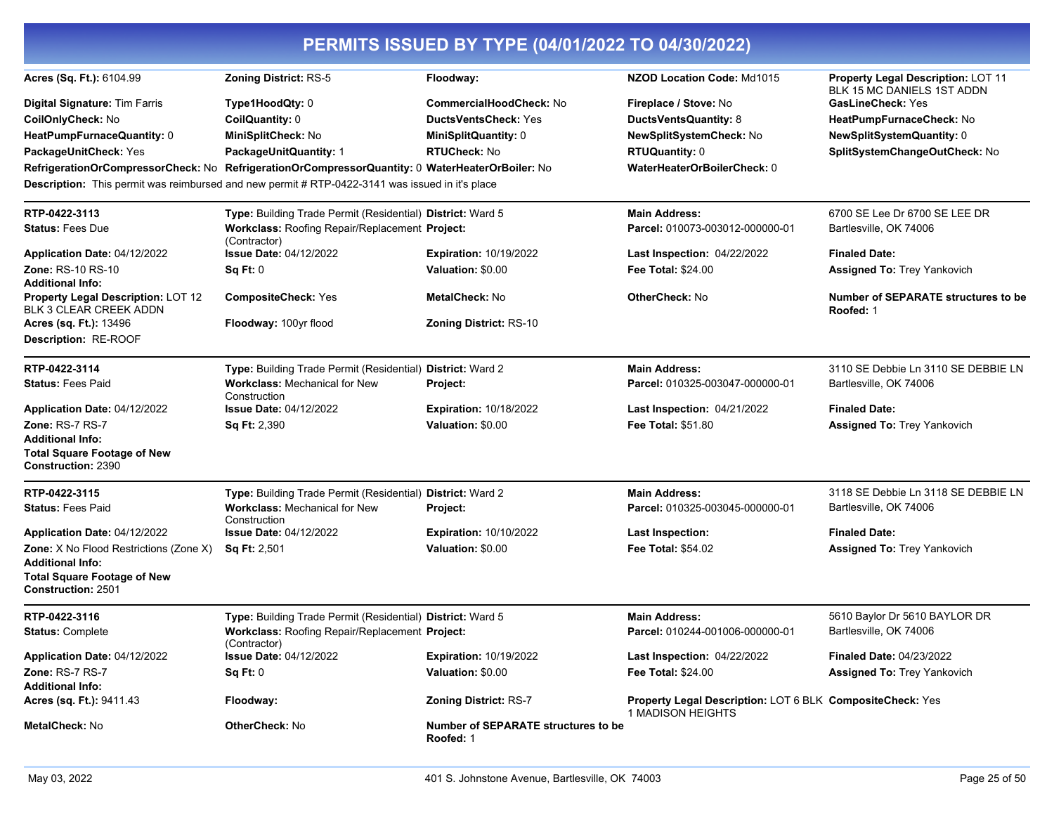| PERMITS ISSUED BY TYPE (04/01/2022 TO 04/30/2022)                                          |                                                                                                                                                                                                    |                                                         |                                                                                |                                                                  |
|--------------------------------------------------------------------------------------------|----------------------------------------------------------------------------------------------------------------------------------------------------------------------------------------------------|---------------------------------------------------------|--------------------------------------------------------------------------------|------------------------------------------------------------------|
| Acres (Sq. Ft.): 6104.99                                                                   | Zoning District: RS-5                                                                                                                                                                              | Floodway:                                               | NZOD Location Code: Md1015                                                     | Property Legal Description: LOT 11<br>BLK 15 MC DANIELS 1ST ADDN |
| Digital Signature: Tim Farris                                                              | Type1HoodQty: 0                                                                                                                                                                                    | <b>CommercialHoodCheck: No</b>                          | Fireplace / Stove: No                                                          | <b>GasLineCheck: Yes</b>                                         |
| CoilOnlyCheck: No                                                                          | CoilQuantity: 0                                                                                                                                                                                    | <b>DuctsVentsCheck: Yes</b>                             | DuctsVentsQuantity: 8                                                          | HeatPumpFurnaceCheck: No                                         |
| HeatPumpFurnaceQuantity: 0                                                                 | MiniSplitCheck: No                                                                                                                                                                                 | MiniSplitQuantity: 0                                    | NewSplitSystemCheck: No                                                        | NewSplitSystemQuantity: 0                                        |
| PackageUnitCheck: Yes                                                                      | PackageUnitQuantity: 1                                                                                                                                                                             | <b>RTUCheck: No</b>                                     | <b>RTUQuantity: 0</b>                                                          | SplitSystemChangeOutCheck: No                                    |
|                                                                                            | RefrigerationOrCompressorCheck: No RefrigerationOrCompressorQuantity: 0 WaterHeaterOrBoiler: No<br>Description: This permit was reimbursed and new permit # RTP-0422-3141 was issued in it's place |                                                         | WaterHeaterOrBoilerCheck: 0                                                    |                                                                  |
| RTP-0422-3113                                                                              | Type: Building Trade Permit (Residential) District: Ward 5                                                                                                                                         |                                                         | <b>Main Address:</b>                                                           | 6700 SE Lee Dr 6700 SE LEE DR                                    |
| <b>Status: Fees Due</b>                                                                    | Workclass: Roofing Repair/Replacement Project:<br>(Contractor)                                                                                                                                     |                                                         | Parcel: 010073-003012-000000-01                                                | Bartlesville, OK 74006                                           |
| Application Date: 04/12/2022                                                               | <b>Issue Date: 04/12/2022</b>                                                                                                                                                                      | <b>Expiration: 10/19/2022</b>                           | <b>Last Inspection: 04/22/2022</b>                                             | <b>Finaled Date:</b>                                             |
| <b>Zone: RS-10 RS-10</b><br><b>Additional Info:</b>                                        | Sq Ft: 0                                                                                                                                                                                           | Valuation: \$0.00                                       | <b>Fee Total: \$24.00</b>                                                      | <b>Assigned To: Trey Yankovich</b>                               |
| Property Legal Description: LOT 12<br>BLK 3 CLEAR CREEK ADDN                               | <b>CompositeCheck: Yes</b>                                                                                                                                                                         | <b>MetalCheck: No</b>                                   | <b>OtherCheck: No</b>                                                          | <b>Number of SEPARATE structures to be</b><br>Roofed: 1          |
| Acres (sq. Ft.): 13496                                                                     | Floodway: 100yr flood                                                                                                                                                                              | Zoning District: RS-10                                  |                                                                                |                                                                  |
| Description: RE-ROOF                                                                       |                                                                                                                                                                                                    |                                                         |                                                                                |                                                                  |
| RTP-0422-3114                                                                              | Type: Building Trade Permit (Residential) District: Ward 2                                                                                                                                         |                                                         | <b>Main Address:</b>                                                           | 3110 SE Debbie Ln 3110 SE DEBBIE LN                              |
| <b>Status: Fees Paid</b>                                                                   | Workclass: Mechanical for New<br>Construction                                                                                                                                                      | Project:                                                | Parcel: 010325-003047-000000-01                                                | Bartlesville, OK 74006                                           |
| Application Date: 04/12/2022                                                               | <b>Issue Date: 04/12/2022</b>                                                                                                                                                                      | <b>Expiration: 10/18/2022</b>                           | Last Inspection: 04/21/2022                                                    | <b>Finaled Date:</b>                                             |
| <b>Zone: RS-7 RS-7</b>                                                                     | Sq Ft: 2,390                                                                                                                                                                                       | Valuation: \$0.00                                       | <b>Fee Total: \$51.80</b>                                                      | <b>Assigned To: Trey Yankovich</b>                               |
| <b>Additional Info:</b><br><b>Total Square Footage of New</b><br><b>Construction: 2390</b> |                                                                                                                                                                                                    |                                                         |                                                                                |                                                                  |
|                                                                                            |                                                                                                                                                                                                    |                                                         |                                                                                |                                                                  |
| RTP-0422-3115                                                                              | Type: Building Trade Permit (Residential) District: Ward 2                                                                                                                                         |                                                         | <b>Main Address:</b>                                                           | 3118 SE Debbie Ln 3118 SE DEBBIE LN                              |
| <b>Status: Fees Paid</b>                                                                   | <b>Workclass: Mechanical for New</b><br>Construction                                                                                                                                               | Project:                                                | Parcel: 010325-003045-000000-01                                                | Bartlesville, OK 74006                                           |
| Application Date: 04/12/2022                                                               | <b>Issue Date: 04/12/2022</b>                                                                                                                                                                      | <b>Expiration: 10/10/2022</b>                           | Last Inspection:                                                               | <b>Finaled Date:</b>                                             |
| Zone: X No Flood Restrictions (Zone X)<br><b>Additional Info:</b>                          | <b>Sq Ft: 2,501</b>                                                                                                                                                                                | Valuation: \$0.00                                       | <b>Fee Total: \$54.02</b>                                                      | <b>Assigned To: Trey Yankovich</b>                               |
| <b>Total Square Footage of New</b><br><b>Construction: 2501</b>                            |                                                                                                                                                                                                    |                                                         |                                                                                |                                                                  |
| RTP-0422-3116                                                                              | Type: Building Trade Permit (Residential) District: Ward 5                                                                                                                                         |                                                         | <b>Main Address:</b>                                                           | 5610 Baylor Dr 5610 BAYLOR DR                                    |
| <b>Status: Complete</b>                                                                    | Workclass: Roofing Repair/Replacement Project:<br>(Contractor)                                                                                                                                     |                                                         | Parcel: 010244-001006-000000-01                                                | Bartlesville, OK 74006                                           |
| Application Date: 04/12/2022                                                               | <b>Issue Date: 04/12/2022</b>                                                                                                                                                                      | <b>Expiration: 10/19/2022</b>                           | <b>Last Inspection: 04/22/2022</b>                                             | <b>Finaled Date: 04/23/2022</b>                                  |
| Zone: RS-7 RS-7<br><b>Additional Info:</b>                                                 | Sq Ft: 0                                                                                                                                                                                           | Valuation: \$0.00                                       | <b>Fee Total: \$24.00</b>                                                      | <b>Assigned To: Trey Yankovich</b>                               |
| Acres (sq. Ft.): 9411.43                                                                   | Floodway:                                                                                                                                                                                          | <b>Zoning District: RS-7</b>                            | Property Legal Description: LOT 6 BLK CompositeCheck: Yes<br>1 MADISON HEIGHTS |                                                                  |
| <b>MetalCheck: No</b>                                                                      | <b>OtherCheck: No</b>                                                                                                                                                                              | <b>Number of SEPARATE structures to be</b><br>Roofed: 1 |                                                                                |                                                                  |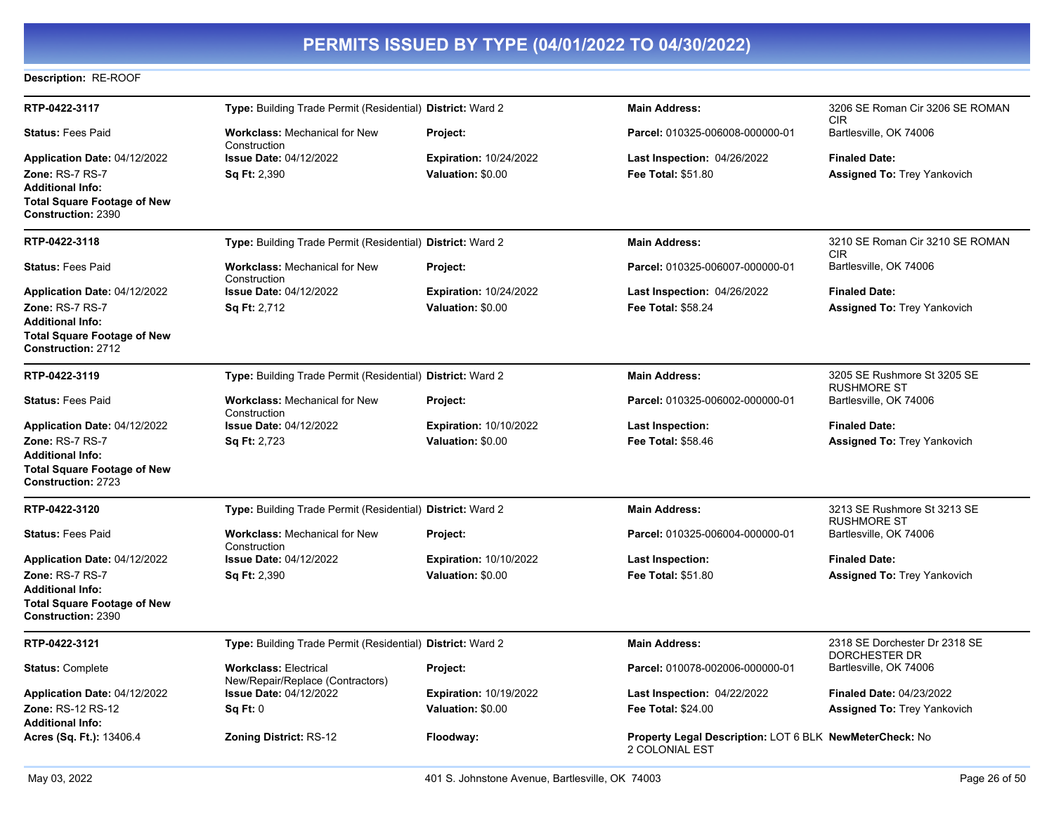### **Description:** RE-ROOF

| RTP-0422-3117                                                   | Type: Building Trade Permit (Residential) District: Ward 2       |                               | <b>Main Address:</b>                                                             | 3206 SE Roman Cir 3206 SE ROMAN<br><b>CIR</b>         |
|-----------------------------------------------------------------|------------------------------------------------------------------|-------------------------------|----------------------------------------------------------------------------------|-------------------------------------------------------|
| <b>Status: Fees Paid</b>                                        | <b>Workclass: Mechanical for New</b><br>Construction             | <b>Project:</b>               | Parcel: 010325-006008-000000-01                                                  | Bartlesville, OK 74006                                |
| Application Date: 04/12/2022                                    | <b>Issue Date: 04/12/2022</b>                                    | <b>Expiration: 10/24/2022</b> | Last Inspection: 04/26/2022                                                      | <b>Finaled Date:</b>                                  |
| <b>Zone: RS-7 RS-7</b>                                          | <b>Sq Ft: 2,390</b>                                              | Valuation: \$0.00             | <b>Fee Total: \$51.80</b>                                                        | Assigned To: Trey Yankovich                           |
| <b>Additional Info:</b>                                         |                                                                  |                               |                                                                                  |                                                       |
| <b>Total Square Footage of New</b>                              |                                                                  |                               |                                                                                  |                                                       |
| Construction: 2390                                              |                                                                  |                               |                                                                                  |                                                       |
| RTP-0422-3118                                                   | Type: Building Trade Permit (Residential) District: Ward 2       |                               | <b>Main Address:</b>                                                             | 3210 SE Roman Cir 3210 SE ROMAN<br><b>CIR</b>         |
| <b>Status: Fees Paid</b>                                        | <b>Workclass: Mechanical for New</b><br>Construction             | Project:                      | Parcel: 010325-006007-000000-01                                                  | Bartlesville, OK 74006                                |
| Application Date: 04/12/2022                                    | <b>Issue Date: 04/12/2022</b>                                    | <b>Expiration: 10/24/2022</b> | <b>Last Inspection: 04/26/2022</b>                                               | <b>Finaled Date:</b>                                  |
| Zone: RS-7 RS-7                                                 | <b>Sq Ft: 2,712</b>                                              | Valuation: \$0.00             | <b>Fee Total: \$58.24</b>                                                        | <b>Assigned To: Trey Yankovich</b>                    |
| <b>Additional Info:</b>                                         |                                                                  |                               |                                                                                  |                                                       |
| <b>Total Square Footage of New</b><br>Construction: 2712        |                                                                  |                               |                                                                                  |                                                       |
| RTP-0422-3119                                                   | Type: Building Trade Permit (Residential) District: Ward 2       |                               | <b>Main Address:</b>                                                             | 3205 SE Rushmore St 3205 SE<br><b>RUSHMORE ST</b>     |
| <b>Status: Fees Paid</b>                                        | <b>Workclass: Mechanical for New</b><br>Construction             | Project:                      | Parcel: 010325-006002-000000-01                                                  | Bartlesville, OK 74006                                |
| Application Date: 04/12/2022                                    | <b>Issue Date: 04/12/2022</b>                                    | <b>Expiration: 10/10/2022</b> | <b>Last Inspection:</b>                                                          | <b>Finaled Date:</b>                                  |
| <b>Zone: RS-7 RS-7</b>                                          | <b>Sq Ft: 2,723</b>                                              | Valuation: \$0.00             | <b>Fee Total: \$58.46</b>                                                        | <b>Assigned To: Trey Yankovich</b>                    |
| <b>Additional Info:</b>                                         |                                                                  |                               |                                                                                  |                                                       |
| <b>Total Square Footage of New</b><br><b>Construction: 2723</b> |                                                                  |                               |                                                                                  |                                                       |
| RTP-0422-3120                                                   | Type: Building Trade Permit (Residential) District: Ward 2       |                               | <b>Main Address:</b>                                                             | 3213 SE Rushmore St 3213 SE<br><b>RUSHMORE ST</b>     |
| <b>Status: Fees Paid</b>                                        | <b>Workclass: Mechanical for New</b><br>Construction             | Project:                      | Parcel: 010325-006004-000000-01                                                  | Bartlesville, OK 74006                                |
| Application Date: 04/12/2022                                    | <b>Issue Date: 04/12/2022</b>                                    | <b>Expiration: 10/10/2022</b> | Last Inspection:                                                                 | <b>Finaled Date:</b>                                  |
| Zone: RS-7 RS-7                                                 | <b>Sq Ft: 2,390</b>                                              | Valuation: \$0.00             | <b>Fee Total: \$51.80</b>                                                        | <b>Assigned To: Trey Yankovich</b>                    |
| <b>Additional Info:</b>                                         |                                                                  |                               |                                                                                  |                                                       |
| <b>Total Square Footage of New</b><br>Construction: 2390        |                                                                  |                               |                                                                                  |                                                       |
| RTP-0422-3121                                                   | Type: Building Trade Permit (Residential) District: Ward 2       |                               | <b>Main Address:</b>                                                             | 2318 SE Dorchester Dr 2318 SE<br><b>DORCHESTER DR</b> |
| <b>Status: Complete</b>                                         | <b>Workclass: Electrical</b><br>New/Repair/Replace (Contractors) | Project:                      | Parcel: 010078-002006-000000-01                                                  | Bartlesville, OK 74006                                |
| Application Date: 04/12/2022                                    | <b>Issue Date: 04/12/2022</b>                                    | <b>Expiration: 10/19/2022</b> | <b>Last Inspection: 04/22/2022</b>                                               | <b>Finaled Date: 04/23/2022</b>                       |
| Zone: RS-12 RS-12<br><b>Additional Info:</b>                    | Sq Ft: 0                                                         | Valuation: \$0.00             | Fee Total: \$24.00                                                               | <b>Assigned To: Trey Yankovich</b>                    |
| Acres (Sq. Ft.): 13406.4                                        | <b>Zoning District: RS-12</b>                                    | Floodway:                     | <b>Property Legal Description: LOT 6 BLK NewMeterCheck: No</b><br>2 COLONIAL EST |                                                       |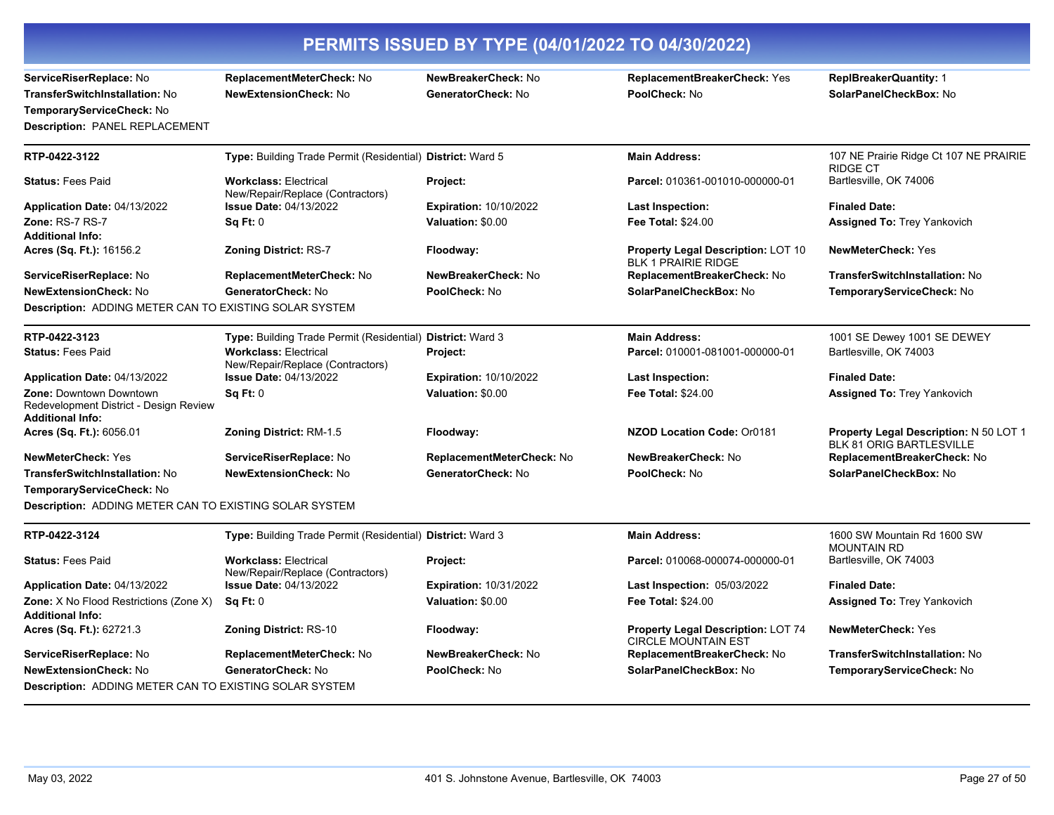|                                                                                                                          | PERMITS ISSUED BY TYPE (04/01/2022 TO 04/30/2022)                |                                           |                                                                         |                                                                           |
|--------------------------------------------------------------------------------------------------------------------------|------------------------------------------------------------------|-------------------------------------------|-------------------------------------------------------------------------|---------------------------------------------------------------------------|
| ServiceRiserReplace: No<br>TransferSwitchInstallation: No<br>TemporaryServiceCheck: No<br>Description: PANEL REPLACEMENT | ReplacementMeterCheck: No<br><b>NewExtensionCheck: No</b>        | NewBreakerCheck: No<br>GeneratorCheck: No | ReplacementBreakerCheck: Yes<br>PoolCheck: No                           | <b>ReplBreakerQuantity: 1</b><br>SolarPanelCheckBox: No                   |
| RTP-0422-3122                                                                                                            | Type: Building Trade Permit (Residential) District: Ward 5       |                                           | <b>Main Address:</b>                                                    | 107 NE Prairie Ridge Ct 107 NE PRAIRIE<br><b>RIDGE CT</b>                 |
| <b>Status: Fees Paid</b>                                                                                                 | <b>Workclass: Electrical</b><br>New/Repair/Replace (Contractors) | Project:                                  | Parcel: 010361-001010-000000-01                                         | Bartlesville, OK 74006                                                    |
| Application Date: 04/13/2022                                                                                             | <b>Issue Date: 04/13/2022</b>                                    | <b>Expiration: 10/10/2022</b>             | <b>Last Inspection:</b>                                                 | <b>Finaled Date:</b>                                                      |
| <b>Zone: RS-7 RS-7</b><br><b>Additional Info:</b>                                                                        | Sq Ft: 0                                                         | Valuation: \$0.00                         | Fee Total: \$24.00                                                      | <b>Assigned To: Trey Yankovich</b>                                        |
| <b>Acres (Sq. Ft.):</b> 16156.2                                                                                          | <b>Zoning District: RS-7</b>                                     | Floodway:                                 | <b>Property Legal Description: LOT 10</b><br><b>BLK 1 PRAIRIE RIDGE</b> | <b>NewMeterCheck: Yes</b>                                                 |
| <b>ServiceRiserReplace:</b> No                                                                                           | <b>ReplacementMeterCheck: No</b>                                 | NewBreakerCheck: No                       | ReplacementBreakerCheck: No                                             | TransferSwitchInstallation: No                                            |
| NewExtensionCheck: No<br>Description: ADDING METER CAN TO EXISTING SOLAR SYSTEM                                          | GeneratorCheck: No                                               | PoolCheck: No                             | SolarPanelCheckBox: No                                                  | TemporaryServiceCheck: No                                                 |
| RTP-0422-3123                                                                                                            | Type: Building Trade Permit (Residential) District: Ward 3       |                                           | <b>Main Address:</b>                                                    | 1001 SE Dewey 1001 SE DEWEY                                               |
| <b>Status: Fees Paid</b>                                                                                                 | <b>Workclass: Electrical</b><br>New/Repair/Replace (Contractors) | Project:                                  | Parcel: 010001-081001-000000-01                                         | Bartlesville, OK 74003                                                    |
| Application Date: 04/13/2022                                                                                             | <b>Issue Date: 04/13/2022</b>                                    | <b>Expiration: 10/10/2022</b>             | <b>Last Inspection:</b>                                                 | <b>Finaled Date:</b>                                                      |
| <b>Zone: Downtown Downtown</b><br>Redevelopment District - Design Review<br>Additional Info:                             | <b>Sq Ft: 0</b>                                                  | Valuation: \$0.00                         | <b>Fee Total: \$24.00</b>                                               | <b>Assigned To: Trey Yankovich</b>                                        |
| <b>Acres (Sq. Ft.):</b> 6056.01                                                                                          | <b>Zoning District: RM-1.5</b>                                   | Floodway:                                 | NZOD Location Code: Or0181                                              | Property Legal Description: N 50 LOT 1<br><b>BLK 81 ORIG BARTLESVILLE</b> |
| NewMeterCheck: Yes                                                                                                       | ServiceRiserReplace: No                                          | ReplacementMeterCheck: No                 | NewBreakerCheck: No                                                     | ReplacementBreakerCheck: No                                               |
| TransferSwitchInstallation: No<br>TemporaryServiceCheck: No                                                              | <b>NewExtensionCheck: No</b>                                     | GeneratorCheck: No                        | PoolCheck: No                                                           | SolarPanelCheckBox: No                                                    |
| Description: ADDING METER CAN TO EXISTING SOLAR SYSTEM                                                                   |                                                                  |                                           |                                                                         |                                                                           |
| RTP-0422-3124                                                                                                            | Type: Building Trade Permit (Residential) District: Ward 3       |                                           | <b>Main Address:</b>                                                    | 1600 SW Mountain Rd 1600 SW<br><b>MOUNTAIN RD</b>                         |
| <b>Status: Fees Paid</b>                                                                                                 | <b>Workclass: Electrical</b><br>New/Repair/Replace (Contractors) | Project:                                  | Parcel: 010068-000074-000000-01                                         | Bartlesville, OK 74003                                                    |
| Application Date: 04/13/2022                                                                                             | <b>Issue Date: 04/13/2022</b>                                    | Expiration: 10/31/2022                    | <b>Last Inspection: 05/03/2022</b>                                      | <b>Finaled Date:</b>                                                      |
| Zone: X No Flood Restrictions (Zone X)<br><b>Additional Info:</b>                                                        | Sq Ft: 0                                                         | Valuation: \$0.00                         | Fee Total: \$24.00                                                      | <b>Assigned To: Trey Yankovich</b>                                        |
| Acres (Sq. Ft.): 62721.3                                                                                                 | <b>Zoning District: RS-10</b>                                    | Floodway:                                 | <b>Property Legal Description: LOT 74</b><br><b>CIRCLE MOUNTAIN EST</b> | <b>NewMeterCheck: Yes</b>                                                 |
| ServiceRiserReplace: No                                                                                                  | ReplacementMeterCheck: No                                        | NewBreakerCheck: No                       | ReplacementBreakerCheck: No                                             | <b>TransferSwitchInstallation: No</b>                                     |
| NewExtensionCheck: No                                                                                                    | GeneratorCheck: No                                               | PoolCheck: No                             | SolarPanelCheckBox: No                                                  | TemporaryServiceCheck: No                                                 |
| Description: ADDING METER CAN TO EXISTING SOLAR SYSTEM                                                                   |                                                                  |                                           |                                                                         |                                                                           |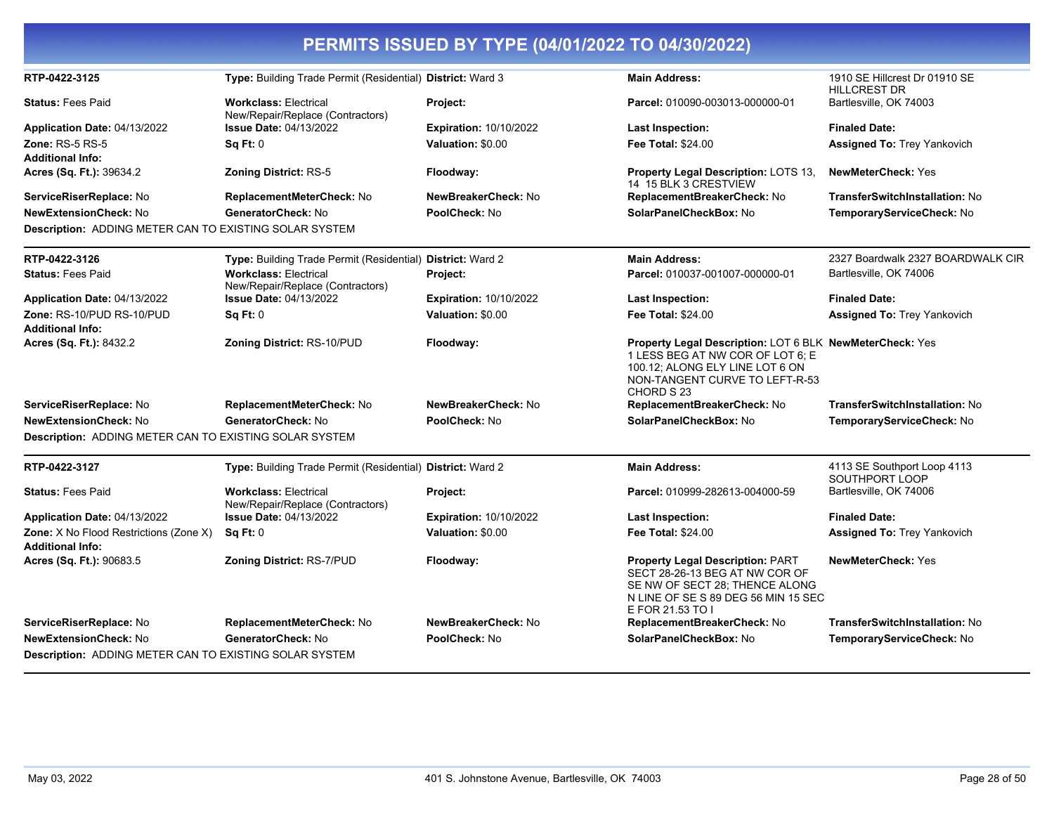| PERMITS ISSUED BY TYPE (04/01/2022 TO 04/30/2022)                 |                                                                  |                               |                                                                                                                                                                                        |                                                      |
|-------------------------------------------------------------------|------------------------------------------------------------------|-------------------------------|----------------------------------------------------------------------------------------------------------------------------------------------------------------------------------------|------------------------------------------------------|
| RTP-0422-3125                                                     | Type: Building Trade Permit (Residential) District: Ward 3       |                               | <b>Main Address:</b>                                                                                                                                                                   | 1910 SE Hillcrest Dr 01910 SE<br><b>HILLCREST DR</b> |
| <b>Status: Fees Paid</b>                                          | <b>Workclass: Electrical</b><br>New/Repair/Replace (Contractors) | Project:                      | Parcel: 010090-003013-000000-01                                                                                                                                                        | Bartlesville, OK 74003                               |
| Application Date: 04/13/2022                                      | <b>Issue Date: 04/13/2022</b>                                    | <b>Expiration: 10/10/2022</b> | Last Inspection:                                                                                                                                                                       | <b>Finaled Date:</b>                                 |
| <b>Zone: RS-5 RS-5</b><br><b>Additional Info:</b>                 | SqFt:0                                                           | Valuation: \$0.00             | <b>Fee Total: \$24.00</b>                                                                                                                                                              | <b>Assigned To: Trey Yankovich</b>                   |
| Acres (Sq. Ft.): 39634.2                                          | <b>Zoning District: RS-5</b>                                     | Floodway:                     | <b>Property Legal Description: LOTS 13,</b><br>14 15 BLK 3 CRESTVIEW                                                                                                                   | <b>NewMeterCheck: Yes</b>                            |
| ServiceRiserReplace: No                                           | ReplacementMeterCheck: No                                        | NewBreakerCheck: No           | ReplacementBreakerCheck: No                                                                                                                                                            | TransferSwitchInstallation: No                       |
| <b>NewExtensionCheck: No</b>                                      | GeneratorCheck: No                                               | PoolCheck: No                 | SolarPanelCheckBox: No                                                                                                                                                                 | TemporaryServiceCheck: No                            |
| Description: ADDING METER CAN TO EXISTING SOLAR SYSTEM            |                                                                  |                               |                                                                                                                                                                                        |                                                      |
| RTP-0422-3126                                                     | Type: Building Trade Permit (Residential) District: Ward 2       |                               | <b>Main Address:</b>                                                                                                                                                                   | 2327 Boardwalk 2327 BOARDWALK CIR                    |
| <b>Status: Fees Paid</b>                                          | <b>Workclass: Electrical</b><br>New/Repair/Replace (Contractors) | Project:                      | Parcel: 010037-001007-000000-01                                                                                                                                                        | Bartlesville, OK 74006                               |
| Application Date: 04/13/2022                                      | <b>Issue Date: 04/13/2022</b>                                    | <b>Expiration: 10/10/2022</b> | Last Inspection:                                                                                                                                                                       | <b>Finaled Date:</b>                                 |
| Zone: RS-10/PUD RS-10/PUD<br><b>Additional Info:</b>              | Sq Ft: 0                                                         | Valuation: \$0.00             | <b>Fee Total: \$24.00</b>                                                                                                                                                              | <b>Assigned To: Trey Yankovich</b>                   |
| Acres (Sq. Ft.): 8432.2                                           | <b>Zoning District: RS-10/PUD</b>                                | Floodway:                     | <b>Property Legal Description: LOT 6 BLK NewMeterCheck: Yes</b><br>1 LESS BEG AT NW COR OF LOT 6; E<br>100.12; ALONG ELY LINE LOT 6 ON<br>NON-TANGENT CURVE TO LEFT-R-53<br>CHORD S 23 |                                                      |
| ServiceRiserReplace: No                                           | ReplacementMeterCheck: No                                        | NewBreakerCheck: No           | ReplacementBreakerCheck: No                                                                                                                                                            | TransferSwitchInstallation: No                       |
| <b>NewExtensionCheck: No</b>                                      | GeneratorCheck: No                                               | PoolCheck: No                 | SolarPanelCheckBox: No                                                                                                                                                                 | TemporaryServiceCheck: No                            |
| Description: ADDING METER CAN TO EXISTING SOLAR SYSTEM            |                                                                  |                               |                                                                                                                                                                                        |                                                      |
| RTP-0422-3127                                                     | Type: Building Trade Permit (Residential) District: Ward 2       |                               | <b>Main Address:</b>                                                                                                                                                                   | 4113 SE Southport Loop 4113<br>SOUTHPORT LOOP        |
| <b>Status: Fees Paid</b>                                          | <b>Workclass: Electrical</b><br>New/Repair/Replace (Contractors) | Project:                      | Parcel: 010999-282613-004000-59                                                                                                                                                        | Bartlesville, OK 74006                               |
| Application Date: 04/13/2022                                      | <b>Issue Date: 04/13/2022</b>                                    | <b>Expiration: 10/10/2022</b> | <b>Last Inspection:</b>                                                                                                                                                                | <b>Finaled Date:</b>                                 |
| Zone: X No Flood Restrictions (Zone X)<br><b>Additional Info:</b> | <b>Sq Ft: 0</b>                                                  | Valuation: \$0.00             | <b>Fee Total: \$24.00</b>                                                                                                                                                              | Assigned To: Trey Yankovich                          |
| Acres (Sq. Ft.): 90683.5                                          | <b>Zoning District: RS-7/PUD</b>                                 | Floodway:                     | <b>Property Legal Description: PART</b><br>SECT 28-26-13 BEG AT NW COR OF<br>SE NW OF SECT 28; THENCE ALONG<br>N LINE OF SE S 89 DEG 56 MIN 15 SEC<br>E FOR 21.53 TO I                 | <b>NewMeterCheck: Yes</b>                            |
| ServiceRiserReplace: No                                           | ReplacementMeterCheck: No                                        | NewBreakerCheck: No           | ReplacementBreakerCheck: No                                                                                                                                                            | TransferSwitchInstallation: No                       |
| <b>NewExtensionCheck: No</b>                                      | GeneratorCheck: No                                               | PoolCheck: No                 | SolarPanelCheckBox: No                                                                                                                                                                 | TemporaryServiceCheck: No                            |
| Description: ADDING METER CAN TO EXISTING SOLAR SYSTEM            |                                                                  |                               |                                                                                                                                                                                        |                                                      |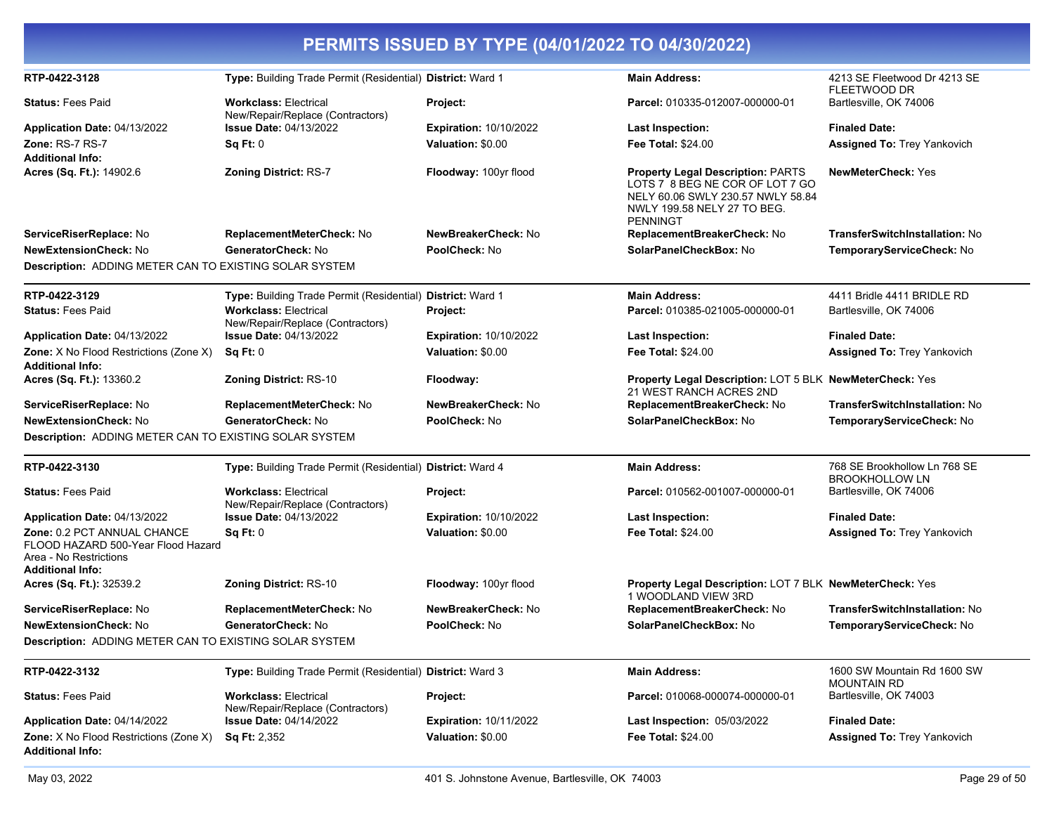| PERMITS ISSUED BY TYPE (04/01/2022 TO 04/30/2022)                                                                      |                                                                  |                               |                                                                                                                                                                    |                                                       |
|------------------------------------------------------------------------------------------------------------------------|------------------------------------------------------------------|-------------------------------|--------------------------------------------------------------------------------------------------------------------------------------------------------------------|-------------------------------------------------------|
| RTP-0422-3128                                                                                                          | Type: Building Trade Permit (Residential) District: Ward 1       |                               | <b>Main Address:</b>                                                                                                                                               | 4213 SE Fleetwood Dr 4213 SE<br><b>FLEETWOOD DR</b>   |
| <b>Status: Fees Paid</b>                                                                                               | <b>Workclass: Electrical</b><br>New/Repair/Replace (Contractors) | Project:                      | Parcel: 010335-012007-000000-01                                                                                                                                    | Bartlesville, OK 74006                                |
| Application Date: 04/13/2022                                                                                           | <b>Issue Date: 04/13/2022</b>                                    | <b>Expiration: 10/10/2022</b> | Last Inspection:                                                                                                                                                   | <b>Finaled Date:</b>                                  |
| Zone: RS-7 RS-7                                                                                                        | Sq Ft: 0                                                         | Valuation: \$0.00             | <b>Fee Total: \$24.00</b>                                                                                                                                          | Assigned To: Trey Yankovich                           |
| <b>Additional Info:</b>                                                                                                |                                                                  |                               |                                                                                                                                                                    |                                                       |
| Acres (Sq. Ft.): 14902.6                                                                                               | <b>Zoning District: RS-7</b>                                     | Floodway: 100yr flood         | <b>Property Legal Description: PARTS</b><br>LOTS 7 8 BEG NE COR OF LOT 7 GO<br>NELY 60.06 SWLY 230.57 NWLY 58.84<br>NWLY 199.58 NELY 27 TO BEG.<br><b>PENNINGT</b> | <b>NewMeterCheck: Yes</b>                             |
| ServiceRiserReplace: No                                                                                                | ReplacementMeterCheck: No                                        | NewBreakerCheck: No           | ReplacementBreakerCheck: No                                                                                                                                        | TransferSwitchInstallation: No                        |
| <b>NewExtensionCheck: No</b>                                                                                           | GeneratorCheck: No                                               | PoolCheck: No                 | SolarPanelCheckBox: No                                                                                                                                             | TemporaryServiceCheck: No                             |
| <b>Description: ADDING METER CAN TO EXISTING SOLAR SYSTEM</b>                                                          |                                                                  |                               |                                                                                                                                                                    |                                                       |
| RTP-0422-3129                                                                                                          | Type: Building Trade Permit (Residential) District: Ward 1       |                               | <b>Main Address:</b>                                                                                                                                               | 4411 Bridle 4411 BRIDLE RD                            |
| <b>Status: Fees Paid</b>                                                                                               | <b>Workclass: Electrical</b><br>New/Repair/Replace (Contractors) | Project:                      | Parcel: 010385-021005-000000-01                                                                                                                                    | Bartlesville, OK 74006                                |
| Application Date: 04/13/2022                                                                                           | <b>Issue Date: 04/13/2022</b>                                    | <b>Expiration: 10/10/2022</b> | <b>Last Inspection:</b>                                                                                                                                            | <b>Finaled Date:</b>                                  |
| <b>Zone:</b> X No Flood Restrictions (Zone X)<br><b>Additional Info:</b>                                               | Sq Ft: 0                                                         | Valuation: \$0.00             | <b>Fee Total: \$24.00</b>                                                                                                                                          | Assigned To: Trey Yankovich                           |
| Acres (Sq. Ft.): 13360.2                                                                                               | <b>Zoning District: RS-10</b>                                    | Floodway:                     | Property Legal Description: LOT 5 BLK NewMeterCheck: Yes<br>21 WEST RANCH ACRES 2ND                                                                                |                                                       |
| ServiceRiserReplace: No                                                                                                | ReplacementMeterCheck: No                                        | NewBreakerCheck: No           | ReplacementBreakerCheck: No                                                                                                                                        | TransferSwitchInstallation: No                        |
| <b>NewExtensionCheck: No</b>                                                                                           | GeneratorCheck: No                                               | PoolCheck: No                 | SolarPanelCheckBox: No                                                                                                                                             | TemporaryServiceCheck: No                             |
| Description: ADDING METER CAN TO EXISTING SOLAR SYSTEM                                                                 |                                                                  |                               |                                                                                                                                                                    |                                                       |
| RTP-0422-3130                                                                                                          | Type: Building Trade Permit (Residential) District: Ward 4       |                               | <b>Main Address:</b>                                                                                                                                               | 768 SE Brookhollow Ln 768 SE<br><b>BROOKHOLLOW LN</b> |
| <b>Status: Fees Paid</b>                                                                                               | <b>Workclass: Electrical</b><br>New/Repair/Replace (Contractors) | Project:                      | Parcel: 010562-001007-000000-01                                                                                                                                    | Bartlesville, OK 74006                                |
| Application Date: 04/13/2022                                                                                           | <b>Issue Date: 04/13/2022</b>                                    | <b>Expiration: 10/10/2022</b> | <b>Last Inspection:</b>                                                                                                                                            | <b>Finaled Date:</b>                                  |
| Zone: 0.2 PCT ANNUAL CHANCE<br>FLOOD HAZARD 500-Year Flood Hazard<br>Area - No Restrictions<br><b>Additional Info:</b> | Sq Ft: 0                                                         | Valuation: \$0.00             | <b>Fee Total: \$24.00</b>                                                                                                                                          | <b>Assigned To: Trey Yankovich</b>                    |
| Acres (Sq. Ft.): 32539.2                                                                                               | <b>Zoning District: RS-10</b>                                    | Floodway: 100yr flood         | Property Legal Description: LOT 7 BLK NewMeterCheck: Yes<br>1 WOODLAND VIEW 3RD                                                                                    |                                                       |
| ServiceRiserReplace: No                                                                                                | ReplacementMeterCheck: No                                        | NewBreakerCheck: No           | ReplacementBreakerCheck: No                                                                                                                                        | TransferSwitchInstallation: No                        |
| NewExtensionCheck: No                                                                                                  | GeneratorCheck: No                                               | PoolCheck: No                 | SolarPanelCheckBox: No                                                                                                                                             | TemporaryServiceCheck: No                             |
| <b>Description: ADDING METER CAN TO EXISTING SOLAR SYSTEM</b>                                                          |                                                                  |                               |                                                                                                                                                                    |                                                       |
| RTP-0422-3132                                                                                                          | Type: Building Trade Permit (Residential) District: Ward 3       |                               | <b>Main Address:</b>                                                                                                                                               | 1600 SW Mountain Rd 1600 SW<br><b>MOUNTAIN RD</b>     |
| <b>Status: Fees Paid</b>                                                                                               | <b>Workclass: Electrical</b><br>New/Repair/Replace (Contractors) | Project:                      | Parcel: 010068-000074-000000-01                                                                                                                                    | Bartlesville, OK 74003                                |
| Application Date: 04/14/2022                                                                                           | <b>Issue Date: 04/14/2022</b>                                    | <b>Expiration: 10/11/2022</b> | Last Inspection: 05/03/2022                                                                                                                                        | <b>Finaled Date:</b>                                  |
| Zone: X No Flood Restrictions (Zone X)<br><b>Additional Info:</b>                                                      | <b>Sq Ft: 2,352</b>                                              | Valuation: \$0.00             | Fee Total: \$24.00                                                                                                                                                 | Assigned To: Trey Yankovich                           |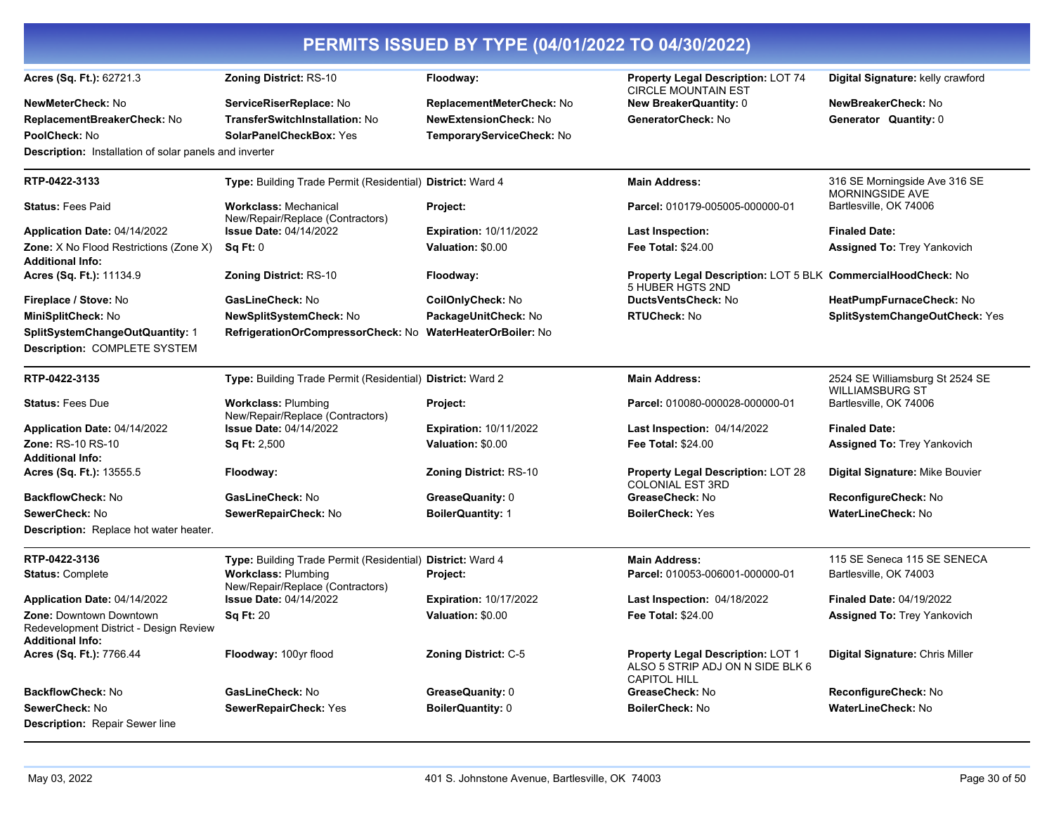| PERMITS ISSUED BY TYPE (04/01/2022 TO 04/30/2022)                                                   |                                                                  |                                |                                                                                                     |                                                           |
|-----------------------------------------------------------------------------------------------------|------------------------------------------------------------------|--------------------------------|-----------------------------------------------------------------------------------------------------|-----------------------------------------------------------|
| Acres (Sq. Ft.): 62721.3                                                                            | <b>Zoning District: RS-10</b>                                    | Floodway:                      | <b>Property Legal Description: LOT 74</b><br><b>CIRCLE MOUNTAIN EST</b>                             | Digital Signature: kelly crawford                         |
| <b>NewMeterCheck: No</b>                                                                            | ServiceRiserReplace: No                                          | ReplacementMeterCheck: No      | <b>New BreakerQuantity: 0</b>                                                                       | NewBreakerCheck: No                                       |
| ReplacementBreakerCheck: No                                                                         | <b>TransferSwitchInstallation: No</b>                            | <b>NewExtensionCheck: No</b>   | GeneratorCheck: No                                                                                  | Generator Quantity: 0                                     |
| PoolCheck: No                                                                                       | <b>SolarPanelCheckBox: Yes</b>                                   | TemporaryServiceCheck: No      |                                                                                                     |                                                           |
| <b>Description:</b> Installation of solar panels and inverter                                       |                                                                  |                                |                                                                                                     |                                                           |
| RTP-0422-3133                                                                                       | Type: Building Trade Permit (Residential) District: Ward 4       |                                | <b>Main Address:</b>                                                                                | 316 SE Morningside Ave 316 SE<br><b>MORNINGSIDE AVE</b>   |
| <b>Status: Fees Paid</b>                                                                            | <b>Workclass: Mechanical</b><br>New/Repair/Replace (Contractors) | Project:                       | Parcel: 010179-005005-000000-01                                                                     | Bartlesville, OK 74006                                    |
| Application Date: 04/14/2022                                                                        | <b>Issue Date: 04/14/2022</b>                                    | <b>Expiration: 10/11/2022</b>  | <b>Last Inspection:</b>                                                                             | <b>Finaled Date:</b>                                      |
| Zone: X No Flood Restrictions (Zone X)<br><b>Additional Info:</b>                                   | Sq Ft: 0                                                         | Valuation: \$0.00              | <b>Fee Total: \$24.00</b>                                                                           | <b>Assigned To: Trey Yankovich</b>                        |
| Acres (Sq. Ft.): 11134.9                                                                            | <b>Zoning District: RS-10</b>                                    | Floodway:                      | Property Legal Description: LOT 5 BLK CommercialHoodCheck: No<br>5 HUBER HGTS 2ND                   |                                                           |
| Fireplace / Stove: No                                                                               | GasLineCheck: No                                                 | CoilOnlyCheck: No              | DuctsVentsCheck: No                                                                                 | HeatPumpFurnaceCheck: No                                  |
| MiniSplitCheck: No                                                                                  | NewSplitSystemCheck: No                                          | PackageUnitCheck: No           | <b>RTUCheck: No</b>                                                                                 | SplitSystemChangeOutCheck: Yes                            |
| SplitSystemChangeOutQuantity: 1<br>Description: COMPLETE SYSTEM                                     | RefrigerationOrCompressorCheck: No                               | <b>WaterHeaterOrBoiler: No</b> |                                                                                                     |                                                           |
| RTP-0422-3135                                                                                       | Type: Building Trade Permit (Residential) District: Ward 2       |                                | <b>Main Address:</b>                                                                                | 2524 SE Williamsburg St 2524 SE<br><b>WILLIAMSBURG ST</b> |
| <b>Status: Fees Due</b>                                                                             | <b>Workclass: Plumbing</b><br>New/Repair/Replace (Contractors)   | <b>Project:</b>                | Parcel: 010080-000028-000000-01                                                                     | Bartlesville, OK 74006                                    |
| Application Date: 04/14/2022                                                                        | <b>Issue Date: 04/14/2022</b>                                    | <b>Expiration: 10/11/2022</b>  | Last Inspection: 04/14/2022                                                                         | <b>Finaled Date:</b>                                      |
| <b>Zone: RS-10 RS-10</b>                                                                            | <b>Sq Ft: 2,500</b>                                              | Valuation: \$0.00              | <b>Fee Total: \$24.00</b>                                                                           | Assigned To: Trey Yankovich                               |
| <b>Additional Info:</b><br>Acres (Sq. Ft.): 13555.5                                                 | Floodway:                                                        | <b>Zoning District: RS-10</b>  | <b>Property Legal Description: LOT 28</b><br><b>COLONIAL EST 3RD</b>                                | Digital Signature: Mike Bouvier                           |
| BackflowCheck: No                                                                                   | GasLineCheck: No                                                 | GreaseQuanity: 0               | GreaseCheck: No                                                                                     | <b>ReconfigureCheck: No</b>                               |
| SewerCheck: No                                                                                      | SewerRepairCheck: No                                             | <b>BoilerQuantity: 1</b>       | <b>BoilerCheck: Yes</b>                                                                             | <b>WaterLineCheck: No</b>                                 |
| Description: Replace hot water heater.                                                              |                                                                  |                                |                                                                                                     |                                                           |
| RTP-0422-3136                                                                                       | Type: Building Trade Permit (Residential) District: Ward 4       |                                | <b>Main Address:</b>                                                                                | 115 SE Seneca 115 SE SENECA                               |
| <b>Status: Complete</b>                                                                             | <b>Workclass: Plumbing</b><br>New/Repair/Replace (Contractors)   | Project:                       | Parcel: 010053-006001-000000-01                                                                     | Bartlesville, OK 74003                                    |
| Application Date: 04/14/2022                                                                        | <b>Issue Date: 04/14/2022</b>                                    | <b>Expiration: 10/17/2022</b>  | <b>Last Inspection: 04/18/2022</b>                                                                  | <b>Finaled Date: 04/19/2022</b>                           |
| <b>Zone: Downtown Downtown</b><br>Redevelopment District - Design Review<br><b>Additional Info:</b> | <b>Sq Ft: 20</b>                                                 | Valuation: \$0.00              | <b>Fee Total: \$24.00</b>                                                                           | Assigned To: Trey Yankovich                               |
| Acres (Sq. Ft.): 7766.44                                                                            | Floodway: 100yr flood                                            | Zoning District: C-5           | <b>Property Legal Description: LOT 1</b><br>ALSO 5 STRIP ADJ ON N SIDE BLK 6<br><b>CAPITOL HILL</b> | Digital Signature: Chris Miller                           |
| BackflowCheck: No                                                                                   | GasLineCheck: No                                                 | GreaseQuanity: 0               | GreaseCheck: No                                                                                     | ReconfigureCheck: No                                      |
| SewerCheck: No                                                                                      | SewerRepairCheck: Yes                                            | BoilerQuantity: 0              | <b>BoilerCheck: No</b>                                                                              | WaterLineCheck: No                                        |
| Description: Repair Sewer line                                                                      |                                                                  |                                |                                                                                                     |                                                           |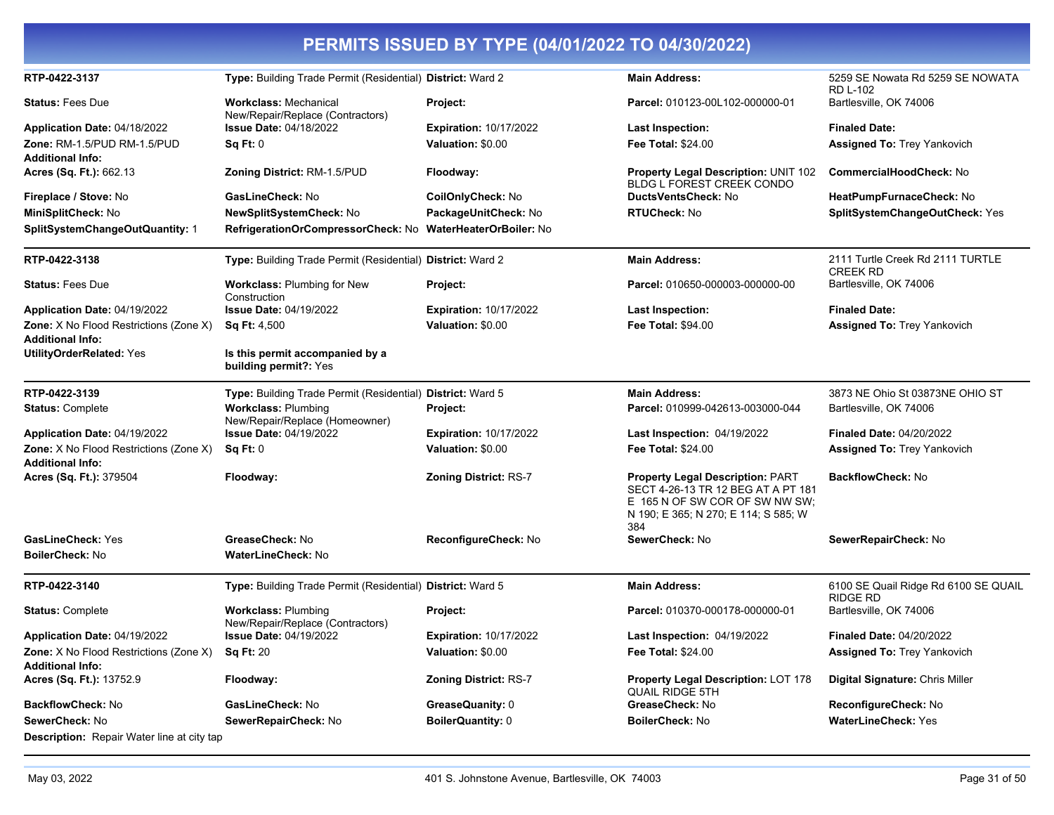| RTP-0422-3137                                                            | Type: Building Trade Permit (Residential) District: Ward 2       |                                | <b>Main Address:</b>                                                                                                                                           | 5259 SE Nowata Rd 5259 SE NOWATA<br><b>RD L-102</b>     |
|--------------------------------------------------------------------------|------------------------------------------------------------------|--------------------------------|----------------------------------------------------------------------------------------------------------------------------------------------------------------|---------------------------------------------------------|
| <b>Status: Fees Due</b>                                                  | <b>Workclass: Mechanical</b><br>New/Repair/Replace (Contractors) | Project:                       | Parcel: 010123-00L102-000000-01                                                                                                                                | Bartlesville, OK 74006                                  |
| Application Date: 04/18/2022                                             | <b>Issue Date: 04/18/2022</b>                                    | <b>Expiration: 10/17/2022</b>  | <b>Last Inspection:</b>                                                                                                                                        | <b>Finaled Date:</b>                                    |
| Zone: RM-1.5/PUD RM-1.5/PUD                                              | Sq Ft: 0                                                         | Valuation: \$0.00              | <b>Fee Total: \$24.00</b>                                                                                                                                      | <b>Assigned To: Trey Yankovich</b>                      |
| <b>Additional Info:</b>                                                  |                                                                  |                                |                                                                                                                                                                |                                                         |
| Acres (Sq. Ft.): 662.13                                                  | Zoning District: RM-1.5/PUD                                      | Floodway:                      | <b>Property Legal Description: UNIT 102</b><br>BLDG L FOREST CREEK CONDO                                                                                       | CommercialHoodCheck: No                                 |
| Fireplace / Stove: No                                                    | GasLineCheck: No                                                 | CoilOnlyCheck: No              | DuctsVentsCheck: No                                                                                                                                            | HeatPumpFurnaceCheck: No                                |
| MiniSplitCheck: No                                                       | NewSplitSystemCheck: No                                          | PackageUnitCheck: No           | <b>RTUCheck: No</b>                                                                                                                                            | SplitSystemChangeOutCheck: Yes                          |
| SplitSystemChangeOutQuantity: 1                                          | RefrigerationOrCompressorCheck: No                               | <b>WaterHeaterOrBoiler: No</b> |                                                                                                                                                                |                                                         |
| RTP-0422-3138                                                            | Type: Building Trade Permit (Residential) District: Ward 2       |                                | <b>Main Address:</b>                                                                                                                                           | 2111 Turtle Creek Rd 2111 TURTLE<br><b>CREEK RD</b>     |
| <b>Status: Fees Due</b>                                                  | <b>Workclass: Plumbing for New</b><br>Construction               | Project:                       | Parcel: 010650-000003-000000-00                                                                                                                                | Bartlesville, OK 74006                                  |
| Application Date: 04/19/2022                                             | <b>Issue Date: 04/19/2022</b>                                    | <b>Expiration: 10/17/2022</b>  | Last Inspection:                                                                                                                                               | <b>Finaled Date:</b>                                    |
| Zone: X No Flood Restrictions (Zone X)                                   | Sq Ft: 4,500                                                     | Valuation: \$0.00              | <b>Fee Total: \$94.00</b>                                                                                                                                      | <b>Assigned To: Trey Yankovich</b>                      |
| <b>Additional Info:</b>                                                  |                                                                  |                                |                                                                                                                                                                |                                                         |
| <b>UtilityOrderRelated: Yes</b>                                          | Is this permit accompanied by a<br>building permit?: Yes         |                                |                                                                                                                                                                |                                                         |
| RTP-0422-3139                                                            | Type: Building Trade Permit (Residential) District: Ward 5       |                                | <b>Main Address:</b>                                                                                                                                           | 3873 NE Ohio St 03873NE OHIO ST                         |
| <b>Status: Complete</b>                                                  | <b>Workclass: Plumbing</b><br>New/Repair/Replace (Homeowner)     | Project:                       | Parcel: 010999-042613-003000-044                                                                                                                               | Bartlesville, OK 74006                                  |
| Application Date: 04/19/2022                                             | <b>Issue Date: 04/19/2022</b>                                    | <b>Expiration: 10/17/2022</b>  | <b>Last Inspection: 04/19/2022</b>                                                                                                                             | <b>Finaled Date: 04/20/2022</b>                         |
| Zone: X No Flood Restrictions (Zone X)<br><b>Additional Info:</b>        | Sq Ft: 0                                                         | Valuation: \$0.00              | <b>Fee Total: \$24.00</b>                                                                                                                                      | <b>Assigned To: Trey Yankovich</b>                      |
| Acres (Sq. Ft.): 379504                                                  | Floodway:                                                        | <b>Zoning District: RS-7</b>   | <b>Property Legal Description: PART</b><br>SECT 4-26-13 TR 12 BEG AT A PT 181<br>E 165 N OF SW COR OF SW NW SW:<br>N 190; E 365; N 270; E 114; S 585; W<br>384 | <b>BackflowCheck: No</b>                                |
| <b>GasLineCheck: Yes</b>                                                 | GreaseCheck: No                                                  | ReconfigureCheck: No           | SewerCheck: No                                                                                                                                                 | SewerRepairCheck: No                                    |
| <b>BoilerCheck: No</b>                                                   | WaterLineCheck: No                                               |                                |                                                                                                                                                                |                                                         |
| RTP-0422-3140                                                            | Type: Building Trade Permit (Residential) District: Ward 5       |                                | <b>Main Address:</b>                                                                                                                                           | 6100 SE Quail Ridge Rd 6100 SE QUAIL<br><b>RIDGE RD</b> |
| <b>Status: Complete</b>                                                  | <b>Workclass: Plumbing</b><br>New/Repair/Replace (Contractors)   | Project:                       | Parcel: 010370-000178-000000-01                                                                                                                                | Bartlesville, OK 74006                                  |
| Application Date: 04/19/2022                                             | <b>Issue Date: 04/19/2022</b>                                    | <b>Expiration: 10/17/2022</b>  | <b>Last Inspection: 04/19/2022</b>                                                                                                                             | <b>Finaled Date: 04/20/2022</b>                         |
| <b>Zone:</b> X No Flood Restrictions (Zone X)<br><b>Additional Info:</b> | <b>Sq Ft: 20</b>                                                 | Valuation: \$0.00              | Fee Total: \$24.00                                                                                                                                             | <b>Assigned To: Trey Yankovich</b>                      |
| Acres (Sq. Ft.): 13752.9                                                 | Floodway:                                                        | <b>Zoning District: RS-7</b>   | <b>Property Legal Description: LOT 178</b><br><b>QUAIL RIDGE 5TH</b>                                                                                           | Digital Signature: Chris Miller                         |
| <b>BackflowCheck: No</b>                                                 | GasLineCheck: No                                                 | GreaseQuanity: 0               | GreaseCheck: No                                                                                                                                                | ReconfigureCheck: No                                    |
| SewerCheck: No                                                           | SewerRepairCheck: No                                             | BoilerQuantity: 0              | <b>BoilerCheck: No</b>                                                                                                                                         | <b>WaterLineCheck: Yes</b>                              |
| <b>Description:</b> Repair Water line at city tap                        |                                                                  |                                |                                                                                                                                                                |                                                         |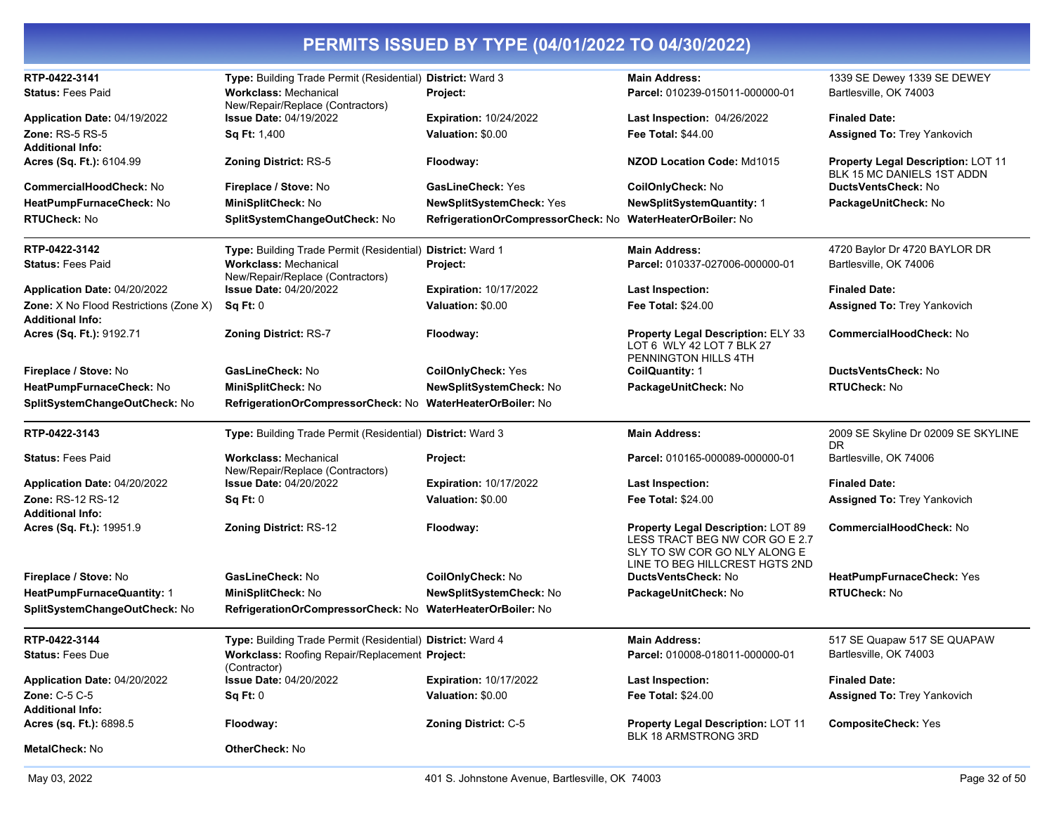| RTP-0422-3141                                                     | Type: Building Trade Permit (Residential) District: Ward 3       |                                    | <b>Main Address:</b>                                                                                                                   | 1339 SE Dewey 1339 SE DEWEY                                             |
|-------------------------------------------------------------------|------------------------------------------------------------------|------------------------------------|----------------------------------------------------------------------------------------------------------------------------------------|-------------------------------------------------------------------------|
| <b>Status: Fees Paid</b>                                          | <b>Workclass: Mechanical</b><br>New/Repair/Replace (Contractors) | Project:                           | Parcel: 010239-015011-000000-01                                                                                                        | Bartlesville, OK 74003                                                  |
| Application Date: 04/19/2022                                      | <b>Issue Date: 04/19/2022</b>                                    | <b>Expiration: 10/24/2022</b>      | Last Inspection: 04/26/2022                                                                                                            | <b>Finaled Date:</b>                                                    |
| <b>Zone: RS-5 RS-5</b>                                            | Sq Ft: 1,400                                                     | Valuation: \$0.00                  | <b>Fee Total: \$44.00</b>                                                                                                              | <b>Assigned To: Trey Yankovich</b>                                      |
| <b>Additional Info:</b>                                           |                                                                  |                                    |                                                                                                                                        |                                                                         |
| Acres (Sq. Ft.): 6104.99                                          | <b>Zoning District: RS-5</b>                                     | Floodway:                          | NZOD Location Code: Md1015                                                                                                             | <b>Property Legal Description: LOT 11</b><br>BLK 15 MC DANIELS 1ST ADDN |
| <b>CommercialHoodCheck: No</b>                                    | Fireplace / Stove: No                                            | <b>GasLineCheck: Yes</b>           | CoilOnlyCheck: No                                                                                                                      | DuctsVentsCheck: No                                                     |
| HeatPumpFurnaceCheck: No                                          | MiniSplitCheck: No                                               | NewSplitSystemCheck: Yes           | <b>NewSplitSystemQuantity: 1</b>                                                                                                       | PackageUnitCheck: No                                                    |
| <b>RTUCheck: No</b>                                               | SplitSystemChangeOutCheck: No                                    | RefrigerationOrCompressorCheck: No | WaterHeaterOrBoiler: No                                                                                                                |                                                                         |
| RTP-0422-3142                                                     | Type: Building Trade Permit (Residential) District: Ward 1       |                                    | <b>Main Address:</b>                                                                                                                   | 4720 Baylor Dr 4720 BAYLOR DR                                           |
| <b>Status: Fees Paid</b>                                          | <b>Workclass: Mechanical</b><br>New/Repair/Replace (Contractors) | Project:                           | Parcel: 010337-027006-000000-01                                                                                                        | Bartlesville, OK 74006                                                  |
| Application Date: 04/20/2022                                      | <b>Issue Date: 04/20/2022</b>                                    | <b>Expiration: 10/17/2022</b>      | <b>Last Inspection:</b>                                                                                                                | <b>Finaled Date:</b>                                                    |
| Zone: X No Flood Restrictions (Zone X)<br><b>Additional Info:</b> | Sq Ft: 0                                                         | Valuation: \$0.00                  | <b>Fee Total: \$24.00</b>                                                                                                              | <b>Assigned To: Trey Yankovich</b>                                      |
| Acres (Sq. Ft.): 9192.71                                          | Zoning District: RS-7                                            | Floodway:                          | <b>Property Legal Description: ELY 33</b><br>LOT 6 WLY 42 LOT 7 BLK 27<br>PENNINGTON HILLS 4TH                                         | CommercialHoodCheck: No                                                 |
| Fireplace / Stove: No                                             | GasLineCheck: No                                                 | <b>CoilOnlyCheck: Yes</b>          | <b>CoilQuantity: 1</b>                                                                                                                 | DuctsVentsCheck: No                                                     |
| HeatPumpFurnaceCheck: No                                          | MiniSplitCheck: No                                               | NewSplitSystemCheck: No            | PackageUnitCheck: No                                                                                                                   | <b>RTUCheck: No</b>                                                     |
| SplitSystemChangeOutCheck: No                                     | RefrigerationOrCompressorCheck: No WaterHeaterOrBoiler: No       |                                    |                                                                                                                                        |                                                                         |
| RTP-0422-3143                                                     | Type: Building Trade Permit (Residential) District: Ward 3       |                                    | <b>Main Address:</b>                                                                                                                   | 2009 SE Skyline Dr 02009 SE SKYLINE<br>DR                               |
| <b>Status: Fees Paid</b>                                          | <b>Workclass: Mechanical</b><br>New/Repair/Replace (Contractors) | Project:                           | Parcel: 010165-000089-000000-01                                                                                                        | Bartlesville, OK 74006                                                  |
| Application Date: 04/20/2022                                      | <b>Issue Date: 04/20/2022</b>                                    | <b>Expiration: 10/17/2022</b>      | <b>Last Inspection:</b>                                                                                                                | <b>Finaled Date:</b>                                                    |
| Zone: RS-12 RS-12                                                 | Sq Ft: 0                                                         | Valuation: \$0.00                  | <b>Fee Total: \$24.00</b>                                                                                                              | <b>Assigned To: Trey Yankovich</b>                                      |
| <b>Additional Info:</b>                                           |                                                                  |                                    |                                                                                                                                        |                                                                         |
| Acres (Sq. Ft.): 19951.9                                          | Zoning District: RS-12                                           | Floodway:                          | Property Legal Description: LOT 89<br>LESS TRACT BEG NW COR GO E 2.7<br>SLY TO SW COR GO NLY ALONG E<br>LINE TO BEG HILLCREST HGTS 2ND | CommercialHoodCheck: No                                                 |
| Fireplace / Stove: No                                             | GasLineCheck: No                                                 | CoilOnlyCheck: No                  | DuctsVentsCheck: No                                                                                                                    | HeatPumpFurnaceCheck: Yes                                               |
| HeatPumpFurnaceQuantity: 1                                        | MiniSplitCheck: No                                               | NewSplitSystemCheck: No            | PackageUnitCheck: No                                                                                                                   | <b>RTUCheck: No</b>                                                     |
| SplitSystemChangeOutCheck: No                                     | RefrigerationOrCompressorCheck: No WaterHeaterOrBoiler: No       |                                    |                                                                                                                                        |                                                                         |
| RTP-0422-3144                                                     | Type: Building Trade Permit (Residential) District: Ward 4       |                                    | <b>Main Address:</b>                                                                                                                   | 517 SE Quapaw 517 SE QUAPAW                                             |
| <b>Status: Fees Due</b>                                           | Workclass: Roofing Repair/Replacement Project:<br>(Contractor)   |                                    | Parcel: 010008-018011-000000-01                                                                                                        | Bartlesville, OK 74003                                                  |
| Application Date: 04/20/2022                                      | <b>Issue Date: 04/20/2022</b>                                    | <b>Expiration: 10/17/2022</b>      | Last Inspection:                                                                                                                       | <b>Finaled Date:</b>                                                    |
| Zone: C-5 C-5                                                     | Sq Ft: 0                                                         | Valuation: \$0.00                  | <b>Fee Total: \$24.00</b>                                                                                                              | Assigned To: Trey Yankovich                                             |
| <b>Additional Info:</b><br>Acres (sq. Ft.): 6898.5                | Floodway:                                                        | Zoning District: C-5               | <b>Property Legal Description: LOT 11</b>                                                                                              | <b>CompositeCheck: Yes</b>                                              |
| <b>MetalCheck: No</b>                                             | OtherCheck: No                                                   |                                    | BLK 18 ARMSTRONG 3RD                                                                                                                   |                                                                         |
|                                                                   |                                                                  |                                    |                                                                                                                                        |                                                                         |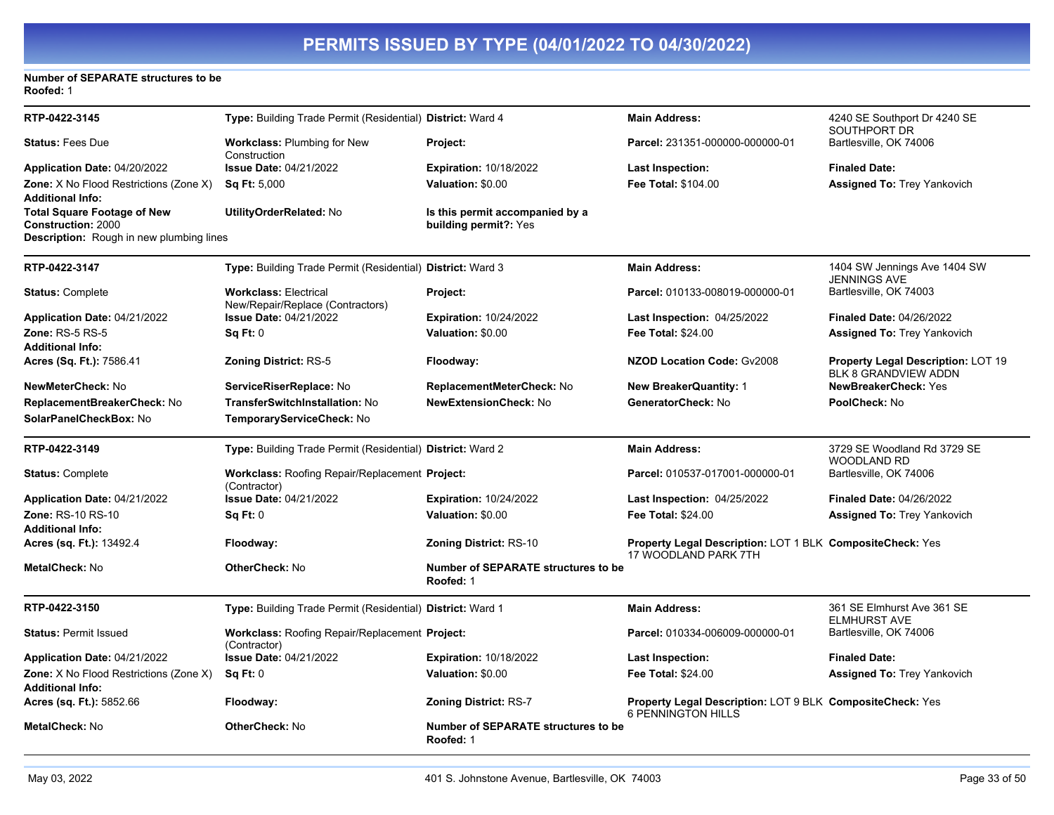### **Number of SEPARATE structures to be Roofed:** 1

| RTP-0422-3145                                                            | Type: Building Trade Permit (Residential) District: Ward 4       |                                                          | <b>Main Address:</b>                                                                          | 4240 SE Southport Dr 4240 SE<br>SOUTHPORT DR                             |
|--------------------------------------------------------------------------|------------------------------------------------------------------|----------------------------------------------------------|-----------------------------------------------------------------------------------------------|--------------------------------------------------------------------------|
| <b>Status: Fees Due</b>                                                  | <b>Workclass: Plumbing for New</b><br>Construction               | Project:                                                 | Parcel: 231351-000000-000000-01                                                               | Bartlesville, OK 74006                                                   |
| <b>Application Date: 04/20/2022</b>                                      | <b>Issue Date: 04/21/2022</b>                                    | <b>Expiration: 10/18/2022</b>                            | <b>Last Inspection:</b>                                                                       | <b>Finaled Date:</b>                                                     |
| <b>Zone:</b> X No Flood Restrictions (Zone X)<br>Additional Info:        | <b>Sq Ft: 5,000</b>                                              | Valuation: \$0.00                                        | <b>Fee Total: \$104.00</b>                                                                    | <b>Assigned To: Trey Yankovich</b>                                       |
| Total Square Footage of New<br><b>Construction: 2000</b>                 | UtilityOrderRelated: No                                          | Is this permit accompanied by a<br>building permit?: Yes |                                                                                               |                                                                          |
| Description: Rough in new plumbing lines                                 |                                                                  |                                                          |                                                                                               |                                                                          |
| RTP-0422-3147                                                            | Type: Building Trade Permit (Residential) District: Ward 3       |                                                          | <b>Main Address:</b>                                                                          | 1404 SW Jennings Ave 1404 SW<br><b>JENNINGS AVE</b>                      |
| <b>Status: Complete</b>                                                  | <b>Workclass: Electrical</b><br>New/Repair/Replace (Contractors) | Project:                                                 | Parcel: 010133-008019-000000-01                                                               | Bartlesville, OK 74003                                                   |
| Application Date: 04/21/2022                                             | <b>Issue Date: 04/21/2022</b>                                    | <b>Expiration: 10/24/2022</b>                            | Last Inspection: 04/25/2022                                                                   | <b>Finaled Date: 04/26/2022</b>                                          |
| Zone: RS-5 RS-5<br><b>Additional Info:</b>                               | Sq Ft: 0                                                         | Valuation: \$0.00                                        | Fee Total: \$24.00                                                                            | <b>Assigned To: Trey Yankovich</b>                                       |
| Acres (Sq. Ft.): 7586.41                                                 | <b>Zoning District: RS-5</b>                                     | Floodway:                                                | <b>NZOD Location Code: Gv2008</b>                                                             | <b>Property Legal Description: LOT 19</b><br><b>BLK 8 GRANDVIEW ADDN</b> |
| <b>NewMeterCheck:</b> No                                                 | ServiceRiserReplace: No                                          | ReplacementMeterCheck: No                                | <b>New BreakerQuantity: 1</b>                                                                 | <b>NewBreakerCheck: Yes</b>                                              |
| ReplacementBreakerCheck: No                                              | TransferSwitchInstallation: No                                   | <b>NewExtensionCheck: No</b>                             | GeneratorCheck: No                                                                            | PoolCheck: No                                                            |
| SolarPanelCheckBox: No                                                   | TemporaryServiceCheck: No                                        |                                                          |                                                                                               |                                                                          |
| RTP-0422-3149                                                            | Type: Building Trade Permit (Residential) District: Ward 2       |                                                          | <b>Main Address:</b>                                                                          | 3729 SE Woodland Rd 3729 SE<br><b>WOODLAND RD</b>                        |
| <b>Status: Complete</b>                                                  | Workclass: Roofing Repair/Replacement Project:<br>(Contractor)   |                                                          | Parcel: 010537-017001-000000-01                                                               | Bartlesville, OK 74006                                                   |
| Application Date: 04/21/2022                                             | <b>Issue Date: 04/21/2022</b>                                    | <b>Expiration: 10/24/2022</b>                            | Last Inspection: 04/25/2022                                                                   | <b>Finaled Date: 04/26/2022</b>                                          |
| <b>Zone: RS-10 RS-10</b><br><b>Additional Info:</b>                      | Sq Ft: 0                                                         | Valuation: \$0.00                                        | <b>Fee Total: \$24.00</b>                                                                     | <b>Assigned To: Trey Yankovich</b>                                       |
| <b>Acres (sq. Ft.):</b> 13492.4                                          | Floodway:                                                        | <b>Zoning District: RS-10</b>                            | Property Legal Description: LOT 1 BLK CompositeCheck: Yes<br>17 WOODLAND PARK 7TH             |                                                                          |
| MetalCheck: No                                                           | OtherCheck: No                                                   | Number of SEPARATE structures to be<br>Roofed: 1         |                                                                                               |                                                                          |
| RTP-0422-3150                                                            | Type: Building Trade Permit (Residential) District: Ward 1       |                                                          | <b>Main Address:</b>                                                                          | 361 SE Elmhurst Ave 361 SE<br><b>ELMHURST AVE</b>                        |
| <b>Status: Permit Issued</b>                                             | Workclass: Roofing Repair/Replacement Project:<br>(Contractor)   |                                                          | Parcel: 010334-006009-000000-01                                                               | Bartlesville, OK 74006                                                   |
| Application Date: 04/21/2022                                             | <b>Issue Date: 04/21/2022</b>                                    | <b>Expiration: 10/18/2022</b>                            | Last Inspection:                                                                              | <b>Finaled Date:</b>                                                     |
| <b>Zone:</b> X No Flood Restrictions (Zone X)<br><b>Additional Info:</b> | Sq Ft: 0                                                         | Valuation: \$0.00                                        | <b>Fee Total: \$24.00</b>                                                                     | <b>Assigned To: Trey Yankovich</b>                                       |
| <b>Acres (sq. Ft.):</b> 5852.66                                          | Floodway:                                                        | <b>Zoning District: RS-7</b>                             | <b>Property Legal Description: LOT 9 BLK CompositeCheck: Yes</b><br><b>6 PENNINGTON HILLS</b> |                                                                          |
| MetalCheck: No                                                           | OtherCheck: No                                                   | <b>Number of SEPARATE structures to be</b><br>Roofed: 1  |                                                                                               |                                                                          |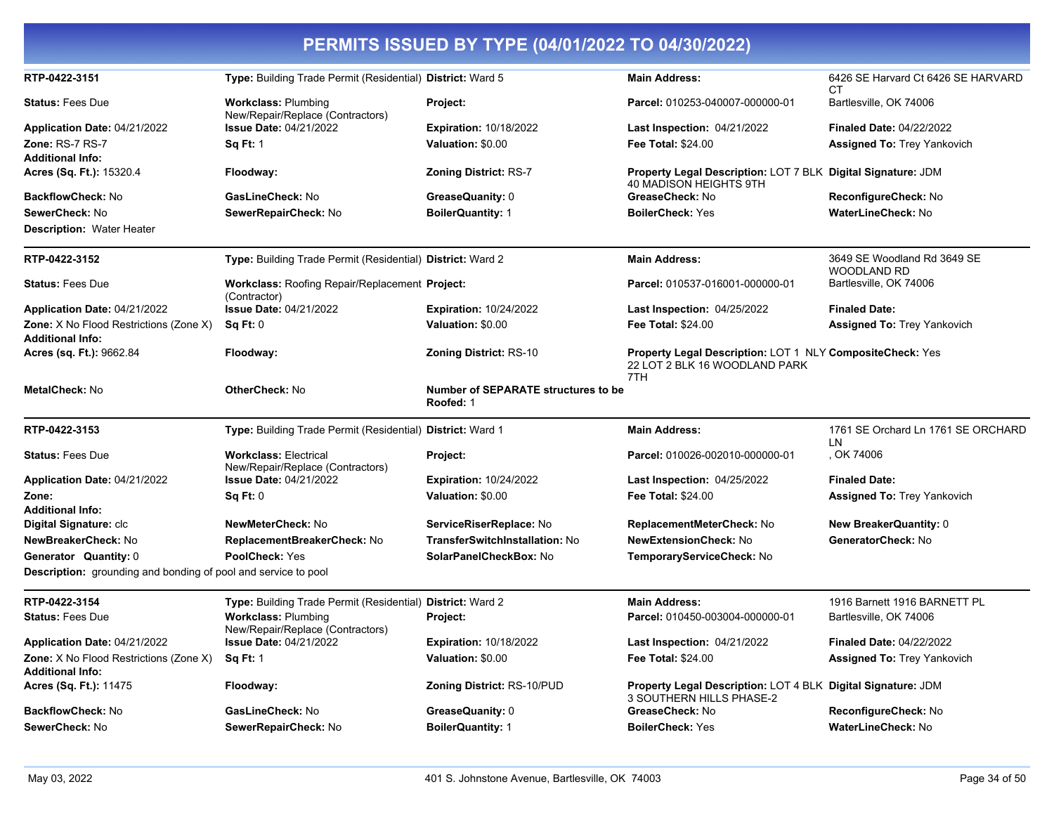#### **PERMITS ISSUED BY TYPE (04/01/2022 TO 04/30/2022) RTP-0422-3151 Type:** Building Trade Permit (Residential) **District:** Ward 5 **Main Address:** 6426 SE Harvard Ct 6426 SE HARVARD CT **Status:** Fees Due **Workclass:** Plumbing New/Repair/Replace (Contractors) **Project: Parcel:** 010253-040007-000000-01 Bartlesville, OK 74006 **Application Date:** 04/21/2022 **Zone:** RS-7 RS-7 **Issue Date:** 04/21/2022 **Sq Ft:** 1 **Expiration:** 10/18/2022 **Valuation:** \$0.00 **Last Inspection:** 04/21/2022 **Fee Total:** \$24.00 **Finaled Date:** 04/22/2022 **Assigned To:** Trey Yankovich **Additional Info: Acres (Sq. Ft.):** 15320.4 **Floodway: Zoning District:** RS-7 **Property Legal Description:** LOT 7 BLK **Digital Signature:** JDM 40 MADISON HEIGHTS 9TH **BackflowCheck:** No **GasLineCheck:** No **GreaseQuanity:** 0 **GreaseCheck:** No **ReconfigureCheck:** No **SewerCheck:** No **SewerRepairCheck:** No **BoilerQuantity:** 1 **BoilerCheck:** Yes **WaterLineCheck:** No **Description:** Water Heater **RTP-0422-3152 Type:** Building Trade Permit (Residential) **District:** Ward 2 **Main Address:** 3649 SE Woodland Rd 3649 SE WOODLAND RD **Status: Fees Due <b>Workclass: Roofing Repair/Replacement Project:** (Contractor) Parcel: 010537-016001-000000-01 Bartlesville, OK 74006 **Application Date:** 04/21/2022 **Zone:** X No Flood Restrictions (Zone X) **Issue Date:** 04/21/2022 **Sq Ft:** 0 **Expiration:** 10/24/2022 **Valuation:** \$0.00 **Last Inspection:** 04/25/2022 **Fee Total:** \$24.00 **Finaled Date: Assigned To:** Trey Yankovich **Additional Info: Acres (sq. Ft.):** 9662.84 **Floodway: Zoning District:** RS-10 **Property Legal Description:** LOT 1 NLY **CompositeCheck:** Yes 22 LOT 2 BLK 16 WOODLAND PARK 7TH **MetalCheck:** No **OtherCheck:** No **Number of SEPARATE structures to be Roofed:** 1 **RTP-0422-3153 Type:** Building Trade Permit (Residential) **District:** Ward 1 **Main Address:** 1761 SE Orchard Ln 1761 SE ORCHARD LN<br>, OK 74006 **Status: Fees Due Workclass: Electrical** New/Repair/Replace (Contractors) **Project:** Project: **Parcel:** 010026-002010-000000-01 **Application Date:** 04/21/2022 **Issue Date:** 04/21/2022 **Sq Ft:** 0 **Expiration:** 10/24/2022 **Valuation:** \$0.00 **Last Inspection:** 04/25/2022 **Fee Total:** \$24.00 **Finaled Date: Assigned To:** Trey Yankovich **Additional Info: Digital Signature:** clc **NewMeterCheck:** No **ServiceRiserReplace:** No **ReplacementMeterCheck:** No **New BreakerQuantity:** 0 **NewBreakerCheck:** No **ReplacementBreakerCheck:** No **TransferSwitchInstallation:** No **NewExtensionCheck:** No **GeneratorCheck:** No **Generator Quantity:** 0 **PoolCheck:** Yes **SolarPanelCheckBox:** No **TemporaryServiceCheck:** No **Description:** grounding and bonding of pool and service to pool **RTP-0422-3154 Type:** Building Trade Permit (Residential) **District:** Ward 2 **Main Address:** 1916 Barnett 1916 BARNETT PL **Status:** Fees Due **Workclass:** Plumbing New/Repair/Replace (Contractors) **Project: Parcel:** 010450-003004-000000-01 Bartlesville, OK 74006 **Application Date:** 04/21/2022 **Zone:** X No Flood Restrictions (Zone X) **Issue Date:** 04/21/2022 **Sq Ft:** 1 **Expiration:** 10/18/2022 **Valuation:** \$0.00 **Last Inspection:** 04/21/2022 **Fee Total:** \$24.00 **Finaled Date:** 04/22/2022 **Assigned To:** Trey Yankovich **Additional Info: Acres (Sq. Ft.):** 11475 **Floodway: Zoning District:** RS-10/PUD **Property Legal Description:** LOT 4 BLK **Digital Signature:** JDM

3 SOUTHERN HILLS PHASE-2 **BackflowCheck:** No **GasLineCheck:** No **GreaseQuanity:** 0 **GreaseCheck:** No **ReconfigureCheck:** No **SewerCheck:** No **SewerRepairCheck:** No **BoilerQuantity:** 1 **BoilerCheck:** Yes **WaterLineCheck:** No

**Zone:**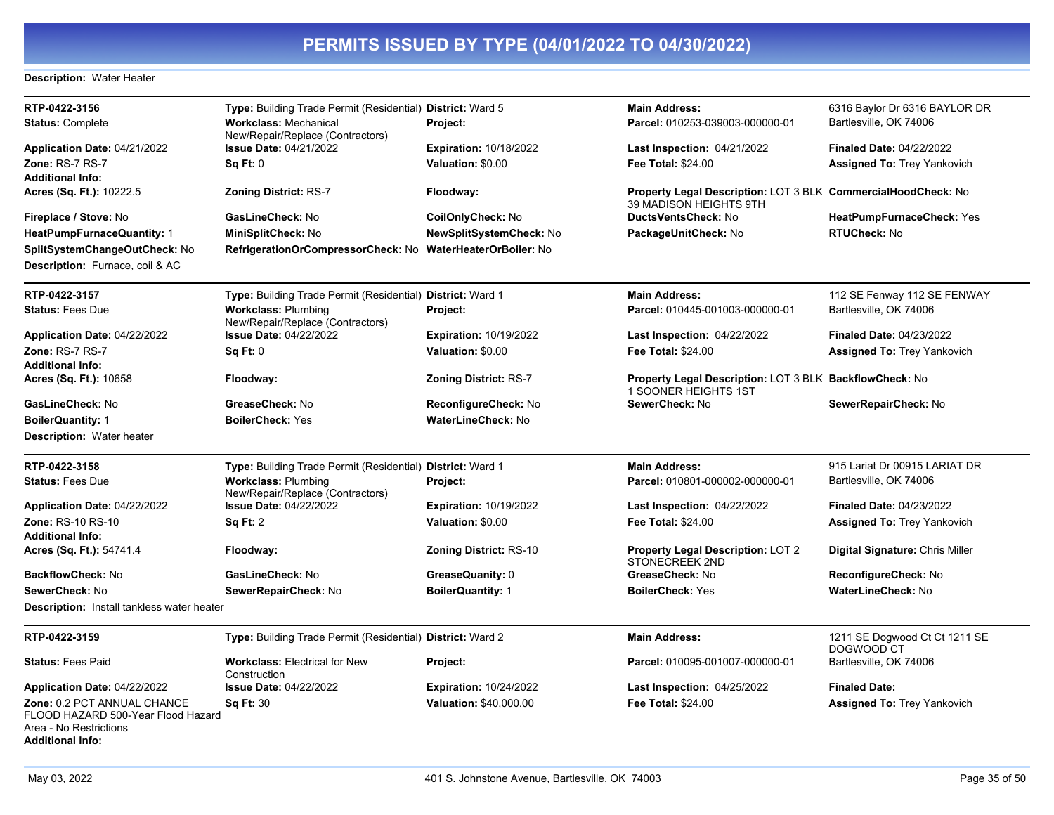### **Description:** Water Heater

| RTP-0422-3156                                                                                                          | Type: Building Trade Permit (Residential) District: Ward 5       |                               | <b>Main Address:</b>                                                                    | 6316 Baylor Dr 6316 BAYLOR DR               |
|------------------------------------------------------------------------------------------------------------------------|------------------------------------------------------------------|-------------------------------|-----------------------------------------------------------------------------------------|---------------------------------------------|
| <b>Status: Complete</b>                                                                                                | <b>Workclass: Mechanical</b><br>New/Repair/Replace (Contractors) | Project:                      | Parcel: 010253-039003-000000-01                                                         | Bartlesville, OK 74006                      |
| Application Date: 04/21/2022                                                                                           | <b>Issue Date: 04/21/2022</b>                                    | <b>Expiration: 10/18/2022</b> | Last Inspection: $04/21/2022$                                                           | <b>Finaled Date: 04/22/2022</b>             |
| Zone: RS-7 RS-7                                                                                                        | Sq Ft: 0                                                         | Valuation: \$0.00             | <b>Fee Total: \$24.00</b>                                                               | Assigned To: Trey Yankovich                 |
| <b>Additional Info:</b>                                                                                                |                                                                  |                               |                                                                                         |                                             |
| Acres (Sq. Ft.): 10222.5                                                                                               | <b>Zoning District: RS-7</b>                                     | Floodway:                     | Property Legal Description: LOT 3 BLK CommercialHoodCheck: No<br>39 MADISON HEIGHTS 9TH |                                             |
| Fireplace / Stove: No                                                                                                  | GasLineCheck: No                                                 | <b>CoilOnlyCheck: No</b>      | <b>DuctsVentsCheck: No</b>                                                              | HeatPumpFurnaceCheck: Yes                   |
| <b>HeatPumpFurnaceQuantity: 1</b>                                                                                      | MiniSplitCheck: No                                               | NewSplitSystemCheck: No       | PackageUnitCheck: No                                                                    | <b>RTUCheck: No</b>                         |
| SplitSystemChangeOutCheck: No                                                                                          | RefrigerationOrCompressorCheck: No WaterHeaterOrBoiler: No       |                               |                                                                                         |                                             |
| Description: Furnace, coil & AC                                                                                        |                                                                  |                               |                                                                                         |                                             |
| RTP-0422-3157                                                                                                          | Type: Building Trade Permit (Residential) District: Ward 1       |                               | <b>Main Address:</b>                                                                    | 112 SE Fenway 112 SE FENWAY                 |
| <b>Status: Fees Due</b>                                                                                                | <b>Workclass: Plumbing</b><br>New/Repair/Replace (Contractors)   | <b>Project:</b>               | Parcel: 010445-001003-000000-01                                                         | Bartlesville, OK 74006                      |
| Application Date: 04/22/2022                                                                                           | <b>Issue Date: 04/22/2022</b>                                    | <b>Expiration: 10/19/2022</b> | <b>Last Inspection: 04/22/2022</b>                                                      | <b>Finaled Date: 04/23/2022</b>             |
| Zone: RS-7 RS-7                                                                                                        | SqFt:0                                                           | Valuation: \$0.00             | <b>Fee Total: \$24.00</b>                                                               | <b>Assigned To: Trey Yankovich</b>          |
| <b>Additional Info:</b>                                                                                                |                                                                  |                               |                                                                                         |                                             |
| <b>Acres (Sq. Ft.): 10658</b>                                                                                          | Floodway:                                                        | <b>Zoning District: RS-7</b>  | <b>Property Legal Description: LOT 3 BLK BackflowCheck: No</b><br>1 SOONER HEIGHTS 1ST  |                                             |
| GasLineCheck: No                                                                                                       | GreaseCheck: No                                                  | ReconfigureCheck: No          | SewerCheck: No                                                                          | SewerRepairCheck: No                        |
| <b>BoilerQuantity: 1</b>                                                                                               | <b>BoilerCheck: Yes</b>                                          | <b>WaterLineCheck: No</b>     |                                                                                         |                                             |
| <b>Description: Water heater</b>                                                                                       |                                                                  |                               |                                                                                         |                                             |
| RTP-0422-3158                                                                                                          | Type: Building Trade Permit (Residential) District: Ward 1       |                               | <b>Main Address:</b>                                                                    | 915 Lariat Dr 00915 LARIAT DR               |
| <b>Status: Fees Due</b>                                                                                                | <b>Workclass: Plumbing</b><br>New/Repair/Replace (Contractors)   | Project:                      | Parcel: 010801-000002-000000-01                                                         | Bartlesville, OK 74006                      |
| Application Date: 04/22/2022                                                                                           | <b>Issue Date: 04/22/2022</b>                                    | <b>Expiration: 10/19/2022</b> | <b>Last Inspection: 04/22/2022</b>                                                      | <b>Finaled Date: 04/23/2022</b>             |
| Zone: RS-10 RS-10                                                                                                      | Sq Ft: 2                                                         | Valuation: \$0.00             | Fee Total: \$24.00                                                                      | <b>Assigned To: Trey Yankovich</b>          |
| <b>Additional Info:</b>                                                                                                |                                                                  |                               |                                                                                         |                                             |
| Acres (Sq. Ft.): 54741.4                                                                                               | Floodway:                                                        | <b>Zoning District: RS-10</b> | Property Legal Description: LOT 2<br>STONECREEK 2ND                                     | Digital Signature: Chris Miller             |
| <b>BackflowCheck: No</b>                                                                                               | GasLineCheck: No                                                 | GreaseQuanity: 0              | GreaseCheck: No                                                                         | <b>ReconfigureCheck: No</b>                 |
| SewerCheck: No                                                                                                         | SewerRepairCheck: No                                             | <b>BoilerQuantity: 1</b>      | <b>BoilerCheck: Yes</b>                                                                 | <b>WaterLineCheck: No</b>                   |
| <b>Description:</b> Install tankless water heater                                                                      |                                                                  |                               |                                                                                         |                                             |
| RTP-0422-3159                                                                                                          | Type: Building Trade Permit (Residential) District: Ward 2       |                               | <b>Main Address:</b>                                                                    | 1211 SE Dogwood Ct Ct 1211 SE<br>DOGWOOD CT |
| <b>Status: Fees Paid</b>                                                                                               | <b>Workclass: Electrical for New</b><br>Construction             | Project:                      | Parcel: 010095-001007-000000-01                                                         | Bartlesville, OK 74006                      |
| Application Date: 04/22/2022                                                                                           | <b>Issue Date: 04/22/2022</b>                                    | <b>Expiration: 10/24/2022</b> | <b>Last Inspection: 04/25/2022</b>                                                      | <b>Finaled Date:</b>                        |
| Zone: 0.2 PCT ANNUAL CHANCE<br>FLOOD HAZARD 500-Year Flood Hazard<br>Area - No Restrictions<br><b>Additional Info:</b> | <b>Sq Ft: 30</b>                                                 | <b>Valuation: \$40,000.00</b> | Fee Total: \$24.00                                                                      | <b>Assigned To: Trey Yankovich</b>          |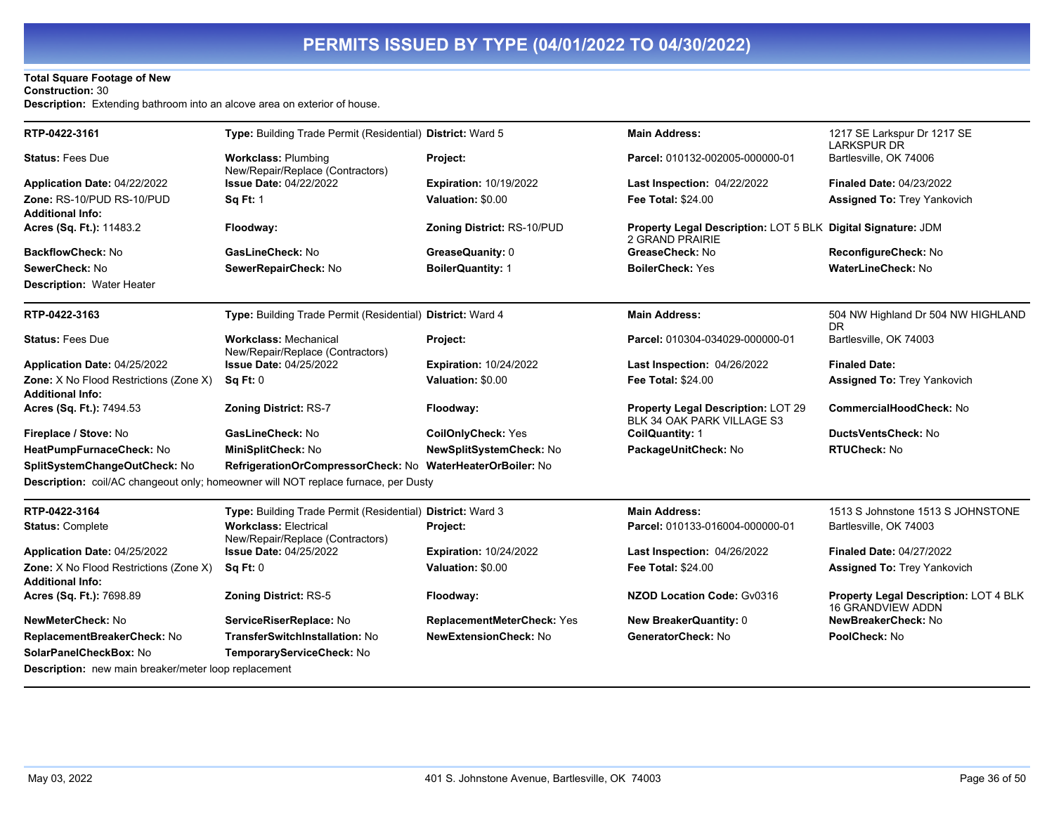## **Total Square Footage of New**

**Construction:** 30

**Description:** Extending bathroom into an alcove area on exterior of house.

| RTP-0422-3161                                                     | Type: Building Trade Permit (Residential) District: Ward 5                         |                               | <b>Main Address:</b>                                                            | 1217 SE Larkspur Dr 1217 SE                                              |
|-------------------------------------------------------------------|------------------------------------------------------------------------------------|-------------------------------|---------------------------------------------------------------------------------|--------------------------------------------------------------------------|
| <b>Status: Fees Due</b>                                           | <b>Workclass: Plumbing</b>                                                         | Project:                      | Parcel: 010132-002005-000000-01                                                 | <b>LARKSPUR DR</b><br>Bartlesville, OK 74006                             |
| Application Date: 04/22/2022                                      | New/Repair/Replace (Contractors)<br><b>Issue Date: 04/22/2022</b>                  | Expiration: 10/19/2022        | Last Inspection: 04/22/2022                                                     | <b>Finaled Date: 04/23/2022</b>                                          |
| Zone: RS-10/PUD RS-10/PUD                                         | <b>Sq Ft: 1</b>                                                                    | Valuation: \$0.00             | <b>Fee Total: \$24.00</b>                                                       | <b>Assigned To: Trey Yankovich</b>                                       |
| <b>Additional Info:</b>                                           |                                                                                    |                               |                                                                                 |                                                                          |
| Acres (Sq. Ft.): 11483.2                                          | Floodway:                                                                          | Zoning District: RS-10/PUD    | Property Legal Description: LOT 5 BLK Digital Signature: JDM<br>2 GRAND PRAIRIE |                                                                          |
| <b>BackflowCheck: No</b>                                          | GasLineCheck: No                                                                   | GreaseQuanity: 0              | GreaseCheck: No                                                                 | ReconfigureCheck: No                                                     |
| SewerCheck: No                                                    | SewerRepairCheck: No                                                               | <b>BoilerQuantity: 1</b>      | <b>BoilerCheck: Yes</b>                                                         | WaterLineCheck: No                                                       |
| <b>Description: Water Heater</b>                                  |                                                                                    |                               |                                                                                 |                                                                          |
| RTP-0422-3163                                                     | Type: Building Trade Permit (Residential) District: Ward 4                         |                               | <b>Main Address:</b>                                                            | 504 NW Highland Dr 504 NW HIGHLAND<br><b>DR</b>                          |
| <b>Status: Fees Due</b>                                           | <b>Workclass: Mechanical</b><br>New/Repair/Replace (Contractors)                   | Project:                      | Parcel: 010304-034029-000000-01                                                 | Bartlesville, OK 74003                                                   |
| Application Date: 04/25/2022                                      | <b>Issue Date: 04/25/2022</b>                                                      | <b>Expiration: 10/24/2022</b> | <b>Last Inspection: 04/26/2022</b>                                              | <b>Finaled Date:</b>                                                     |
| Zone: X No Flood Restrictions (Zone X)<br><b>Additional Info:</b> | <b>Sq Ft: 0</b>                                                                    | Valuation: \$0.00             | Fee Total: \$24.00                                                              | <b>Assigned To: Trey Yankovich</b>                                       |
| Acres (Sq. Ft.): 7494.53                                          | <b>Zoning District: RS-7</b>                                                       | Floodway:                     | <b>Property Legal Description: LOT 29</b><br>BLK 34 OAK PARK VILLAGE S3         | <b>CommercialHoodCheck: No</b>                                           |
| Fireplace / Stove: No                                             | GasLineCheck: No                                                                   | <b>CoilOnlyCheck: Yes</b>     | <b>CoilQuantity: 1</b>                                                          | DuctsVentsCheck: No                                                      |
| HeatPumpFurnaceCheck: No                                          | MiniSplitCheck: No                                                                 | NewSplitSystemCheck: No       | PackageUnitCheck: No                                                            | <b>RTUCheck: No</b>                                                      |
| SplitSystemChangeOutCheck: No                                     | RefrigerationOrCompressorCheck: No WaterHeaterOrBoiler: No                         |                               |                                                                                 |                                                                          |
|                                                                   | Description: coil/AC changeout only; homeowner will NOT replace furnace, per Dusty |                               |                                                                                 |                                                                          |
| RTP-0422-3164                                                     | Type: Building Trade Permit (Residential) District: Ward 3                         |                               | <b>Main Address:</b>                                                            | 1513 S Johnstone 1513 S JOHNSTONE                                        |
| <b>Status: Complete</b>                                           | <b>Workclass: Electrical</b><br>New/Repair/Replace (Contractors)                   | <b>Project:</b>               | Parcel: 010133-016004-000000-01                                                 | Bartlesville, OK 74003                                                   |
| Application Date: 04/25/2022                                      | <b>Issue Date: 04/25/2022</b>                                                      | <b>Expiration: 10/24/2022</b> | Last Inspection: 04/26/2022                                                     | <b>Finaled Date: 04/27/2022</b>                                          |
| Zone: X No Flood Restrictions (Zone X)                            | <b>Sq Ft: 0</b>                                                                    | Valuation: \$0.00             | Fee Total: \$24.00                                                              | <b>Assigned To: Trey Yankovich</b>                                       |
| Additional Info:                                                  |                                                                                    |                               |                                                                                 |                                                                          |
| Acres (Sq. Ft.): 7698.89                                          | <b>Zoning District: RS-5</b>                                                       | Floodway:                     | <b>NZOD Location Code: Gv0316</b>                                               | <b>Property Legal Description: LOT 4 BLK</b><br><b>16 GRANDVIEW ADDN</b> |
| NewMeterCheck: No                                                 | ServiceRiserReplace: No                                                            | ReplacementMeterCheck: Yes    | <b>New BreakerQuantity: 0</b>                                                   | NewBreakerCheck: No                                                      |
| ReplacementBreakerCheck: No                                       | <b>TransferSwitchInstallation: No</b>                                              | <b>NewExtensionCheck: No</b>  | GeneratorCheck: No                                                              | PoolCheck: No                                                            |
| SolarPanelCheckBox: No                                            | TemporaryServiceCheck: No                                                          |                               |                                                                                 |                                                                          |
| <b>Description:</b> new main breaker/meter loop replacement       |                                                                                    |                               |                                                                                 |                                                                          |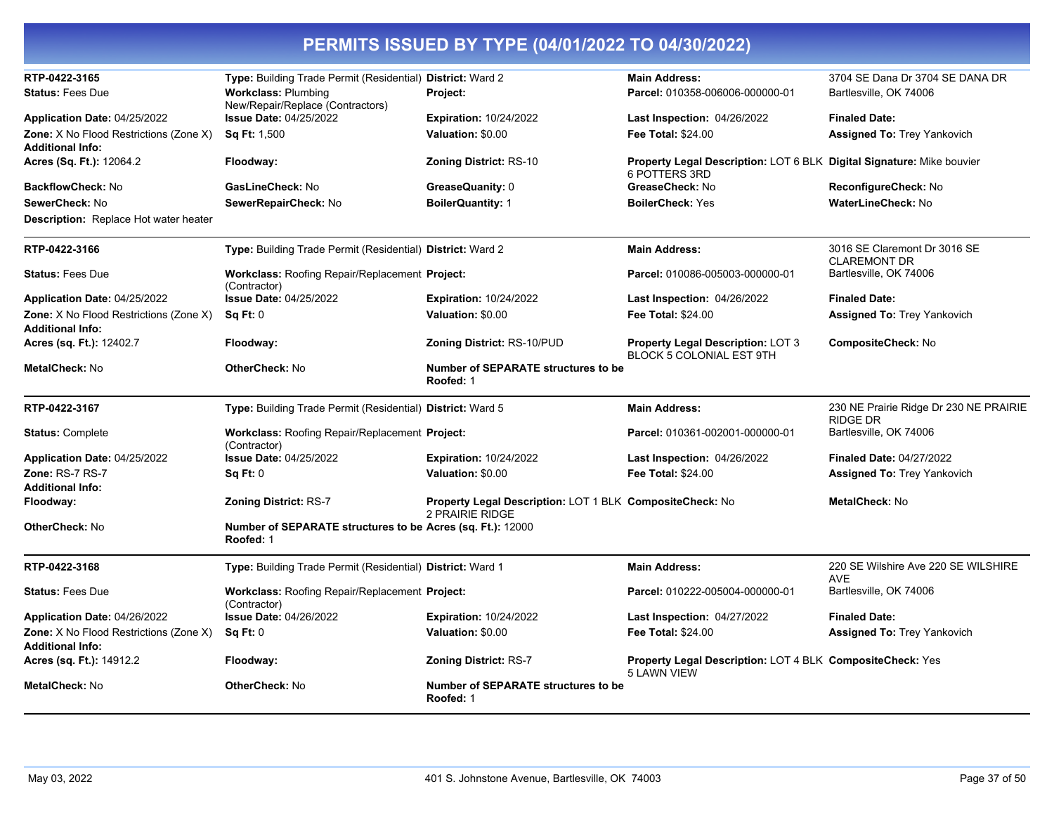| RTP-0422-3165                                                     | Type: Building Trade Permit (Residential) District: Ward 2              |                                                                             | <b>Main Address:</b>                                                                   | 3704 SE Dana Dr 3704 SE DANA DR                           |
|-------------------------------------------------------------------|-------------------------------------------------------------------------|-----------------------------------------------------------------------------|----------------------------------------------------------------------------------------|-----------------------------------------------------------|
| <b>Status: Fees Due</b>                                           | <b>Workclass: Plumbing</b><br>New/Repair/Replace (Contractors)          | Project:                                                                    | Parcel: 010358-006006-000000-01                                                        | Bartlesville, OK 74006                                    |
| <b>Application Date: 04/25/2022</b>                               | <b>Issue Date: 04/25/2022</b>                                           | <b>Expiration: 10/24/2022</b>                                               | <b>Last Inspection: 04/26/2022</b>                                                     | <b>Finaled Date:</b>                                      |
| Zone: X No Flood Restrictions (Zone X)<br>Additional Info:        | <b>Sq Ft: 1,500</b>                                                     | Valuation: \$0.00                                                           | <b>Fee Total: \$24.00</b>                                                              | <b>Assigned To: Trey Yankovich</b>                        |
| <b>Acres (Sq. Ft.):</b> 12064.2                                   | Floodway:                                                               | <b>Zoning District: RS-10</b>                                               | Property Legal Description: LOT 6 BLK Digital Signature: Mike bouvier<br>6 POTTERS 3RD |                                                           |
| BackflowCheck: No                                                 | GasLineCheck: No                                                        | GreaseQuanity: 0                                                            | GreaseCheck: No                                                                        | ReconfigureCheck: No                                      |
| <b>SewerCheck: No</b>                                             | SewerRepairCheck: No                                                    | <b>BoilerQuantity: 1</b>                                                    | <b>BoilerCheck: Yes</b>                                                                | WaterLineCheck: No                                        |
| <b>Description:</b> Replace Hot water heater                      |                                                                         |                                                                             |                                                                                        |                                                           |
| RTP-0422-3166                                                     | Type: Building Trade Permit (Residential) District: Ward 2              |                                                                             | <b>Main Address:</b>                                                                   | 3016 SE Claremont Dr 3016 SE<br><b>CLAREMONT DR</b>       |
| Status: Fees Due                                                  | Workclass: Roofing Repair/Replacement Project:<br>(Contractor)          |                                                                             | Parcel: 010086-005003-000000-01                                                        | Bartlesville, OK 74006                                    |
| <b>Application Date: 04/25/2022</b>                               | <b>Issue Date: 04/25/2022</b>                                           | <b>Expiration: 10/24/2022</b>                                               | <b>Last Inspection: 04/26/2022</b>                                                     | <b>Finaled Date:</b>                                      |
| Zone: X No Flood Restrictions (Zone X)<br><b>Additional Info:</b> | Sq Ft: 0                                                                | Valuation: \$0.00                                                           | <b>Fee Total: \$24.00</b>                                                              | <b>Assigned To: Trey Yankovich</b>                        |
| <b>Acres (sq. Ft.):</b> 12402.7                                   | Floodway:                                                               | Zoning District: RS-10/PUD                                                  | <b>Property Legal Description: LOT 3</b><br>BLOCK 5 COLONIAL EST 9TH                   | CompositeCheck: No                                        |
| <b>MetalCheck: No</b>                                             | <b>OtherCheck: No</b>                                                   | <b>Number of SEPARATE structures to be</b><br>Roofed: 1                     |                                                                                        |                                                           |
| RTP-0422-3167                                                     | Type: Building Trade Permit (Residential) District: Ward 5              |                                                                             | <b>Main Address:</b>                                                                   | 230 NE Prairie Ridge Dr 230 NE PRAIRIE<br><b>RIDGE DR</b> |
| <b>Status: Complete</b>                                           | <b>Workclass: Roofing Repair/Replacement Project:</b><br>(Contractor)   |                                                                             | Parcel: 010361-002001-000000-01                                                        | Bartlesville, OK 74006                                    |
| <b>Application Date: 04/25/2022</b>                               | <b>Issue Date: 04/25/2022</b>                                           | <b>Expiration: 10/24/2022</b>                                               | <b>Last Inspection: 04/26/2022</b>                                                     | <b>Finaled Date: 04/27/2022</b>                           |
| <b>Zone: RS-7 RS-7</b>                                            | Sq Ft: 0                                                                | Valuation: \$0.00                                                           | <b>Fee Total: \$24.00</b>                                                              | <b>Assigned To: Trey Yankovich</b>                        |
| <b>Additional Info:</b>                                           |                                                                         |                                                                             |                                                                                        |                                                           |
| Floodway:                                                         | <b>Zoning District: RS-7</b>                                            | Property Legal Description: LOT 1 BLK CompositeCheck: No<br>2 PRAIRIE RIDGE |                                                                                        | MetalCheck: No                                            |
| OtherCheck: No                                                    | Number of SEPARATE structures to be Acres (sq. Ft.): 12000<br>Roofed: 1 |                                                                             |                                                                                        |                                                           |
| RTP-0422-3168                                                     | Type: Building Trade Permit (Residential) District: Ward 1              |                                                                             | <b>Main Address:</b>                                                                   | 220 SE Wilshire Ave 220 SE WILSHIRE<br><b>AVE</b>         |
| <b>Status: Fees Due</b>                                           | <b>Workclass: Roofing Repair/Replacement Project:</b><br>(Contractor)   |                                                                             | Parcel: 010222-005004-000000-01                                                        | Bartlesville, OK 74006                                    |
| Application Date: 04/26/2022                                      | <b>Issue Date: 04/26/2022</b>                                           | <b>Expiration: 10/24/2022</b>                                               | Last Inspection: 04/27/2022                                                            | <b>Finaled Date:</b>                                      |
| <b>Zone:</b> X No Flood Restrictions (Zone X)<br>Additional Info: | Sq Ft: 0                                                                | Valuation: \$0.00                                                           | <b>Fee Total: \$24.00</b>                                                              | <b>Assigned To: Trey Yankovich</b>                        |
| <b>Acres (sq. Ft.):</b> 14912.2                                   | Floodway:                                                               | <b>Zoning District: RS-7</b>                                                | Property Legal Description: LOT 4 BLK CompositeCheck: Yes<br><b>5 LAWN VIEW</b>        |                                                           |
| MetalCheck: No                                                    | <b>OtherCheck: No</b>                                                   | <b>Number of SEPARATE structures to be</b><br>Roofed: 1                     |                                                                                        |                                                           |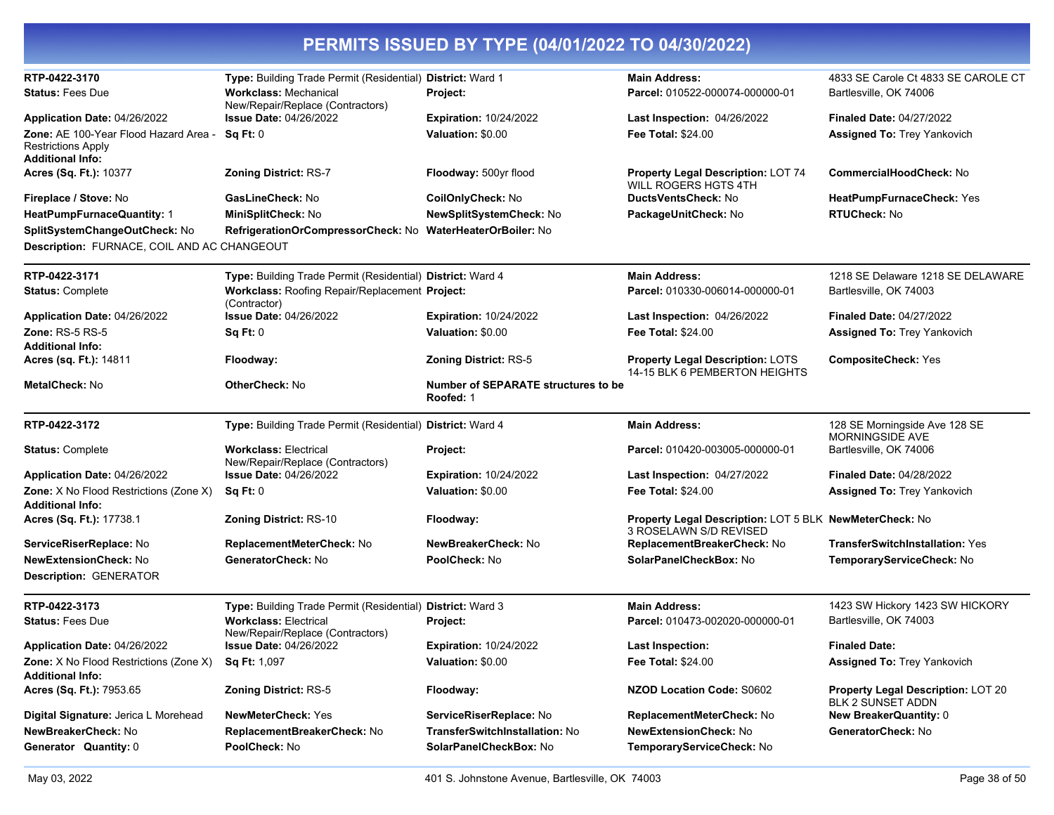| RTP-0422-3170                                                                          | Type: Building Trade Permit (Residential) District: Ward 1       |                                                  | <b>Main Address:</b>                                                              | 4833 SE Carole Ct 4833 SE CAROLE CT                            |
|----------------------------------------------------------------------------------------|------------------------------------------------------------------|--------------------------------------------------|-----------------------------------------------------------------------------------|----------------------------------------------------------------|
| <b>Status: Fees Due</b>                                                                | <b>Workclass: Mechanical</b>                                     | Project:                                         | Parcel: 010522-000074-000000-01                                                   | Bartlesville, OK 74006                                         |
|                                                                                        | New/Repair/Replace (Contractors)                                 |                                                  |                                                                                   |                                                                |
| Application Date: 04/26/2022                                                           | <b>Issue Date: 04/26/2022</b>                                    | <b>Expiration: 10/24/2022</b>                    | Last Inspection: 04/26/2022                                                       | <b>Finaled Date: 04/27/2022</b>                                |
| Zone: AE 100-Year Flood Hazard Area -<br>Restrictions Apply<br><b>Additional Info:</b> | Sq Ft: 0                                                         | Valuation: \$0.00                                | <b>Fee Total: \$24.00</b>                                                         | <b>Assigned To: Trey Yankovich</b>                             |
| Acres (Sq. Ft.): 10377                                                                 | <b>Zoning District: RS-7</b>                                     | Floodway: 500yr flood                            | Property Legal Description: LOT 74<br>WILL ROGERS HGTS 4TH                        | <b>CommercialHoodCheck: No</b>                                 |
| Fireplace / Stove: No                                                                  | GasLineCheck: No                                                 | CoilOnlyCheck: No                                | <b>DuctsVentsCheck: No</b>                                                        | HeatPumpFurnaceCheck: Yes                                      |
| HeatPumpFurnaceQuantity: 1                                                             | MiniSplitCheck: No                                               | NewSplitSystemCheck: No                          | PackageUnitCheck: No                                                              | <b>RTUCheck: No</b>                                            |
| SplitSystemChangeOutCheck: No                                                          | RefrigerationOrCompressorCheck: No WaterHeaterOrBoiler: No       |                                                  |                                                                                   |                                                                |
| Description: FURNACE, COIL AND AC CHANGEOUT                                            |                                                                  |                                                  |                                                                                   |                                                                |
| RTP-0422-3171                                                                          | Type: Building Trade Permit (Residential) District: Ward 4       |                                                  | <b>Main Address:</b>                                                              | 1218 SE Delaware 1218 SE DELAWARE                              |
| <b>Status: Complete</b>                                                                | Workclass: Roofing Repair/Replacement Project:<br>(Contractor)   |                                                  | Parcel: 010330-006014-000000-01                                                   | Bartlesville, OK 74003                                         |
| Application Date: 04/26/2022                                                           | <b>Issue Date: 04/26/2022</b>                                    | <b>Expiration: 10/24/2022</b>                    | Last Inspection: 04/26/2022                                                       | <b>Finaled Date: 04/27/2022</b>                                |
| <b>Zone: RS-5 RS-5</b>                                                                 | Sq Ft: 0                                                         | Valuation: \$0.00                                | <b>Fee Total: \$24.00</b>                                                         | <b>Assigned To: Trey Yankovich</b>                             |
| Additional Info:                                                                       |                                                                  |                                                  |                                                                                   |                                                                |
| Acres (sq. Ft.): 14811                                                                 | Floodway:                                                        | <b>Zoning District: RS-5</b>                     | <b>Property Legal Description: LOTS</b><br>14-15 BLK 6 PEMBERTON HEIGHTS          | <b>CompositeCheck: Yes</b>                                     |
| MetalCheck: No                                                                         | <b>OtherCheck: No</b>                                            | Number of SEPARATE structures to be<br>Roofed: 1 |                                                                                   |                                                                |
| RTP-0422-3172                                                                          | Type: Building Trade Permit (Residential) District: Ward 4       |                                                  | <b>Main Address:</b>                                                              | 128 SE Morningside Ave 128 SE<br>MORNINGSIDE AVE               |
| <b>Status: Complete</b>                                                                | <b>Workclass: Electrical</b><br>New/Repair/Replace (Contractors) | <b>Project:</b>                                  | Parcel: 010420-003005-000000-01                                                   | Bartlesville, OK 74006                                         |
| Application Date: 04/26/2022                                                           | <b>Issue Date: 04/26/2022</b>                                    | <b>Expiration: 10/24/2022</b>                    | Last Inspection: 04/27/2022                                                       | <b>Finaled Date: 04/28/2022</b>                                |
| Zone: X No Flood Restrictions (Zone X)<br>Additional Info:                             | Sq Ft: 0                                                         | Valuation: \$0.00                                | <b>Fee Total: \$24.00</b>                                                         | Assigned To: Trey Yankovich                                    |
| Acres (Sq. Ft.): 17738.1                                                               | <b>Zoning District: RS-10</b>                                    | Floodway:                                        | Property Legal Description: LOT 5 BLK NewMeterCheck: No<br>3 ROSELAWN S/D REVISED |                                                                |
| ServiceRiserReplace: No                                                                | ReplacementMeterCheck: No                                        | NewBreakerCheck: No                              | ReplacementBreakerCheck: No                                                       | <b>TransferSwitchInstallation: Yes</b>                         |
| NewExtensionCheck: No                                                                  | GeneratorCheck: No                                               | PoolCheck: No                                    | SolarPanelCheckBox: No                                                            | TemporaryServiceCheck: No                                      |
| <b>Description: GENERATOR</b>                                                          |                                                                  |                                                  |                                                                                   |                                                                |
| RTP-0422-3173                                                                          | Type: Building Trade Permit (Residential) District: Ward 3       |                                                  | <b>Main Address:</b>                                                              | 1423 SW Hickory 1423 SW HICKORY                                |
| <b>Status: Fees Due</b>                                                                | <b>Workclass: Electrical</b><br>New/Repair/Replace (Contractors) | Project:                                         | Parcel: 010473-002020-000000-01                                                   | Bartlesville, OK 74003                                         |
| Application Date: 04/26/2022                                                           | <b>Issue Date: 04/26/2022</b>                                    | <b>Expiration: 10/24/2022</b>                    | <b>Last Inspection:</b>                                                           | <b>Finaled Date:</b>                                           |
| Zone: X No Flood Restrictions (Zone X)<br><b>Additional Info:</b>                      | Sq Ft: 1,097                                                     | Valuation: \$0.00                                | Fee Total: \$24.00                                                                | <b>Assigned To: Trey Yankovich</b>                             |
| Acres (Sq. Ft.): 7953.65                                                               | <b>Zoning District: RS-5</b>                                     | Floodway:                                        | <b>NZOD Location Code: S0602</b>                                                  | <b>Property Legal Description: LOT 20</b><br>BLK 2 SUNSET ADDN |
| Digital Signature: Jerica L Morehead                                                   | <b>NewMeterCheck: Yes</b>                                        | ServiceRiserReplace: No                          | ReplacementMeterCheck: No                                                         | <b>New BreakerQuantity: 0</b>                                  |
| NewBreakerCheck: No                                                                    | ReplacementBreakerCheck: No                                      | TransferSwitchInstallation: No                   | <b>NewExtensionCheck: No</b>                                                      | GeneratorCheck: No                                             |
| Generator Quantity: 0                                                                  | PoolCheck: No                                                    | SolarPanelCheckBox: No                           | TemporaryServiceCheck: No                                                         |                                                                |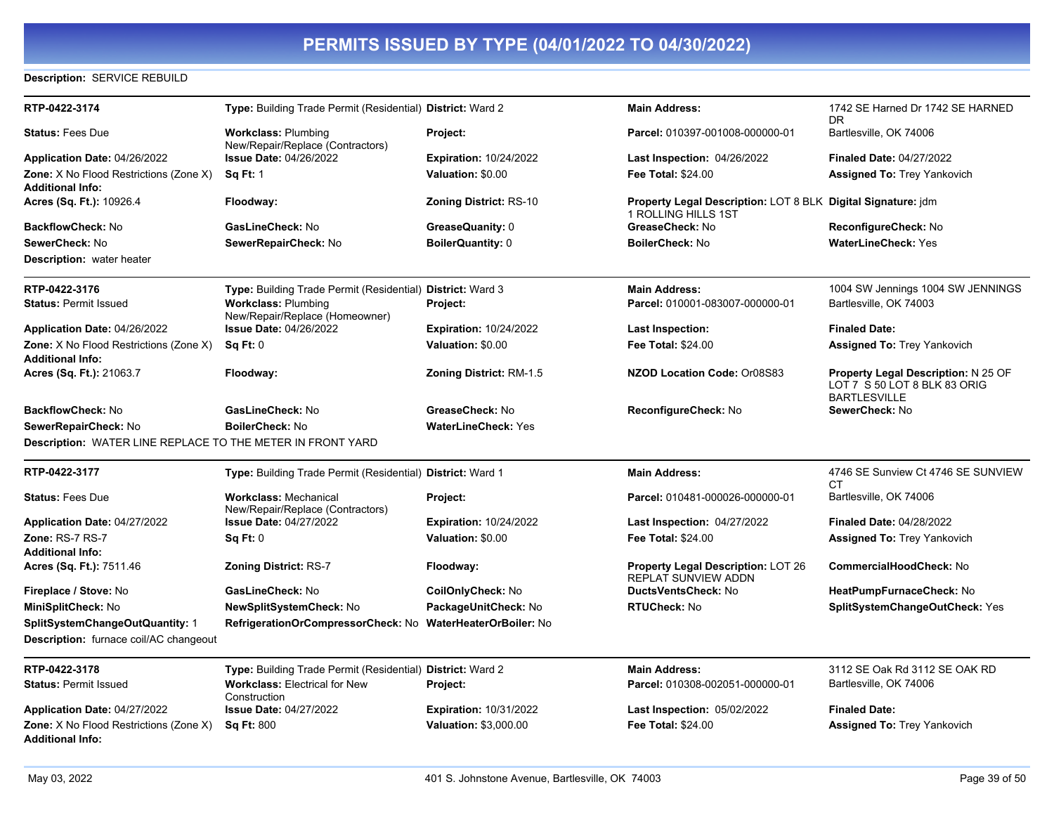### **Description:** SERVICE REBUILD

| RTP-0422-3174                                              | Type: Building Trade Permit (Residential) District: Ward 2       |                               | <b>Main Address:</b>                                                                       | 1742 SE Harned Dr 1742 SE HARNED<br>DR.                                                           |
|------------------------------------------------------------|------------------------------------------------------------------|-------------------------------|--------------------------------------------------------------------------------------------|---------------------------------------------------------------------------------------------------|
| <b>Status: Fees Due</b>                                    | <b>Workclass: Plumbing</b><br>New/Repair/Replace (Contractors)   | Project:                      | Parcel: 010397-001008-000000-01                                                            | Bartlesville, OK 74006                                                                            |
| <b>Application Date: 04/26/2022</b>                        | <b>Issue Date: 04/26/2022</b>                                    | <b>Expiration: 10/24/2022</b> | Last Inspection: 04/26/2022                                                                | <b>Finaled Date: 04/27/2022</b>                                                                   |
| Zone: X No Flood Restrictions (Zone X)                     | <b>Sq Ft: 1</b>                                                  | Valuation: \$0.00             | Fee Total: \$24.00                                                                         | <b>Assigned To: Trey Yankovich</b>                                                                |
| Additional Info:                                           |                                                                  |                               |                                                                                            |                                                                                                   |
| Acres (Sq. Ft.): 10926.4                                   | Floodway:                                                        | <b>Zoning District: RS-10</b> | <b>Property Legal Description: LOT 8 BLK Digital Signature: jdm</b><br>1 ROLLING HILLS 1ST |                                                                                                   |
| <b>BackflowCheck: No</b>                                   | <b>GasLineCheck: No</b>                                          | GreaseQuanity: 0              | GreaseCheck: No                                                                            | ReconfigureCheck: No                                                                              |
| <b>SewerCheck: No</b>                                      | SewerRepairCheck: No                                             | <b>BoilerQuantity: 0</b>      | <b>BoilerCheck: No</b>                                                                     | <b>WaterLineCheck: Yes</b>                                                                        |
| Description: water heater                                  |                                                                  |                               |                                                                                            |                                                                                                   |
| RTP-0422-3176                                              | Type: Building Trade Permit (Residential) District: Ward 3       |                               | <b>Main Address:</b>                                                                       | 1004 SW Jennings 1004 SW JENNINGS                                                                 |
| <b>Status: Permit Issued</b>                               | <b>Workclass: Plumbing</b><br>New/Repair/Replace (Homeowner)     | Project:                      | Parcel: 010001-083007-000000-01                                                            | Bartlesville, OK 74003                                                                            |
| Application Date: 04/26/2022                               | <b>Issue Date: 04/26/2022</b>                                    | <b>Expiration: 10/24/2022</b> | <b>Last Inspection:</b>                                                                    | <b>Finaled Date:</b>                                                                              |
| Zone: X No Flood Restrictions (Zone X)                     | Sq Ft: 0                                                         | Valuation: \$0.00             | Fee Total: \$24.00                                                                         | <b>Assigned To: Trey Yankovich</b>                                                                |
| Additional Info:                                           |                                                                  |                               |                                                                                            |                                                                                                   |
| <b>Acres (Sq. Ft.):</b> 21063.7                            | Floodway:                                                        | Zoning District: RM-1.5       | NZOD Location Code: Or08S83                                                                | <b>Property Legal Description: N 25 OF</b><br>LOT 7 S 50 LOT 8 BLK 83 ORIG<br><b>BARTLESVILLE</b> |
| BackflowCheck: No                                          | GasLineCheck: No                                                 | GreaseCheck: No               | ReconfigureCheck: No                                                                       | SewerCheck: No                                                                                    |
| SewerRepairCheck: No                                       | <b>BoilerCheck: No</b>                                           | <b>WaterLineCheck: Yes</b>    |                                                                                            |                                                                                                   |
| Description: WATER LINE REPLACE TO THE METER IN FRONT YARD |                                                                  |                               |                                                                                            |                                                                                                   |
| RTP-0422-3177                                              | Type: Building Trade Permit (Residential) District: Ward 1       |                               | <b>Main Address:</b>                                                                       | 4746 SE Sunview Ct 4746 SE SUNVIEW<br>СT                                                          |
| <b>Status: Fees Due</b>                                    | <b>Workclass: Mechanical</b><br>New/Repair/Replace (Contractors) | Project:                      | Parcel: 010481-000026-000000-01                                                            | Bartlesville, OK 74006                                                                            |
| Application Date: 04/27/2022                               | <b>Issue Date: 04/27/2022</b>                                    | <b>Expiration: 10/24/2022</b> | Last Inspection: 04/27/2022                                                                | <b>Finaled Date: 04/28/2022</b>                                                                   |
| Zone: RS-7 RS-7                                            | Sq Ft: 0                                                         | Valuation: \$0.00             | Fee Total: \$24.00                                                                         | <b>Assigned To: Trey Yankovich</b>                                                                |
| Additional Info:                                           |                                                                  |                               |                                                                                            |                                                                                                   |
| <b>Acres (Sq. Ft.): 7511.46</b>                            | <b>Zoning District: RS-7</b>                                     | Floodway:                     | <b>Property Legal Description: LOT 26</b><br><b>REPLAT SUNVIEW ADDN</b>                    | <b>CommercialHoodCheck: No</b>                                                                    |
| Fireplace / Stove: No                                      | GasLineCheck: No                                                 | CoilOnlyCheck: No             | DuctsVentsCheck: No                                                                        | HeatPumpFurnaceCheck: No                                                                          |
| MiniSplitCheck: No                                         | <b>NewSplitSystemCheck: No</b>                                   | PackageUnitCheck: No          | <b>RTUCheck: No</b>                                                                        | <b>SplitSystemChangeOutCheck: Yes</b>                                                             |
| SplitSystemChangeOutQuantity: 1                            | RefrigerationOrCompressorCheck: No WaterHeaterOrBoiler: No       |                               |                                                                                            |                                                                                                   |
| Description: furnace coil/AC changeout                     |                                                                  |                               |                                                                                            |                                                                                                   |
| RTP-0422-3178                                              | Type: Building Trade Permit (Residential) District: Ward 2       |                               | <b>Main Address:</b>                                                                       | 3112 SE Oak Rd 3112 SE OAK RD                                                                     |
| <b>Status: Permit Issued</b>                               | <b>Workclass: Electrical for New</b><br>Construction             | Project:                      | Parcel: 010308-002051-000000-01                                                            | Bartlesville, OK 74006                                                                            |
| Application Date: 04/27/2022                               | <b>Issue Date: 04/27/2022</b>                                    | <b>Expiration: 10/31/2022</b> | <b>Last Inspection: 05/02/2022</b>                                                         | <b>Finaled Date:</b>                                                                              |
| Zone: X No Flood Restrictions (Zone X)                     | <b>Sq Ft: 800</b>                                                | Valuation: \$3,000.00         | Fee Total: \$24.00                                                                         | <b>Assigned To: Trey Yankovich</b>                                                                |
| Additional Info:                                           |                                                                  |                               |                                                                                            |                                                                                                   |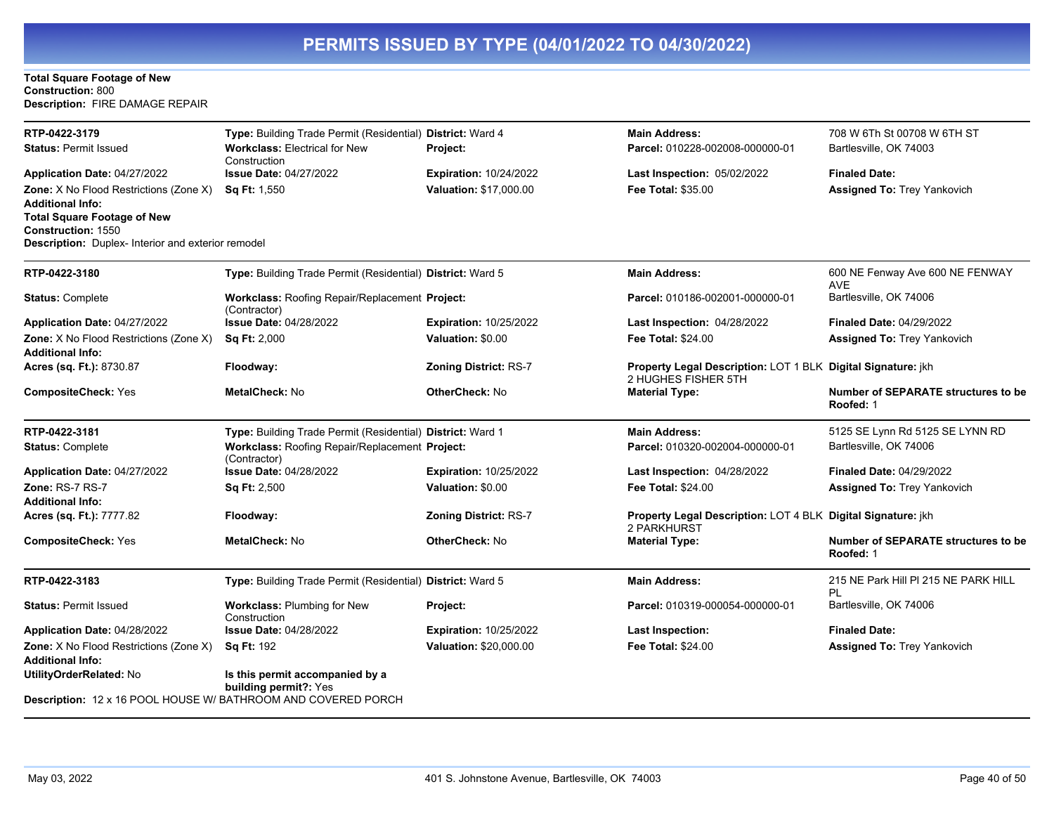### **Total Square Footage of New Construction:** 800 **Description:** FIRE DAMAGE REPAIR

| RTP-0422-3179                                                                                                         | Type: Building Trade Permit (Residential) District: Ward 4     |                               | <b>Main Address:</b>                                                                | 708 W 6Th St 00708 W 6TH ST                             |
|-----------------------------------------------------------------------------------------------------------------------|----------------------------------------------------------------|-------------------------------|-------------------------------------------------------------------------------------|---------------------------------------------------------|
| <b>Status: Permit Issued</b>                                                                                          | <b>Workclass: Electrical for New</b><br>Construction           | Project:                      | Parcel: 010228-002008-000000-01                                                     | Bartlesville, OK 74003                                  |
| Application Date: 04/27/2022                                                                                          | <b>Issue Date: 04/27/2022</b>                                  | <b>Expiration: 10/24/2022</b> | Last Inspection: 05/02/2022                                                         | <b>Finaled Date:</b>                                    |
| <b>Zone:</b> X No Flood Restrictions (Zone X)<br><b>Additional Info:</b>                                              | <b>Sq Ft:</b> 1,550                                            | Valuation: \$17,000.00        | <b>Fee Total: \$35.00</b>                                                           | Assigned To: Trey Yankovich                             |
| <b>Total Square Footage of New</b><br><b>Construction: 1550</b><br>Description: Duplex- Interior and exterior remodel |                                                                |                               |                                                                                     |                                                         |
| RTP-0422-3180                                                                                                         | Type: Building Trade Permit (Residential) District: Ward 5     |                               | <b>Main Address:</b>                                                                | 600 NE Fenway Ave 600 NE FENWAY<br><b>AVE</b>           |
| <b>Status: Complete</b>                                                                                               | Workclass: Roofing Repair/Replacement Project:<br>(Contractor) |                               | Parcel: 010186-002001-000000-01                                                     | Bartlesville, OK 74006                                  |
| Application Date: 04/27/2022                                                                                          | <b>Issue Date: 04/28/2022</b>                                  | <b>Expiration: 10/25/2022</b> | Last Inspection: 04/28/2022                                                         | <b>Finaled Date: 04/29/2022</b>                         |
| Zone: X No Flood Restrictions (Zone X)<br><b>Additional Info:</b>                                                     | <b>Sq Ft: 2,000</b>                                            | Valuation: \$0.00             | <b>Fee Total: \$24.00</b>                                                           | <b>Assigned To: Trey Yankovich</b>                      |
| Acres (sq. Ft.): 8730.87                                                                                              | Floodway:                                                      | <b>Zoning District: RS-7</b>  | Property Legal Description: LOT 1 BLK Digital Signature: jkh<br>2 HUGHES FISHER 5TH |                                                         |
| <b>CompositeCheck: Yes</b>                                                                                            | <b>MetalCheck: No</b>                                          | <b>OtherCheck: No</b>         | <b>Material Type:</b>                                                               | <b>Number of SEPARATE structures to be</b><br>Roofed: 1 |
| RTP-0422-3181                                                                                                         | Type: Building Trade Permit (Residential) District: Ward 1     |                               | <b>Main Address:</b>                                                                | 5125 SE Lynn Rd 5125 SE LYNN RD                         |
| <b>Status: Complete</b>                                                                                               | Workclass: Roofing Repair/Replacement Project:<br>(Contractor) |                               | Parcel: 010320-002004-000000-01                                                     | Bartlesville, OK 74006                                  |
| Application Date: 04/27/2022                                                                                          | <b>Issue Date: 04/28/2022</b>                                  | <b>Expiration: 10/25/2022</b> | Last Inspection: 04/28/2022                                                         | <b>Finaled Date: 04/29/2022</b>                         |
| Zone: RS-7 RS-7<br><b>Additional Info:</b>                                                                            | <b>Sq Ft: 2,500</b>                                            | Valuation: \$0.00             | <b>Fee Total: \$24.00</b>                                                           | <b>Assigned To: Trey Yankovich</b>                      |
| Acres (sq. Ft.): 7777.82                                                                                              | Floodway:                                                      | <b>Zoning District: RS-7</b>  | Property Legal Description: LOT 4 BLK Digital Signature: jkh<br>2 PARKHURST         |                                                         |
| <b>CompositeCheck: Yes</b>                                                                                            | MetalCheck: No                                                 | <b>OtherCheck: No</b>         | <b>Material Type:</b>                                                               | <b>Number of SEPARATE structures to be</b><br>Roofed: 1 |
| RTP-0422-3183                                                                                                         | Type: Building Trade Permit (Residential) District: Ward 5     |                               | <b>Main Address:</b>                                                                | 215 NE Park Hill PI 215 NE PARK HILL<br>PL              |
| <b>Status: Permit Issued</b>                                                                                          | Workclass: Plumbing for New<br>Construction                    | Project:                      | Parcel: 010319-000054-000000-01                                                     | Bartlesville, OK 74006                                  |
| Application Date: 04/28/2022                                                                                          | Issue Date: 04/28/2022                                         | <b>Expiration: 10/25/2022</b> | <b>Last Inspection:</b>                                                             | <b>Finaled Date:</b>                                    |
| Zone: X No Flood Restrictions (Zone X)<br><b>Additional Info:</b>                                                     | <b>Sq Ft: 192</b>                                              | Valuation: \$20,000.00        | <b>Fee Total: \$24.00</b>                                                           | <b>Assigned To: Trey Yankovich</b>                      |
| UtilityOrderRelated: No                                                                                               | Is this permit accompanied by a<br>building permit?: Yes       |                               |                                                                                     |                                                         |
| Description: 12 x 16 POOL HOUSE W/ BATHROOM AND COVERED PORCH                                                         |                                                                |                               |                                                                                     |                                                         |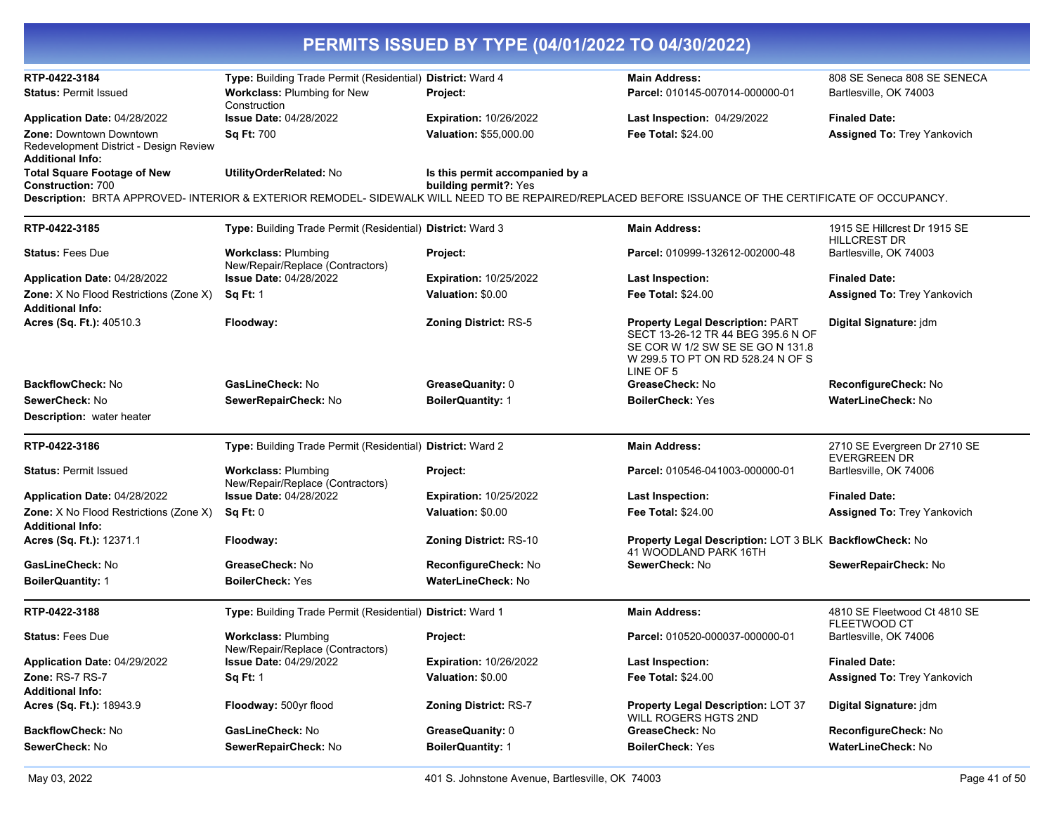|                                                                                              |                                                                | PERMITS ISSUED BY TYPE (04/01/2022 TO 04/30/2022)        |                                                                                                                                                                     |                                                     |
|----------------------------------------------------------------------------------------------|----------------------------------------------------------------|----------------------------------------------------------|---------------------------------------------------------------------------------------------------------------------------------------------------------------------|-----------------------------------------------------|
| RTP-0422-3184                                                                                | Type: Building Trade Permit (Residential) District: Ward 4     |                                                          | <b>Main Address:</b>                                                                                                                                                | 808 SE Seneca 808 SE SENECA                         |
| <b>Status: Permit Issued</b>                                                                 | Workclass: Plumbing for New<br>Construction                    | Project:                                                 | Parcel: 010145-007014-000000-01                                                                                                                                     | Bartlesville, OK 74003                              |
| Application Date: 04/28/2022                                                                 | <b>Issue Date: 04/28/2022</b>                                  | <b>Expiration: 10/26/2022</b>                            | Last Inspection: 04/29/2022                                                                                                                                         | <b>Finaled Date:</b>                                |
| Zone: Downtown Downtown<br>Redevelopment District - Design Review<br><b>Additional Info:</b> | <b>Sq Ft: 700</b>                                              | <b>Valuation: \$55,000.00</b>                            | <b>Fee Total: \$24.00</b>                                                                                                                                           | <b>Assigned To: Trey Yankovich</b>                  |
| <b>Total Square Footage of New</b><br><b>Construction: 700</b>                               | UtilityOrderRelated: No                                        | Is this permit accompanied by a<br>building permit?: Yes | Description: BRTA APPROVED- INTERIOR & EXTERIOR REMODEL- SIDEWALK WILL NEED TO BE REPAIRED/REPLACED BEFORE ISSUANCE OF THE CERTIFICATE OF OCCUPANCY.                |                                                     |
| RTP-0422-3185                                                                                | Type: Building Trade Permit (Residential) District: Ward 3     |                                                          | <b>Main Address:</b>                                                                                                                                                | 1915 SE Hillcrest Dr 1915 SE                        |
| <b>Status: Fees Due</b>                                                                      | <b>Workclass: Plumbing</b><br>New/Repair/Replace (Contractors) | Project:                                                 | Parcel: 010999-132612-002000-48                                                                                                                                     | <b>HILLCREST DR</b><br>Bartlesville, OK 74003       |
| Application Date: 04/28/2022                                                                 | <b>Issue Date: 04/28/2022</b>                                  | <b>Expiration: 10/25/2022</b>                            | <b>Last Inspection:</b>                                                                                                                                             | <b>Finaled Date:</b>                                |
| Zone: X No Flood Restrictions (Zone X)<br><b>Additional Info:</b>                            | <b>Sq Ft: 1</b>                                                | Valuation: \$0.00                                        | Fee Total: \$24.00                                                                                                                                                  | <b>Assigned To: Trey Yankovich</b>                  |
| Acres (Sq. Ft.): 40510.3                                                                     | Floodway:                                                      | <b>Zoning District: RS-5</b>                             | <b>Property Legal Description: PART</b><br>SECT 13-26-12 TR 44 BEG 395.6 N OF<br>SE COR W 1/2 SW SE SE GO N 131.8<br>W 299.5 TO PT ON RD 528.24 N OF S<br>LINE OF 5 | Digital Signature: jdm                              |
| BackflowCheck: No                                                                            | GasLineCheck: No                                               | GreaseQuanity: 0                                         | GreaseCheck: No                                                                                                                                                     | ReconfigureCheck: No                                |
| SewerCheck: No<br><b>Description:</b> water heater                                           | SewerRepairCheck: No                                           | <b>BoilerQuantity: 1</b>                                 | <b>BoilerCheck: Yes</b>                                                                                                                                             | <b>WaterLineCheck: No</b>                           |
| RTP-0422-3186                                                                                | Type: Building Trade Permit (Residential) District: Ward 2     |                                                          | <b>Main Address:</b>                                                                                                                                                | 2710 SE Evergreen Dr 2710 SE<br><b>EVERGREEN DR</b> |
| <b>Status: Permit Issued</b>                                                                 | <b>Workclass: Plumbing</b><br>New/Repair/Replace (Contractors) | Project:                                                 | Parcel: 010546-041003-000000-01                                                                                                                                     | Bartlesville, OK 74006                              |
| Application Date: 04/28/2022                                                                 | <b>Issue Date: 04/28/2022</b>                                  | <b>Expiration: 10/25/2022</b>                            | <b>Last Inspection:</b>                                                                                                                                             | <b>Finaled Date:</b>                                |
| Zone: X No Flood Restrictions (Zone X)<br><b>Additional Info:</b>                            | <b>Sq Ft: 0</b>                                                | Valuation: \$0.00                                        | <b>Fee Total: \$24.00</b>                                                                                                                                           | <b>Assigned To: Trey Yankovich</b>                  |
| Acres (Sq. Ft.): 12371.1                                                                     | Floodway:                                                      | Zoning District: RS-10                                   | Property Legal Description: LOT 3 BLK BackflowCheck: No<br>41 WOODLAND PARK 16TH                                                                                    |                                                     |
| GasLineCheck: No                                                                             | GreaseCheck: No                                                | ReconfigureCheck: No                                     | SewerCheck: No                                                                                                                                                      | SewerRepairCheck: No                                |
| <b>BoilerQuantity: 1</b>                                                                     | <b>BoilerCheck: Yes</b>                                        | <b>WaterLineCheck: No</b>                                |                                                                                                                                                                     |                                                     |
| RTP-0422-3188                                                                                | Type: Building Trade Permit (Residential) District: Ward 1     |                                                          | <b>Main Address:</b>                                                                                                                                                | 4810 SE Fleetwood Ct 4810 SE<br><b>FLEETWOOD CT</b> |
| <b>Status: Fees Due</b>                                                                      | <b>Workclass: Plumbing</b><br>New/Repair/Replace (Contractors) | Project:                                                 | Parcel: 010520-000037-000000-01                                                                                                                                     | Bartlesville, OK 74006                              |
| Application Date: 04/29/2022                                                                 | <b>Issue Date: 04/29/2022</b>                                  | <b>Expiration: 10/26/2022</b>                            | <b>Last Inspection:</b>                                                                                                                                             | <b>Finaled Date:</b>                                |
| <b>Zone: RS-7 RS-7</b><br><b>Additional Info:</b>                                            | <b>Sq Ft: 1</b>                                                | Valuation: \$0.00                                        | <b>Fee Total: \$24.00</b>                                                                                                                                           | <b>Assigned To: Trey Yankovich</b>                  |
| Acres (Sq. Ft.): 18943.9                                                                     | Floodway: 500yr flood                                          | Zoning District: RS-7                                    | Property Legal Description: LOT 37<br>WILL ROGERS HGTS 2ND                                                                                                          | Digital Signature: jdm                              |
| <b>BackflowCheck: No</b>                                                                     | GasLineCheck: No                                               | GreaseQuanity: 0                                         | GreaseCheck: No                                                                                                                                                     | ReconfigureCheck: No                                |
| SewerCheck: No                                                                               | SewerRepairCheck: No                                           | <b>BoilerQuantity: 1</b>                                 | <b>BoilerCheck: Yes</b>                                                                                                                                             | WaterLineCheck: No                                  |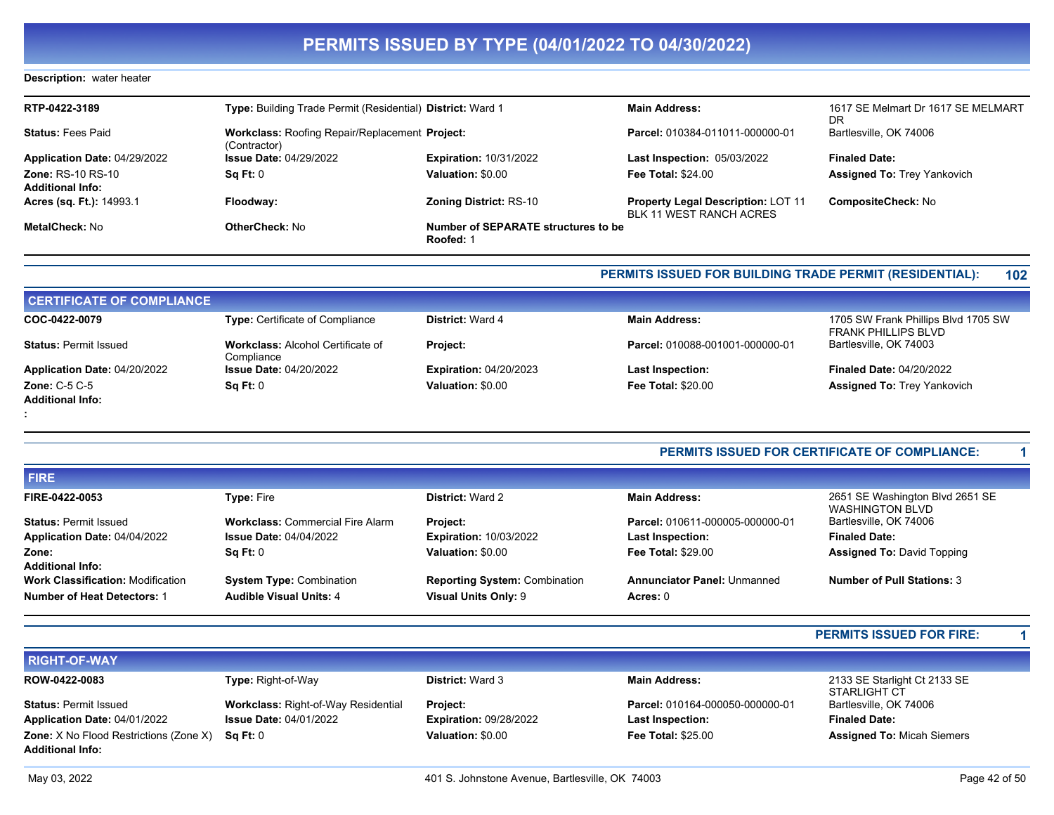### **Description:** water heater

| RTP-0422-3189                                       | Type: Building Trade Permit (Residential) District: Ward 1     |                                                  | <b>Main Address:</b>                                                 | 1617 SE Melmart Dr 1617 SE MELMART<br>DR. |
|-----------------------------------------------------|----------------------------------------------------------------|--------------------------------------------------|----------------------------------------------------------------------|-------------------------------------------|
| <b>Status: Fees Paid</b>                            | Workclass: Roofing Repair/Replacement Project:<br>(Contractor) |                                                  | Parcel: 010384-011011-000000-01                                      | Bartlesville, OK 74006                    |
| Application Date: 04/29/2022                        | <b>Issue Date: 04/29/2022</b>                                  | <b>Expiration: 10/31/2022</b>                    | <b>Last Inspection: 05/03/2022</b>                                   | <b>Finaled Date:</b>                      |
| <b>Zone: RS-10 RS-10</b><br><b>Additional Info:</b> | Sq Ft: 0                                                       | Valuation: \$0.00                                | <b>Fee Total: \$24.00</b>                                            | <b>Assigned To: Trey Yankovich</b>        |
| Acres (sq. Ft.): 14993.1                            | Floodway:                                                      | <b>Zoning District: RS-10</b>                    | <b>Property Legal Description: LOT 11</b><br>BLK 11 WEST RANCH ACRES | <b>CompositeCheck: No</b>                 |
| MetalCheck: No                                      | OtherCheck: No                                                 | Number of SEPARATE structures to be<br>Roofed: 1 |                                                                      |                                           |

### **PERMITS ISSUED FOR BUILDING TRADE PERMIT (RESIDENTIAL): 102**

| <b>CERTIFICATE OF COMPLIANCE</b> |                                                        |                               |                                 |                                                                   |
|----------------------------------|--------------------------------------------------------|-------------------------------|---------------------------------|-------------------------------------------------------------------|
| COC-0422-0079                    | Type: Certificate of Compliance                        | <b>District: Ward 4</b>       | <b>Main Address:</b>            | 1705 SW Frank Phillips Blvd 1705 SW<br><b>FRANK PHILLIPS BLVD</b> |
| <b>Status: Permit Issued</b>     | <b>Workclass: Alcohol Certificate of</b><br>Compliance | <b>Project:</b>               | Parcel: 010088-001001-000000-01 | Bartlesville, OK 74003                                            |
| Application Date: 04/20/2022     | <b>Issue Date: 04/20/2022</b>                          | <b>Expiration: 04/20/2023</b> | <b>Last Inspection:</b>         | <b>Finaled Date: 04/20/2022</b>                                   |
| Zone: $C-5$ $C-5$                | Sq Ft: 0                                               | Valuation: \$0.00             | <b>Fee Total: \$20.00</b>       | <b>Assigned To: Trey Yankovich</b>                                |
| <b>Additional Info:</b>          |                                                        |                               |                                 |                                                                   |
|                                  |                                                        |                               |                                 |                                                                   |

### **PERMITS ISSUED FOR CERTIFICATE OF COMPLIANCE: 1**

| <b>FIRE</b>                                                         |                                         |                                      |                                    |                                                           |
|---------------------------------------------------------------------|-----------------------------------------|--------------------------------------|------------------------------------|-----------------------------------------------------------|
| FIRE-0422-0053                                                      | <b>Type: Fire</b>                       | <b>District: Ward 2</b>              | <b>Main Address:</b>               | 2651 SE Washington Blvd 2651 SE<br><b>WASHINGTON BLVD</b> |
| <b>Status: Permit Issued</b>                                        | <b>Workclass: Commercial Fire Alarm</b> | <b>Project:</b>                      | Parcel: 010611-000005-000000-01    | Bartlesville, OK 74006                                    |
| Application Date: 04/04/2022                                        | <b>Issue Date: 04/04/2022</b>           | <b>Expiration: 10/03/2022</b>        | <b>Last Inspection:</b>            | <b>Finaled Date:</b>                                      |
| Zone:                                                               | $\textsf{Sa} \, \textsf{Ft}$ : 0        | Valuation: \$0.00                    | <b>Fee Total: \$29.00</b>          | <b>Assigned To: David Topping</b>                         |
| <b>Additional Info:</b><br><b>Work Classification: Modification</b> | <b>System Type: Combination</b>         | <b>Reporting System: Combination</b> | <b>Annunciator Panel: Unmanned</b> | <b>Number of Pull Stations: 3</b>                         |
| <b>Number of Heat Detectors: 1</b>                                  | <b>Audible Visual Units: 4</b>          | Visual Units Only: 9                 | Acres: 0                           |                                                           |

### **PERMITS ISSUED FOR FIRE: 1**

| <b>RIGHT-OF-WAY</b>                                                      |                                            |                               |                                 |                                              |
|--------------------------------------------------------------------------|--------------------------------------------|-------------------------------|---------------------------------|----------------------------------------------|
| ROW-0422-0083                                                            | <b>Type: Right-of-Way</b>                  | <b>District: Ward 3</b>       | <b>Main Address:</b>            | 2133 SE Starlight Ct 2133 SE<br>STARLIGHT CT |
| <b>Status: Permit Issued</b>                                             | <b>Workclass: Right-of-Way Residential</b> | <b>Project:</b>               | Parcel: 010164-000050-000000-01 | Bartlesville, OK 74006                       |
| Application Date: 04/01/2022                                             | <b>Issue Date: 04/01/2022</b>              | <b>Expiration: 09/28/2022</b> | <b>Last Inspection:</b>         | <b>Finaled Date:</b>                         |
| <b>Zone:</b> X No Flood Restrictions (Zone X)<br><b>Additional Info:</b> | SaFt:0                                     | Valuation: \$0.00             | <b>Fee Total: \$25.00</b>       | <b>Assigned To: Micah Siemers</b>            |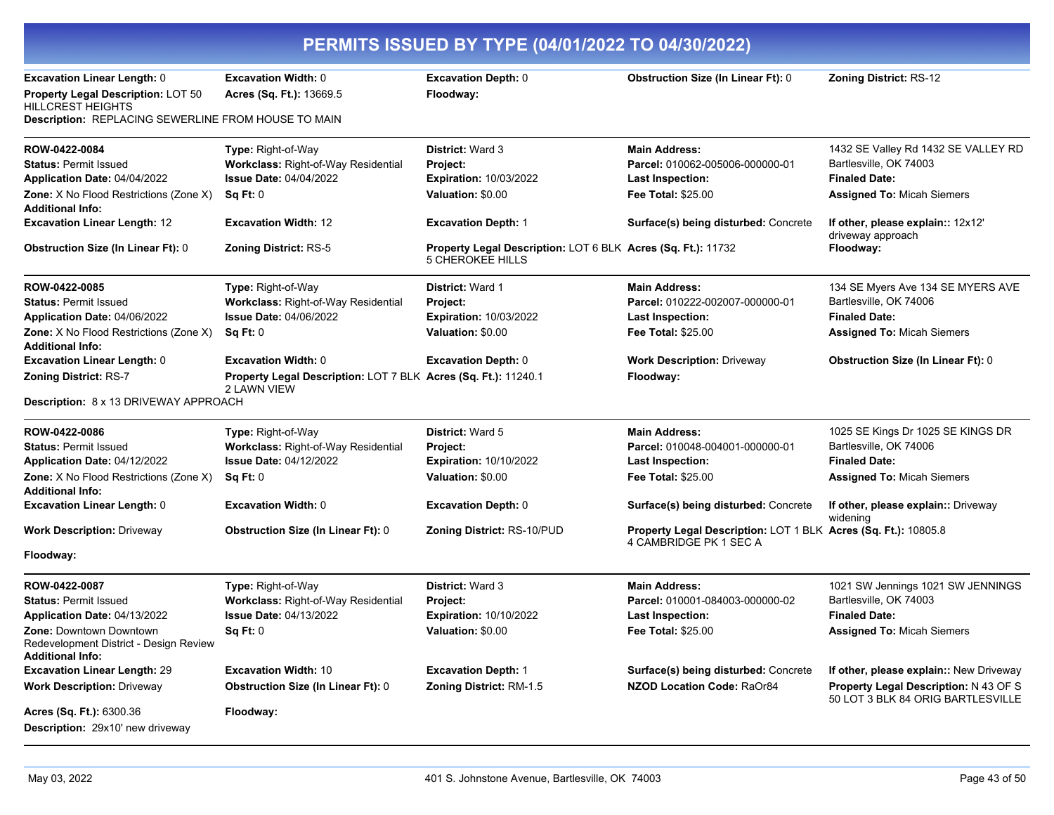| PERMITS ISSUED BY TYPE (04/01/2022 TO 04/30/2022)                                            |                                                                               |                                                                                         |                                                                                          |                                                                                   |
|----------------------------------------------------------------------------------------------|-------------------------------------------------------------------------------|-----------------------------------------------------------------------------------------|------------------------------------------------------------------------------------------|-----------------------------------------------------------------------------------|
| Excavation Linear Length: 0                                                                  | <b>Excavation Width: 0</b>                                                    | <b>Excavation Depth: 0</b>                                                              | <b>Obstruction Size (In Linear Ft): 0</b>                                                | <b>Zoning District: RS-12</b>                                                     |
| Property Legal Description: LOT 50                                                           | Acres (Sq. Ft.): 13669.5                                                      | Floodway:                                                                               |                                                                                          |                                                                                   |
| HILLCREST HEIGHTS<br>Description: REPLACING SEWERLINE FROM HOUSE TO MAIN                     |                                                                               |                                                                                         |                                                                                          |                                                                                   |
| ROW-0422-0084                                                                                | Type: Right-of-Way                                                            | District: Ward 3                                                                        | <b>Main Address:</b>                                                                     | 1432 SE Valley Rd 1432 SE VALLEY RD                                               |
| <b>Status: Permit Issued</b>                                                                 | Workclass: Right-of-Way Residential                                           | Project:                                                                                | Parcel: 010062-005006-000000-01                                                          | Bartlesville, OK 74003                                                            |
| Application Date: 04/04/2022                                                                 | <b>Issue Date: 04/04/2022</b>                                                 | <b>Expiration: 10/03/2022</b>                                                           | <b>Last Inspection:</b>                                                                  | <b>Finaled Date:</b>                                                              |
| <b>Zone:</b> X No Flood Restrictions (Zone X)<br><b>Additional Info:</b>                     | Sq Ft: 0                                                                      | Valuation: \$0.00                                                                       | <b>Fee Total: \$25.00</b>                                                                | <b>Assigned To: Micah Siemers</b>                                                 |
| <b>Excavation Linear Length: 12</b>                                                          | <b>Excavation Width: 12</b>                                                   | <b>Excavation Depth: 1</b>                                                              | Surface(s) being disturbed: Concrete                                                     | If other, please explain:: 12x12'<br>driveway approach                            |
| <b>Obstruction Size (In Linear Ft): 0</b>                                                    | <b>Zoning District: RS-5</b>                                                  | Property Legal Description: LOT 6 BLK Acres (Sq. Ft.): 11732<br><b>5 CHEROKEE HILLS</b> |                                                                                          | Floodway:                                                                         |
| ROW-0422-0085                                                                                | Type: Right-of-Way                                                            | <b>District: Ward 1</b>                                                                 | <b>Main Address:</b>                                                                     | 134 SE Myers Ave 134 SE MYERS AVE                                                 |
| <b>Status: Permit Issued</b>                                                                 | Workclass: Right-of-Way Residential                                           | Project:                                                                                | Parcel: 010222-002007-000000-01                                                          | Bartlesville, OK 74006                                                            |
| Application Date: 04/06/2022                                                                 | <b>Issue Date: 04/06/2022</b>                                                 | <b>Expiration: 10/03/2022</b>                                                           | <b>Last Inspection:</b>                                                                  | <b>Finaled Date:</b>                                                              |
| <b>Zone:</b> X No Flood Restrictions (Zone X)<br><b>Additional Info:</b>                     | Sq Ft: 0                                                                      | Valuation: \$0.00                                                                       | <b>Fee Total: \$25.00</b>                                                                | <b>Assigned To: Micah Siemers</b>                                                 |
| <b>Excavation Linear Length: 0</b>                                                           | <b>Excavation Width: 0</b>                                                    | <b>Excavation Depth: 0</b>                                                              | <b>Work Description: Driveway</b>                                                        | <b>Obstruction Size (In Linear Ft): 0</b>                                         |
| Zoning District: RS-7                                                                        | Property Legal Description: LOT 7 BLK Acres (Sq. Ft.): 11240.1<br>2 LAWN VIEW |                                                                                         | Floodway:                                                                                |                                                                                   |
| Description: 8 x 13 DRIVEWAY APPROACH                                                        |                                                                               |                                                                                         |                                                                                          |                                                                                   |
| ROW-0422-0086                                                                                | Type: Right-of-Way                                                            | <b>District: Ward 5</b>                                                                 | <b>Main Address:</b>                                                                     | 1025 SE Kings Dr 1025 SE KINGS DR                                                 |
| <b>Status: Permit Issued</b>                                                                 | Workclass: Right-of-Way Residential                                           | Project:                                                                                | Parcel: 010048-004001-000000-01                                                          | Bartlesville, OK 74006                                                            |
| Application Date: 04/12/2022                                                                 | <b>Issue Date: 04/12/2022</b>                                                 | <b>Expiration: 10/10/2022</b>                                                           | <b>Last Inspection:</b>                                                                  | <b>Finaled Date:</b>                                                              |
| <b>Zone:</b> X No Flood Restrictions (Zone X)<br><b>Additional Info:</b>                     | Sq Ft: 0                                                                      | Valuation: \$0.00                                                                       | <b>Fee Total: \$25.00</b>                                                                | <b>Assigned To: Micah Siemers</b>                                                 |
| <b>Excavation Linear Length: 0</b>                                                           | Excavation Width: 0                                                           | <b>Excavation Depth: 0</b>                                                              | Surface(s) being disturbed: Concrete                                                     | If other, please explain:: Driveway<br>widening                                   |
| <b>Work Description: Driveway</b>                                                            | <b>Obstruction Size (In Linear Ft): 0</b>                                     | Zoning District: RS-10/PUD                                                              | Property Legal Description: LOT 1 BLK Acres (Sq. Ft.): 10805.8<br>4 CAMBRIDGE PK 1 SEC A |                                                                                   |
| Floodway:                                                                                    |                                                                               |                                                                                         |                                                                                          |                                                                                   |
| ROW-0422-0087                                                                                | Type: Right-of-Way                                                            | <b>District: Ward 3</b>                                                                 | <b>Main Address:</b>                                                                     | 1021 SW Jennings 1021 SW JENNINGS                                                 |
| <b>Status: Permit Issued</b>                                                                 | Workclass: Right-of-Way Residential                                           | Project:                                                                                | Parcel: 010001-084003-000000-02                                                          | Bartlesville, OK 74003                                                            |
| Application Date: 04/13/2022                                                                 | <b>Issue Date: 04/13/2022</b>                                                 | <b>Expiration: 10/10/2022</b>                                                           | <b>Last Inspection:</b>                                                                  | <b>Finaled Date:</b>                                                              |
| Zone: Downtown Downtown<br>Redevelopment District - Design Review<br><b>Additional Info:</b> | Sq Ft: 0                                                                      | Valuation: \$0.00                                                                       | <b>Fee Total: \$25.00</b>                                                                | <b>Assigned To: Micah Siemers</b>                                                 |
| <b>Excavation Linear Length: 29</b>                                                          | <b>Excavation Width: 10</b>                                                   | <b>Excavation Depth: 1</b>                                                              | Surface(s) being disturbed: Concrete                                                     | If other, please explain:: New Driveway                                           |
| <b>Work Description: Driveway</b>                                                            | <b>Obstruction Size (In Linear Ft): 0</b>                                     | Zoning District: RM-1.5                                                                 | NZOD Location Code: RaOr84                                                               | <b>Property Legal Description: N 43 OF S</b><br>50 LOT 3 BLK 84 ORIG BARTLESVILLE |
| Acres (Sq. Ft.): 6300.36                                                                     | Floodway:                                                                     |                                                                                         |                                                                                          |                                                                                   |
| Description: 29x10' new driveway                                                             |                                                                               |                                                                                         |                                                                                          |                                                                                   |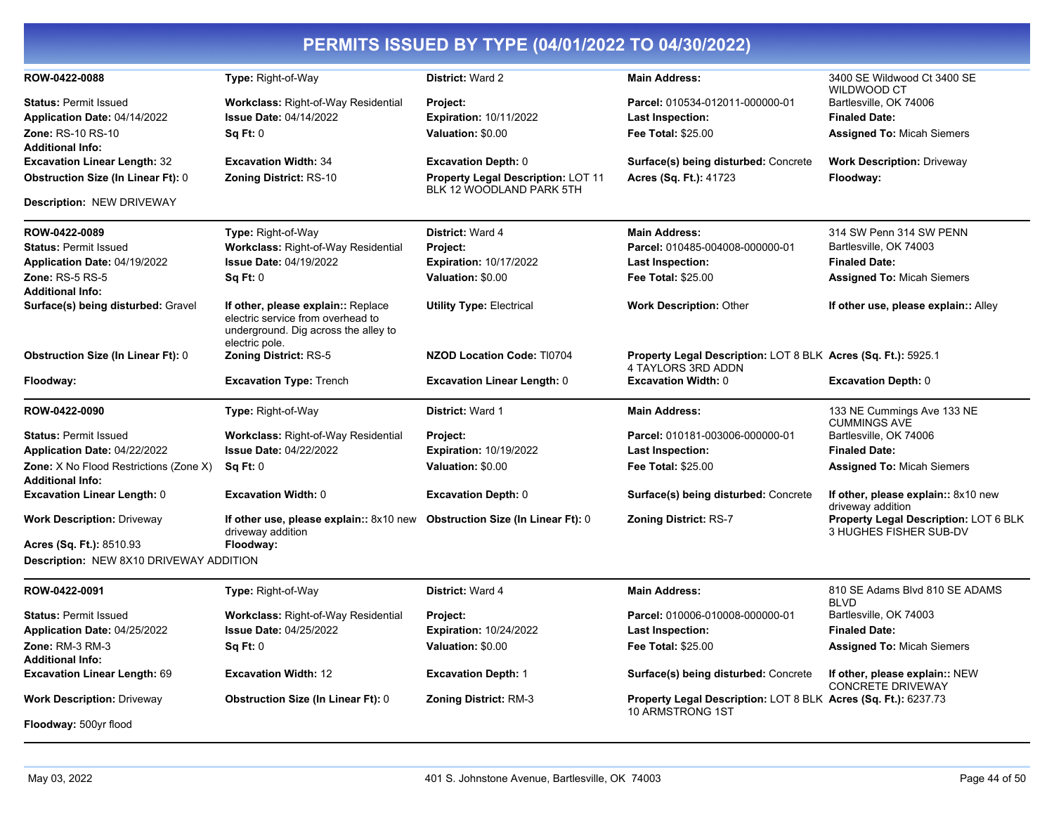| PERMITS ISSUED BY TYPE (04/01/2022 TO 04/30/2022)                 |                                                                                                                 |                                           |                                                                                     |                                                                 |
|-------------------------------------------------------------------|-----------------------------------------------------------------------------------------------------------------|-------------------------------------------|-------------------------------------------------------------------------------------|-----------------------------------------------------------------|
| ROW-0422-0088                                                     | Type: Right-of-Way                                                                                              | District: Ward 2                          | <b>Main Address:</b>                                                                | 3400 SE Wildwood Ct 3400 SE<br>WILDWOOD CT                      |
| <b>Status: Permit Issued</b>                                      | <b>Workclass: Right-of-Way Residential</b>                                                                      | <b>Project:</b>                           | Parcel: 010534-012011-000000-01                                                     | Bartlesville, OK 74006                                          |
| Application Date: 04/14/2022                                      | <b>Issue Date: 04/14/2022</b>                                                                                   | <b>Expiration: 10/11/2022</b>             | <b>Last Inspection:</b>                                                             | <b>Finaled Date:</b>                                            |
| Zone: RS-10 RS-10                                                 | Sq Ft: 0                                                                                                        | Valuation: \$0.00                         | Fee Total: \$25.00                                                                  | <b>Assigned To: Micah Siemers</b>                               |
| <b>Additional Info:</b><br><b>Excavation Linear Length: 32</b>    | <b>Excavation Width: 34</b>                                                                                     | <b>Excavation Depth: 0</b>                | Surface(s) being disturbed: Concrete                                                | <b>Work Description: Driveway</b>                               |
| <b>Obstruction Size (In Linear Ft): 0</b>                         | Zoning District: RS-10                                                                                          | <b>Property Legal Description: LOT 11</b> | Acres (Sq. Ft.): 41723                                                              | Floodway:                                                       |
| Description: NEW DRIVEWAY                                         |                                                                                                                 | BLK 12 WOODLAND PARK 5TH                  |                                                                                     |                                                                 |
|                                                                   |                                                                                                                 |                                           |                                                                                     |                                                                 |
| ROW-0422-0089                                                     | Type: Right-of-Way                                                                                              | District: Ward 4                          | <b>Main Address:</b>                                                                | 314 SW Penn 314 SW PENN                                         |
| <b>Status: Permit Issued</b>                                      | <b>Workclass: Right-of-Way Residential</b>                                                                      | Project:                                  | Parcel: 010485-004008-000000-01                                                     | Bartlesville, OK 74003                                          |
| Application Date: 04/19/2022                                      | <b>Issue Date: 04/19/2022</b>                                                                                   | <b>Expiration: 10/17/2022</b>             | <b>Last Inspection:</b>                                                             | <b>Finaled Date:</b>                                            |
| <b>Zone: RS-5 RS-5</b><br><b>Additional Info:</b>                 | Sq Ft: 0                                                                                                        | Valuation: \$0.00                         | <b>Fee Total: \$25.00</b>                                                           | <b>Assigned To: Micah Siemers</b>                               |
| Surface(s) being disturbed: Gravel                                | If other, please explain:: Replace<br>electric service from overhead to<br>underground. Dig across the alley to | <b>Utility Type: Electrical</b>           | <b>Work Description: Other</b>                                                      | If other use, please explain:: Alley                            |
| <b>Obstruction Size (In Linear Ft): 0</b>                         | electric pole.<br><b>Zoning District: RS-5</b>                                                                  | <b>NZOD Location Code: TI0704</b>         | Property Legal Description: LOT 8 BLK Acres (Sq. Ft.): 5925.1<br>4 TAYLORS 3RD ADDN |                                                                 |
| Floodway:                                                         | <b>Excavation Type: Trench</b>                                                                                  | <b>Excavation Linear Length: 0</b>        | <b>Excavation Width: 0</b>                                                          | <b>Excavation Depth: 0</b>                                      |
| ROW-0422-0090                                                     | Type: Right-of-Way                                                                                              | District: Ward 1                          | <b>Main Address:</b>                                                                | 133 NE Cummings Ave 133 NE<br><b>CUMMINGS AVE</b>               |
| <b>Status: Permit Issued</b>                                      | Workclass: Right-of-Way Residential                                                                             | Project:                                  | Parcel: 010181-003006-000000-01                                                     | Bartlesville, OK 74006                                          |
| Application Date: 04/22/2022                                      | <b>Issue Date: 04/22/2022</b>                                                                                   | <b>Expiration: 10/19/2022</b>             | <b>Last Inspection:</b>                                                             | <b>Finaled Date:</b>                                            |
| Zone: X No Flood Restrictions (Zone X)<br><b>Additional Info:</b> | Sq Ft: 0                                                                                                        | Valuation: \$0.00                         | <b>Fee Total: \$25.00</b>                                                           | <b>Assigned To: Micah Siemers</b>                               |
| <b>Excavation Linear Length: 0</b>                                | <b>Excavation Width: 0</b>                                                                                      | <b>Excavation Depth: 0</b>                | Surface(s) being disturbed: Concrete                                                | If other, please explain:: 8x10 new<br>driveway addition        |
| <b>Work Description: Driveway</b>                                 | If other use, please explain:: 8x10 new Obstruction Size (In Linear Ft): 0<br>driveway addition                 |                                           | <b>Zoning District: RS-7</b>                                                        | Property Legal Description: LOT 6 BLK<br>3 HUGHES FISHER SUB-DV |
| Acres (Sq. Ft.): 8510.93                                          | Floodway:                                                                                                       |                                           |                                                                                     |                                                                 |
| <b>Description: NEW 8X10 DRIVEWAY ADDITION</b>                    |                                                                                                                 |                                           |                                                                                     |                                                                 |
| ROW-0422-0091                                                     | Type: Right-of-Way                                                                                              | <b>District: Ward 4</b>                   | <b>Main Address:</b>                                                                | 810 SE Adams Blvd 810 SE ADAMS                                  |
| <b>Status: Permit Issued</b>                                      | <b>Workclass: Right-of-Way Residential</b>                                                                      | <b>Project:</b>                           | Parcel: 010006-010008-000000-01                                                     | <b>BLVD</b><br>Bartlesville, OK 74003                           |
| Application Date: 04/25/2022                                      | <b>Issue Date: 04/25/2022</b>                                                                                   | <b>Expiration: 10/24/2022</b>             | Last Inspection:                                                                    | <b>Finaled Date:</b>                                            |
| Zone: RM-3 RM-3                                                   | Sq Ft: 0                                                                                                        | Valuation: \$0.00                         | Fee Total: \$25.00                                                                  | <b>Assigned To: Micah Siemers</b>                               |
| <b>Additional Info:</b>                                           |                                                                                                                 |                                           |                                                                                     |                                                                 |
| <b>Excavation Linear Length: 69</b>                               | <b>Excavation Width: 12</b>                                                                                     | <b>Excavation Depth: 1</b>                | Surface(s) being disturbed: Concrete                                                | If other, please explain:: NEW                                  |
| <b>Work Description: Driveway</b>                                 | <b>Obstruction Size (In Linear Ft): 0</b>                                                                       | <b>Zoning District: RM-3</b>              | Property Legal Description: LOT 8 BLK Acres (Sq. Ft.): 6237.73                      | <b>CONCRETE DRIVEWAY</b>                                        |
| Floodway: 500yr flood                                             |                                                                                                                 |                                           | 10 ARMSTRONG 1ST                                                                    |                                                                 |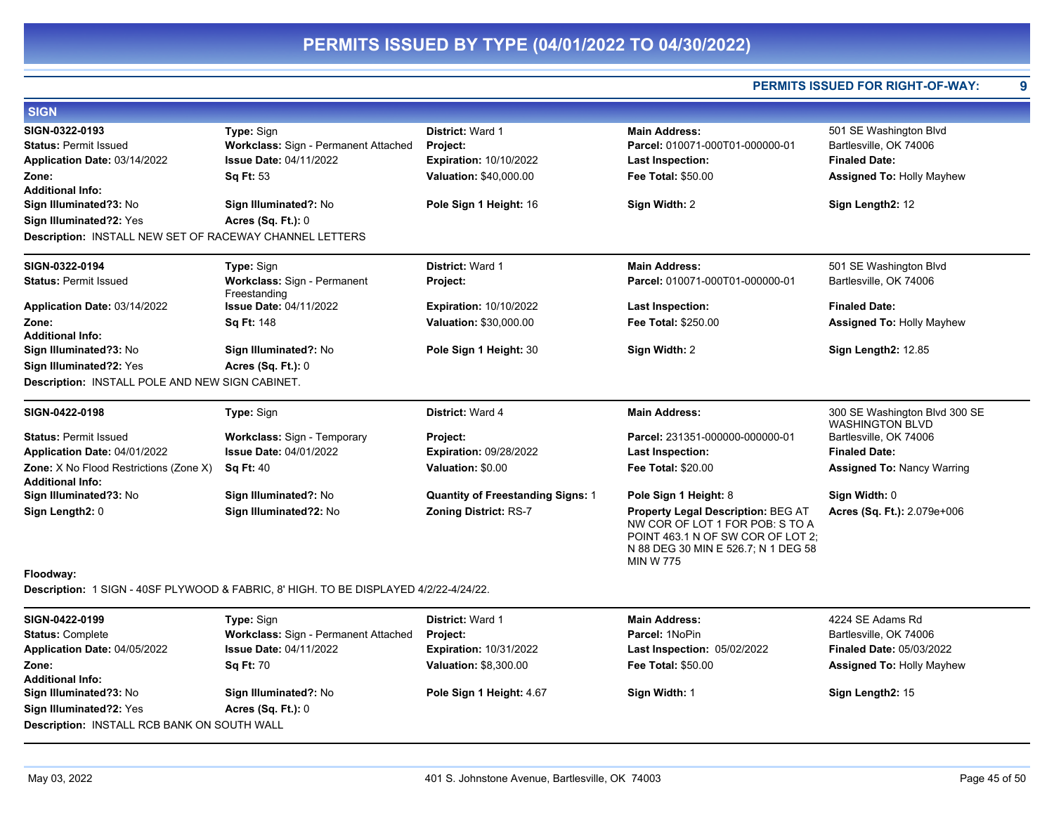**PERMITS ISSUED FOR RIGHT-OF-WAY: 9**

| <b>SIGN</b>                                                       |                                             |                                          |                                                                                                                                 |                                                         |
|-------------------------------------------------------------------|---------------------------------------------|------------------------------------------|---------------------------------------------------------------------------------------------------------------------------------|---------------------------------------------------------|
| SIGN-0322-0193                                                    | Type: Sign                                  | <b>District: Ward 1</b>                  | <b>Main Address:</b>                                                                                                            | 501 SE Washington Blvd                                  |
| <b>Status: Permit Issued</b>                                      | Workclass: Sign - Permanent Attached        | Project:                                 | Parcel: 010071-000T01-000000-01                                                                                                 | Bartlesville, OK 74006                                  |
| Application Date: 03/14/2022                                      | <b>Issue Date: 04/11/2022</b>               | <b>Expiration: 10/10/2022</b>            | <b>Last Inspection:</b>                                                                                                         | <b>Finaled Date:</b>                                    |
| Zone:                                                             | Sq Ft: 53                                   | Valuation: \$40,000.00                   | Fee Total: \$50.00                                                                                                              | <b>Assigned To: Holly Mayhew</b>                        |
| <b>Additional Info:</b>                                           |                                             |                                          |                                                                                                                                 |                                                         |
| Sign Illuminated?3: No                                            | Sign Illuminated?: No                       | Pole Sign 1 Height: 16                   | Sign Width: 2                                                                                                                   | Sign Length2: 12                                        |
| Sign Illuminated?2: Yes                                           | <b>Acres (Sq. Ft.): 0</b>                   |                                          |                                                                                                                                 |                                                         |
| <b>Description: INSTALL NEW SET OF RACEWAY CHANNEL LETTERS</b>    |                                             |                                          |                                                                                                                                 |                                                         |
| SIGN-0322-0194                                                    | Type: Sign                                  | <b>District: Ward 1</b>                  | <b>Main Address:</b>                                                                                                            | 501 SE Washington Blvd                                  |
| <b>Status: Permit Issued</b>                                      | Workclass: Sign - Permanent<br>Freestanding | Project:                                 | Parcel: 010071-000T01-000000-01                                                                                                 | Bartlesville, OK 74006                                  |
| Application Date: 03/14/2022                                      | <b>Issue Date: 04/11/2022</b>               | <b>Expiration: 10/10/2022</b>            | <b>Last Inspection:</b>                                                                                                         | <b>Finaled Date:</b>                                    |
| Zone:                                                             | Sq Ft: 148                                  | Valuation: \$30,000.00                   | Fee Total: \$250.00                                                                                                             | <b>Assigned To: Holly Mayhew</b>                        |
| <b>Additional Info:</b>                                           |                                             |                                          |                                                                                                                                 |                                                         |
| Sign Illuminated?3: No                                            | Sign Illuminated?: No                       | Pole Sign 1 Height: 30                   | Sign Width: 2                                                                                                                   | <b>Sign Length2: 12.85</b>                              |
| Sign Illuminated?2: Yes                                           | Acres $(Sq. Ft.): 0$                        |                                          |                                                                                                                                 |                                                         |
| Description: INSTALL POLE AND NEW SIGN CABINET.                   |                                             |                                          |                                                                                                                                 |                                                         |
| SIGN-0422-0198                                                    | Type: Sign                                  | District: Ward 4                         | <b>Main Address:</b>                                                                                                            | 300 SE Washington Blvd 300 SE<br><b>WASHINGTON BLVD</b> |
| <b>Status: Permit Issued</b>                                      | Workclass: Sign - Temporary                 | Project:                                 | Parcel: 231351-000000-000000-01                                                                                                 | Bartlesville, OK 74006                                  |
| Application Date: 04/01/2022                                      | <b>Issue Date: 04/01/2022</b>               | <b>Expiration: 09/28/2022</b>            | <b>Last Inspection:</b>                                                                                                         | <b>Finaled Date:</b>                                    |
| Zone: X No Flood Restrictions (Zone X)<br><b>Additional Info:</b> | <b>Sq Ft: 40</b>                            | Valuation: \$0.00                        | Fee Total: \$20.00                                                                                                              | <b>Assigned To: Nancy Warring</b>                       |
| Sign Illuminated?3: No                                            | Sign Illuminated?: No                       | <b>Quantity of Freestanding Signs: 1</b> | Pole Sign 1 Height: 8                                                                                                           | Sign Width: 0                                           |
| Sign Length2: 0                                                   | Sign Illuminated?2: No                      | <b>Zoning District: RS-7</b>             | <b>Property Legal Description: BEG AT</b>                                                                                       | Acres (Sq. Ft.): 2.079e+006                             |
| .                                                                 |                                             |                                          | NW COR OF LOT 1 FOR POB: S TO A<br>POINT 463.1 N OF SW COR OF LOT 2;<br>N 88 DEG 30 MIN E 526.7; N 1 DEG 58<br><b>MIN W 775</b> |                                                         |

### **Floodway:**

**Description:** 1 SIGN - 40SF PLYWOOD & FABRIC, 8' HIGH. TO BE DISPLAYED 4/2/22-4/24/22.

| SIGN-0422-0199                                     | <b>Type: Sign</b>                    | <b>District: Ward 1</b>       | <b>Main Address:</b>               | 4224 SE Adams Rd                 |  |
|----------------------------------------------------|--------------------------------------|-------------------------------|------------------------------------|----------------------------------|--|
| <b>Status: Complete</b>                            | Workclass: Sign - Permanent Attached | <b>Project:</b>               | Parcel: 1NoPin                     | Bartlesville, OK 74006           |  |
| Application Date: 04/05/2022                       | <b>Issue Date: 04/11/2022</b>        | <b>Expiration: 10/31/2022</b> | <b>Last Inspection: 05/02/2022</b> | <b>Finaled Date: 05/03/2022</b>  |  |
| Zone:                                              | <b>Sq Ft: 70</b>                     | <b>Valuation: \$8,300.00</b>  | <b>Fee Total: \$50.00</b>          | <b>Assigned To: Holly Mayhew</b> |  |
| <b>Additional Info:</b>                            |                                      |                               |                                    |                                  |  |
| Sign Illuminated?3: No                             | Sign Illuminated?: No                | Pole Sign 1 Height: 4.67      | Sign Width: 1                      | Sign Length2: 15                 |  |
| Sign Illuminated?2: Yes                            | Acres $(Sq. Ft.): 0$                 |                               |                                    |                                  |  |
| <b>Description: INSTALL RCB BANK ON SOUTH WALL</b> |                                      |                               |                                    |                                  |  |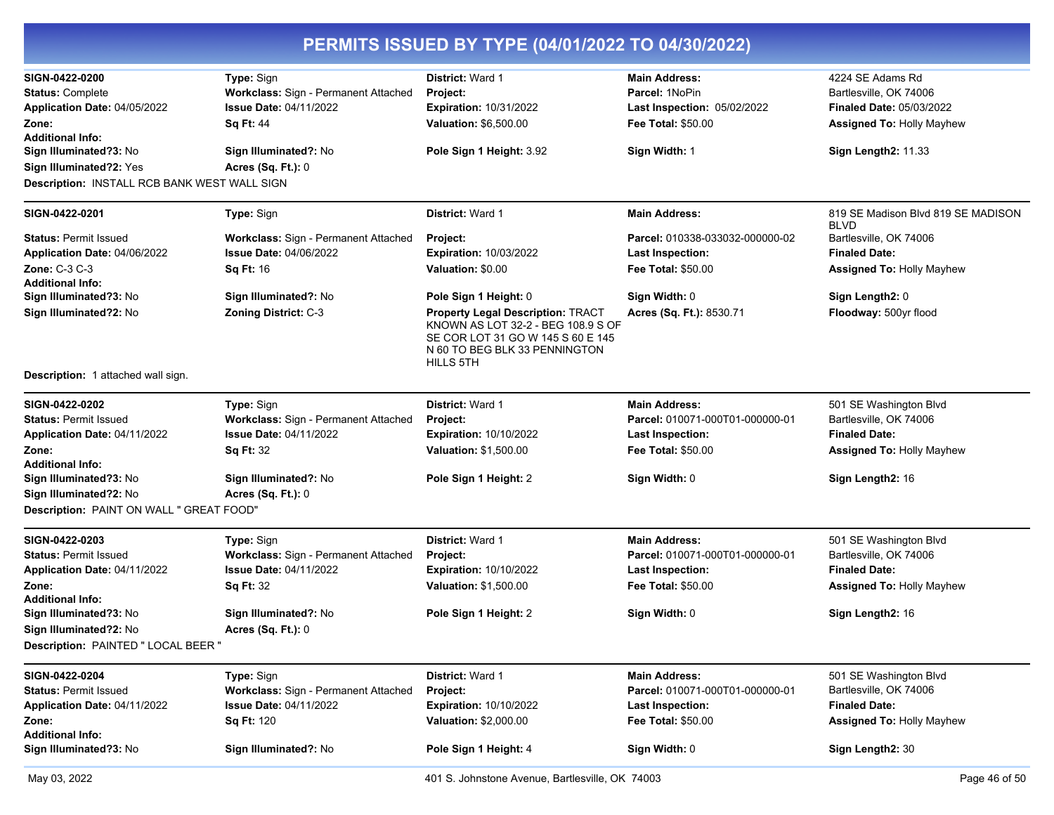| SIGN-0422-0200                                      | Type: Sign                           | District: Ward 1                                                                                                                                                  | <b>Main Address:</b>            | 4224 SE Adams Rd                                  |
|-----------------------------------------------------|--------------------------------------|-------------------------------------------------------------------------------------------------------------------------------------------------------------------|---------------------------------|---------------------------------------------------|
| <b>Status: Complete</b>                             | Workclass: Sign - Permanent Attached | Project:                                                                                                                                                          | Parcel: 1NoPin                  | Bartlesville, OK 74006                            |
| Application Date: 04/05/2022                        | <b>Issue Date: 04/11/2022</b>        | <b>Expiration: 10/31/2022</b>                                                                                                                                     | Last Inspection: 05/02/2022     | <b>Finaled Date: 05/03/2022</b>                   |
| Zone:                                               | <b>Sq Ft: 44</b>                     | Valuation: \$6,500.00                                                                                                                                             | <b>Fee Total: \$50.00</b>       | <b>Assigned To: Holly Mayhew</b>                  |
| <b>Additional Info:</b>                             |                                      |                                                                                                                                                                   |                                 |                                                   |
| Sign Illuminated?3: No                              | Sign Illuminated?: No                | Pole Sign 1 Height: 3.92                                                                                                                                          | Sign Width: 1                   | Sign Length2: 11.33                               |
| Sign Illuminated?2: Yes                             | <b>Acres (Sq. Ft.): 0</b>            |                                                                                                                                                                   |                                 |                                                   |
| <b>Description: INSTALL RCB BANK WEST WALL SIGN</b> |                                      |                                                                                                                                                                   |                                 |                                                   |
| SIGN-0422-0201                                      | Type: Sign                           | District: Ward 1                                                                                                                                                  | <b>Main Address:</b>            | 819 SE Madison Blvd 819 SE MADISON<br><b>BLVD</b> |
| <b>Status: Permit Issued</b>                        | Workclass: Sign - Permanent Attached | <b>Project:</b>                                                                                                                                                   | Parcel: 010338-033032-000000-02 | Bartlesville, OK 74006                            |
| Application Date: 04/06/2022                        | <b>Issue Date: 04/06/2022</b>        | <b>Expiration: 10/03/2022</b>                                                                                                                                     | <b>Last Inspection:</b>         | <b>Finaled Date:</b>                              |
| Zone: C-3 C-3                                       | <b>Sq Ft: 16</b>                     | Valuation: \$0.00                                                                                                                                                 | Fee Total: \$50.00              | <b>Assigned To: Holly Mayhew</b>                  |
| <b>Additional Info:</b>                             |                                      |                                                                                                                                                                   |                                 |                                                   |
| Sign Illuminated?3: No                              | Sign Illuminated?: No                | Pole Sign 1 Height: 0                                                                                                                                             | Sign Width: 0                   | Sign Length2: 0                                   |
| Sign Illuminated?2: No                              | Zoning District: C-3                 | <b>Property Legal Description: TRACT</b><br>KNOWN AS LOT 32-2 - BEG 108.9 S OF<br>SE COR LOT 31 GO W 145 S 60 E 145<br>N 60 TO BEG BLK 33 PENNINGTON<br>HILLS 5TH | Acres (Sq. Ft.): 8530.71        | Floodway: 500yr flood                             |
| <b>Description:</b> 1 attached wall sign.           |                                      |                                                                                                                                                                   |                                 |                                                   |
| SIGN-0422-0202                                      | Type: Sign                           | District: Ward 1                                                                                                                                                  | <b>Main Address:</b>            | 501 SE Washington Blvd                            |
| <b>Status: Permit Issued</b>                        | Workclass: Sign - Permanent Attached | Project:                                                                                                                                                          | Parcel: 010071-000T01-000000-01 | Bartlesville, OK 74006                            |
| Application Date: 04/11/2022                        | <b>Issue Date: 04/11/2022</b>        | <b>Expiration: 10/10/2022</b>                                                                                                                                     | <b>Last Inspection:</b>         | <b>Finaled Date:</b>                              |
| Zone:                                               | <b>Sq Ft: 32</b>                     | Valuation: \$1,500.00                                                                                                                                             | <b>Fee Total: \$50.00</b>       | <b>Assigned To: Holly Mayhew</b>                  |
| <b>Additional Info:</b>                             |                                      |                                                                                                                                                                   |                                 |                                                   |
| Sign Illuminated?3: No                              | Sign Illuminated?: No                | Pole Sign 1 Height: 2                                                                                                                                             | Sign Width: 0                   | Sign Length2: 16                                  |
| Sign Illuminated?2: No                              | <b>Acres (Sq. Ft.): 0</b>            |                                                                                                                                                                   |                                 |                                                   |
| Description: PAINT ON WALL " GREAT FOOD"            |                                      |                                                                                                                                                                   |                                 |                                                   |
| SIGN-0422-0203                                      | Type: Sign                           | District: Ward 1                                                                                                                                                  | <b>Main Address:</b>            | 501 SE Washington Blvd                            |
| <b>Status: Permit Issued</b>                        | Workclass: Sign - Permanent Attached | Project:                                                                                                                                                          | Parcel: 010071-000T01-000000-01 | Bartlesville, OK 74006                            |
| Application Date: 04/11/2022                        | <b>Issue Date: 04/11/2022</b>        | <b>Expiration: 10/10/2022</b>                                                                                                                                     | <b>Last Inspection:</b>         | <b>Finaled Date:</b>                              |
| Zone:<br><b>Additional Info:</b>                    | <b>Sq Ft: 32</b>                     | Valuation: \$1,500.00                                                                                                                                             | <b>Fee Total: \$50.00</b>       | <b>Assigned To: Holly Mayhew</b>                  |
| Sign Illuminated?3: No                              | Sign Illuminated?: No                | Pole Sign 1 Height: 2                                                                                                                                             | Sign Width: 0                   | Sign Length2: 16                                  |
| Sign Illuminated?2: No                              | <b>Acres (Sq. Ft.): 0</b>            |                                                                                                                                                                   |                                 |                                                   |
| Description: PAINTED " LOCAL BEER "                 |                                      |                                                                                                                                                                   |                                 |                                                   |
| SIGN-0422-0204                                      | Type: Sign                           | District: Ward 1                                                                                                                                                  | <b>Main Address:</b>            | 501 SE Washington Blvd                            |
| <b>Status: Permit Issued</b>                        | Workclass: Sign - Permanent Attached | Project:                                                                                                                                                          | Parcel: 010071-000T01-000000-01 | Bartlesville, OK 74006                            |
| Application Date: 04/11/2022                        | <b>Issue Date: 04/11/2022</b>        | <b>Expiration: 10/10/2022</b>                                                                                                                                     | <b>Last Inspection:</b>         | <b>Finaled Date:</b>                              |
| Zone:                                               | Sq Ft: 120                           | Valuation: \$2,000.00                                                                                                                                             | <b>Fee Total: \$50.00</b>       | <b>Assigned To: Holly Mayhew</b>                  |
| <b>Additional Info:</b><br>Sign Illuminated?3: No   | Sign Illuminated?: No                | Pole Sign 1 Height: 4                                                                                                                                             | Sign Width: 0                   | Sign Length2: 30                                  |
|                                                     |                                      |                                                                                                                                                                   |                                 |                                                   |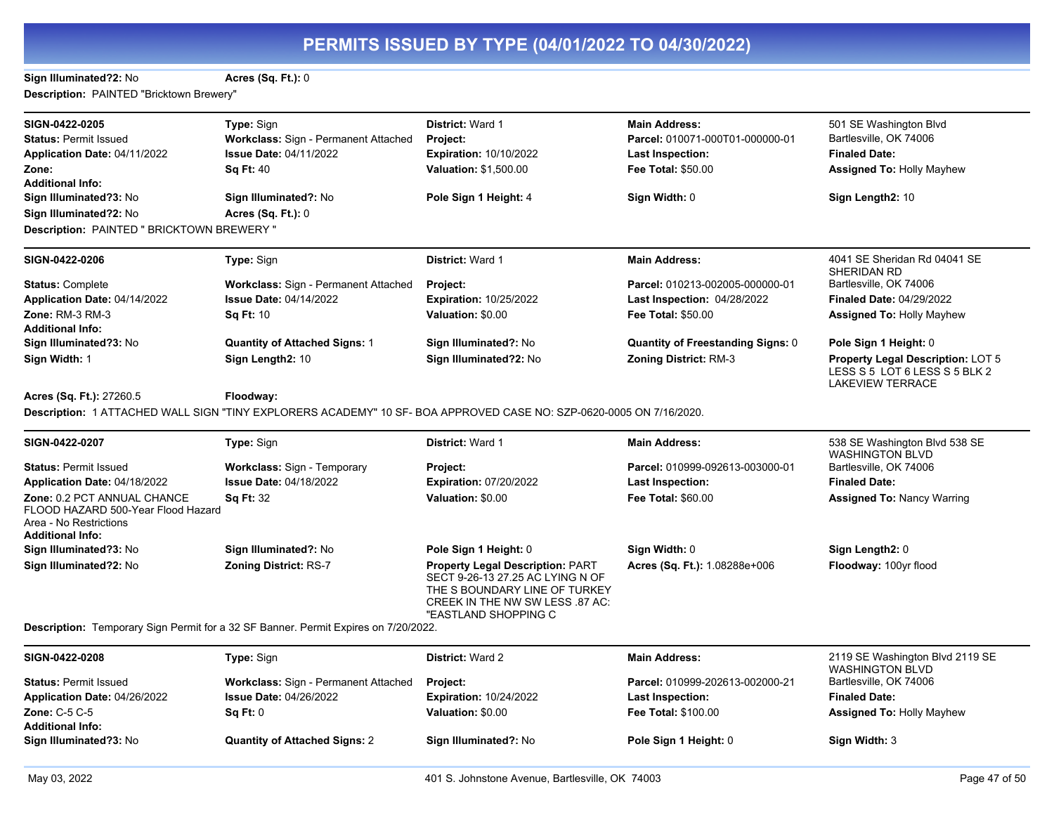**Sign Illuminated?2:** No **Acres (Sq. Ft.):** 0

**Description:** PAINTED "Bricktown Brewery"

| SIGN-0422-0205                                                                                                         | Type: Sign                                                                          | District: Ward 1                                                                                                                                                | <b>Main Address:</b>                     | 501 SE Washington Blvd                                                                        |
|------------------------------------------------------------------------------------------------------------------------|-------------------------------------------------------------------------------------|-----------------------------------------------------------------------------------------------------------------------------------------------------------------|------------------------------------------|-----------------------------------------------------------------------------------------------|
| <b>Status: Permit Issued</b>                                                                                           | Workclass: Sign - Permanent Attached                                                | Project:                                                                                                                                                        | Parcel: 010071-000T01-000000-01          | Bartlesville, OK 74006                                                                        |
| Application Date: 04/11/2022                                                                                           | <b>Issue Date: 04/11/2022</b>                                                       | <b>Expiration: 10/10/2022</b>                                                                                                                                   | <b>Last Inspection:</b>                  | <b>Finaled Date:</b>                                                                          |
| Zone:                                                                                                                  | <b>Sq Ft: 40</b>                                                                    | Valuation: \$1,500.00                                                                                                                                           | <b>Fee Total: \$50.00</b>                | <b>Assigned To: Holly Mayhew</b>                                                              |
| <b>Additional Info:</b>                                                                                                |                                                                                     |                                                                                                                                                                 |                                          |                                                                                               |
| Sign Illuminated?3: No                                                                                                 | Sign Illuminated?: No                                                               | Pole Sign 1 Height: 4                                                                                                                                           | Sign Width: 0                            | Sign Length2: 10                                                                              |
| Sign Illuminated?2: No                                                                                                 | <b>Acres (Sq. Ft.): 0</b>                                                           |                                                                                                                                                                 |                                          |                                                                                               |
| Description: PAINTED " BRICKTOWN BREWERY "                                                                             |                                                                                     |                                                                                                                                                                 |                                          |                                                                                               |
| SIGN-0422-0206                                                                                                         | Type: Sign                                                                          | District: Ward 1                                                                                                                                                | <b>Main Address:</b>                     | 4041 SE Sheridan Rd 04041 SE<br>SHERIDAN RD                                                   |
| <b>Status: Complete</b>                                                                                                | Workclass: Sign - Permanent Attached                                                | Project:                                                                                                                                                        | Parcel: 010213-002005-000000-01          | Bartlesville, OK 74006                                                                        |
| Application Date: 04/14/2022                                                                                           | <b>Issue Date: 04/14/2022</b>                                                       | <b>Expiration: 10/25/2022</b>                                                                                                                                   | Last Inspection: 04/28/2022              | <b>Finaled Date: 04/29/2022</b>                                                               |
| <b>Zone: RM-3 RM-3</b>                                                                                                 | <b>Sq Ft: 10</b>                                                                    | Valuation: \$0.00                                                                                                                                               | <b>Fee Total: \$50.00</b>                | <b>Assigned To: Holly Mayhew</b>                                                              |
| <b>Additional Info:</b>                                                                                                |                                                                                     |                                                                                                                                                                 |                                          |                                                                                               |
| Sign Illuminated?3: No                                                                                                 | <b>Quantity of Attached Signs: 1</b>                                                | Sign Illuminated?: No                                                                                                                                           | <b>Quantity of Freestanding Signs: 0</b> | Pole Sign 1 Height: 0                                                                         |
| Sign Width: 1                                                                                                          | Sign Length2: 10                                                                    | Sign Illuminated?2: No                                                                                                                                          | <b>Zoning District: RM-3</b>             | Property Legal Description: LOT 5<br>LESS S 5 LOT 6 LESS S 5 BLK 2<br><b>LAKEVIEW TERRACE</b> |
| Acres (Sq. Ft.): 27260.5                                                                                               | Floodway:                                                                           |                                                                                                                                                                 |                                          |                                                                                               |
|                                                                                                                        |                                                                                     | Description: 1 ATTACHED WALL SIGN "TINY EXPLORERS ACADEMY" 10 SF- BOA APPROVED CASE NO: SZP-0620-0005 ON 7/16/2020.                                             |                                          |                                                                                               |
|                                                                                                                        |                                                                                     |                                                                                                                                                                 |                                          |                                                                                               |
| SIGN-0422-0207                                                                                                         | Type: Sign                                                                          | <b>District: Ward 1</b>                                                                                                                                         | <b>Main Address:</b>                     | 538 SE Washington Blvd 538 SE<br><b>WASHINGTON BLVD</b>                                       |
| <b>Status: Permit Issued</b>                                                                                           | <b>Workclass: Sign - Temporary</b>                                                  | Project:                                                                                                                                                        | Parcel: 010999-092613-003000-01          | Bartlesville, OK 74006                                                                        |
| Application Date: 04/18/2022                                                                                           | <b>Issue Date: 04/18/2022</b>                                                       | <b>Expiration: 07/20/2022</b>                                                                                                                                   | <b>Last Inspection:</b>                  | <b>Finaled Date:</b>                                                                          |
| Zone: 0.2 PCT ANNUAL CHANCE<br>FLOOD HAZARD 500-Year Flood Hazard<br>Area - No Restrictions<br><b>Additional Info:</b> | <b>Sq Ft: 32</b>                                                                    | Valuation: \$0.00                                                                                                                                               | <b>Fee Total: \$60.00</b>                | <b>Assigned To: Nancy Warring</b>                                                             |
| Sign Illuminated?3: No                                                                                                 | Sign Illuminated?: No                                                               | Pole Sign 1 Height: 0                                                                                                                                           | Sign Width: 0                            | Sign Length2: 0                                                                               |
| Sign Illuminated?2: No                                                                                                 | <b>Zoning District: RS-7</b>                                                        | Property Legal Description: PART<br>SECT 9-26-13 27.25 AC LYING N OF<br>THE S BOUNDARY LINE OF TURKEY<br>CREEK IN THE NW SW LESS 87 AC:<br>"EASTLAND SHOPPING C | Acres (Sq. Ft.): 1.08288e+006            | Floodway: 100yr flood                                                                         |
|                                                                                                                        | Description: Temporary Sign Permit for a 32 SF Banner. Permit Expires on 7/20/2022. |                                                                                                                                                                 |                                          |                                                                                               |
| SIGN-0422-0208                                                                                                         | Type: Sign                                                                          | District: Ward 2                                                                                                                                                | <b>Main Address:</b>                     | 2119 SE Washington Blvd 2119 SE<br><b>WASHINGTON BLVD</b>                                     |
| <b>Status: Permit Issued</b>                                                                                           | Workclass: Sign - Permanent Attached                                                | <b>Project:</b>                                                                                                                                                 | Parcel: 010999-202613-002000-21          | Bartlesville, OK 74006                                                                        |
| Application Date: 04/26/2022                                                                                           | <b>Issue Date: 04/26/2022</b>                                                       | <b>Expiration: 10/24/2022</b>                                                                                                                                   | <b>Last Inspection:</b>                  | <b>Finaled Date:</b>                                                                          |
| Zone: C-5 C-5                                                                                                          | $Sa$ Ft: $0$                                                                        | Valuation: \$0.00                                                                                                                                               | <b>Fee Total: \$100.00</b>               | <b>Assigned To: Holly Mayhew</b>                                                              |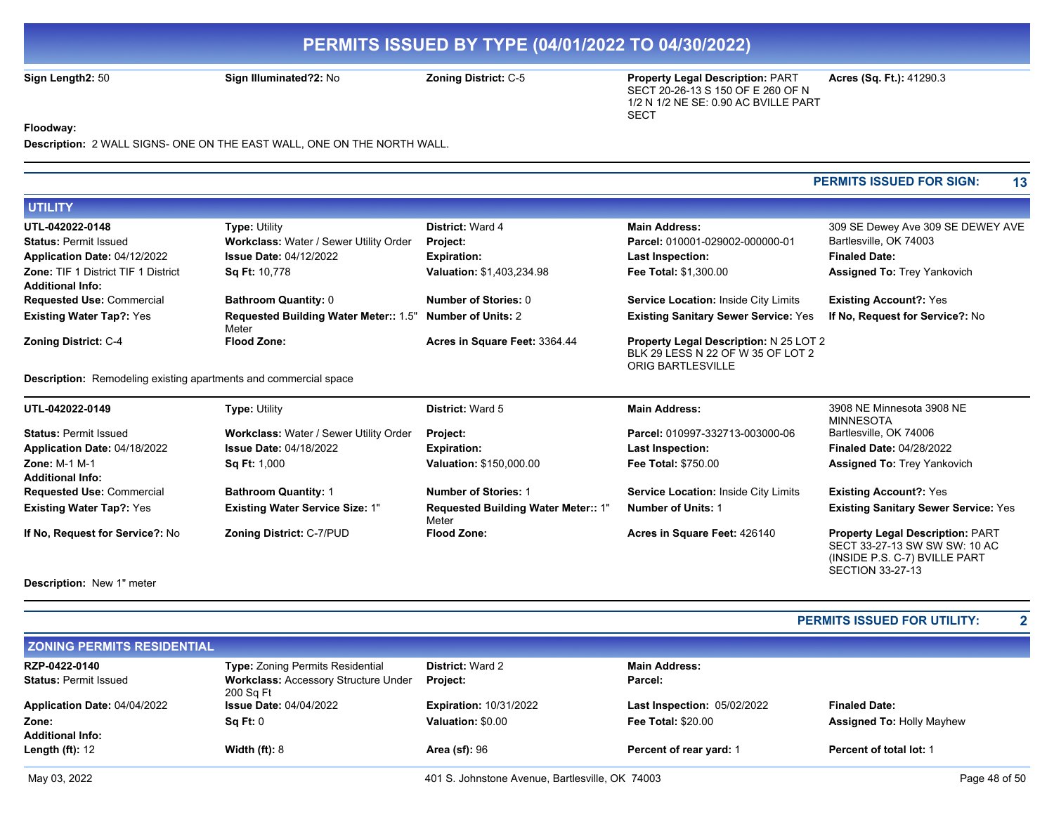**Sign Length2:** 50 **Sign Illuminated?2:** No **Zoning District:** C-5 **Property Legal Description:** PART SECT 20-26-13 S 150 OF E 260 OF N 1/2 N 1/2 NE SE: 0.90 AC BVILLE PART SECT

**Acres (Sq. Ft.):** 41290.3

**Floodway:** 

**Description:** 2 WALL SIGNS- ONE ON THE EAST WALL, ONE ON THE NORTH WALL.

### **PERMITS ISSUED FOR SIGN: 13**

SECTION 33-27-13

| <b>UTILITY</b>                             |                                                                   |                               |                                               |                                    |
|--------------------------------------------|-------------------------------------------------------------------|-------------------------------|-----------------------------------------------|------------------------------------|
| UTL-042022-0148                            | <b>Type: Utility</b>                                              | <b>District: Ward 4</b>       | <b>Main Address:</b>                          | 309 SE Dewey Ave 309 SE DEWEY AVE  |
| <b>Status: Permit Issued</b>               | Workclass: Water / Sewer Utility Order                            | <b>Project:</b>               | Parcel: 010001-029002-000000-01               | Bartlesville, OK 74003             |
| Application Date: 04/12/2022               | <b>Issue Date: 04/12/2022</b>                                     | <b>Expiration:</b>            | <b>Last Inspection:</b>                       | <b>Finaled Date:</b>               |
| <b>Zone: TIF 1 District TIF 1 District</b> | <b>Sq Ft: 10,778</b>                                              | Valuation: \$1,403,234.98     | <b>Fee Total: \$1,300.00</b>                  | <b>Assigned To: Trey Yankovich</b> |
| <b>Additional Info:</b>                    |                                                                   |                               |                                               |                                    |
| <b>Requested Use: Commercial</b>           | <b>Bathroom Quantity: 0</b>                                       | Number of Stories: 0          | Service Location: Inside City Limits          | <b>Existing Account?: Yes</b>      |
| <b>Existing Water Tap?: Yes</b>            | Requested Building Water Meter:: 1.5" Number of Units: 2<br>Meter |                               | <b>Existing Sanitary Sewer Service: Yes</b>   | If No. Request for Service?: No    |
| <b>Zoning District: C-4</b>                | <b>Flood Zone:</b>                                                | Acres in Square Feet: 3364.44 | <b>Property Legal Description: N 25 LOT 2</b> |                                    |
|                                            |                                                                   |                               | BLK 29 LESS N 22 OF W 35 OF LOT 2             |                                    |
|                                            |                                                                   |                               | <b>ORIG BARTLESVILLE</b>                      |                                    |

**Description:** Remodeling existing apartments and commercial space

| UTL-042022-0149                  | <b>Type: Utility</b>                   | <b>District: Ward 5</b>                             | <b>Main Address:</b>                 | 3908 NE Minnesota 3908 NE<br>MINNESOTA                                                                    |
|----------------------------------|----------------------------------------|-----------------------------------------------------|--------------------------------------|-----------------------------------------------------------------------------------------------------------|
| <b>Status: Permit Issued</b>     | Workclass: Water / Sewer Utility Order | Project:                                            | Parcel: 010997-332713-003000-06      | Bartlesville, OK 74006                                                                                    |
| Application Date: 04/18/2022     | <b>Issue Date: 04/18/2022</b>          | <b>Expiration:</b>                                  | <b>Last Inspection:</b>              | <b>Finaled Date: 04/28/2022</b>                                                                           |
| Zone: $M-1$ $M-1$                | <b>Sq Ft: 1,000</b>                    | <b>Valuation: \$150,000.00</b>                      | <b>Fee Total: \$750.00</b>           | <b>Assigned To: Trey Yankovich</b>                                                                        |
| <b>Additional Info:</b>          |                                        |                                                     |                                      |                                                                                                           |
| <b>Requested Use: Commercial</b> | <b>Bathroom Quantity: 1</b>            | <b>Number of Stories: 1</b>                         | Service Location: Inside City Limits | <b>Existing Account?: Yes</b>                                                                             |
| <b>Existing Water Tap?: Yes</b>  | <b>Existing Water Service Size: 1"</b> | <b>Requested Building Water Meter:: 1"</b><br>Meter | <b>Number of Units: 1</b>            | <b>Existing Sanitary Sewer Service: Yes</b>                                                               |
| If No, Request for Service?: No  | <b>Zoning District: C-7/PUD</b>        | <b>Flood Zone:</b>                                  | Acres in Square Feet: 426140         | <b>Property Legal Description: PART</b><br>SECT 33-27-13 SW SW SW: 10 AC<br>(INSIDE P.S. C-7) BVILLE PART |

**Description:** New 1" meter

|                                   |                                                          |                               |                                    | <b>PERMITS ISSUED FOR UTILITY:</b> | $\mathbf{2}$ |
|-----------------------------------|----------------------------------------------------------|-------------------------------|------------------------------------|------------------------------------|--------------|
| <b>ZONING PERMITS RESIDENTIAL</b> |                                                          |                               |                                    |                                    |              |
| RZP-0422-0140                     | <b>Type: Zoning Permits Residential</b>                  | <b>District: Ward 2</b>       | <b>Main Address:</b>               |                                    |              |
| <b>Status: Permit Issued</b>      | <b>Workclass: Accessory Structure Under</b><br>200 Sq Ft | <b>Project:</b>               | Parcel:                            |                                    |              |
| Application Date: 04/04/2022      | <b>Issue Date: 04/04/2022</b>                            | <b>Expiration: 10/31/2022</b> | <b>Last Inspection: 05/02/2022</b> | <b>Finaled Date:</b>               |              |
| Zone:<br><b>Additional Info:</b>  | Sq Ft: 0                                                 | Valuation: \$0.00             | <b>Fee Total: \$20.00</b>          | <b>Assigned To: Holly Mayhew</b>   |              |
| Length $(ft)$ : 12                | Width $(ft)$ : 8                                         | <b>Area (sf): 96</b>          | Percent of rear yard: 1            | <b>Percent of total lot: 1</b>     |              |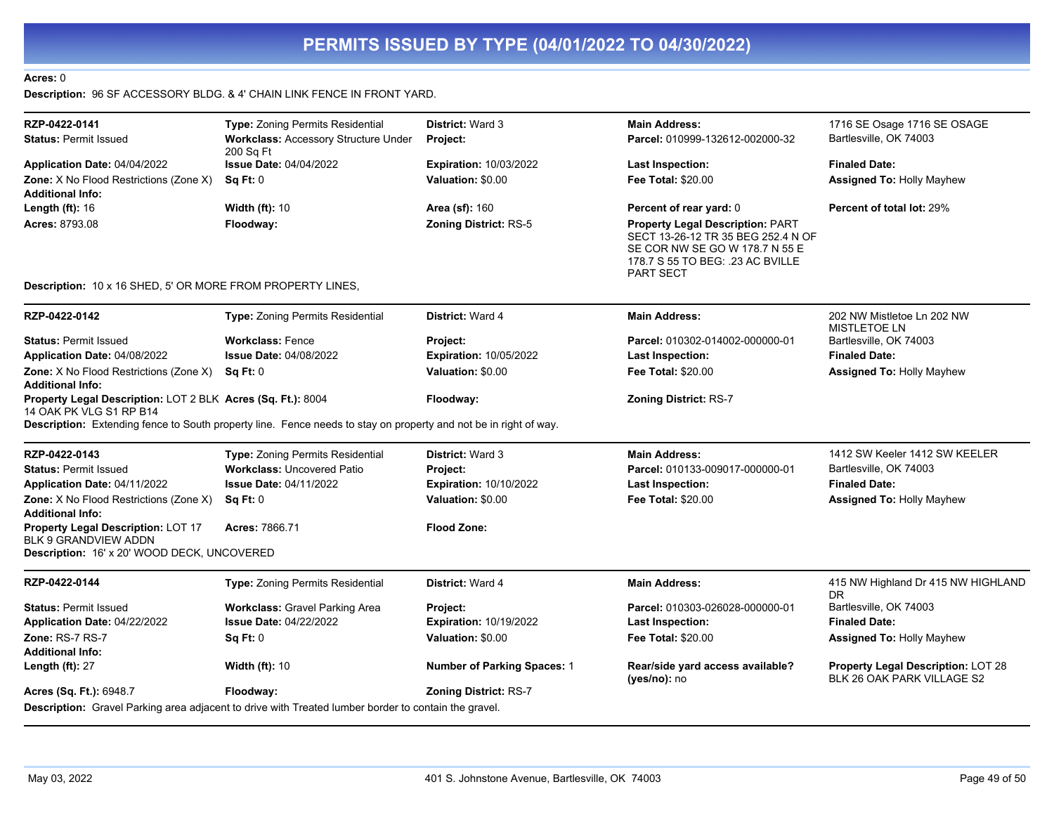### **Acres:** 0

**Description:** 96 SF ACCESSORY BLDG. & 4' CHAIN LINK FENCE IN FRONT YARD.

| RZP-0422-0141                                                                          | Type: Zoning Permits Residential                                                                                 | <b>District: Ward 3</b>       | <b>Main Address:</b>                                                                                                                                             | 1716 SE Osage 1716 SE OSAGE                                             |
|----------------------------------------------------------------------------------------|------------------------------------------------------------------------------------------------------------------|-------------------------------|------------------------------------------------------------------------------------------------------------------------------------------------------------------|-------------------------------------------------------------------------|
| <b>Status: Permit Issued</b>                                                           | <b>Workclass: Accessory Structure Under</b><br>200 Sq Ft                                                         | Project:                      | Parcel: 010999-132612-002000-32                                                                                                                                  | Bartlesville, OK 74003                                                  |
| Application Date: 04/04/2022                                                           | <b>Issue Date: 04/04/2022</b>                                                                                    | <b>Expiration: 10/03/2022</b> | <b>Last Inspection:</b>                                                                                                                                          | <b>Finaled Date:</b>                                                    |
| Zone: X No Flood Restrictions (Zone X)                                                 | Sq Ft: 0                                                                                                         | Valuation: \$0.00             | <b>Fee Total: \$20.00</b>                                                                                                                                        | <b>Assigned To: Holly Mayhew</b>                                        |
| <b>Additional Info:</b>                                                                |                                                                                                                  |                               |                                                                                                                                                                  |                                                                         |
| Length $(ft)$ : 16                                                                     | <b>Width (ft): 10</b>                                                                                            | Area (sf): 160                | Percent of rear yard: 0                                                                                                                                          | Percent of total lot: 29%                                               |
| Acres: 8793.08                                                                         | Floodway:                                                                                                        | <b>Zoning District: RS-5</b>  | <b>Property Legal Description: PART</b><br>SECT 13-26-12 TR 35 BEG 252.4 N OF<br>SE COR NW SE GO W 178.7 N 55 E<br>178.7 S 55 TO BEG: .23 AC BVILLE<br>PART SECT |                                                                         |
| <b>Description: 10 x 16 SHED, 5' OR MORE FROM PROPERTY LINES,</b>                      |                                                                                                                  |                               |                                                                                                                                                                  |                                                                         |
| RZP-0422-0142                                                                          | Type: Zoning Permits Residential                                                                                 | District: Ward 4              | <b>Main Address:</b>                                                                                                                                             | 202 NW Mistletoe Ln 202 NW<br><b>MISTLETOE LN</b>                       |
| <b>Status: Permit Issued</b>                                                           | <b>Workclass: Fence</b>                                                                                          | Project:                      | Parcel: 010302-014002-000000-01                                                                                                                                  | Bartlesville, OK 74003                                                  |
| Application Date: 04/08/2022                                                           | <b>Issue Date: 04/08/2022</b>                                                                                    | <b>Expiration: 10/05/2022</b> | <b>Last Inspection:</b>                                                                                                                                          | <b>Finaled Date:</b>                                                    |
| Zone: X No Flood Restrictions (Zone X)<br><b>Additional Info:</b>                      | SqFt:0                                                                                                           | Valuation: \$0.00             | <b>Fee Total: \$20.00</b>                                                                                                                                        | <b>Assigned To: Holly Mayhew</b>                                        |
| Property Legal Description: LOT 2 BLK Acres (Sq. Ft.): 8004<br>14 OAK PK VLG S1 RP B14 | Description: Extending fence to South property line. Fence needs to stay on property and not be in right of way. | Floodway:                     | <b>Zoning District: RS-7</b>                                                                                                                                     |                                                                         |
| RZP-0422-0143                                                                          | Type: Zoning Permits Residential                                                                                 | <b>District: Ward 3</b>       | <b>Main Address:</b>                                                                                                                                             | 1412 SW Keeler 1412 SW KEELER                                           |
| <b>Status: Permit Issued</b>                                                           | <b>Workclass: Uncovered Patio</b>                                                                                | Project:                      | Parcel: 010133-009017-000000-01                                                                                                                                  | Bartlesville, OK 74003                                                  |
| Application Date: 04/11/2022                                                           | <b>Issue Date: 04/11/2022</b>                                                                                    | <b>Expiration: 10/10/2022</b> | <b>Last Inspection:</b>                                                                                                                                          | <b>Finaled Date:</b>                                                    |
| Zone: X No Flood Restrictions (Zone X)<br><b>Additional Info:</b>                      | Sq Ft: 0                                                                                                         | Valuation: \$0.00             | <b>Fee Total: \$20.00</b>                                                                                                                                        | <b>Assigned To: Holly Mayhew</b>                                        |
| Property Legal Description: LOT 17<br><b>BLK 9 GRANDVIEW ADDN</b>                      | Acres: 7866.71                                                                                                   | <b>Flood Zone:</b>            |                                                                                                                                                                  |                                                                         |
| Description: 16' x 20' WOOD DECK, UNCOVERED                                            |                                                                                                                  |                               |                                                                                                                                                                  |                                                                         |
| RZP-0422-0144                                                                          | Type: Zoning Permits Residential                                                                                 | District: Ward 4              | <b>Main Address:</b>                                                                                                                                             | 415 NW Highland Dr 415 NW HIGHLAND<br><b>DR</b>                         |
| <b>Status: Permit Issued</b>                                                           | <b>Workclass: Gravel Parking Area</b>                                                                            | Project:                      | Parcel: 010303-026028-000000-01                                                                                                                                  | Bartlesville, OK 74003                                                  |
| Application Date: 04/22/2022                                                           | <b>Issue Date: 04/22/2022</b>                                                                                    | <b>Expiration: 10/19/2022</b> | <b>Last Inspection:</b>                                                                                                                                          | <b>Finaled Date:</b>                                                    |
| Zone: RS-7 RS-7                                                                        | Sq Ft: 0                                                                                                         | Valuation: \$0.00             | <b>Fee Total: \$20.00</b>                                                                                                                                        | <b>Assigned To: Holly Mayhew</b>                                        |
| <b>Additional Info:</b>                                                                |                                                                                                                  |                               |                                                                                                                                                                  |                                                                         |
| Length $(ft)$ : 27                                                                     | <b>Width (ft): 10</b>                                                                                            | Number of Parking Spaces: 1   | Rear/side yard access available?<br>(yes/no): no                                                                                                                 | <b>Property Legal Description: LOT 28</b><br>BLK 26 OAK PARK VILLAGE S2 |
| <b>Acres (Sq. Ft.):</b> 6948.7                                                         | Floodway:                                                                                                        | <b>Zoning District: RS-7</b>  |                                                                                                                                                                  |                                                                         |
|                                                                                        | Description: Gravel Parking area adjacent to drive with Treated lumber border to contain the gravel.             |                               |                                                                                                                                                                  |                                                                         |